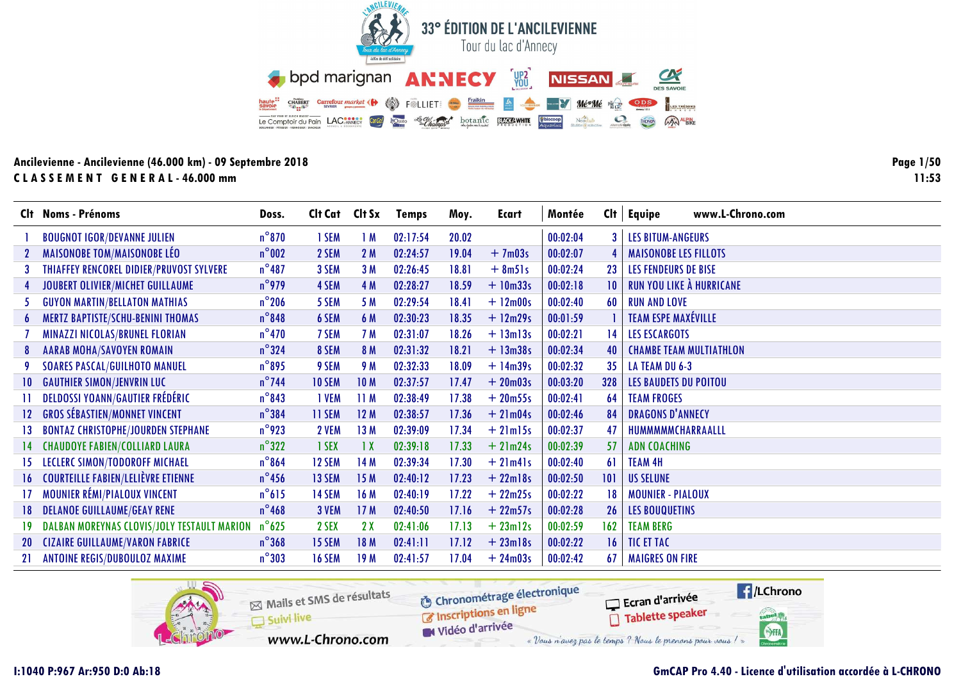

**Page 1/50**  $11:53$ 

| Clt .        | <b>Noms - Prénoms</b>                       | Doss.           | Clt Cat Clt Sx |                 | <b>Temps</b> | Moy.  | Ecart              | Montée   | Cl <sub>t</sub> | www.L-Chrono.com<br>Equipe      |
|--------------|---------------------------------------------|-----------------|----------------|-----------------|--------------|-------|--------------------|----------|-----------------|---------------------------------|
|              | <b>BOUGNOT IGOR/DEVANNE JULIEN</b>          | $n^{\circ}$ 870 | 1 SEM          | 1M              | 02:17:54     | 20.02 |                    | 00:02:04 |                 | <b>LES BITUM-ANGEURS</b>        |
|              | <b>MAISONOBE TOM/MAISONOBE LÉO</b>          | $n^{\circ}$ 002 | 2 SEM          | 2M              | 02:24:57     | 19.04 | $+7m03s$           | 00:02:07 |                 | <b>MAISONOBE LES FILLOTS</b>    |
|              | THIAFFEY RENCOREL DIDIER/PRUVOST SYLVERE    | $n^{\circ}487$  | 3 SEM          | 3M              | 02:26:45     | 18.81 | $+ 8m51s$          | 00:02:24 | 23              | <b>LES FENDEURS DE BISE</b>     |
|              | JOUBERT OLIVIER/MICHET GUILLAUME            | $n^{\circ}$ 979 | 4 SEM          | 4 M             | 02:28:27     | 18.59 | $+10m33s$          | 00:02:18 | 10              | <b>RUN YOU LIKE À HURRICANE</b> |
|              | <b>GUYON MARTIN/BELLATON MATHIAS</b>        | $n^{\circ}$ 206 | 5 SEM          | 5 M             | 02:29:54     | 18.41 | $+ 12 \text{m00s}$ | 00:02:40 | 60              | <b>RUN AND LOVE</b>             |
| 6            | MERTZ BAPTISTE/SCHU-BENINI THOMAS           | $n^{\circ}$ 848 | 6 SEM          | 6 M             | 02:30:23     | 18.35 | $+12m29s$          | 00:01:59 |                 | <b>TEAM ESPE MAXÉVILLE</b>      |
|              | MINAZZI NICOLAS/BRUNEL FLORIAN              | $n^{\circ}470$  | 7 SEM          | <b>7 M</b>      | 02:31:07     | 18.26 | $+ 13$ m $13s$     | 00:02:21 | 14              | <b>LES ESCARGOTS</b>            |
| 8            | <b>AARAB MOHA/SAVOYEN ROMAIN</b>            | $n^{\circ}324$  | 8 SEM          | 8 M             | 02:31:32     | 18.21 | $+ 13m38s$         | 00:02:34 | 40              | <b>CHAMBE TEAM MULTIATHLON</b>  |
|              | <b>SOARES PASCAL/GUILHOTO MANUEL</b>        | $n^{\circ}$ 895 | 9 SEM          | 9 M             | 02:32:33     | 18.09 | $+14m39s$          | 00:02:32 | 35              | LA TEAM DU 6-3                  |
| $10^{\circ}$ | <b>GAUTHIER SIMON/JENVRIN LUC</b>           | $n^{\circ}$ 744 | <b>10 SEM</b>  | 10 <sub>M</sub> | 02:37:57     | 17.47 | $+20m03s$          | 00:03:20 | 328             | <b>LES BAUDETS DU POITOU</b>    |
|              | <b>DELDOSSI YOANN/GAUTIER FRÉDÉRIC</b>      | $n^{\circ}843$  | 1 VEM          | 11M             | 02:38:49     | 17.38 | $+20m55s$          | 00:02:41 | 64              | <b>TEAM FROGES</b>              |
| 12           | <b>GROS SÉBASTIEN/MONNET VINCENT</b>        | $n^{\circ}$ 384 | <b>11 SEM</b>  | 12M             | 02:38:57     | 17.36 | $+21m04s$          | 00:02:46 | 84              | <b>DRAGONS D'ANNECY</b>         |
|              | <b>BONTAZ CHRISTOPHE/JOURDEN STEPHANE</b>   | $n^{\circ}$ 923 | 2 VEM          | 13 M            | 02:39:09     | 17.34 | $+21$ m $15s$      | 00:02:37 | 47              | HUMMMMMCHARRAALLL               |
|              | <b>CHAUDOYE FABIEN/COLLIARD LAURA</b>       | $n^{\circ}322$  | 1 SEX          | $\overline{1}x$ | 02:39:18     | 17.33 | $+21m24s$          | 00:02:39 | 57              | <b>ADN COACHING</b>             |
| 15.          | LECLERC SIMON/TODOROFF MICHAEL              | $n^{\circ}864$  | 12 SEM         | 14 M            | 02:39:34     | 17.30 | $+21m41s$          | 00:02:40 | 61              | <b>TEAM 4H</b>                  |
| 16.          | <b>COURTEILLE FABIEN/LELIÈVRE ETIENNE</b>   | $n^{\circ}$ 456 | 13 SEM         | 15M             | 02:40:12     | 17.23 | $+22$ ml8s         | 00:02:50 | 101             | <b>US SELUNE</b>                |
|              | <b>MOUNIER RÉMI/PIALOUX VINCENT</b>         | $n^{\circ}615$  | 14 SEM         | 16 M            | 02:40:19     | 17.22 | $+22m25s$          | 00:02:22 | 18              | <b>MOUNIER - PIALOUX</b>        |
|              | <b>DELANOE GUILLAUME/GEAY RENE</b>          | $n^{\circ}$ 468 | 3 VEM          | 17 <sub>M</sub> | 02:40:50     | 17.16 | $+22m57s$          | 00:02:28 | 26              | <b>LES BOUQUETINS</b>           |
|              | DALBAN MOREYNAS CLOVIS/JOLY TESTAULT MARION | $n^{\circ}$ 625 | 2 SEX          | 2X              | 02:41:06     | 17.13 | $+23ml2s$          | 00:02:59 | 162             | <b>TEAM BERG</b>                |
|              | <b>CIZAIRE GUILLAUME/VARON FABRICE</b>      | $n^{\circ}368$  | 15 SEM         | 18 M            | 02:41:11     | 17.12 | $+23$ ml8s         | 00:02:22 | 16.             | <b>TIC ET TAC</b>               |
| 21           | ANTOINE REGIS/DUBOULOZ MAXIME               | $n^{\circ}303$  | <b>16 SEM</b>  | 19 <sub>M</sub> | 02:41:57     | 17.04 | $+24m03s$          | 00:02:42 | 67              | <b>MAIGRES ON FIRE</b>          |

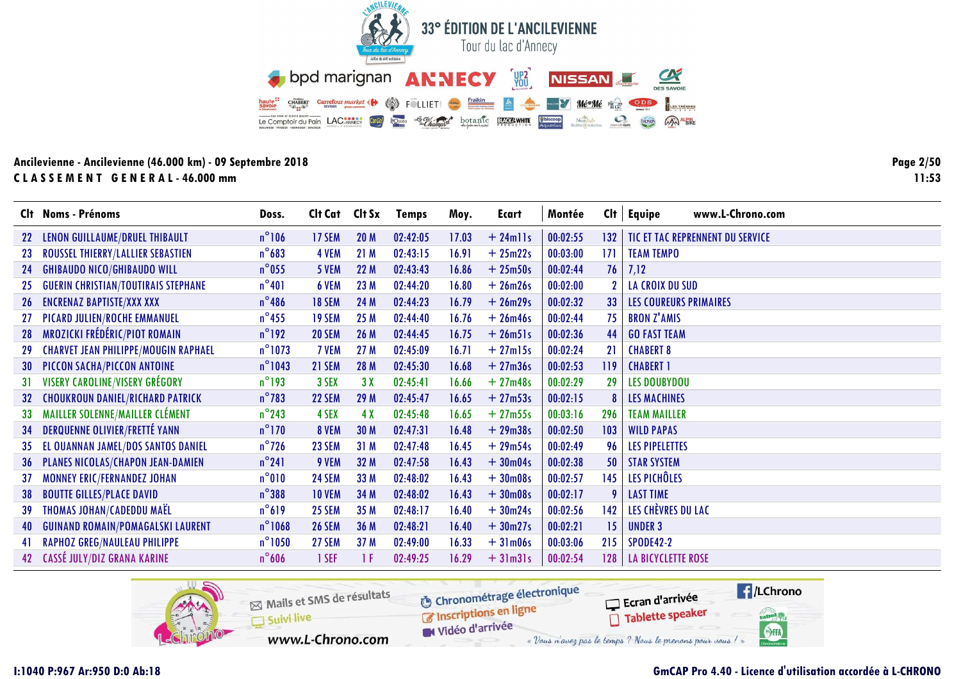

**Page 2/50**  $11:53$ 

|      | Clt Noms - Prénoms                          | Doss.            | Clt Cat Clt Sx |                 | <b>Temps</b> | Moy.  | <b>Ecart</b> | Montée   | Cl <sub>t</sub> | www.L-Chrono.com<br><b>Equipe</b> |
|------|---------------------------------------------|------------------|----------------|-----------------|--------------|-------|--------------|----------|-----------------|-----------------------------------|
|      | LENON GUILLAUME/DRUEL THIBAULT              | $n^{\circ}106$   | 17 SEM         | 20 <sub>M</sub> | 02:42:05     | 17.03 | $+24$ mlls   | 00:02:55 | 132             | TIC ET TAC REPRENNENT DU SERVICE  |
| 23   | ROUSSEL THIERRY/LALLIER SEBASTIEN           | $n^{\circ}683$   | 4 VEM          | 21M             | 02:43:15     | 16.91 | $+25m22s$    | 00:03:00 | 171             | <b>TEAM TEMPO</b>                 |
| 24   | <b>GHIBAUDO NICO/GHIBAUDO WILL</b>          | $n^{\circ}$ 055  | 5 VEM          | 22 M            | 02:43:43     | 16.86 | $+25m50s$    | 00:02:44 | 76 <sup>1</sup> | 7,12                              |
| 25   | <b>GUERIN CHRISTIAN/TOUTIRAIS STEPHANE</b>  | $n^{\circ}401$   | 6 VEM          | 23 M            | 02:44:20     | 16.80 | $+26m26s$    | 00:02:00 |                 | LA CROIX DU SUD                   |
| 26 - | <b>ENCRENAZ BAPTISTE/XXX XXX</b>            | $n^{\circ}$ 486  | <b>18 SEM</b>  | 24 M            | 02:44:23     | 16.79 | $+26m29s$    | 00:02:32 | 33 <sup>°</sup> | <b>LES COUREURS PRIMAIRES</b>     |
|      | PICARD JULIEN/ROCHE EMMANUEL                | $n^{\circ}$ 455  | 19 SEM         | 25 M            | 02:44:40     | 16.76 | $+26m46s$    | 00:02:44 | 75              | <b>BRON Z'AMIS</b>                |
| 28   | MROZICKI FRÉDÉRIC/PIOT ROMAIN               | $n^{\circ}$ 192  | <b>20 SEM</b>  | 26 M            | 02:44:45     | 16.75 | $+26m51s$    | 00:02:36 | 44              | <b>GO FAST TEAM</b>               |
| 29   | <b>CHARVET JEAN PHILIPPE/MOUGIN RAPHAEL</b> | $n^{\circ}$ 1073 | 7 VEM          | 27 M            | 02:45:09     | 16.71 | $+27$ ml5s   | 00:02:24 | 21              | <b>CHABERT 8</b>                  |
| 30   | PICCON SACHA/PICCON ANTOINE                 | $n^{\circ}$ 1043 | 21 SEM         | 28 M            | 02:45:30     | 16.68 | $+27m36s$    | 00:02:53 | 119             | <b>CHABERT 1</b>                  |
| 31   | <b>VISERY CAROLINE/VISERY GRÉGORY</b>       | $n^{\circ}$ 193  | 3 SEX          | 3X              | 02:45:41     | 16.66 | $+27m48s$    | 00:02:29 | 29              | <b>LES DOUBYDOU</b>               |
|      | <b>CHOUKROUN DANIEL/RICHARD PATRICK</b>     | $n^{\circ}$ 783  | <b>22 SEM</b>  | 29 M            | 02:45:47     | 16.65 | $+27m53s$    | 00:02:15 |                 | <b>LES MACHINES</b>               |
| 33   | MAILLER SOLENNE/MAILLER CLÉMENT             | $n^{\circ}$ 243  | 4 SEX          | 4X              | 02:45:48     | 16.65 | $+27m55s$    | 00:03:16 | 296             | <b>TEAM MAILLER</b>               |
| 34   | <b>DERQUENNE OLIVIER/FRETTÉ YANN</b>        | $n^{\circ}$ 170  | 8 VEM          | 30 M            | 02:47:31     | 16.48 | $+29m38s$    | 00:02:50 | 103             | <b>WILD PAPAS</b>                 |
| 35   | EL OUANNAN JAMEL/DOS SANTOS DANIEL          | $n^{\circ}$ 726  | 23 SEM         | 31M             | 02:47:48     | 16.45 | $+29m54s$    | 00:02:49 | 96              | <b>LES PIPELETTES</b>             |
| 36   | PLANES NICOLAS/CHAPON JEAN-DAMIEN           | $n^{\circ}241$   | 9 VEM          | 32 M            | 02:47:58     | 16.43 | $+30m04s$    | 00:02:38 | 50              | <b>STAR SYSTEM</b>                |
| 37   | <b>MONNEY ERIC/FERNANDEZ JOHAN</b>          | $n^{\circ}010$   | <b>24 SEM</b>  | 33 M            | 02:48:02     | 16.43 | $+30m08s$    | 00:02:57 | 145             | LES PICHÔLES                      |
| 38   | <b>BOUTTE GILLES/PLACE DAVID</b>            | $n^{\circ}$ 388  | <b>10 VEM</b>  | 34 M            | 02:48:02     | 16.43 | $+30m08s$    | 00:02:17 | 9               | <b>LAST TIME</b>                  |
| 39   | THOMAS JOHAN/CADEDDU MAËL                   | $n^{\circ}619$   | 25 SEM         | 35 M            | 02:48:17     | 16.40 | $+30m24s$    | 00:02:56 | 142             | LES CHÈVRES DU LAC                |
| 40   | <b>GUINAND ROMAIN/POMAGALSKI LAURENT</b>    | $n^{\circ}$ 1068 | <b>26 SEM</b>  | 36 M            | 02:48:21     | 16.40 | $+30m27s$    | 00:02:21 | 15 <sub>1</sub> | <b>UNDER 3</b>                    |
|      | <b>RAPHOZ GREG/NAULEAU PHILIPPE</b>         | $n^{\circ}1050$  | 27 SEM         | 37 M            | 02:49:00     | 16.33 | $+31m06s$    | 00:03:06 | 215             | <b>SPODE42-2</b>                  |
| 42   | CASSÉ JULY/DIZ GRANA KARINE                 | $n^{\circ}$ 606  | 1 SEF          | 1 F             | 02:49:25     | 16.29 | $+31m31s$    | 00:02:54 | 128             | <b>LA BICYCLETTE ROSE</b>         |

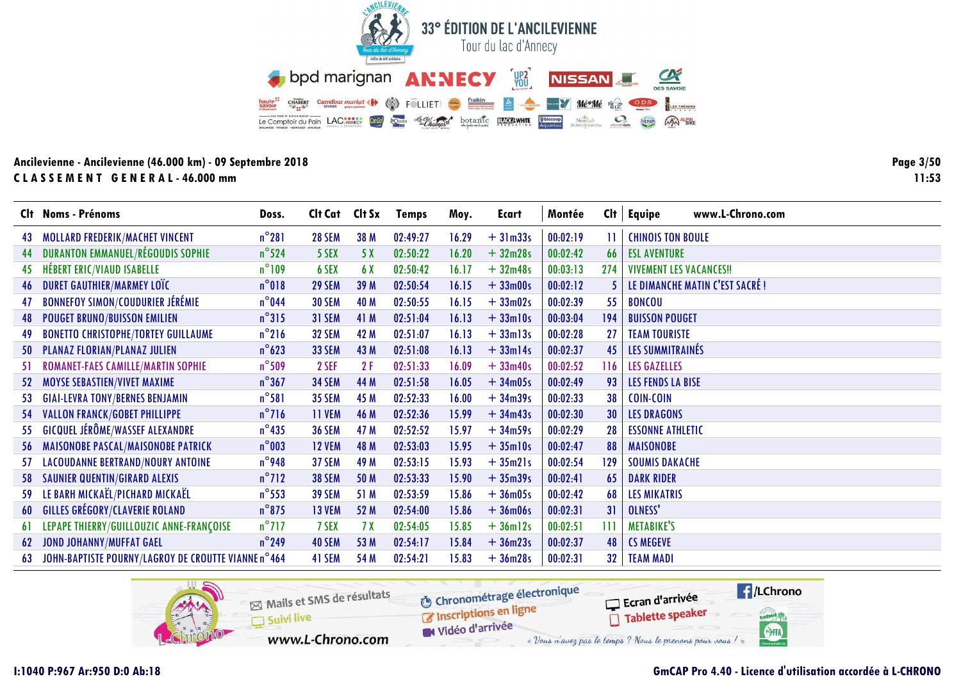

**Page 3/5011:53**

|     | Clt Noms - Prénoms                                  | Doss.           | Cit Cat Cit Sx |      | <b>Temps</b> | Moy.  | Ecart         | Montée   | Cl <sub>t</sub> | www.L-Chrono.com<br><b>Equipe</b> |
|-----|-----------------------------------------------------|-----------------|----------------|------|--------------|-------|---------------|----------|-----------------|-----------------------------------|
| 43. | MOLLARD FREDERIK/MACHET VINCENT                     | $n^{\circ}281$  | <b>28 SEM</b>  | 38 M | 02:49:27     | 16.29 | $+31m33s$     | 00:02:19 | П               | <b>CHINOIS TON BOULE</b>          |
| 44  | <b>DURANTON EMMANUEL/RÉGOUDIS SOPHIE</b>            | $n^{\circ}$ 524 | 5 SEX          | 5 X  | 02:50:22     | 16.20 | $+32m28s$     | 00:02:42 | 66              | <b>ESL AVENTURE</b>               |
| 45  | <b>HÉBERT ERIC/VIAUD ISABELLE</b>                   | $n^{\circ}109$  | 6 SEX          | 6 X  | 02:50:42     | 16.17 | $+32m48s$     | 00:03:13 | 274             | <b>VIVEMENT LES VACANCES!!</b>    |
| 46  | <b>DURET GAUTHIER/MARMEY LOTC</b>                   | $n^{\circ}018$  | 29 SEM         | 39 M | 02:50:54     | 16.15 | $+33m00s$     | 00:02:12 | 5.              | LE DIMANCHE MATIN C'EST SACRÉ !   |
| 47  | <b>BONNEFOY SIMON/COUDURIER JÉRÉMIE</b>             | $n^{\circ}$ 044 | <b>30 SEM</b>  | 40 M | 02:50:55     | 16.15 | $+33m02s$     | 00:02:39 | 55              | <b>BONCOU</b>                     |
| 48  | <b>POUGET BRUNO/BUISSON EMILIEN</b>                 | $n^{\circ}315$  | 31 SEM         | 41 M | 02:51:04     | 16.13 | $+33$ ml0s    | 00:03:04 | 194             | <b>BUISSON POUGET</b>             |
|     | <b>BONETTO CHRISTOPHE/TORTEY GUILLAUME</b>          | $n^{\circ}$ 216 | <b>32 SEM</b>  | 42 M | 02:51:07     | 16.13 | $+33$ ml $3s$ | 00:02:28 | 27              | <b>TEAM TOURISTE</b>              |
|     | PLANAZ FLORIAN/PLANAZ JULIEN                        | $n^{\circ}623$  | <b>33 SEM</b>  | 43 M | 02:51:08     | 16.13 | $+33$ ml4s    | 00:02:37 | 45              | LES SUMMITRAINÉS                  |
| 51. | ROMANET-FAES CAMILLE/MARTIN SOPHIE                  | $n^{\circ}$ 509 | 2 SEF          | 2F   | 02:51:33     | 16.09 | $+33m40s$     | 00:02:52 | 116             | <b>LES GAZELLES</b>               |
| 52  | MOYSE SEBASTIEN/VIVET MAXIME                        | $n^{\circ}367$  | <b>34 SEM</b>  | 44 M | 02:51:58     | 16.05 | $+34m05s$     | 00:02:49 | 93              | <b>LES FENDS LA BISE</b>          |
| 53. | <b>GIAI-LEVRA TONY/BERNES BENJAMIN</b>              | $n^{\circ}581$  | <b>35 SEM</b>  | 45 M | 02:52:33     | 16.00 | $+34m39s$     | 00:02:33 | 38              | <b>COIN-COIN</b>                  |
| 54  | <b>VALLON FRANCK/GOBET PHILLIPPE</b>                | $n^{\circ}$ 716 | 11 VEM         | 46 M | 02:52:36     | 15.99 | $+34m43s$     | 00:02:30 | 30              | <b>LES DRAGONS</b>                |
| 55  | <b>GICQUEL JÉRÔME/WASSEF ALEXANDRE</b>              | $n^{\circ}$ 435 | <b>36 SEM</b>  | 47 M | 02:52:52     | 15.97 | $+34m59s$     | 00:02:29 | 28              | <b>ESSONNE ATHLETIC</b>           |
| 56. | MAISONOBE PASCAL/MAISONOBE PATRICK                  | $n^{\circ}$ 003 | <b>12 VEM</b>  | 48 M | 02:53:03     | 15.95 | $+35$ ml0s    | 00:02:47 | 88              | <b>MAISONOBE</b>                  |
| 57  | LACOUDANNE BERTRAND/NOURY ANTOINE                   | $n^{\circ}$ 948 | 37 SEM         | 49 M | 02:53:15     | 15.93 | $+35m21s$     | 00:02:54 | 129             | <b>SOUMIS DAKACHE</b>             |
| 58. | <b>SAUNIER QUENTIN/GIRARD ALEXIS</b>                | $n^{\circ}712$  | <b>38 SEM</b>  | 50 M | 02:53:33     | 15.90 | $+35m39s$     | 00:02:41 | 65              | <b>DARK RIDER</b>                 |
|     | 59 LE BARH MICKAËL/PICHARD MICKAËL                  | $n^{\circ}$ 553 | <b>39 SEM</b>  | 51 M | 02:53:59     | 15.86 | $+36m05s$     | 00:02:42 | 68              | <b>LES MIKATRIS</b>               |
| 60  | <b>GILLES GRÉGORY/CLAVERIE ROLAND</b>               | $n^{\circ}$ 875 | 13 VEM         | 52 M | 02:54:00     | 15.86 | $+36m06s$     | 00:02:31 | 31              | OLNESS'                           |
| 61  | LEPAPE THIERRY/GUILLOUZIC ANNE-FRANÇOISE            | $n^{\circ}$ 717 | 7 SEX          | 7X   | 02:54:05     | 15.85 | $+36m12s$     | 00:02:51 | 111             | <b>METABIKE'S</b>                 |
| 62  | <b>JOND JOHANNY/MUFFAT GAEL</b>                     | $n^{\circ}$ 249 | 40 SEM         | 53 M | 02:54:17     | 15.84 | $+36m23s$     | 00:02:37 | 48              | <b>CS MEGEVE</b>                  |
| 63  | JOHN-BAPTISTE POURNY/LAGROY DE CROUTTE VIANNE n°464 |                 | 41 SEM         | 54 M | 02:54:21     | 15.83 | $+36m28s$     | 00:02:31 | 32 <sub>2</sub> | <b>TEAM MADI</b>                  |

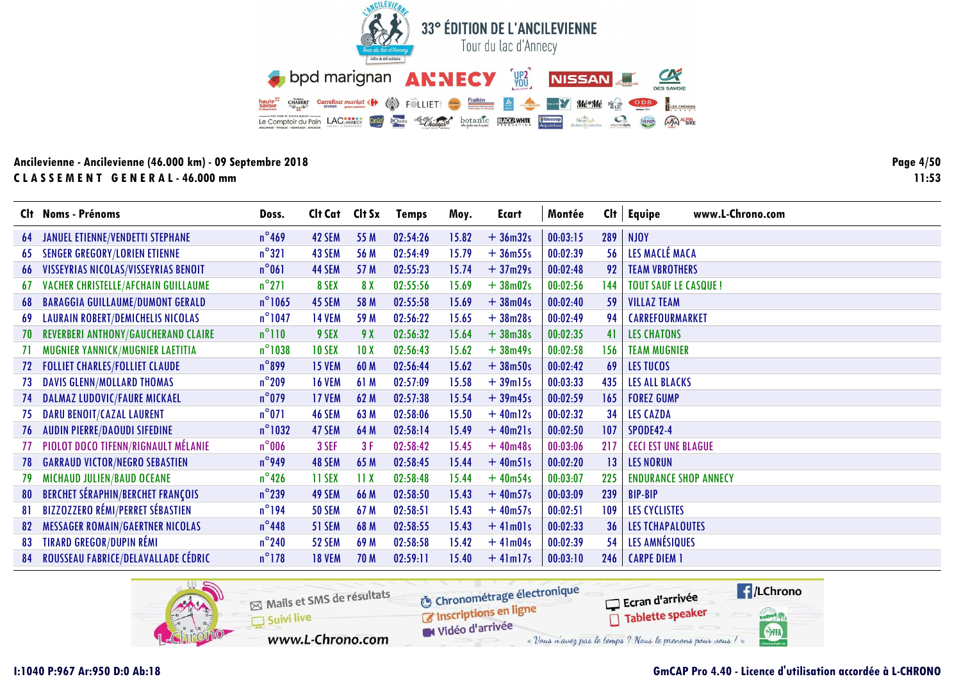

**Page 4/50**  $11:53$ 

|     | Clt Noms - Prénoms                         | Doss.            | Clt Cat Clt Sx |                 | <b>Temps</b> | Moy.  | Ecart         | Montée   | Cl <sub>t</sub> | www.L-Chrono.com<br>Equipe   |
|-----|--------------------------------------------|------------------|----------------|-----------------|--------------|-------|---------------|----------|-----------------|------------------------------|
| 64  | <b>JANUEL ETIENNE/VENDETTI STEPHANE</b>    | $n^{\circ}$ 469  | 42 SEM         | 55 M            | 02:54:26     | 15.82 | $+36m32s$     | 00:03:15 | 289             | <b>NJOY</b>                  |
| 65  | <b>SENGER GREGORY/LORIEN ETIENNE</b>       | $n^{\circ}321$   | 43 SEM         | 56 M            | 02:54:49     | 15.79 | $+36m55s$     | 00:02:39 | 56              | LES MACLÉ MACA               |
| 66  | VISSEYRIAS NICOLAS/VISSEYRIAS BENOIT       | $n^{\circ}061$   | 44 SEM         | 57 M            | 02:55:23     | 15.74 | $+37m29s$     | 00:02:48 | 92              | <b>TEAM VBROTHERS</b>        |
| 67  | VACHER CHRISTELLE/AFCHAIN GUILLAUME        | $n^{\circ}271$   | 8 SEX          | 8 X             | 02:55:56     | 15.69 | $+38m02s$     | 00:02:56 | 144             | <b>TOUT SAUF LE CASQUE!</b>  |
| 68  | <b>BARAGGIA GUILLAUME/DUMONT GERALD</b>    | $n^{\circ}$ 1065 | 45 SEM         | 58 M            | 02:55:58     | 15.69 | $+38m04s$     | 00:02:40 | 59              | <b>VILLAZ TEAM</b>           |
| 69  | <b>LAURAIN ROBERT/DEMICHELIS NICOLAS</b>   | $n^{\circ}$ 1047 | <b>14 VEM</b>  | 59 M            | 02:56:22     | 15.65 | $+38m28s$     | 00:02:49 | 94              | CARREFOURMARKET              |
| 70  | <b>REVERBERI ANTHONY/GAUCHERAND CLAIRE</b> | $n^{\circ}110$   | 9 SEX          | 9 X             | 02:56:32     | 15.64 | $+38m38s$     | 00:02:35 | 41              | <b>LES CHATONS</b>           |
|     | MUGNIER YANNICK/MUGNIER LAETITIA           | $n^{\circ}$ 1038 | <b>10 SEX</b>  | 10 <sub>X</sub> | 02:56:43     | 15.62 | $+38m49s$     | 00:02:58 | 156             | <b>TEAM MUGNIER</b>          |
|     | <b>FOLLIET CHARLES/FOLLIET CLAUDE</b>      | $n^{\circ}899$   | <b>15 VEM</b>  | 60 M            | 02:56:44     | 15.62 | $+38m50s$     | 00:02:42 | 69              | LES TUCOS                    |
| 73  | <b>DAVIS GLENN/MOLLARD THOMAS</b>          | $n^{\circ}$ 209  | <b>16 VEM</b>  | 61 M            | 02:57:09     | 15.58 | $+39$ ml5s    | 00:03:33 | 435             | LES ALL BLACKS               |
|     | DALMAZ LUDOVIC/FAURE MICKAEL               | $n^{\circ}$ 079  | <b>17 VEM</b>  | 62 M            | 02:57:38     | 15.54 | $+39m45s$     | 00:02:59 | 165             | <b>FOREZ GUMP</b>            |
| 75  | <b>DARU BENOIT/CAZAL LAURENT</b>           | $n^{\circ}071$   | 46 SEM         | 63 M            | 02:58:06     | 15.50 | $+40m12s$     | 00:02:32 | 34              | <b>LES CAZDA</b>             |
| 76  | <b>AUDIN PIERRE/DAOUDI SIFEDINE</b>        | $n^{\circ}$ 1032 | 47 SEM         | 64 M            | 02:58:14     | 15.49 | $+40m21s$     | 00:02:50 | 107             | <b>SPODE42-4</b>             |
|     | PIOLOT DOCO TIFENN/RIGNAULT MÉLANIE        | $n^{\circ}$ 006  | 3 SEF          | 3F              | 02:58:42     | 15.45 | $+40m48s$     | 00:03:06 | 217             | <b>CECI EST UNE BLAGUE</b>   |
| 78. | <b>GARRAUD VICTOR/NEGRO SEBASTIEN</b>      | $n^{\circ}$ 949  | 48 SEM         | 65 M            | 02:58:45     | 15.44 | $+40m51s$     | 00:02:20 | 13              | <b>LES NORUN</b>             |
| 79  | MICHAUD JULIEN/BAUD OCEANE                 | $n^{\circ}$ 426  | 11 SEX         | 11X             | 02:58:48     | 15.44 | $+40m54s$     | 00:03:07 | 225             | <b>ENDURANCE SHOP ANNECY</b> |
| 80  | <b>BERCHET SÉRAPHIN/BERCHET FRANÇOIS</b>   | $n^{\circ}$ 239  | 49 SEM         | 66 M            | 02:58:50     | 15.43 | $+40m57s$     | 00:03:09 | 239             | <b>BIP-BIP</b>               |
| 81  | <b>BIZZOZZERO RÉMI/PERRET SÉBASTIEN</b>    | $n^{\circ}$ 194  | <b>50 SEM</b>  | 67 M            | 02:58:51     | 15.43 | $+40m57s$     | 00:02:51 | 109             | LES CYCLISTES                |
| 82  | <b>MESSAGER ROMAIN/GAERTNER NICOLAS</b>    | $n^{\circ}$ 448  | 51 SEM         | 68 M            | 02:58:55     | 15.43 | $+41m01s$     | 00:02:33 | 36              | <b>LES TCHAPALOUTES</b>      |
| 83  | <b>TIRARD GREGOR/DUPIN RÉMI</b>            | $n^{\circ}$ 240  | <b>52 SEM</b>  | 69 M            | 02:58:58     | 15.42 | $+41m04s$     | 00:02:39 | 54              | LES AMNÉSIQUES               |
| 84  | ROUSSEAU FABRICE/DELAVALLADE CÉDRIC        | $n^{\circ}$ 178  | <b>18 VEM</b>  | 70 M            | 02:59:11     | 15.40 | $+4$ lm $17s$ | 00:03:10 | 246             | <b>CARPE DIEM 1</b>          |

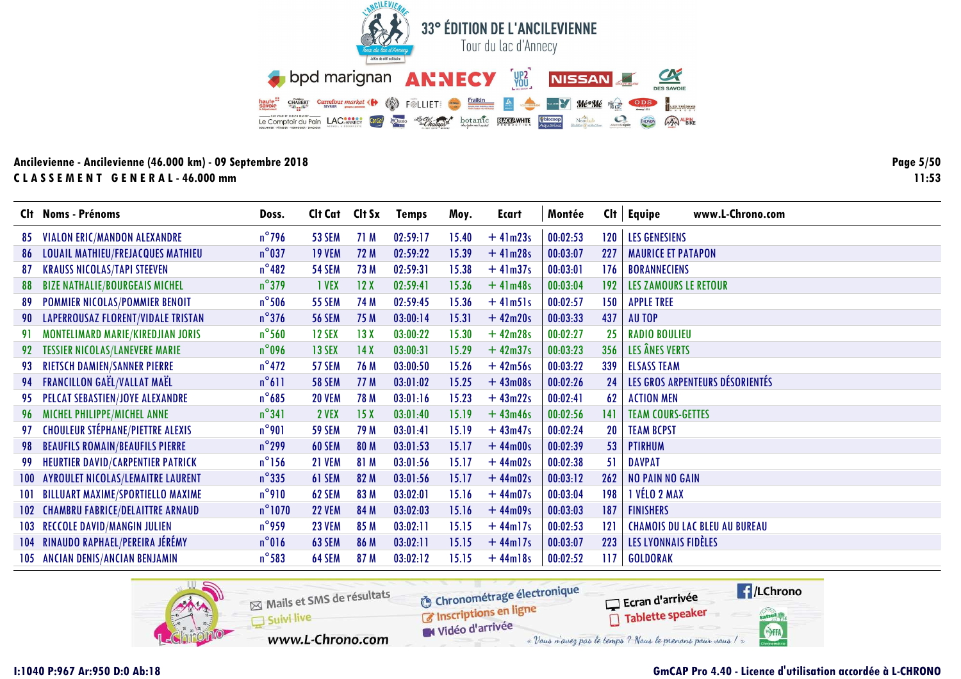

Page 5/50  $11:53$ 

|      | Clt Noms - Prénoms                        | Doss.            | Clt Cat Clt Sx |      | <b>Temps</b> | Moy.  | Ecart      | Montée   | Cl <sub>t</sub> | <b>Equipe</b><br>www.L-Chrono.com    |
|------|-------------------------------------------|------------------|----------------|------|--------------|-------|------------|----------|-----------------|--------------------------------------|
| 85   | VIALON ERIC/MANDON ALEXANDRE              | $n^{\circ}$ 796  | <b>53 SEM</b>  | 71 M | 02:59:17     | 15.40 | $+41m23s$  | 00:02:53 | 120             | <b>LES GENESIENS</b>                 |
| 86   | <b>LOUAIL MATHIEU/FREJACQUES MATHIEU</b>  | $n^{\circ}$ 037  | <b>19 VEM</b>  | 72 M | 02:59:22     | 15.39 | $+41m28s$  | 00:03:07 | 227             | <b>MAURICE ET PATAPON</b>            |
| 87   | <b>KRAUSS NICOLAS/TAPI STEEVEN</b>        | $n^{\circ}482$   | <b>54 SEM</b>  | 73 M | 02:59:31     | 15.38 | $+41m37s$  | 00:03:01 | 176             | <b>BORANNECIENS</b>                  |
| 88   | <b>BIZE NATHALIE/BOURGEAIS MICHEL</b>     | $n^{\circ}$ 379  | 1 VEX          | 12X  | 02:59:41     | 15.36 | $+41m48s$  | 00:03:04 | 192             | <b>LES ZAMOURS LE RETOUR</b>         |
| -89  | POMMIER NICOLAS/POMMIER BENOIT            | $n^{\circ}$ 506  | <b>55 SEM</b>  | 74 M | 02:59:45     | 15.36 | $+41m51s$  | 00:02:57 | 150             | <b>APPLE TREE</b>                    |
| 90   | <b>LAPERROUSAZ FLORENT/VIDALE TRISTAN</b> | $n^{\circ}$ 376  | <b>56 SEM</b>  | 75 M | 03:00:14     | 15.31 | $+42m20s$  | 00:03:33 | 437             | <b>AUTOP</b>                         |
| 91.  | MONTELIMARD MARIE/KIREDJIAN JORIS         | $n^{\circ}$ 560  | <b>12 SEX</b>  | 13X  | 03:00:22     | 15.30 | $+42m28s$  | 00:02:27 | 25              | <b>RADIO BOULIEU</b>                 |
| 92   | <b>TESSIER NICOLAS/LANEVERE MARIE</b>     | $n^{\circ}$ 096  | 13 SEX         | 14X  | 03:00:31     | 15.29 | $+42m37s$  | 00:03:23 | 356             | LES ÂNES VERTS                       |
| 93   | <b>RIETSCH DAMIEN/SANNER PIERRE</b>       | $n^{\circ}$ 472  | 57 SEM         | 76 M | 03:00:50     | 15.26 | $+42m56s$  | 00:03:22 | 339             | <b>ELSASS TEAM</b>                   |
|      | 94 FRANCILLON GAËL/VALLAT MAËL            | $n^{\circ}611$   | <b>58 SEM</b>  | 77 M | 03:01:02     | 15.25 | $+43m08s$  | 00:02:26 | 24              | LES GROS ARPENTEURS DÉSORIENTÉS      |
| 95.  | PELCAT SEBASTIEN/JOYE ALEXANDRE           | $n^{\circ}$ 685  | <b>20 VEM</b>  | 78 M | 03:01:16     | 15.23 | $+43m22s$  | 00:02:41 | 62              | <b>ACTION MEN</b>                    |
| 96   | MICHEL PHILIPPE/MICHEL ANNE               | $n^{\circ}341$   | 2 VEX          | 15X  | 03:01:40     | 15.19 | $+43m46s$  | 00:02:56 | 141             | <b>TEAM COURS-GETTES</b>             |
| 97   | <b>CHOULEUR STÉPHANE/PIETTRE ALEXIS</b>   | $n^{\circ}$ 901  | <b>59 SEM</b>  | 79 M | 03:01:41     | 15.19 | $+43m47s$  | 00:02:24 | 20              | <b>TEAM BCPST</b>                    |
| 98   | <b>BEAUFILS ROMAIN/BEAUFILS PIERRE</b>    | $n^{\circ}$ 299  | 60 SEM         | 80 M | 03:01:53     | 15.17 | $+44m00s$  | 00:02:39 | 53              | <b>PTIRHUM</b>                       |
| 99   | <b>HEURTIER DAVID/CARPENTIER PATRICK</b>  | $n^{\circ}$ 156  | <b>21 VEM</b>  | 81 M | 03:01:56     | 15.17 | $+44m02s$  | 00:02:38 | 51              | <b>DAVPAT</b>                        |
| 100  | <b>AYROULET NICOLAS/LEMAITRE LAURENT</b>  | $n^{\circ}335$   | 61 SEM         | 82 M | 03:01:56     | 15.17 | $+44m02s$  | 00:03:12 | 262             | <b>NO PAIN NO GAIN</b>               |
| 101. | <b>BILLUART MAXIME/SPORTIELLO MAXIME</b>  | $n^{\circ}$ 910  | 62 SEM         | 83 M | 03:02:01     | 15.16 | $+44m07s$  | 00:03:04 | 198             | I VÉLO 2 MAX                         |
|      | 102 CHAMBRU FABRICE/DELAITTRE ARNAUD      | $n^{\circ}$ 1070 | <b>22 VEM</b>  | 84 M | 03:02:03     | 15.16 | $+44m09s$  | 00:03:03 | 187             | <b>FINISHERS</b>                     |
| 103  | <b>RECCOLE DAVID/MANGIN JULIEN</b>        | $n^{\circ}$ 959  | <b>23 VEM</b>  | 85 M | 03:02:11     | 15.15 | $+44$ ml7s | 00:02:53 | 121             | <b>CHAMOIS DU LAC BLEU AU BUREAU</b> |
|      | 104 RINAUDO RAPHAEL/PEREIRA JÉRÉMY        | $n^{\circ}016$   | 63 SEM         | 86 M | 03:02:11     | 15.15 | $+44$ ml7s | 00:03:07 | 223             | LES LYONNAIS FIDÈLES                 |
|      | 105 ANCIAN DENIS/ANCIAN BENJAMIN          | $n^{\circ}$ 583  | 64 SEM         | 87 M | 03:02:12     | 15.15 | $+44$ ml8s | 00:02:52 | 117             | <b>GOLDORAK</b>                      |

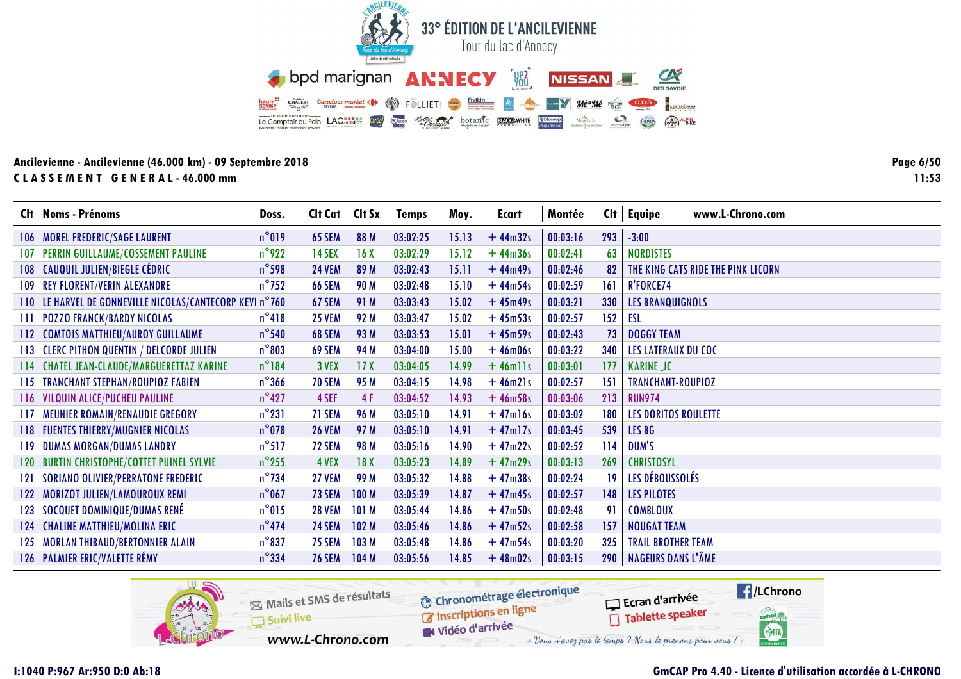

Page 6/50  $11:53$ 

|      | Clt Noms - Prénoms                                       | Doss.           | Clt Cat Clt Sx |                  | <b>Temps</b> | Moy.  | Ecart      | Montée   | Cl <sub>t</sub> | www.L-Chrono.com<br><b>Equipe</b>  |
|------|----------------------------------------------------------|-----------------|----------------|------------------|--------------|-------|------------|----------|-----------------|------------------------------------|
|      | 106 MOREL FREDERIC/SAGE LAURENT                          | $n^{\circ}019$  | <b>65 SEM</b>  | 88 M             | 03:02:25     | 15.13 | $+44m32s$  | 00:03:16 | 293             | $-3:00$                            |
| 107  | PERRIN GUILLAUME/COSSEMENT PAULINE                       | $n^{\circ}$ 922 | <b>14 SEX</b>  | 16X              | 03:02:29     | 15.12 | $+44m36s$  | 00:02:41 | 63              | <b>NORDISTES</b>                   |
|      | 108 CAUQUIL JULIEN/BIEGLE CÉDRIC                         | $n^{\circ}$ 598 | <b>24 VEM</b>  | 89 M             | 03:02:43     | 15.11 | $+44m49s$  | 00:02:46 | 82              | THE KING CATS RIDE THE PINK LICORN |
|      | 109 REY FLORENT/VERIN ALEXANDRE                          | $n^{\circ}$ 752 | <b>66 SEM</b>  | 90 M             | 03:02:48     | 15.10 | $+44m54s$  | 00:02:59 | 161             | <b>R'FORCE74</b>                   |
|      | 110 LE HARVEL DE GONNEVILLE NICOLAS/CANTECORP KEVI n°760 |                 | 67 SEM         | 91 M             | 03:03:43     | 15.02 | $+45m49s$  | 00:03:21 | 330             | <b>LES BRANQUIGNOLS</b>            |
|      | <b>111 POZZO FRANCK/BARDY NICOLAS</b>                    | $n^{\circ}418$  | <b>25 VEM</b>  | 92 M             | 03:03:47     | 15.02 | $+45m53s$  | 00:02:57 | 152             | ESL                                |
|      | 112 COMTOIS MATTHIEU/AUROY GUILLAUME                     | $n^{\circ}$ 540 | <b>68 SEM</b>  | 93 M             | 03:03:53     | 15.01 | $+45m59s$  | 00:02:43 | 73              | <b>DOGGY TEAM</b>                  |
|      | 113 CLERC PITHON QUENTIN / DELCORDE JULIEN               | $n^{\circ}803$  | <b>69 SEM</b>  | 94 M             | 03:04:00     | 15.00 | $+46m06s$  | 00:03:22 | 340             | <b>LES LATERAUX DU COC</b>         |
|      | 114 CHATEL JEAN-CLAUDE/MARGUERETTAZ KARINE               | $n^{\circ}184$  | 3 VEX          | 17 <sub>X</sub>  | 03:04:05     | 14.99 | $+46$ mlls | 00:03:01 | 177             | <b>KARINE JC</b>                   |
|      | 115 TRANCHANT STEPHAN/ROUPIOZ FABIEN                     | $n^{\circ}$ 366 | 70 SEM         | 95 M             | 03:04:15     | 14.98 | $+46m21s$  | 00:02:57 | 151             | TRANCHANT-ROUPIOZ                  |
|      | 116 VILQUIN ALICE/PUCHEU PAULINE                         | $n^{\circ}427$  | 4 SEF          | 4 F              | 03:04:52     | 14.93 | $+46m58s$  | 00:03:06 | 213             | <b>RUN974</b>                      |
| 117. | MEUNIER ROMAIN/RENAUDIE GREGORY                          | $n^{\circ}231$  | 71 SEM         | 96 M             | 03:05:10     | 14.91 | $+47$ ml6s | 00:03:02 | 180             | <b>LES DORITOS ROULETTE</b>        |
|      | <b>118 FUENTES THIERRY/MUGNIER NICOLAS</b>               | $n^{\circ}$ 078 | <b>26 VEM</b>  | 97 M             | 03:05:10     | 14.91 | $+47$ ml7s | 00:03:45 | 539             | LES BG                             |
| 119  | <b>DUMAS MORGAN/DUMAS LANDRY</b>                         | $n^{\circ}517$  | <b>72 SEM</b>  | <b>98 M</b>      | 03:05:16     | 14.90 | $+47m22s$  | 00:02:52 | 114             | DUM'S                              |
| 120  | <b>BURTIN CHRISTOPHE/COTTET PUINEL SYLVIE</b>            | $n^{\circ}$ 255 | 4 VEX          | 18X              | 03:05:23     | 14.89 | $+47m29s$  | 00:03:13 | 269             | <b>CHRISTOSYL</b>                  |
| 121  | <b>SORIANO OLIVIER/PERRATONE FREDERIC</b>                | $n^{\circ}$ 734 | 27 VEM         | 99 M             | 03:05:32     | 14.88 | $+47m38s$  | 00:02:24 | 19              | LES DÉBOUSSOLÉS                    |
| 122  | MORIZOT JULIEN/LAMOUROUX REMI                            | $n^{\circ}$ 067 | 73 SEM         | 100 <sub>M</sub> | 03:05:39     | 14.87 | $+47m45s$  | 00:02:57 | 148             | <b>LES PILOTES</b>                 |
| 123. | SOCQUET DOMINIQUE/DUMAS RENÉ                             | $n^{\circ}015$  | <b>28 VEM</b>  | 101 M            | 03:05:44     | 14.86 | $+47m50s$  | 00:02:48 | 91              | <b>COMBLOUX</b>                    |
| 124  | <b>CHALINE MATTHIEU/MOLINA ERIC</b>                      | $n^{\circ}474$  | <b>74 SEM</b>  | 102 M            | 03:05:46     | 14.86 | $+47m52s$  | 00:02:58 | 157             | <b>NOUGAT TEAM</b>                 |
| 125  | <b>MORLAN THIBAUD/BERTONNIER ALAIN</b>                   | $n^{\circ}$ 837 | <b>75 SEM</b>  | 103M             | 03:05:48     | 14.86 | $+47m54s$  | 00:03:20 | 325             | <b>TRAIL BROTHER TEAM</b>          |
|      | 126 PALMIER ERIC/VALETTE RÉMY                            | $n^{\circ}$ 334 | <b>76 SEM</b>  | 104 M            | 03:05:56     | 14.85 | $+48m02s$  | 00:03:15 | 290             | NAGEURS DANS L'ÂME                 |

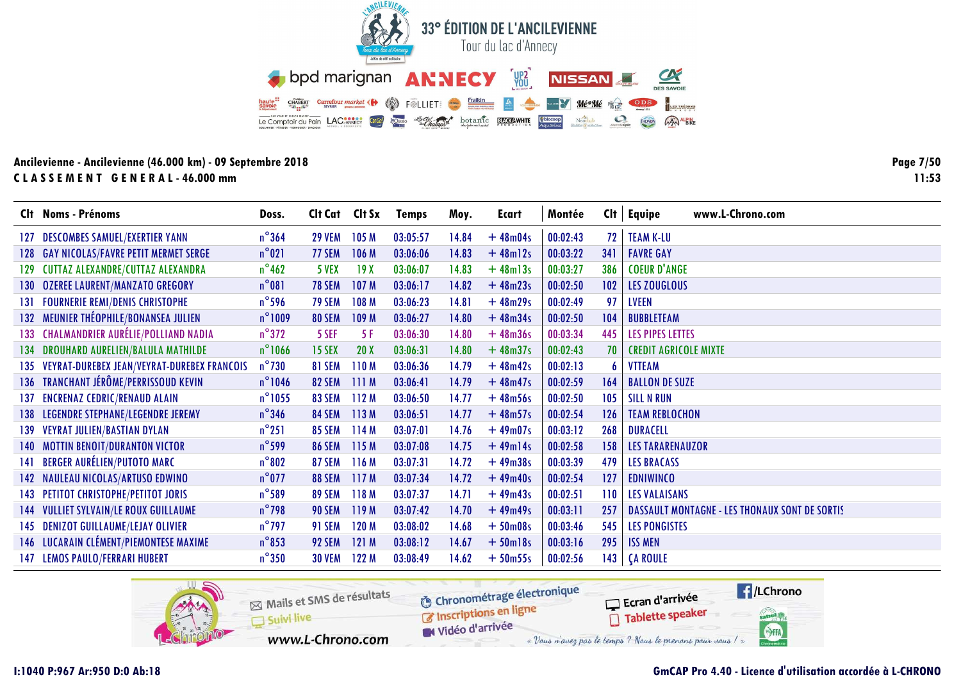

**Page 7/50**  $11:53$ 

|      | Clt Noms - Prénoms                              | Doss.            | Clt Cat Clt Sx |                  | <b>Temps</b> | Moy.  | Ecart         | Montée   | Cl <sub>t</sub> | <b>Equipe</b><br>www.L-Chrono.com                     |
|------|-------------------------------------------------|------------------|----------------|------------------|--------------|-------|---------------|----------|-----------------|-------------------------------------------------------|
| 127  | <b>DESCOMBES SAMUEL/EXERTIER YANN</b>           | $n^{\circ}$ 364  | <b>29 VEM</b>  | 105 <sub>M</sub> | 03:05:57     | 14.84 | $+48m04s$     | 00:02:43 | 72              | <b>TEAM K-LU</b>                                      |
|      | 128 GAY NICOLAS/FAVRE PETIT MERMET SERGE        | $n^{\circ}021$   | 77 SEM         | 106 M            | 03:06:06     | 14.83 | $+48$ ml2s    | 00:03:22 | 341             | <b>FAVRE GAY</b>                                      |
|      | 129 CUTTAZ ALEXANDRE/CUTTAZ ALEXANDRA           | $n^{\circ}$ 462  | 5 VEX          | 19X              | 03:06:07     | 14.83 | $+48$ ml $3s$ | 00:03:27 | 386             | <b>COEUR D'ANGE</b>                                   |
|      | 130 OZEREE LAURENT/MANZATO GREGORY              | $n^{\circ}081$   | <b>78 SEM</b>  | 107 <sub>M</sub> | 03:06:17     | 14.82 | $+48m23s$     | 00:02:50 | 102             | LES ZOUGLOUS                                          |
|      | <b>131 FOURNERIE REMI/DENIS CHRISTOPHE</b>      | $n^{\circ}$ 596  | 79 SEM         | 108 M            | 03:06:23     | 14.81 | $+48m29s$     | 00:02:49 | 97              | <b>LVEEN</b>                                          |
|      | 132 MEUNIER THÉOPHILE/BONANSEA JULIEN           | $n^{\circ}1009$  | <b>80 SEM</b>  | 109 M            | 03:06:27     | 14.80 | $+48m34s$     | 00:02:50 | 104             | <b>BUBBLETEAM</b>                                     |
|      | 133 CHALMANDRIER AURÉLIE/POLLIAND NADIA         | $n^{\circ}372$   | 5 SEF          | -5 F             | 03:06:30     | 14.80 | $+48m36s$     | 00:03:34 | 445             | LES PIPES LETTES                                      |
|      | 134 DROUHARD AURELIEN/BALULA MATHILDE           | $n^{\circ}$ 1066 | <b>15 SEX</b>  | 20X              | 03:06:31     | 14.80 | $+48m37s$     | 00:02:43 | 70              | <b>CREDIT AGRICOLE MIXTE</b>                          |
|      | 135 VEYRAT-DUREBEX JEAN/VEYRAT-DUREBEX FRANCOIS | $n^{\circ}$ 730  | 81 SEM         | 110 <sub>M</sub> | 03:06:36     | 14.79 | $+48m42s$     | 00:02:13 |                 | <b>VTTEAM</b>                                         |
|      | 136 TRANCHANT JÉRÔME/PERRISSOUD KEVIN           | $n^{\circ}$ 1046 | <b>82 SEM</b>  | 111M             | 03:06:41     | 14.79 | $+48m47s$     | 00:02:59 | 164             | <b>BALLON DE SUZE</b>                                 |
| 137. | <b>ENCRENAZ CEDRIC/RENAUD ALAIN</b>             | $n^{\circ}$ 1055 | <b>83 SEM</b>  | 112M             | 03:06:50     | 14.77 | $+48m56s$     | 00:02:50 | 105             | <b>SILL N RUN</b>                                     |
|      | 138 LEGENDRE STEPHANE/LEGENDRE JEREMY           | $n^{\circ}$ 346  | <b>84 SEM</b>  | 113M             | 03:06:51     | 14.77 | $+48m57s$     | 00:02:54 | 126             | <b>TEAM REBLOCHON</b>                                 |
|      | 139 VEYRAT JULIEN/BASTIAN DYLAN                 | $n^{\circ}251$   | <b>85 SEM</b>  | 114M             | 03:07:01     | 14.76 | $+49m07s$     | 00:03:12 | 268             | <b>DURACELL</b>                                       |
|      | <b>140 MOTTIN BENOIT/DURANTON VICTOR</b>        | $n^{\circ}$ 599  | <b>86 SEM</b>  | 115M             | 03:07:08     | 14.75 | $+49$ ml $4s$ | 00:02:58 | 158             | <b>LES TARARENAUZOR</b>                               |
|      | 141 BERGER AURÉLIEN/PUTOTO MARC                 | $n^{\circ}802$   | <b>87 SEM</b>  | 116M             | 03:07:31     | 14.72 | $+49m38s$     | 00:03:39 | 479             | <b>LES BRACASS</b>                                    |
|      | 142 NAULEAU NICOLAS/ARTUSO EDWINO               | $n^{\circ}$ 077  | <b>88 SEM</b>  | 117M             | 03:07:34     | 14.72 | $+49m40s$     | 00:02:54 | 127             | <b>EDNIWINCO</b>                                      |
|      | 143 PETITOT CHRISTOPHE/PETITOT JORIS            | $n^{\circ}$ 589  | <b>89 SEM</b>  | 118 M            | 03:07:37     | 14.71 | $+49m43s$     | 00:02:51 | 110             | <b>LES VALAISANS</b>                                  |
|      | <b>144 VULLIET SYLVAIN/LE ROUX GUILLAUME</b>    | $n^{\circ}$ 798  | <b>90 SEM</b>  | 119M             | 03:07:42     | 14.70 | $+49m49s$     | 00:03:11 | 257             | <b>DASSAULT MONTAGNE - LES THONAUX SONT DE SORTIS</b> |
|      | 145 DENIZOT GUILLAUME/LEJAY OLIVIER             | $n^{\circ}$ 797  | <b>91 SEM</b>  | 120 M            | 03:08:02     | 14.68 | $+50$ m08s    | 00:03:46 | 545             | <b>LES PONGISTES</b>                                  |
|      | 146 LUCARAIN CLÉMENT/PIEMONTESE MAXIME          | $n^{\circ}$ 853  | 92 SEM         | 121M             | 03:08:12     | 14.67 | $+50$ ml8s    | 00:03:16 | 295             | <b>ISS MEN</b>                                        |
|      | 147 LEMOS PAULO/FERRARI HUBERT                  | $n^{\circ}350$   | <b>30 VEM</b>  | 122M             | 03:08:49     | 14.62 | $+50m55s$     | 00:02:56 | 143             | <b>CA ROULE</b>                                       |

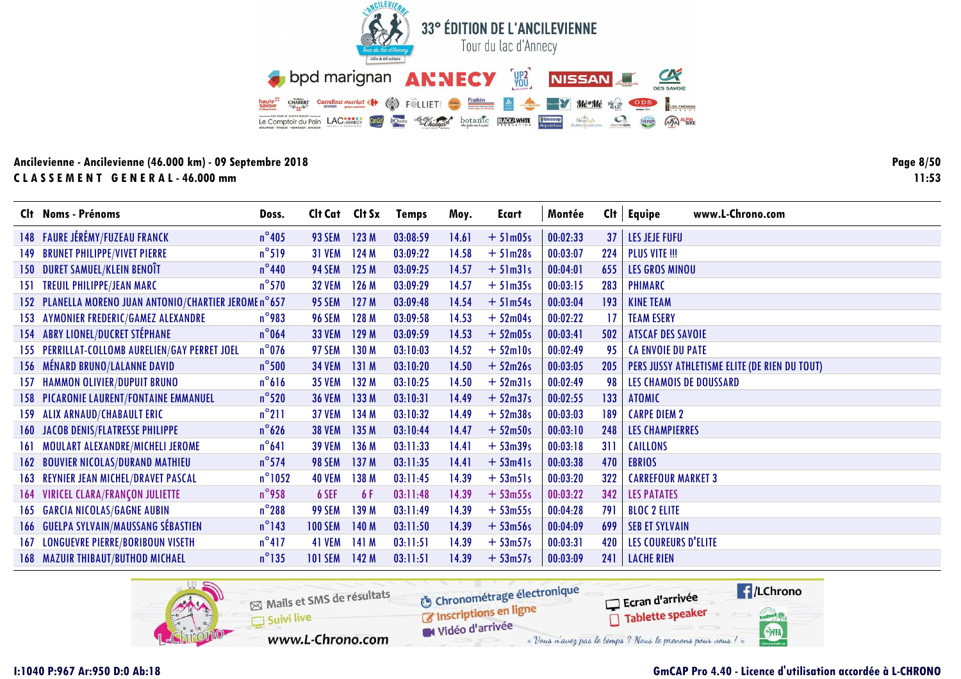

**Page 8/50**  $11:53$ 

|      | Clt Noms - Prénoms                                     | Doss.            | Cit Cat Cit Sx |       | <b>Temps</b> | Moy.  | Ecart          | Montée   | Cl <sub>†</sub> | www.L-Chrono.com<br>Equipe                    |
|------|--------------------------------------------------------|------------------|----------------|-------|--------------|-------|----------------|----------|-----------------|-----------------------------------------------|
|      | 148 FAURE JÉRÉMY/FUZEAU FRANCK                         | $n^{\circ}$ 405  | 93 SEM         | 123M  | 03:08:59     | 14.61 | $+51m05s$      | 00:02:33 | 37              | <b>LES JEJE FUFU</b>                          |
| 149. | <b>BRUNET PHILIPPE/VIVET PIERRE</b>                    | $n^{\circ}519$   | <b>31 VEM</b>  | 124M  | 03:09:22     | 14.58 | $+51m28s$      | 00:03:07 | 224             | <b>PLUS VITE !!!</b>                          |
|      | <b>150 DURET SAMUEL/KLEIN BENOÎT</b>                   | $n^{\circ}$ 440  | <b>94 SEM</b>  | 125 M | 03:09:25     | 14.57 | $+5$ lm $3$ ls | 00:04:01 | 655             | <b>LES GROS MINOU</b>                         |
|      | <b>151 TREUIL PHILIPPE/JEAN MARC</b>                   | $n^{\circ}$ 570  | <b>32 VEM</b>  | 126M  | 03:09:29     | 14.57 | $+51m35s$      | 00:03:15 | 283             | <b>PHIMARC</b>                                |
|      | 152 PLANELLA MORENO JUAN ANTONIO/CHARTIER JEROME n°657 |                  | <b>95 SEM</b>  | 127 M | 03:09:48     | 14.54 | $+51m54s$      | 00:03:04 | 193             | <b>KINE TEAM</b>                              |
| 153  | AYMONIER FREDERIC/GAMEZ ALEXANDRE                      | $n^{\circ}$ 983  | <b>96 SEM</b>  | 128 M | 03:09:58     | 14.53 | $+52m04s$      | 00:02:22 | 17              | <b>TEAM ESERY</b>                             |
|      | <b>154 ABRY LIONEL/DUCRET STÉPHANE</b>                 | $n^{\circ}$ 064  | <b>33 VEM</b>  | 129M  | 03:09:59     | 14.53 | $+52m05s$      | 00:03:41 | 502             | <b>ATSCAF DES SAVOIE</b>                      |
|      | 155 PERRILLAT-COLLOMB AURELIEN/GAY PERRET JOEL         | $n^{\circ}$ 076  | <b>97 SEM</b>  | 130 M | 03:10:03     | 14.52 | $+52$ ml0s     | 00:02:49 | 95              | <b>CA ENVOIE DU PATE</b>                      |
|      | 156 MÉNARD BRUNO/LALANNE DAVID                         | $n^{\circ}$ 500  | <b>34 VEM</b>  | 131 M | 03:10:20     | 14.50 | $+52m26s$      | 00:03:05 | 205             | PERS JUSSY ATHLETISME ELITE (DE RIEN DU TOUT) |
|      | <b>157 HAMMON OLIVIER/DUPUIT BRUNO</b>                 | $n^{\circ}616$   | <b>35 VEM</b>  | 132 M | 03:10:25     | 14.50 | $+52m31s$      | 00:02:49 | 98              | <b>LES CHAMOIS DE DOUSSARD</b>                |
|      | <b>158 PICARONIE LAURENT/FONTAINE EMMANUEL</b>         | $n^{\circ}$ 520  | <b>36 VEM</b>  | 133M  | 03:10:31     | 14.49 | $+52m37s$      | 00:02:55 | 133             | <b>ATOMIC</b>                                 |
|      | 159 ALIX ARNAUD/CHABAULT ERIC                          | $n^{\circ}$ 211  | <b>37 VEM</b>  | 134M  | 03:10:32     | 14.49 | $+52m38s$      | 00:03:03 | 189             | <b>CARPE DIEM 2</b>                           |
|      | <b>160 JACOB DENIS/FLATRESSE PHILIPPE</b>              | $n^{\circ}$ 626  | <b>38 VEM</b>  | 135 M | 03:10:44     | 14.47 | $+52m50s$      | 00:03:10 | 248             | <b>LES CHAMPIERRES</b>                        |
|      | 161 MOULART ALEXANDRE/MICHELI JEROME                   | $n^{\circ}641$   | <b>39 VEM</b>  | 136 M | 03:11:33     | 14.41 | $+53m39s$      | 00:03:18 | 311             | <b>CAILLONS</b>                               |
| 162  | <b>BOUVIER NICOLAS/DURAND MATHIEU</b>                  | $n^{\circ}$ 574  | <b>98 SEM</b>  | 137 M | 03:11:35     | 14.41 | $+ 53m41s$     | 00:03:38 | 470             | <b>EBRIOS</b>                                 |
|      | <b>163 REYNIER JEAN MICHEL/DRAVET PASCAL</b>           | $n^{\circ}$ 1052 | <b>40 VEM</b>  | 138 M | 03:11:45     | 14.39 | $+ 53m51s$     | 00:03:20 | 322             | <b>CARREFOUR MARKET 3</b>                     |
|      | 164 VIRICEL CLARA/FRANÇON JULIETTE                     | $n^{\circ}$ 958  | 6 SEF          | 6 F   | 03:11:48     | 14.39 | $+53m55s$      | 00:03:22 | 342             | <b>LES PATATES</b>                            |
|      | <b>165 GARCIA NICOLAS/GAGNE AUBIN</b>                  | $n^{\circ}$ 288  | <b>99 SEM</b>  | 139 M | 03:11:49     | 14.39 | $+53m55s$      | 00:04:28 | 791             | <b>BLOC 2 ELITE</b>                           |
|      | 166 GUELPA SYLVAIN/MAUSSANG SÉBASTIEN                  | $n^{\circ}$ 143  | <b>100 SEM</b> | 140 M | 03:11:50     | 14.39 | $+53m56s$      | 00:04:09 | 699             | <b>SEB ET SYLVAIN</b>                         |
|      | <b>167 LONGUEVRE PIERRE/BORIBOUN VISETH</b>            | $n^{\circ}417$   | 41 VEM         | 141 M | 03:11:51     | 14.39 | $+53m57s$      | 00:03:31 | 420             | LES COUREURS D'ELITE                          |
|      | <b>168 MAZUIR THIBAUT/BUTHOD MICHAEL</b>               | $n^{\circ}$ 135  | <b>101 SEM</b> | 142 M | 03:11:51     | 14.39 | $+53m57s$      | 00:03:09 | 241             | <b>LACHE RIEN</b>                             |

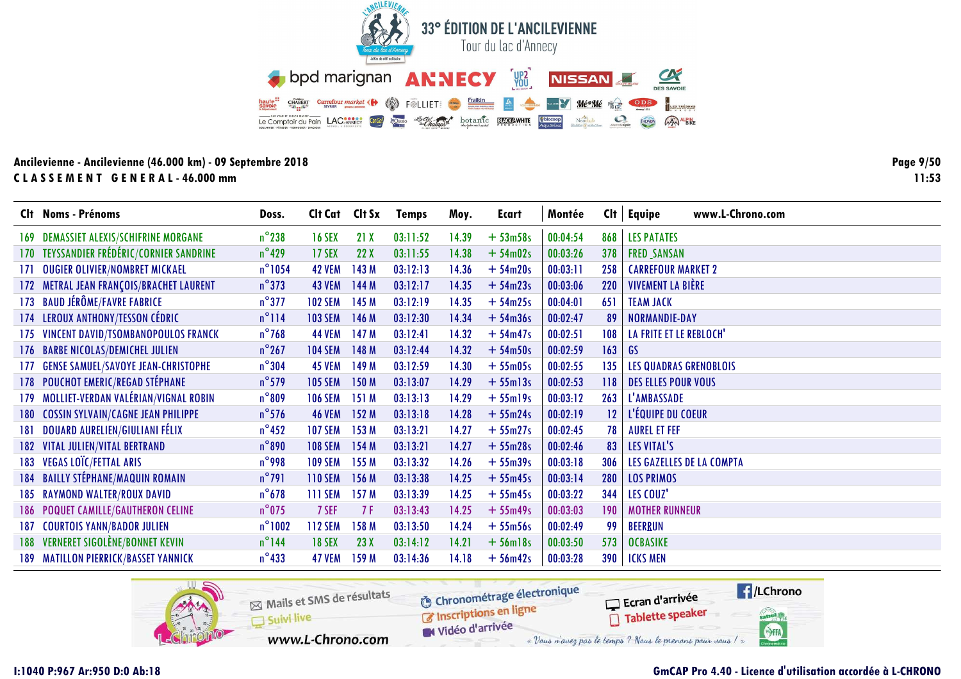

Page 9/50  $11:53$ 

|      | Clt Noms - Prénoms                         | Doss.            | Clt Cat Clt Sx |       | <b>Temps</b> | Moy.  | Ecart         | Montée   | Cl <sub>t</sub> | www.L-Chrono.com<br>Equipe    |
|------|--------------------------------------------|------------------|----------------|-------|--------------|-------|---------------|----------|-----------------|-------------------------------|
|      | 169 DEMASSIET ALEXIS/SCHIFRINE MORGANE     | $n^{\circ}$ 238  | <b>16 SEX</b>  | 21X   | 03:11:52     | 14.39 | $+53m58s$     | 00:04:54 | 868             | <b>LES PATATES</b>            |
|      | 170 TEYSSANDIER FRÉDÉRIC/CORNIER SANDRINE  | $n^{\circ}$ 429  | 17 SEX         | 22X   | 03:11:55     | 14.38 | $+54m02s$     | 00:03:26 | 378             | <b>FRED SANSAN</b>            |
| 171  | <b>OUGIER OLIVIER/NOMBRET MICKAEL</b>      | $n^{\circ}$ 1054 | <b>42 VEM</b>  | 143 M | 03:12:13     | 14.36 | $+54m20s$     | 00:03:11 | 258             | <b>CARREFOUR MARKET 2</b>     |
|      | 172 METRAL JEAN FRANÇOIS/BRACHET LAURENT   | $n^{\circ}373$   | <b>43 VEM</b>  | 144 M | 03:12:17     | 14.35 | $+54m23s$     | 00:03:06 | 220             | <b>VIVEMENT LA BIÈRE</b>      |
|      | 173 BAUD JÉRÔME/FAVRE FABRICE              | $n^{\circ}$ 377  | <b>102 SEM</b> | 145 M | 03:12:19     | 14.35 | $+54m25s$     | 00:04:01 | 651             | <b>TEAM JACK</b>              |
|      | 174 LEROUX ANTHONY/TESSON CÉDRIC           | $n^{\circ}$ 114  | <b>103 SEM</b> | 146 M | 03:12:30     | 14.34 | $+54m36s$     | 00:02:47 | 89              | NORMANDIE-DAY                 |
|      | 175 VINCENT DAVID/TSOMBANOPOULOS FRANCK    | $n^{\circ}$ 768  | <b>44 VEM</b>  | 147 M | 03:12:41     | 14.32 | $+54m47s$     | 00:02:51 | 108             | LA FRITE ET LE REBLOCH'       |
|      | 176 BARBE NICOLAS/DEMICHEL JULIEN          | $n^{\circ}$ 267  | <b>104 SEM</b> | 148 M | 03:12:44     | 14.32 | $+54m50s$     | 00:02:59 | 163             | GS                            |
| 177. | <b>GENSE SAMUEL/SAVOYE JEAN-CHRISTOPHE</b> | $n^{\circ}304$   | <b>45 VEM</b>  | 149 M | 03:12:59     | 14.30 | $+55m05s$     | 00:02:55 | 135             | <b>LES QUADRAS GRENOBLOIS</b> |
|      | 178 POUCHOT EMERIC/REGAD STÉPHANE          | $n^{\circ}$ 579  | <b>105 SEM</b> | 150 M | 03:13:07     | 14.29 | $+55$ ml $3s$ | 00:02:53 | 118             | <b>DES ELLES POUR VOUS</b>    |
|      | 179 MOLLIET-VERDAN VALÉRIAN/VIGNAL ROBIN   | $n^{\circ}809$   | <b>106 SEM</b> | 151 M | 03:13:13     | 14.29 | $+55$ ml9s    | 00:03:12 | 263             | L'AMBASSADE                   |
| 180  | <b>COSSIN SYLVAIN/CAGNE JEAN PHILIPPE</b>  | $n^{\circ}$ 576  | <b>46 VEM</b>  | 152 M | 03:13:18     | 14.28 | $+55m24s$     | 00:02:19 | 12 <sup>°</sup> | L'ÉQUIPE DU COEUR             |
| 181  | <b>DOUARD AURELIEN/GIULIANI FÉLIX</b>      | $n^{\circ}$ 452  | <b>107 SEM</b> | 153 M | 03:13:21     | 14.27 | $+55m27s$     | 00:02:45 | 78              | <b>AUREL ET FEF</b>           |
| 182  | <b>VITAL JULIEN/VITAL BERTRAND</b>         | $n^{\circ}890$   | <b>108 SEM</b> | 154 M | 03:13:21     | 14.27 | $+55m28s$     | 00:02:46 | 83              | LES VITAL'S                   |
|      | 183 VEGAS LOÏC/FETTAL ARIS                 | $n^{\circ}$ 998  | <b>109 SEM</b> | 155 M | 03:13:32     | 14.26 | $+55m39s$     | 00:03:18 | 306             | LES GAZELLES DE LA COMPTA     |
|      | 184 BAILLY STÉPHANE/MAQUIN ROMAIN          | $n^{\circ}791$   | <b>110 SEM</b> | 156 M | 03:13:38     | 14.25 | $+55m45s$     | 00:03:14 | 280             | <b>LOS PRIMOS</b>             |
|      | <b>185 RAYMOND WALTER/ROUX DAVID</b>       | $n^{\circ}$ 678  | <b>111 SEM</b> | 157 M | 03:13:39     | 14.25 | $+55m45s$     | 00:03:22 | 344             | LES COUZ'                     |
|      | 186 POQUET CAMILLE/GAUTHERON CELINE        | $n^{\circ}$ 075  | 7 SEF          | 7F    | 03:13:43     | 14.25 | $+55m49s$     | 00:03:03 | 190             | <b>MOTHER RUNNEUR</b>         |
| 187  | <b>COURTOIS YANN/BADOR JULIEN</b>          | $n^{\circ}$ 1002 | <b>112 SEM</b> | 158 M | 03:13:50     | 14.24 | $+55m56s$     | 00:02:49 | 99              | <b>BEERRUN</b>                |
|      | 188 VERNERET SIGOLÈNE/BONNET KEVIN         | $n^{\circ}$ 144  | <b>18 SEX</b>  | 23X   | 03:14:12     | 14.21 | $+56$ ml $8s$ | 00:03:50 | 573             | <b>OCBASIKE</b>               |
|      | 189 MATILLON PIERRICK/BASSET YANNICK       | $n^{\circ}$ 433  | <b>47 VEM</b>  | 159 M | 03:14:36     | 14.18 | $+56m42s$     | 00:03:28 | 390             | <b>ICKS MEN</b>               |

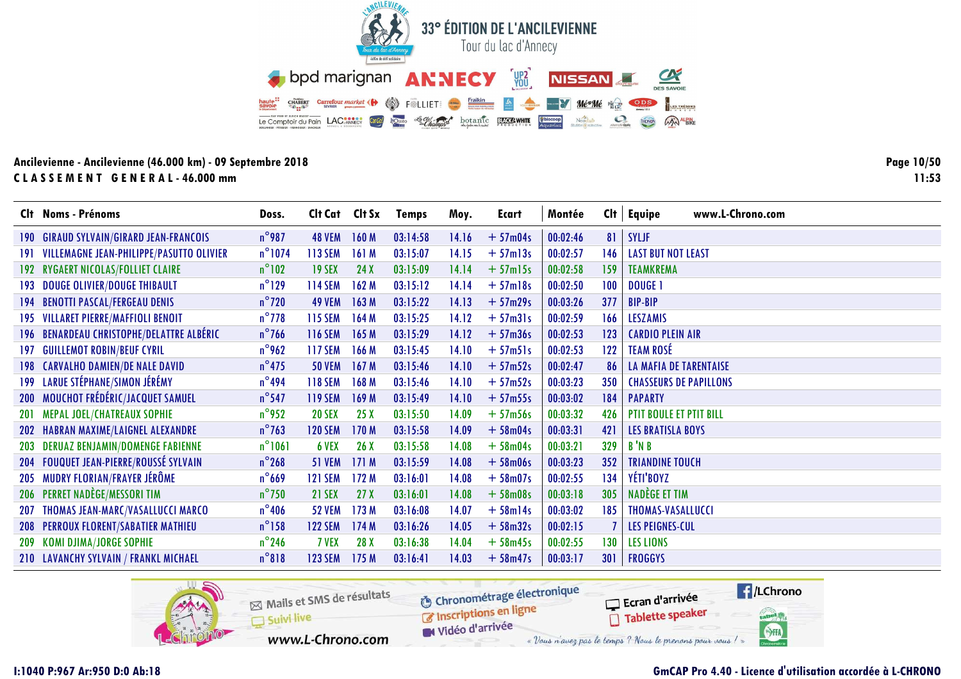

Page 10/50  $11:53$ 

|     | Clt Noms - Prénoms                           | Doss.            | Clt Cat Clt Sx |       | <b>Temps</b> | Moy.  | Ecart         | Montée   | Cl <sub>t</sub> | www.L-Chrono.com<br>Equipe     |
|-----|----------------------------------------------|------------------|----------------|-------|--------------|-------|---------------|----------|-----------------|--------------------------------|
| 190 | <b>GIRAUD SYLVAIN/GIRARD JEAN-FRANCOIS</b>   | $n^{\circ}$ 987  | <b>48 VEM</b>  | 160M  | 03:14:58     | 14.16 | $+57m04s$     | 00:02:46 | 81              | <b>SYLJF</b>                   |
|     | 191 VILLEMAGNE JEAN-PHILIPPE/PASUTTO OLIVIER | $n^{\circ}$ 1074 | 113 SEM        | 161M  | 03:15:07     | 14.15 | $+57$ ml $3s$ | 00:02:57 | 146             | <b>LAST BUT NOT LEAST</b>      |
|     | 192 RYGAERT NICOLAS/FOLLIET CLAIRE           | $n^{\circ}102$   | <b>19 SEX</b>  | 24X   | 03:15:09     | 14.14 | $+57$ ml5s    | 00:02:58 | 159             | <b>TEAMKREMA</b>               |
|     | 193 DOUGE OLIVIER/DOUGE THIBAULT             | $n^{\circ}$ 129  | 114 SEM        | 162M  | 03:15:12     | 14.14 | $+57$ ml8s    | 00:02:50 | 100             | <b>DOUGE 1</b>                 |
|     | <b>194 BENOTTI PASCAL/FERGEAU DENIS</b>      | $n^{\circ}$ 720  | <b>49 VEM</b>  | 163M  | 03:15:22     | 14.13 | $+57m29s$     | 00:03:26 | 377             | <b>BIP-BIP</b>                 |
|     | 195 VILLARET PIERRE/MAFFIOLI BENOIT          | $n^{\circ}$ 778  | 115 SEM        | 164M  | 03:15:25     | 14.12 | $+57m31s$     | 00:02:59 | 166             | <b>LESZAMIS</b>                |
|     | 196 BENARDEAU CHRISTOPHE/DELATTRE ALBÉRIC    | $n^{\circ}$ 766  | <b>116 SEM</b> | 165M  | 03:15:29     | 14.12 | $+57m36s$     | 00:02:53 | 123             | <b>CARDIO PLEIN AIR</b>        |
| 197 | <b>GUILLEMOT ROBIN/BEUF CYRIL</b>            | $n^{\circ}$ 962  | <b>117 SEM</b> | 166 M | 03:15:45     | 14.10 | $+57m51s$     | 00:02:53 | 122             | <b>TEAM ROSÉ</b>               |
|     | 198 CARVALHO DAMIEN/DE NALE DAVID            | $n^{\circ}$ 475  | <b>50 VEM</b>  | 167M  | 03:15:46     | 14.10 | $+57m52s$     | 00:02:47 | 86              | <b>LA MAFIA DE TARENTAISE</b>  |
|     | 199 LARUE STÉPHANE/SIMON JÉRÉMY              | $n^{\circ}$ 494  | <b>118 SEM</b> | 168 M | 03:15:46     | 14.10 | $+57m52s$     | 00:03:23 | 350             | <b>CHASSEURS DE PAPILLONS</b>  |
|     | 200 MOUCHOT FRÉDÉRIC/JACQUET SAMUEL          | $n^{\circ}$ 547  | <b>119 SEM</b> | 169 M | 03:15:49     | 14.10 | $+57m55s$     | 00:03:02 | 184             | <b>PAPARTY</b>                 |
| 201 | <b>MEPAL JOEL/CHATREAUX SOPHIE</b>           | $n^{\circ}$ 952  | <b>20 SEX</b>  | 25X   | 03:15:50     | 14.09 | $+57m56s$     | 00:03:32 | 426             | <b>PTIT BOULE ET PTIT BILL</b> |
|     | 202 HABRAN MAXIME/LAIGNEL ALEXANDRE          | $n^{\circ}$ 763  | <b>120 SEM</b> | 170 M | 03:15:58     | 14.09 | $+58m04s$     | 00:03:31 | 421             | <b>LES BRATISLA BOYS</b>       |
| 203 | <b>DERUAZ BENJAMIN/DOMENGE FABIENNE</b>      | $n^{\circ}1061$  | 6 VEX          | 26X   | 03:15:58     | 14.08 | $+58m04s$     | 00:03:21 | 329             | B'N B                          |
|     | 204 FOUQUET JEAN-PIERRE/ROUSSÉ SYLVAIN       | $n^{\circ}$ 268  | <b>51 VEM</b>  | 171M  | 03:15:59     | 14.08 | $+58m06s$     | 00:03:23 | 352             | <b>TRIANDINE TOUCH</b>         |
| 205 | MUDRY FLORIAN/FRAYER JÉRÔME                  | $n^{\circ}$ 669  | <b>121 SEM</b> | 172M  | 03:16:01     | 14.08 | $+58m07s$     | 00:02:55 | 134             | YÉTI'BOYZ                      |
|     | 206 PERRET NADÈGE/MESSORI TIM                | $n^{\circ}$ 750  | <b>21 SEX</b>  | 27X   | 03:16:01     | 14.08 | $+58m08s$     | 00:03:18 | 305             | NADÈGE ET TIM                  |
| 207 | THOMAS JEAN-MARC/VASALLUCCI MARCO            | $n^{\circ}$ 406  | <b>52 VEM</b>  | 173M  | 03:16:08     | 14.07 | $+58$ ml4s    | 00:03:02 | 185             | THOMAS-VASALLUCCI              |
|     | 208 PERROUX FLORENT/SABATIER MATHIEU         | $n^{\circ}$ 158  | <b>122 SEM</b> | 174 M | 03:16:26     | 14.05 | $+58m32s$     | 00:02:15 |                 | <b>LES PEIGNES-CUL</b>         |
|     | 209 KOMI DJIMA/JORGE SOPHIE                  | $n^{\circ}$ 246  | 7 VEX          | 28 X  | 03:16:38     | 14.04 | $+58m45s$     | 00:02:55 | 130             | <b>LES LIONS</b>               |
|     | 210 LAVANCHY SYLVAIN / FRANKL MICHAEL        | $n^{\circ}818$   | <b>123 SEM</b> | 175 M | 03:16:41     | 14.03 | $+58m47s$     | 00:03:17 | 301             | <b>FROGGYS</b>                 |

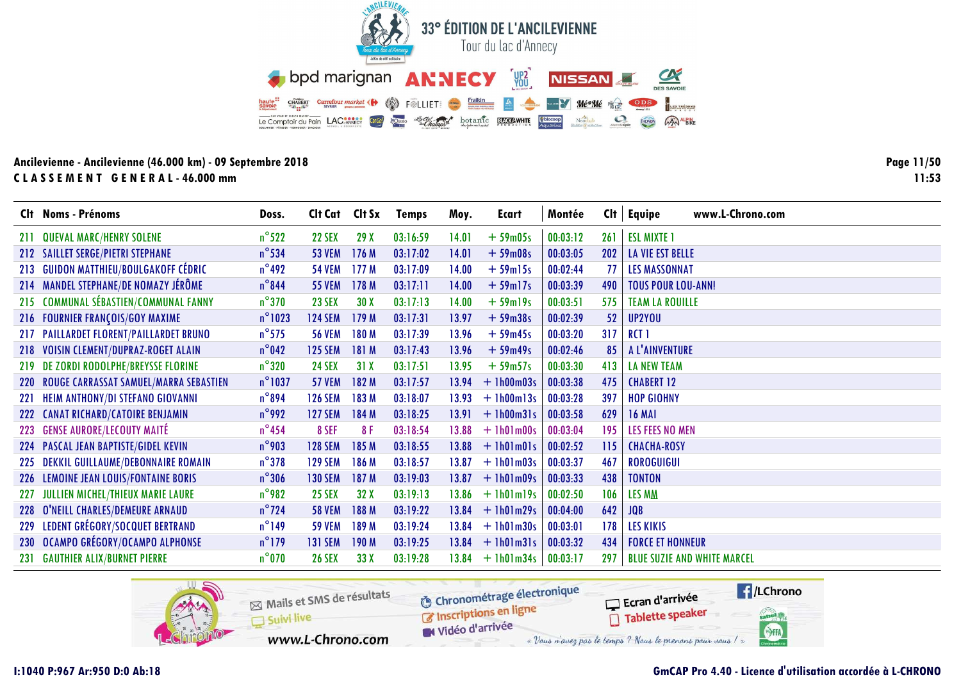

Page 11/50  $11:53$ 

|     | Clt Noms - Prénoms                         | Doss.            | Cit Cat Cit Sx |       | <b>Temps</b> | Moy.  | Ecart              | Montée   | Cl <sub>t</sub> | www.L-Chrono.com<br>Equipe         |
|-----|--------------------------------------------|------------------|----------------|-------|--------------|-------|--------------------|----------|-----------------|------------------------------------|
| 211 | <b>QUEVAL MARC/HENRY SOLENE</b>            | $n^{\circ}$ 522  | <b>22 SEX</b>  | 29X   | 03:16:59     | 14.01 | $+59m05s$          | 00:03:12 | 261             | <b>ESL MIXTE 1</b>                 |
|     | 212 SAILLET SERGE/PIETRI STEPHANE          | $n^{\circ}$ 534  | <b>53 VEM</b>  | 176M  | 03:17:02     | 14.01 | $+59m08s$          | 00:03:05 | 202             | <b>LA VIE EST BELLE</b>            |
| 213 | <b>GUIDON MATTHIEU/BOULGAKOFF CÉDRIC</b>   | $n^{\circ}$ 492  | <b>54 VEM</b>  | 177M  | 03:17:09     | 14.00 | $+59$ ml5s         | 00:02:44 | 77              | <b>LES MASSONNAT</b>               |
|     | 214 MANDEL STEPHANE/DE NOMAZY JÉRÔME       | $n^{\circ}$ 844  | <b>55 VEM</b>  | 178 M | 03:17:11     | 14.00 | $+59$ ml7s         | 00:03:39 | 490             | <b>TOUS POUR LOU-ANN!</b>          |
|     | 215 COMMUNAL SÉBASTIEN/COMMUNAL FANNY      | $n^{\circ}$ 370  | <b>23 SEX</b>  | 30X   | 03:17:13     | 14.00 | $+59$ ml $9s$      | 00:03:51 | 575             | <b>TEAM LA ROUILLE</b>             |
|     | 216 FOURNIER FRANÇOIS/GOY MAXIME           | $n^{\circ}$ 1023 | <b>124 SEM</b> | 179 M | 03:17:31     | 13.97 | $+59m38s$          | 00:02:39 | 52              | UP2YOU                             |
|     | 217 PAILLARDET FLORENT/PAILLARDET BRUNO    | $n^{\circ}$ 575  | <b>56 VEM</b>  | 180 M | 03:17:39     | 13.96 | $+59m45s$          | 00:03:20 | 317             | RCT <sub>1</sub>                   |
|     | 218 VOISIN CLEMENT/DUPRAZ-ROGET ALAIN      | $n^{\circ}$ 042  | <b>125 SEM</b> | 181 M | 03:17:43     | 13.96 | $+59m49s$          | 00:02:46 | 85              | A L'AINVENTURE                     |
|     | 219 DE ZORDI RODOLPHE/BREYSSE FLORINE      | $n^{\circ}320$   | <b>24 SEX</b>  | 31X   | 03:17:51     | 13.95 | $+59m57s$          | 00:03:30 | 413             | <b>LA NEW TEAM</b>                 |
|     | 220 ROUGE CARRASSAT SAMUEL/MARRA SEBASTIEN | $n^{\circ}$ 1037 | <b>57 VEM</b>  | 182 M | 03:17:57     | 13.94 | $+1h00m03s$        | 00:03:38 | 475             | <b>CHABERT 12</b>                  |
| 221 | <b>HEIM ANTHONY/DI STEFANO GIOVANNI</b>    | $n^{\circ}894$   | <b>126 SEM</b> | 183 M | 03:18:07     | 13.93 | $+$ 1h00m13s       | 00:03:28 | 397             | <b>HOP GIOHNY</b>                  |
| 222 | <b>CANAT RICHARD/CATOIRE BENJAMIN</b>      | $n^{\circ}$ 992  | <b>127 SEM</b> | 184 M | 03:18:25     | 13.91 | $+$ 1h00m31s       | 00:03:58 | 629             | <b>16 MAI</b>                      |
|     | 223 GENSE AURORE/LECOUTY MAITÉ             | $n^{\circ}$ 454  | 8 SEF          | 8F    | 03:18:54     | 13.88 | $+1h01m00s$        | 00:03:04 | 195             | <b>LES FEES NO MEN</b>             |
|     | 224 PASCAL JEAN BAPTISTE/GIDEL KEVIN       | $n^{\circ}$ 903  | <b>128 SEM</b> | 185 M | 03:18:55     | 13.88 | $+1h01m01s$        | 00:02:52 | 115             | <b>CHACHA-ROSY</b>                 |
|     | 225 DEKKIL GUILLAUME/DEBONNAIRE ROMAIN     | $n^{\circ}378$   | <b>129 SEM</b> | 186 M | 03:18:57     | 13.87 | $+1h01m03s$        | 00:03:37 | 467             | <b>ROROGUIGUI</b>                  |
|     | 226 LEMOINE JEAN LOUIS/FONTAINE BORIS      | $n^{\circ}306$   | <b>130 SEM</b> | 187 M | 03:19:03     | 13.87 | $+1h01m09s$        | 00:03:33 | 438             | <b>TONTON</b>                      |
| 227 | JULLIEN MICHEL/THIEUX MARIE LAURE          | $n^{\circ}$ 982  | <b>25 SEX</b>  | 32X   | 03:19:13     | 13.86 | $+$ 1h01m19s       | 00:02:50 | 106             | <b>LES MM</b>                      |
|     | 228 O'NEILL CHARLES/DEMEURE ARNAUD         | $n^{\circ}$ 724  | <b>58 VEM</b>  | 188 M | 03:19:22     | 13.84 | $+1h01m29s$        | 00:04:00 | 642             | <b>JQB</b>                         |
| 229 | LEDENT GRÉGORY/SOCQUET BERTRAND            | $n^{\circ}$ 149  | <b>59 VEM</b>  | 189 M | 03:19:24     | 13.84 | $+ 1h01m30s$       | 00:03:01 | 178             | <b>LES KIKIS</b>                   |
|     | 230 OCAMPO GRÉGORY/OCAMPO ALPHONSE         | $n^{\circ}$ 179  | <b>131 SEM</b> | 190 M | 03:19:25     |       | $13.84 + 1h01m31s$ | 00:03:32 | 434             | <b>FORCE ET HONNEUR</b>            |
|     | 231 GAUTHIER ALIX/BURNET PIERRE            | $n^{\circ}$ 070  | <b>26 SEX</b>  | 33X   | 03:19:28     | 13.84 | $+$ 1h01m34s       | 00:03:17 | 297             | <b>BLUE SUZIE AND WHITE MARCEL</b> |

![](_page_10_Picture_4.jpeg)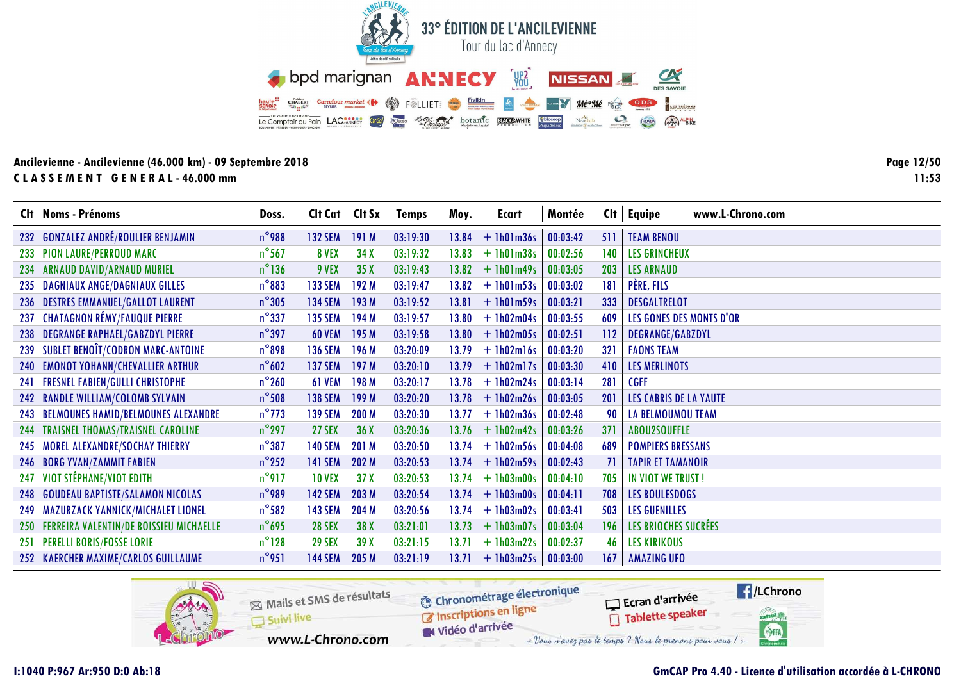![](_page_11_Picture_0.jpeg)

**Page 12/5011:53**

|     | Clt Noms - Prénoms                          | Doss.           | Cit Cat Cit Sx |                 | <b>Temps</b> | Moy.  | Ecart        | Montée   |     | $Clt$ Equipe<br>www.L-Chrono.com |
|-----|---------------------------------------------|-----------------|----------------|-----------------|--------------|-------|--------------|----------|-----|----------------------------------|
|     | 232 GONZALEZ ANDRÉ/ROULIER BENJAMIN         | $n^{\circ}$ 988 | <b>132 SEM</b> | 191 M           | 03:19:30     | 13.84 | $+1h01m36s$  | 00:03:42 | 511 | <b>TEAM BENOU</b>                |
|     | 233 PION LAURE/PERROUD MARC                 | $n^{\circ}$ 567 | 8 VEX          | 34X             | 03:19:32     | 13.83 | $+ 1h01m38s$ | 00:02:56 | 140 | <b>LES GRINCHEUX</b>             |
|     | 234 ARNAUD DAVID/ARNAUD MURIEL              | $n^{\circ}$ 136 | 9 VEX          | 35X             | 03:19:43     | 13.82 | $+$ 1h01m49s | 00:03:05 | 203 | <b>LES ARNAUD</b>                |
|     | 235 DAGNIAUX ANGE/DAGNIAUX GILLES           | $n^{\circ}883$  | <b>133 SEM</b> | 192 M           | 03:19:47     | 13.82 | $+$ 1h01m53s | 00:03:02 | 181 | PÈRE, FILS                       |
| 236 | <b>DESTRES EMMANUEL/GALLOT LAURENT</b>      | $n^{\circ}305$  | <b>134 SEM</b> | 193 M           | 03:19:52     | 13.81 | $+1h01m59s$  | 00:03:21 | 333 | <b>DESGALTRELOT</b>              |
| 237 | <b>CHATAGNON RÉMY/FAUQUE PIERRE</b>         | $n^{\circ}$ 337 | <b>135 SEM</b> | 194 M           | 03:19:57     | 13.80 | $+ 1h02m04s$ | 00:03:55 | 609 | LES GONES DES MONTS D'OR         |
|     | 238 DEGRANGE RAPHAEL/GABZDYL PIERRE         | $n^{\circ}$ 397 | <b>60 VEM</b>  | 195 M           | 03:19:58     | 13.80 | $+1h02m05s$  | 00:02:51 | 112 | DEGRANGE/GABZDYL                 |
| 239 | SUBLET BENOÎT/CODRON MARC-ANTOINE           | $n^{\circ}$ 898 | <b>136 SEM</b> | 196 M           | 03:20:09     | 13.79 | $+1h02ml6s$  | 00:03:20 | 321 | <b>FAONS TEAM</b>                |
|     | 240 EMONOT YOHANN/CHEVALLIER ARTHUR         | $n^{\circ}602$  | <b>137 SEM</b> | 197 M           | 03:20:10     | 13.79 | $+1h02m17s$  | 00:03:30 | 410 | LES MERLINOTS                    |
|     | 241 FRESNEL FABIEN/GULLI CHRISTOPHE         | $n^{\circ}260$  | 61 VEM         | 198 M           | 03:20:17     | 13.78 | $+ 1h02m24s$ | 00:03:14 | 281 | <b>CGFF</b>                      |
| 242 | <b>RANDLE WILLIAM/COLOMB SYLVAIN</b>        | $n^{\circ}$ 508 | <b>138 SEM</b> | 199 M           | 03:20:20     | 13.78 | $+ 1h02m26s$ | 00:03:05 | 201 | <b>LES CABRIS DE LA YAUTE</b>    |
|     | 243 BELMOUNES HAMID/BELMOUNES ALEXANDRE     | $n^{\circ}$ 773 | <b>139 SEM</b> | 200 M           | 03:20:30     | 13.77 | $+ 1h02m36s$ | 00:02:48 | 90  | <b>LA BELMOUMOU TEAM</b>         |
|     | 244 TRAISNEL THOMAS/TRAISNEL CAROLINE       | $n^{\circ}$ 297 | <b>27 SEX</b>  | 36X             | 03:20:36     | 13.76 | $+1h02m42s$  | 00:03:26 | 371 | ABOU2SOUFFLE                     |
|     | 245 MOREL ALEXANDRE/SOCHAY THIERRY          | $n^{\circ}387$  | <b>140 SEM</b> | 201 M           | 03:20:50     | 13.74 | $+1h02m56s$  | 00:04:08 | 689 | <b>POMPIERS BRESSANS</b>         |
|     | 246 BORG YVAN/ZAMMIT FABIEN                 | $n^{\circ}$ 252 | <b>141 SEM</b> | 202 M           | 03:20:53     | 13.74 | $+1h02m59s$  | 00:02:43 | 71  | <b>TAPIR ET TAMANOIR</b>         |
| 247 | VIOT STÉPHANE/VIOT EDITH                    | $n^{\circ}$ 917 | <b>10 VEX</b>  | 37 <sub>X</sub> | 03:20:53     | 13.74 | $+ 1h03m00s$ | 00:04:10 | 705 | IN VIOT WE TRUST!                |
| 248 | <b>GOUDEAU BAPTISTE/SALAMON NICOLAS</b>     | $n^{\circ}$ 989 | <b>142 SEM</b> | 203 M           | 03:20:54     | 13.74 | $+1h03m00s$  | 00:04:11 | 708 | <b>LES BOULESDOGS</b>            |
| 249 | MAZURZACK YANNICK/MICHALET LIONEL           | $n^{\circ}$ 582 | <b>143 SEM</b> | 204 M           | 03:20:56     | 13.74 | $+ 1h03m02s$ | 00:03:41 | 503 | <b>LES GUENILLES</b>             |
|     | 250 FERREIRA VALENTIN/DE BOISSIEU MICHAELLE | $n^{\circ}$ 695 | <b>28 SEX</b>  | 38 X            | 03:21:01     | 13.73 | $+1h03m07s$  | 00:03:04 | 196 | LES BRIOCHES SUCRÉES             |
|     | 251 PERELLI BORIS/FOSSE LORIE               | $n^{\circ}128$  | <b>29 SEX</b>  | 39X             | 03:21:15     | 13.71 | $+ 1h03m22s$ | 00:02:37 | 46  | <b>LES KIRIKOUS</b>              |
|     | 252 KAERCHER MAXIME/CARLOS GUILLAUME        | $n^{\circ}$ 951 | <b>144 SEM</b> | 205 M           | 03:21:19     | 13.71 | $+1h03m25s$  | 00:03:00 | 167 | <b>AMAZING UFO</b>               |

![](_page_11_Picture_4.jpeg)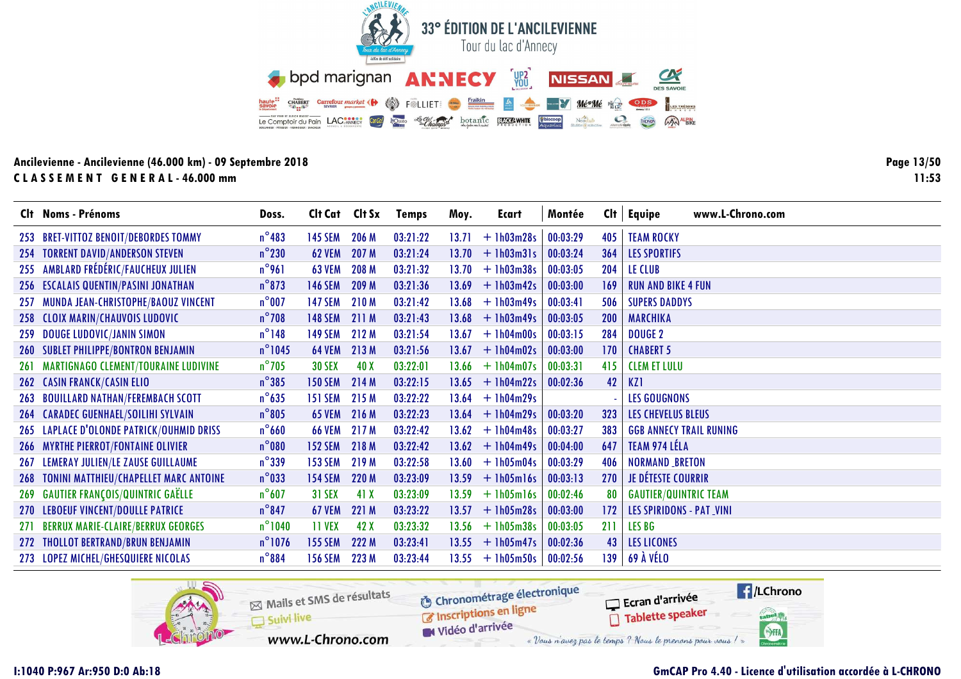![](_page_12_Picture_0.jpeg)

Page 13/50  $11:53$ 

|            | Clt Noms - Prénoms                          | Doss.            | Clt Cat Clt Sx |       | <b>Temps</b> | Moy.  | Ecart              | Montée   |     | $Clt$ Equipe<br>www.L-Chrono.com |
|------------|---------------------------------------------|------------------|----------------|-------|--------------|-------|--------------------|----------|-----|----------------------------------|
|            | 253 BRET-VITTOZ BENOIT/DEBORDES TOMMY       | $n^{\circ}$ 483  | <b>145 SEM</b> | 206 M | 03:21:22     | 13.71 | $+1h03m28s$        | 00:03:29 | 405 | <b>TEAM ROCKY</b>                |
|            | 254 TORRENT DAVID/ANDERSON STEVEN           | $n^{\circ}230$   | <b>62 VEM</b>  | 207 M | 03:21:24     | 13.70 | $+$ 1h03m31s       | 00:03:24 | 364 | <b>LES SPORTIFS</b>              |
|            | 255 AMBLARD FRÉDÉRIC/FAUCHEUX JULIEN        | $n^{\circ}$ 961  | <b>63 VEM</b>  | 208 M | 03:21:32     | 13.70 | $+ 1h03m38s$       | 00:03:05 | 204 | LE CLUB                          |
|            | 256 ESCALAIS QUENTIN/PASINI JONATHAN        | $n^{\circ}$ 873  | <b>146 SEM</b> | 209 M | 03:21:36     | 13.69 | $+$ 1h03m42s       | 00:03:00 | 169 | <b>RUN AND BIKE 4 FUN</b>        |
| 257        | MUNDA JEAN-CHRISTOPHE/BAOUZ VINCENT         | $n^{\circ}$ 007  | <b>147 SEM</b> | 210 M | 03:21:42     | 13.68 | $+1h03m49s$        | 00:03:41 | 506 | <b>SUPERS DADDYS</b>             |
| 258        | <b>CLOIX MARIN/CHAUVOIS LUDOVIC</b>         | $n^{\circ}$ 708  | <b>148 SEM</b> | 211 M | 03:21:43     | 13.68 | $+$ 1h03m49s       | 00:03:05 | 200 | <b>MARCHIKA</b>                  |
| 259        | <b>DOUGE LUDOVIC/JANIN SIMON</b>            | $n^{\circ}$ 148  | <b>149 SEM</b> | 212 M | 03:21:54     | 13.67 | $+ 1h04m00s$       | 00:03:15 | 284 | <b>DOUGE 2</b>                   |
| <b>260</b> | <b>SUBLET PHILIPPE/BONTRON BENJAMIN</b>     | $n^{\circ}$ 1045 | <b>64 VEM</b>  | 213 M | 03:21:56     | 13.67 | $+ 1h04m02s$       | 00:03:00 | 170 | <b>CHABERT 5</b>                 |
| 261        | <b>MARTIGNAGO CLEMENT/TOURAINE LUDIVINE</b> | $n^{\circ}$ 705  | <b>30 SEX</b>  | 40 X  | 03:22:01     | 13.66 | $+$ 1h04m07s       | 00:03:31 | 415 | <b>CLEM ET LULU</b>              |
|            | <b>262 CASIN FRANCK/CASIN ELIO</b>          | $n^{\circ}385$   | <b>150 SEM</b> | 214 M | 03:22:15     | 13.65 | $+1h04m22s$        | 00:02:36 | 42  | KZ1                              |
| 263        | <b>BOUILLARD NATHAN/FEREMBACH SCOTT</b>     | $n^{\circ}$ 635  | <b>151 SEM</b> | 215 M | 03:22:22     | 13.64 | $+1h04m29s$        |          |     | <b>LES GOUGNONS</b>              |
| 264        | <b>CARADEC GUENHAEL/SOILIHI SYLVAIN</b>     | $n^{\circ}805$   | <b>65 VEM</b>  | 216 M | 03:22:23     | 13.64 | $+$ 1h04m29s       | 00:03:20 | 323 | LES CHEVELUS BLEUS               |
|            | 265 LAPLACE D'OLONDE PATRICK/OUHMID DRISS   | $n^{\circ}$ 660  | <b>66 VEM</b>  | 217 M | 03:22:42     | 13.62 | $+1h04m48s$        | 00:03:27 | 383 | <b>GGB ANNECY TRAIL RUNING</b>   |
|            | 266 MYRTHE PIERROT/FONTAINE OLIVIER         | $n^{\circ}080$   | <b>152 SEM</b> | 218 M | 03:22:42     | 13.62 | $+$ 1h04m49s       | 00:04:00 | 647 | TEAM 974 LÉLA                    |
| 267        | LEMERAY JULIEN/LE ZAUSE GUILLAUME           | $n^{\circ}$ 339  | <b>153 SEM</b> | 219 M | 03:22:58     | 13.60 | $+1h05m04s$        | 00:03:29 | 406 | <b>NORMAND BRETON</b>            |
| 268        | TONINI MATTHIEU/CHAPELLET MARC ANTOINE      | $n^{\circ}$ 033  | <b>154 SEM</b> | 220 M | 03:23:09     | 13.59 | $+$ 1h05m16s       | 00:03:13 | 270 | <b>JE DÉTESTE COURRIR</b>        |
| 269        | <b>GAUTIER FRANÇOIS/QUINTRIC GAËLLE</b>     | $n^{\circ}607$   | <b>31 SEX</b>  | 41 X  | 03:23:09     | 13.59 | $+$ 1h05m16s       | 00:02:46 | 80  | <b>GAUTIER/QUINTRIC TEAM</b>     |
|            | 270 LEBOEUF VINCENT/DOULLE PATRICE          | $n^{\circ}847$   | <b>67 VEM</b>  | 221 M | 03:23:22     | 13.57 | $+1h05m28s$        | 00:03:00 | 172 | <b>LES SPIRIDONS - PAT_VINI</b>  |
| 271        | <b>BERRUX MARIE-CLAIRE/BERRUX GEORGES</b>   | $n^{\circ}$ 1040 | <b>11 VEX</b>  | 42 X  | 03:23:32     | 13.56 | $+1h05m38s$        | 00:03:05 | 211 | <b>LES BG</b>                    |
|            | 272 THOLLOT BERTRAND/BRUN BENJAMIN          | $n^{\circ}$ 1076 | <b>155 SEM</b> | 222 M | 03:23:41     |       | $13.55 + 1h05m47s$ | 00:02:36 | 43  | <b>LES LICONES</b>               |
|            | 273 LOPEZ MICHEL/GHESQUIERE NICOLAS         | $n^{\circ}884$   | <b>156 SEM</b> | 223 M | 03:23:44     |       | $13.55 + 1h05m50s$ | 00:02:56 | 139 | 69 À VÉLO                        |

![](_page_12_Picture_4.jpeg)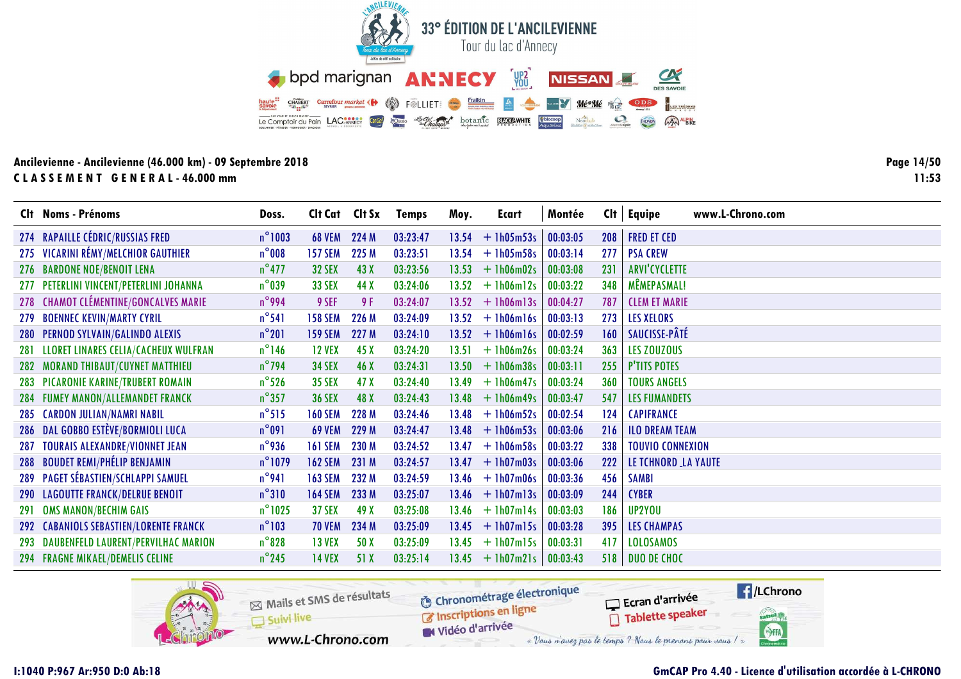![](_page_13_Picture_0.jpeg)

Page 14/50  $11:53$ 

|            | Clt Noms - Prénoms                      | Doss.            | Clt Cat Clt Sx |       | <b>Temps</b> | Moy.  | Ecart              | Montée   | Clt        | www.L-Chrono.com<br>Equipe |
|------------|-----------------------------------------|------------------|----------------|-------|--------------|-------|--------------------|----------|------------|----------------------------|
|            | 274 RAPAILLE CÉDRIC/RUSSIAS FRED        | $n^{\circ}$ 1003 | <b>68 VEM</b>  | 224 M | 03:23:47     | 13.54 | $+ 1h05m53s$       | 00:03:05 | 208        | <b>FRED ET CED</b>         |
|            | 275 VICARINI RÉMY/MELCHIOR GAUTHIER     | $n^{\circ}$ 008  | <b>157 SEM</b> | 225 M | 03:23:51     | 13.54 | $+1h05m58s$        | 00:03:14 | 277        | <b>PSA CREW</b>            |
|            | 276 BARDONE NOE/BENOIT LENA             | $n^{\circ}477$   | <b>32 SEX</b>  | 43X   | 03:23:56     | 13.53 | $+ 1h06m02s$       | 00:03:08 | 231        | <b>ARVI'CYCLETTE</b>       |
| 277        | PETERLINI VINCENT/PETERLINI JOHANNA     | $n^{\circ}$ 039  | <b>33 SEX</b>  | 44 X  | 03:24:06     | 13.52 | $+$ 1h06m12s       | 00:03:22 | 348        | MÊMEPASMAL!                |
|            | 278 CHAMOT CLÉMENTINE/GONCALVES MARIE   | $n^{\circ}$ 994  | 9 SEF          | 9 F   | 03:24:07     | 13.52 | $+$ 1h06m13s       | 00:04:27 | 787        | <b>CLEM ET MARIE</b>       |
| 279        | <b>BOENNEC KEVIN/MARTY CYRIL</b>        | $n^{\circ}541$   | <b>158 SEM</b> | 226 M | 03:24:09     | 13.52 | $+$ 1h06m16s       | 00:03:13 | 273        | <b>LES XELORS</b>          |
|            | 280 PERNOD SYLVAIN/GALINDO ALEXIS       | $n^{\circ}201$   | <b>159 SEM</b> | 227 M | 03:24:10     | 13.52 | $+$ 1h06m16s       | 00:02:59 | 160        | SAUCISSE-PÂTÉ              |
| 281        | LLORET LINARES CELIA/CACHEUX WULFRAN    | $n^{\circ}$ 146  | <b>12 VEX</b>  | 45X   | 03:24:20     | 13.51 | $+ 1h06m26s$       | 00:03:24 | 363        | LES ZOUZOUS                |
| 282        | MORAND THIBAUT/CUYNET MATTHIEU          | $n^{\circ}$ 794  | <b>34 SEX</b>  | 46 X  | 03:24:31     | 13.50 | $+1h06m38s$        | 00:03:11 | 255        | <b>P'TITS POTES</b>        |
|            | 283 PICARONIE KARINE/TRUBERT ROMAIN     | $n^{\circ}$ 526  | <b>35 SEX</b>  | 47 X  | 03:24:40     | 13.49 | $+1h06m47s$        | 00:03:24 | 360        | <b>TOURS ANGELS</b>        |
|            | 284 FUMEY MANON/ALLEMANDET FRANCK       | $n^{\circ}357$   | <b>36 SEX</b>  | 48 X  | 03:24:43     | 13.48 | $+$ 1h06m49s       | 00:03:47 | 547        | <b>LES FUMANDETS</b>       |
|            | 285 CARDON JULIAN/NAMRI NABIL           | $n^{\circ}515$   | <b>160 SEM</b> | 228 M | 03:24:46     | 13.48 | $+1h06m52s$        | 00:02:54 | 124        | <b>CAPIFRANCE</b>          |
|            | 286 DAL GOBBO ESTÈVE/BORMIOLI LUCA      | $n^{\circ}091$   | <b>69 VEM</b>  | 229 M | 03:24:47     | 13.48 | $+1h06m53s$        | 00:03:06 | 216        | <b>ILO DREAM TEAM</b>      |
| 287        | <b>TOURAIS ALEXANDRE/VIONNET JEAN</b>   | $n^{\circ}$ 936  | <b>161 SEM</b> | 230 M | 03:24:52     | 13.47 | $+1h06m58s$        | 00:03:22 | 338        | <b>TOUVIO CONNEXION</b>    |
|            | 288 BOUDET REMI/PHÉLIP BENJAMIN         | $n^{\circ}$ 1079 | <b>162 SEM</b> | 231 M | 03:24:57     | 13.47 | $+1h07m03s$        | 00:03:06 | <b>222</b> | LE TCHNORD LA YAUTE        |
|            | 289 PAGET SÉBASTIEN/SCHLAPPI SAMUEL     | $n^{\circ}$ 941  | <b>163 SEM</b> | 232 M | 03:24:59     | 13.46 | $+1h07m06s$        | 00:03:36 | 456        | <b>SAMBI</b>               |
|            | 290 LAGOUTTE FRANCK/DELRUE BENOIT       | $n^{\circ}310$   | <b>164 SEM</b> | 233 M | 03:25:07     | 13.46 | $+$ 1h07m13s       | 00:03:09 | 244        | <b>CYBER</b>               |
| <b>291</b> | <b>OMS MANON/BECHIM GAIS</b>            | $n^{\circ}$ 1025 | <b>37 SEX</b>  | 49 X  | 03:25:08     | 13.46 | $+1h07m14s$        | 00:03:03 | 186        | UP2YOU                     |
|            | 292 CABANIOLS SEBASTIEN/LORENTE FRANCK  | $n^{\circ}103$   | <b>70 VEM</b>  | 234 M | 03:25:09     | 13.45 | $+$ 1h07m15s       | 00:03:28 | 395        | <b>LES CHAMPAS</b>         |
|            | 293 DAUBENFELD LAURENT/PERVILHAC MARION | $n^{\circ}$ 828  | <b>13 VEX</b>  | 50 X  | 03:25:09     | 13.45 | $+$ 1h07m15s       | 00:03:31 | 417        | <b>LOLOSAMOS</b>           |
|            | 294 FRAGNE MIKAEL/DEMELIS CELINE        | $n^{\circ}$ 245  | <b>14 VEX</b>  | 51 X  | 03:25:14     |       | $13.45 + 1h07m21s$ | 00:03:43 | 518        | <b>DUO DE CHOC</b>         |

![](_page_13_Picture_4.jpeg)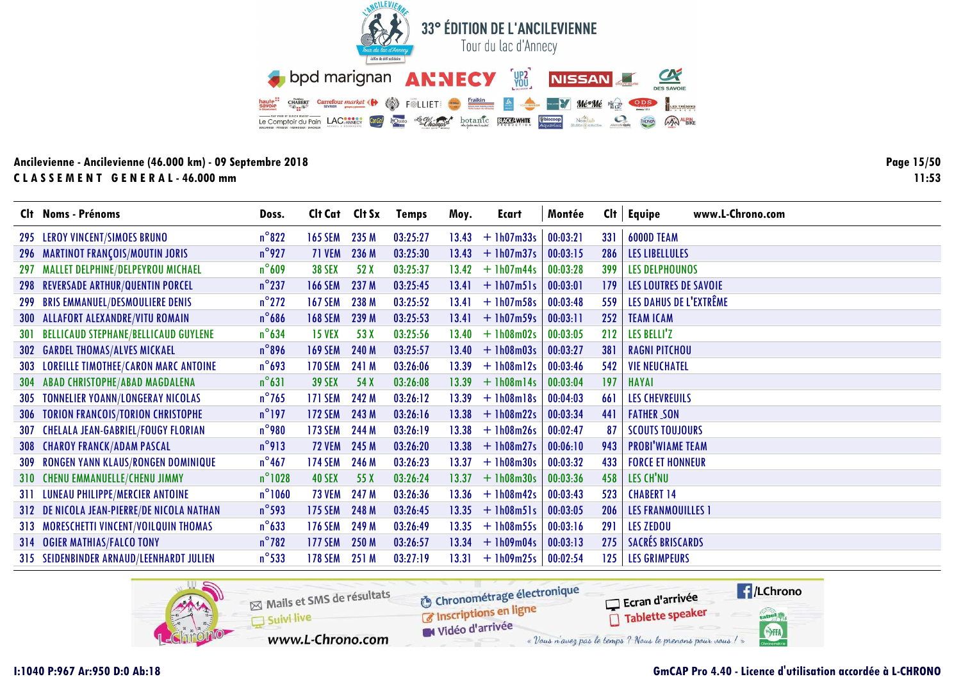![](_page_14_Picture_0.jpeg)

Page 15/50  $11:53$ 

|            | Clt Noms - Prénoms                          | Doss.            | Cit Cat Cit Sx |       | <b>Temps</b> | Moy.  | Ecart              | Montée   | Cl <sub>t</sub> | www.L-Chrono.com<br>Equipe   |
|------------|---------------------------------------------|------------------|----------------|-------|--------------|-------|--------------------|----------|-----------------|------------------------------|
|            | 295 LEROY VINCENT/SIMOES BRUNO              | $n^{\circ}822$   | <b>165 SEM</b> | 235 M | 03:25:27     | 13.43 | $+1h07m33s$        | 00:03:21 | 331             | <b>6000D TEAM</b>            |
|            | 296 MARTINOT FRANÇOIS/MOUTIN JORIS          | $n^{\circ}$ 927  | 71 VEM         | 236 M | 03:25:30     | 13.43 | $+1h07m37s$        | 00:03:15 | 286             | <b>LES LIBELLULES</b>        |
|            | 297 MALLET DELPHINE/DELPEYROU MICHAEL       | $n^{\circ}609$   | <b>38 SEX</b>  | 52 X  | 03:25:37     | 13.42 | $+ 1h07m44s$       | 00:03:28 | 399             | <b>LES DELPHOUNOS</b>        |
|            | 298 REVERSADE ARTHUR/QUENTIN PORCEL         | $n^{\circ}$ 237  | <b>166 SEM</b> | 237 M | 03:25:45     | 13.41 | $+$ 1h07m51s       | 00:03:01 | 179             | <b>LES LOUTRES DE SAVOIE</b> |
|            | 299 BRIS EMMANUEL/DESMOULIERE DENIS         | $n^{\circ}$ 272  | <b>167 SEM</b> | 238 M | 03:25:52     | 13.41 | $+ 1h07m58s$       | 00:03:48 | 559             | LES DAHUS DE L'EXTRÊME       |
|            | <b>300 ALLAFORT ALEXANDRE/VITU ROMAIN</b>   | $n^{\circ}$ 686  | <b>168 SEM</b> | 239 M | 03:25:53     | 13.41 | $+1h07m59s$        | 00:03:11 | 252             | <b>TEAM ICAM</b>             |
| <b>301</b> | <b>BELLICAUD STEPHANE/BELLICAUD GUYLENE</b> | $n^{\circ}$ 634  | <b>15 VEX</b>  | 53 X  | 03:25:56     | 13.40 | $+1h08m02s$        | 00:03:05 | 212             | LES BELLI'Z                  |
|            | <b>302 GARDEL THOMAS/ALVES MICKAEL</b>      | $n^{\circ}$ 896  | <b>169 SEM</b> | 240 M | 03:25:57     | 13.40 | $+1h08m03s$        | 00:03:27 | 381             | <b>RAGNI PITCHOU</b>         |
|            | 303 LOREILLE TIMOTHEE/CARON MARC ANTOINE    | $n^{\circ}$ 693  | <b>170 SEM</b> | 241 M | 03:26:06     | 13.39 | $+$ 1h08m12s       | 00:03:46 | 542             | <b>VIE NEUCHATEL</b>         |
|            | 304 ABAD CHRISTOPHE/ABAD MAGDALENA          | $n^{\circ}631$   | <b>39 SEX</b>  | 54 X  | 03:26:08     | 13.39 | $+1h08m14s$        | 00:03:04 | 197             | <b>HAYAI</b>                 |
| 305        | <b>TONNELIER YOANN/LONGERAY NICOLAS</b>     | $n^{\circ}$ 765  | <b>171 SEM</b> | 242 M | 03:26:12     | 13.39 | $+1h08m18s$        | 00:04:03 | 661             | <b>LES CHEVREUILS</b>        |
| <b>306</b> | <b>TORION FRANCOIS/TORION CHRISTOPHE</b>    | $n^{\circ}$ 197  | <b>172 SEM</b> | 243 M | 03:26:16     | 13.38 | $+1h08m22s$        | 00:03:34 | 441             | <b>FATHER SON</b>            |
| 307        | <b>CHELALA JEAN-GABRIEL/FOUGY FLORIAN</b>   | $n^{\circ}$ 980  | <b>173 SEM</b> | 244 M | 03:26:19     | 13.38 | $+1h08m26s$        | 00:02:47 | 87              | <b>SCOUTS TOUJOURS</b>       |
|            | <b>308 CHAROY FRANCK/ADAM PASCAL</b>        | $n^{\circ}$ 913  | <b>72 VEM</b>  | 245 M | 03:26:20     | 13.38 | $+1h08m27s$        | 00:06:10 | 943             | <b>PROBI'WIAME TEAM</b>      |
| <b>309</b> | RONGEN YANN KLAUS/RONGEN DOMINIQUE          | $n^{\circ}$ 467  | 174 SEM        | 246 M | 03:26:23     | 13.37 | $+1h08m30s$        | 00:03:32 | 433             | <b>FORCE ET HONNEUR</b>      |
|            | 310 CHENU EMMANUELLE/CHENU JIMMY            | $n^{\circ}$ 1028 | <b>40 SEX</b>  | 55 X  | 03:26:24     | 13.37 | $+1h08m30s$        | 00:03:36 | 458             | LES CH'NU                    |
|            | 311 LUNEAU PHILIPPE/MERCIER ANTOINE         | $n^{\circ}$ 1060 | <b>73 VEM</b>  | 247 M | 03:26:36     | 13.36 | $+1h08m42s$        | 00:03:43 | 523             | <b>CHABERT 14</b>            |
|            | 312 DE NICOLA JEAN-PIERRE/DE NICOLA NATHAN  | $n^{\circ}$ 593  | <b>175 SEM</b> | 248 M | 03:26:45     | 13.35 | $+1h08m51s$        | 00:03:05 | 206             | <b>LES FRANMOUILLES 1</b>    |
|            | 313 MORESCHETTI VINCENT/VOILQUIN THOMAS     | $n^{\circ}$ 633  | <b>176 SEM</b> | 249 M | 03:26:49     | 13.35 | $+1h08m55s$        | 00:03:16 | 291             | <b>LES ZEDOU</b>             |
|            | 314 OGIER MATHIAS/FALCO TONY                | $n^{\circ}$ 782  | <b>177 SEM</b> | 250 M | 03:26:57     |       | $13.34 + 1h09m04s$ | 00:03:13 | 275             | <b>SACRÉS BRISCARDS</b>      |
|            | 315 SEIDENBINDER ARNAUD/LEENHARDT JULIEN    | $n^{\circ}$ 533  | <b>178 SEM</b> | 251 M | 03:27:19     | 13.31 | $+1h09m25s$        | 00:02:54 | 125             | <b>LES GRIMPEURS</b>         |

![](_page_14_Picture_4.jpeg)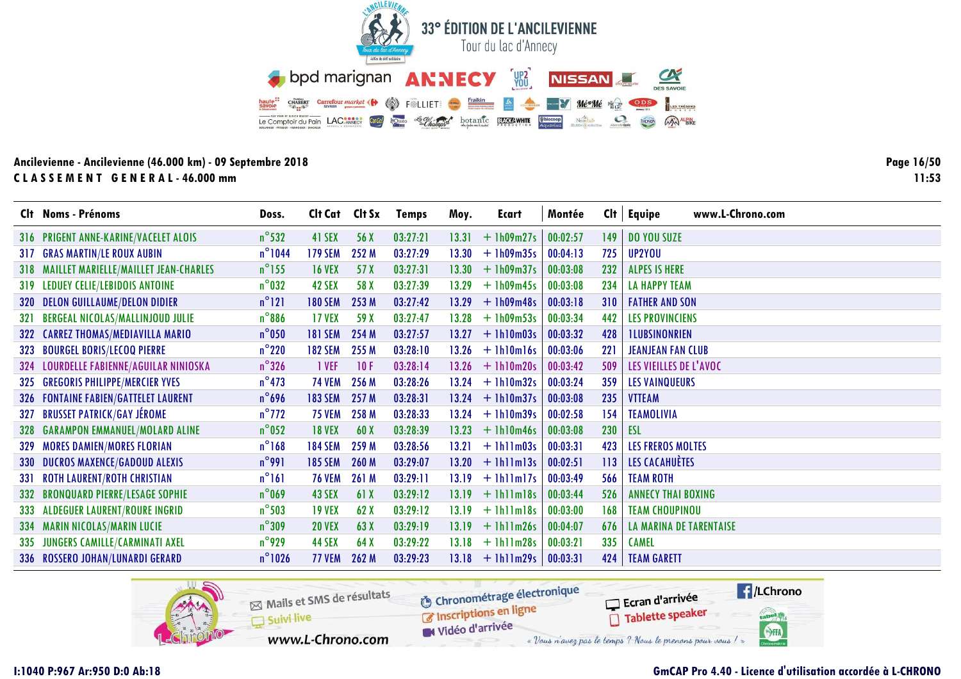![](_page_15_Picture_0.jpeg)

Page 16/50  $11:53$ 

|            | Clt Noms - Prénoms                        | Doss.            | Clt Cat Clt Sx |       | <b>Temps</b> | Moy.  | Ecart                | Montée   |     | $Clt$ Equipe<br>www.L-Chrono.com |
|------------|-------------------------------------------|------------------|----------------|-------|--------------|-------|----------------------|----------|-----|----------------------------------|
|            | 316 PRIGENT ANNE-KARINE/VACELET ALOIS     | $n^{\circ}$ 532  | 41 SEX         | 56 X  | 03:27:21     | 13.31 | $+ 1h09m27s$         | 00:02:57 | 149 | <b>DO YOU SUZE</b>               |
|            | <b>317 GRAS MARTIN/LE ROUX AUBIN</b>      | $n^{\circ}1044$  | <b>179 SEM</b> | 252 M | 03:27:29     | 13.30 | $+1h09m35s$          | 00:04:13 | 725 | UP2YOU                           |
|            | 318 MAILLET MARIELLE/MAILLET JEAN-CHARLES | $n^{\circ}$ 155  | <b>16 VEX</b>  | 57 X  | 03:27:31     | 13.30 | $+ 1h09m37s$         | 00:03:08 | 232 | <b>ALPES IS HERE</b>             |
| 319        | LEDUEY CELIE/LEBIDOIS ANTOINE             | $n^{\circ}$ 032  | 42 SEX         | 58 X  | 03:27:39     | 13.29 | $+$ 1h09m45s         | 00:03:08 | 234 | <b>LA HAPPY TEAM</b>             |
|            | 320 DELON GUILLAUME/DELON DIDIER          | $n^{\circ}121$   | <b>180 SEM</b> | 253 M | 03:27:42     | 13.29 | $+1h09m48s$          | 00:03:18 | 310 | <b>FATHER AND SON</b>            |
| <b>321</b> | BERGEAL NICOLAS/MALLINJOUD JULIE          | $n^{\circ}886$   | <b>17 VEX</b>  | 59 X  | 03:27:47     | 13.28 | $+1h09m53s$          | 00:03:34 | 442 | <b>LES PROVINCIENS</b>           |
|            | 322 CARREZ THOMAS/MEDIAVILLA MARIO        | $n^{\circ}$ 050  | <b>181 SEM</b> | 254 M | 03:27:57     | 13.27 | $+1h10m03s$          | 00:03:32 | 428 | <b>ILUBSINONRIEN</b>             |
|            | 323 BOURGEL BORIS/LECOQ PIERRE            | $n^{\circ}$ 220  | <b>182 SEM</b> | 255 M | 03:28:10     | 13.26 | $+$ 1h10m16s         | 00:03:06 | 221 | <b>JEANJEAN FAN CLUB</b>         |
|            | 324 LOURDELLE FABIENNE/AGUILAR NINIOSKA   | $n^{\circ}$ 326  | 1 VEF          | 10F   | 03:28:14     | 13.26 | $+1h10m20s$          | 00:03:42 | 509 | LES VIEILLES DE L'AVOC           |
| 325        | <b>GREGORIS PHILIPPE/MERCIER YVES</b>     | $n^{\circ}$ 473  | <b>74 VEM</b>  | 256 M | 03:28:26     | 13.24 | $+1h10m32s$          | 00:03:24 | 359 | <b>LES VAINQUEURS</b>            |
|            | 326 FONTAINE FABIEN/GATTELET LAURENT      | $n^{\circ}$ 696  | <b>183 SEM</b> | 257 M | 03:28:31     | 13.24 | $+$ 1h10m37s         | 00:03:08 | 235 | <b>VTTEAM</b>                    |
| 327        | <b>BRUSSET PATRICK/GAY JÉROME</b>         | $n^{\circ}$ 772  | <b>75 VEM</b>  | 258 M | 03:28:33     | 13.24 | $+1h10m39s$          | 00:02:58 | 154 | <b>TEAMOLIVIA</b>                |
|            | 328 GARAMPON EMMANUEL/MOLARD ALINE        | $n^{\circ}$ 052  | <b>18 VEX</b>  | 60X   | 03:28:39     | 13.23 | $+$ 1h10m46s         | 00:03:08 | 230 | <b>ESL</b>                       |
| 329        | <b>MORES DAMIEN/MORES FLORIAN</b>         | $n^{\circ}168$   | <b>184 SEM</b> | 259 M | 03:28:56     | 13.21 | $+$ 1h11 $m$ 03s     | 00:03:31 | 423 | <b>LES FREROS MOLTES</b>         |
|            | <b>330 DUCROS MAXENCE/GADOUD ALEXIS</b>   | $n^{\circ}$ 991  | <b>185 SEM</b> | 260 M | 03:29:07     |       | $13.20 + 1 h11 m13s$ | 00:02:51 | 113 | LES CACAHUÈTES                   |
| -331       | <b>ROTH LAURENT/ROTH CHRISTIAN</b>        | $n^{\circ}161$   | <b>76 VEM</b>  | 261 M | 03:29:11     | 13.19 | $+$ 1h11m17s         | 00:03:49 | 566 | <b>TEAM ROTH</b>                 |
| 332        | <b>BRONQUARD PIERRE/LESAGE SOPHIE</b>     | $n^{\circ}$ 069  | 43 SEX         | 61X   | 03:29:12     | 13.19 | $+1$ hl $1$ m $18s$  | 00:03:44 | 526 | <b>ANNECY THAI BOXING</b>        |
| 333        | <b>ALDEGUER LAURENT/ROURE INGRID</b>      | $n^{\circ}$ 503  | <b>19 VEX</b>  | 62X   | 03:29:12     | 13.19 | $+$ 1h $1$ lm $18s$  | 00:03:00 | 168 | <b>TEAM CHOUPINOU</b>            |
| 334        | <b>MARIN NICOLAS/MARIN LUCIE</b>          | $n^{\circ}309$   | <b>20 VEX</b>  | 63 X  | 03:29:19     | 13.19 | $+ 1h11m26s$         | 00:04:07 | 676 | <b>LA MARINA DE TARENTAISE</b>   |
|            | 335 JUNGERS CAMILLE/CARMINATI AXEL        | $n^{\circ}$ 929  | <b>44 SEX</b>  | 64 X  | 03:29:22     | 13.18 | $+1$ hllm28s         | 00:03:21 | 335 | <b>CAMEL</b>                     |
|            | 336 ROSSERO JOHAN/LUNARDI GERARD          | $n^{\circ}$ 1026 | <b>77 VEM</b>  | 262 M | 03:29:23     | 13.18 | $+1$ hllm29s         | 00:03:31 | 424 | <b>TEAM GARETT</b>               |

![](_page_15_Picture_4.jpeg)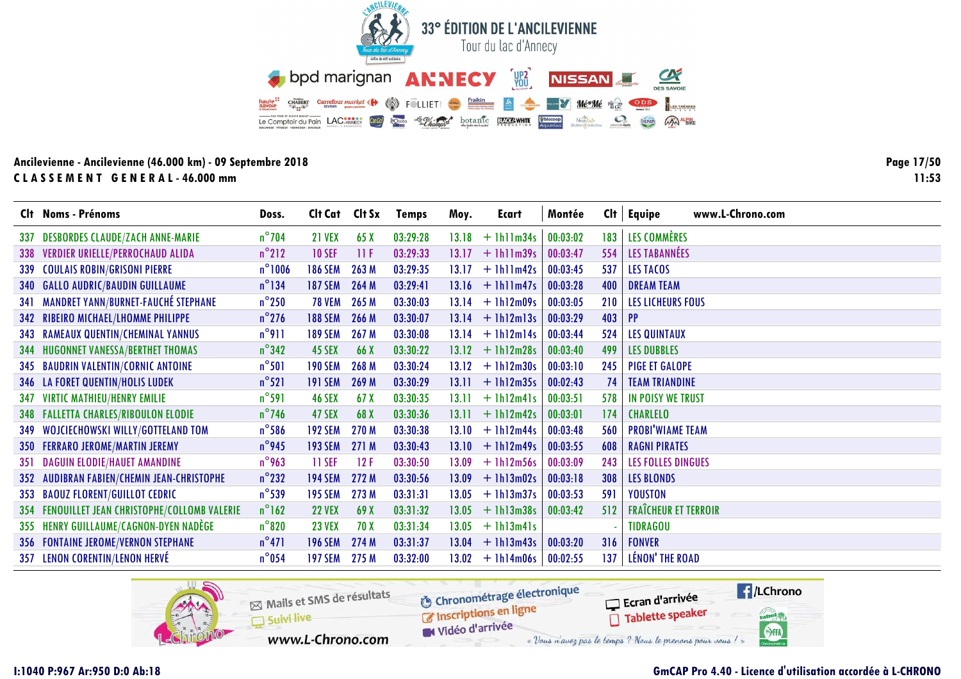![](_page_16_Picture_0.jpeg)

Page 17/50  $11:53$ 

|     | Clt Noms - Prénoms                             | Doss.           | Cit Cat Cit Sx |       | <b>Temps</b> | Moy.  | Ecart              | Montée   | Cl <sub>t</sub> | Equipe<br>www.L-Chrono.com  |
|-----|------------------------------------------------|-----------------|----------------|-------|--------------|-------|--------------------|----------|-----------------|-----------------------------|
| 337 | <b>DESBORDES CLAUDE/ZACH ANNE-MARIE</b>        | $n^{\circ}$ 704 | <b>21 VEX</b>  | 65X   | 03:29:28     | 13.18 | $+1$ hllm34s       | 00:03:02 | 183             | LES COMMÈRES                |
|     | 338 VERDIER URIELLE/PERROCHAUD ALIDA           | $n^{\circ}212$  | <b>10 SEF</b>  | 11F   | 03:29:33     |       | $13.17 + 1h11m39s$ | 00:03:47 | 554             | <b>LES TABANNÉES</b>        |
|     | 339 COULAIS ROBIN/GRISONI PIERRE               | $n^{\circ}1006$ | <b>186 SEM</b> | 263 M | 03:29:35     | 13.17 | $+1$ hllm42s       | 00:03:45 | 537             | LES TACOS                   |
|     | 340 GALLO AUDRIC/BAUDIN GUILLAUME              | $n^{\circ}$ 134 | <b>187 SEM</b> | 264 M | 03:29:41     | 13.16 | $+$ 1h11m47s       | 00:03:28 | 400             | <b>DREAM TEAM</b>           |
|     | 341 MANDRET YANN/BURNET-FAUCHÉ STEPHANE        | $n^{\circ}$ 250 | <b>78 VEM</b>  | 265 M | 03:30:03     |       | $13.14 + 1h12m09s$ | 00:03:05 | 210             | <b>LES LICHEURS FOUS</b>    |
|     | 342 RIBEIRO MICHAEL/LHOMME PHILIPPE            | $n^{\circ}$ 276 | <b>188 SEM</b> | 266 M | 03:30:07     |       | $13.14 + 1h12m13s$ | 00:03:29 | 403             | <b>PP</b>                   |
|     | <b>343 RAMEAUX QUENTIN/CHEMINAL YANNUS</b>     | $n^{\circ}911$  | <b>189 SEM</b> | 267 M | 03:30:08     | 13.14 | $+1h12m14s$        | 00:03:44 | 524             | <b>LES QUINTAUX</b>         |
|     | <b>344 HUGONNET VANESSA/BERTHET THOMAS</b>     | $n^{\circ}342$  | 45 SEX         | 66 X  | 03:30:22     | 13.12 | $+1h12m28s$        | 00:03:40 | 499             | <b>LES DUBBLES</b>          |
|     | 345 BAUDRIN VALENTIN/CORNIC ANTOINE            | $n^{\circ}501$  | <b>190 SEM</b> | 268 M | 03:30:24     | 13.12 | $+1h12m30s$        | 00:03:10 | 245             | <b>PIGE ET GALOPE</b>       |
|     | <b>346 LA FORET QUENTIN/HOLIS LUDEK</b>        | $n^{\circ}521$  | <b>191 SEM</b> | 269 M | 03:30:29     | 13.11 | $+$ 1h12m35s       | 00:02:43 | 74              | <b>TEAM TRIANDINE</b>       |
|     | <b>347 VIRTIC MATHIEU/HENRY EMILIE</b>         | $n^{\circ}$ 591 | <b>46 SEX</b>  | 67X   | 03:30:35     | 13.11 | $+$ 1h12m41s       | 00:03:51 | 578             | IN POISY WE TRUST           |
|     | <b>348 FALLETTA CHARLES/RIBOULON ELODIE</b>    | $n^{\circ}$ 746 | 47 SEX         | 68 X  | 03:30:36     | 13.11 | $+1h12m42s$        | 00:03:01 | 174             | <b>CHARLELO</b>             |
|     | 349 WOJCIECHOWSKI WILLY/GOTTELAND TOM          | $n^{\circ}$ 586 | <b>192 SEM</b> | 270 M | 03:30:38     | 13.10 | $+1h12m44s$        | 00:03:48 | 560             | <b>PROBI'WIAME TEAM</b>     |
|     | 350 FERRARO JEROME/MARTIN JEREMY               | $n^{\circ}$ 945 | <b>193 SEM</b> | 271 M | 03:30:43     | 13.10 | $+$ 1h12m49s       | 00:03:55 | 608             | <b>RAGNI PIRATES</b>        |
|     | 351 DAGUIN ELODIE/HAUET AMANDINE               | $n^{\circ}$ 963 | 11 SEF         | 12F   | 03:30:50     | 13.09 | $+1h12m56s$        | 00:03:09 | 243             | <b>LES FOLLES DINGUES</b>   |
| 352 | AUDIBRAN FABIEN/CHEMIN JEAN-CHRISTOPHE         | $n^{\circ}$ 232 | <b>194 SEM</b> | 272 M | 03:30:56     | 13.09 | $+ 1h13m02s$       | 00:03:18 | 308             | <b>LES BLONDS</b>           |
|     | 353 BAOUZ FLORENT/GUILLOT CEDRIC               | $n^{\circ}$ 539 | <b>195 SEM</b> | 273 M | 03:31:31     | 13.05 | $+$ 1h13m37s       | 00:03:53 | 591             | <b>YOUSTON</b>              |
|     | 354 FENOUILLET JEAN CHRISTOPHE/COLLOMB VALERIE | $n^{\circ}162$  | <b>22 VEX</b>  | 69 X  | 03:31:32     | 13.05 | $+1h13m38s$        | 00:03:42 | 512             | <b>FRAÎCHEUR ET TERROIR</b> |
|     | 355 HENRY GUILLAUME/CAGNON-DYEN NADÈGE         | $n^{\circ}820$  | <b>23 VEX</b>  | 70 X  | 03:31:34     | 13.05 | $+$ 1h13m41s       |          |                 | <b>TIDRAGOU</b>             |
|     | <b>356 FONTAINE JEROME/VERNON STEPHANE</b>     | $n^{\circ}471$  | <b>196 SEM</b> | 274 M | 03:31:37     | 13.04 | $+$ 1h13m43s       | 00:03:20 | 316             | <b>FONVER</b>               |
|     | 357 LENON CORENTIN/LENON HERVÉ                 | $n^{\circ}$ 054 | <b>197 SEM</b> | 275 M | 03:32:00     |       | $13.02 + 1h14m06s$ | 00:02:55 | 137             | LÉNON' THE ROAD             |

![](_page_16_Picture_4.jpeg)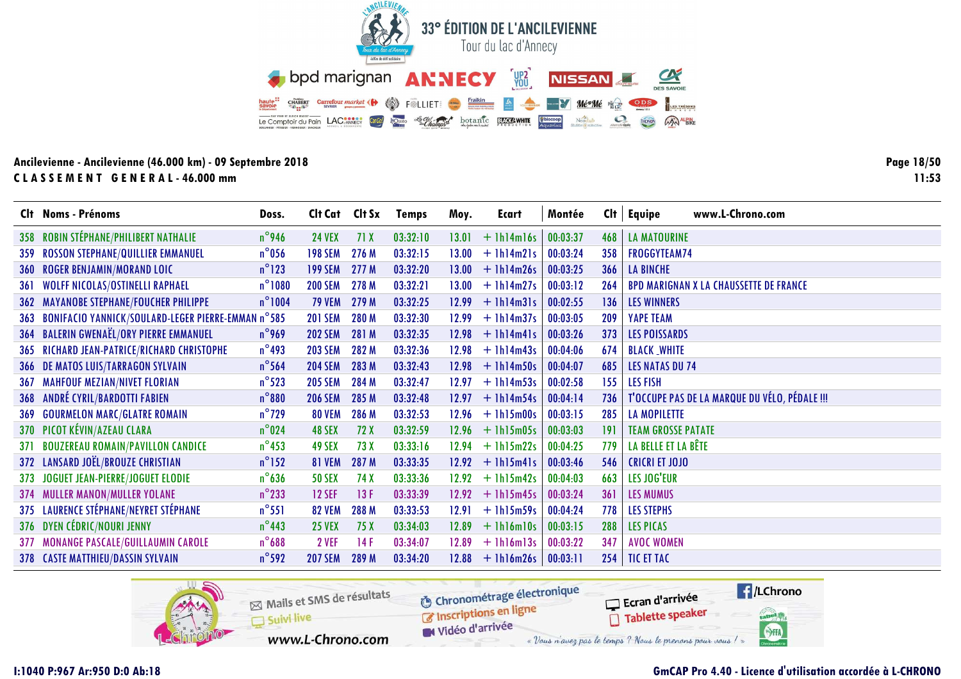![](_page_17_Picture_0.jpeg)

Page 18/50  $11:53$ 

|     | Clt Noms - Prénoms                                        | Doss.            | Cit Cat Cit Sx |       | <b>Temps</b> | Moy.  | Ecart           | Montée   | Clt | www.L-Chrono.com<br>Equipe                    |
|-----|-----------------------------------------------------------|------------------|----------------|-------|--------------|-------|-----------------|----------|-----|-----------------------------------------------|
|     | 358 ROBIN STÉPHANE/PHILIBERT NATHALIE                     | $n^{\circ}$ 946  | <b>24 VEX</b>  | 71X   | 03:32:10     | 13.01 | $+$ 1h14m16s    | 00:03:37 | 468 | <b>LA MATOURINE</b>                           |
| 359 | <b>ROSSON STEPHANE/QUILLIER EMMANUEL</b>                  | $n^{\circ}$ 056  | <b>198 SEM</b> | 276 M | 03:32:15     | 13.00 | $+$ 1h14m21s    | 00:03:24 | 358 | <b>FROGGYTEAM74</b>                           |
|     | 360 ROGER BENJAMIN/MORAND LOIC                            | $n^{\circ}$ 123  | <b>199 SEM</b> | 277 M | 03:32:20     | 13.00 | $+1h14m26s$     | 00:03:25 | 366 | <b>LA BINCHE</b>                              |
| 361 | WOLFF NICOLAS/OSTINELLI RAPHAEL                           | $n^{\circ}$ 1080 | <b>200 SEM</b> | 278 M | 03:32:21     | 13.00 | $+1h14m27s$     | 00:03:12 | 264 | <b>BPD MARIGNAN X LA CHAUSSETTE DE FRANCE</b> |
|     | <b>362 MAYANOBE STEPHANE/FOUCHER PHILIPPE</b>             | $n^{\circ}1004$  | <b>79 VEM</b>  | 279 M | 03:32:25     | 12.99 | $+$ 1h14m31s    | 00:02:55 | 136 | <b>LES WINNERS</b>                            |
| 363 | <b>BONIFACIO YANNICK/SOULARD-LEGER PIERRE-EMMAN n°585</b> |                  | <b>201 SEM</b> | 280 M | 03:32:30     | 12.99 | $+$ 1h14m37s    | 00:03:05 | 209 | <b>YAPE TEAM</b>                              |
|     | 364 BALERIN GWENAËL/ORY PIERRE EMMANUEL                   | $n^{\circ}$ 969  | <b>202 SEM</b> | 281 M | 03:32:35     | 12.98 | $+$ 1h14m41s    | 00:03:26 | 373 | <b>LES POISSARDS</b>                          |
|     | 365 RICHARD JEAN-PATRICE/RICHARD CHRISTOPHE               | $n^{\circ}$ 493  | <b>203 SEM</b> | 282 M | 03:32:36     | 12.98 | $+$ 1h14m43s    | 00:04:06 | 674 | <b>BLACK WHITE</b>                            |
|     | <b>366 DE MATOS LUIS/TARRAGON SYLVAIN</b>                 | $n^{\circ}$ 564  | <b>204 SEM</b> | 283 M | 03:32:43     | 12.98 | $+$ 1h14m50s    | 00:04:07 | 685 | <b>LES NATAS DU 74</b>                        |
|     | <b>367 MAHFOUF MEZIAN/NIVET FLORIAN</b>                   | $n^{\circ}$ 523  | <b>205 SEM</b> | 284 M | 03:32:47     | 12.97 | $+$ 1h14m53s    | 00:02:58 | 155 | <b>LES FISH</b>                               |
| 368 | <b>ANDRÉ CYRIL/BARDOTTI FABIEN</b>                        | $n^{\circ}880$   | <b>206 SEM</b> | 285 M | 03:32:48     | 12.97 | $+$ 1h14m54s    | 00:04:14 | 736 | T'OCCUPE PAS DE LA MARQUE DU VÉLO, PÉDALE !!! |
| 369 | <b>GOURMELON MARC/GLATRE ROMAIN</b>                       | $n^{\circ}$ 729  | <b>80 VEM</b>  | 286 M | 03:32:53     | 12.96 | $+$ 1h15m00s    | 00:03:15 | 285 | <b>LA MOPILETTE</b>                           |
|     | 370 PICOT KÉVIN/AZEAU CLARA                               | $n^{\circ}$ 024  | 48 SEX         | 72 X  | 03:32:59     | 12.96 | $+$ 1h15m05s    | 00:03:03 | 191 | <b>TEAM GROSSE PATATE</b>                     |
| 371 | <b>BOUZEREAU ROMAIN/PAVILLON CANDICE</b>                  | $n^{\circ}$ 453  | 49 SEX         | 73 X  | 03:33:16     | 12.94 | $+$ 1h15m22s    | 00:04:25 | 779 | LA BELLE ET LA BÊTE                           |
|     | 372 LANSARD JOËL/BROUZE CHRISTIAN                         | $n^{\circ}$ 152  | <b>81 VEM</b>  | 287 M | 03:33:35     | 12.92 | $+$ 1h15m41s    | 00:03:46 | 546 | <b>CRICRI ET JOJO</b>                         |
|     | 373 JOGUET JEAN-PIERRE/JOGUET ELODIE                      | $n^{\circ}$ 636  | <b>50 SEX</b>  | 74 X  | 03:33:36     | 12.92 | $+$ 1h15m42s    | 00:04:03 | 663 | LES JOG'EUR                                   |
|     | <b>374 MULLER MANON/MULLER YOLANE</b>                     | $n^{\circ}$ 233  | <b>12 SEF</b>  | 13F   | 03:33:39     | 12.92 | $+$ 1h15m45s    | 00:03:24 | 361 | <b>LES MUMUS</b>                              |
|     | 375 LAURENCE STÉPHANE/NEYRET STÉPHANE                     | $n^{\circ}551$   | <b>82 VEM</b>  | 288 M | 03:33:53     | 12.91 | $+$ 1h15m59s    | 00:04:24 | 778 | <b>LES STEPHS</b>                             |
|     | 376 DYEN CÉDRIC/NOURI JENNY                               | $n^{\circ}$ 443  | <b>25 VEX</b>  | 75 X  | 03:34:03     | 12.89 | $+1$ hl6m $10s$ | 00:03:15 | 288 | <b>LES PICAS</b>                              |
|     | 377 MONANGE PASCALE/GUILLAUMIN CAROLE                     | $n^{\circ}$ 688  | 2 VEF          | 14F   | 03:34:07     | 12.89 | $+$ 1h16m13s    | 00:03:22 | 347 | <b>AVOC WOMEN</b>                             |
|     | 378 CASTE MATTHIEU/DASSIN SYLVAIN                         | $n^{\circ}$ 592  | <b>207 SEM</b> | 289 M | 03:34:20     | 12.88 | $+$ 1h16m26s    | 00:03:11 | 254 | <b>TIC ET TAC</b>                             |

![](_page_17_Picture_4.jpeg)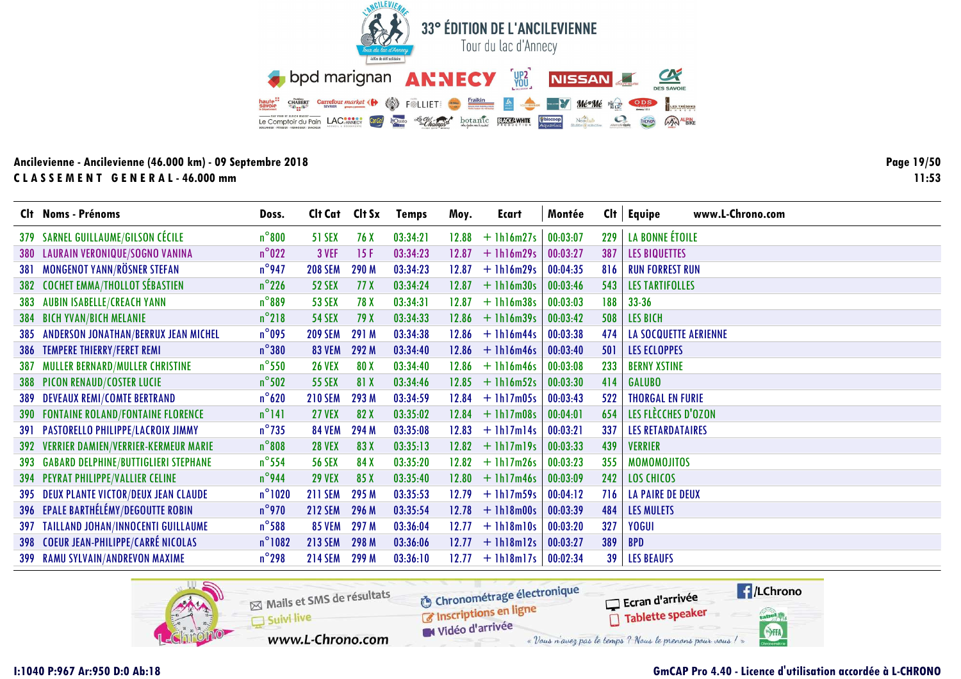![](_page_18_Picture_0.jpeg)

Page 19/50  $11:53$ 

|     | Clt Noms - Prénoms                           | Doss.            | Cit Cat Cit Sx |       | <b>Temps</b> | Moy.  | Ecart              | Montée   | Cl <sub>t</sub> | www.L-Chrono.com<br><b>Equipe</b> |
|-----|----------------------------------------------|------------------|----------------|-------|--------------|-------|--------------------|----------|-----------------|-----------------------------------|
|     | 379 SARNEL GUILLAUME/GILSON CÉCILE           | $n^{\circ}800$   | <b>51 SEX</b>  | 76 X  | 03:34:21     | 12.88 | $+$ 1h16m27s       | 00:03:07 | 229             | LA BONNE ÉTOILE                   |
|     | 380 LAURAIN VERONIQUE/SOGNO VANINA           | $n^{\circ}022$   | 3 VEF          | 15F   | 03:34:23     | 12.87 | $+1h16m29s$        | 00:03:27 | 387             | <b>LES BIQUETTES</b>              |
| 381 | <b>MONGENOT YANN/RÖSNER STEFAN</b>           | $n^{\circ}$ 947  | <b>208 SEM</b> | 290 M | 03:34:23     | 12.87 | $+$ 1h16m29s       | 00:04:35 | 816             | <b>RUN FORREST RUN</b>            |
| 382 | <b>COCHET EMMA/THOLLOT SÉBASTIEN</b>         | $n^{\circ}$ 226  | <b>52 SEX</b>  | 77 X  | 03:34:24     | 12.87 | $+1h16m30s$        | 00:03:46 | 543             | <b>LES TARTIFOLLES</b>            |
|     | <b>383 AUBIN ISABELLE/CREACH YANN</b>        | $n^{\circ}889$   | <b>53 SEX</b>  | 78 X  | 03:34:31     | 12.87 | $+1h16m38s$        | 00:03:03 | 188             | $33 - 36$                         |
|     | 384 BICH YVAN/BICH MELANIE                   | $n^{\circ}218$   | <b>54 SEX</b>  | 79 X  | 03:34:33     |       | $12.86 + 1h16m39s$ | 00:03:42 | 508             | <b>LES BICH</b>                   |
|     | 385 ANDERSON JONATHAN/BERRUX JEAN MICHEL     | $n^{\circ}$ 095  | <b>209 SEM</b> | 291 M | 03:34:38     | 12.86 | $+1h16m44s$        | 00:03:38 | 474             | <b>LA SOCQUETTE AERIENNE</b>      |
|     | 386 TEMPERE THIERRY/FERET REMI               | $n^{\circ}380$   | <b>83 VEM</b>  | 292 M | 03:34:40     | 12.86 | $+1h16m46s$        | 00:03:40 | 501             | <b>LES ECLOPPES</b>               |
| 387 | <b>MULLER BERNARD/MULLER CHRISTINE</b>       | $n^{\circ}$ 550  | <b>26 VEX</b>  | 80 X  | 03:34:40     | 12.86 | $+$ 1h16m46s       | 00:03:08 | 233             | <b>BERNY XSTINE</b>               |
|     | <b>388 PICON RENAUD/COSTER LUCIE</b>         | $n^{\circ}$ 502  | <b>55 SEX</b>  | 81 X  | 03:34:46     | 12.85 | $+$ 1h16m52s       | 00:03:30 | 414             | <b>GALUBO</b>                     |
|     | <b>389 DEVEAUX REMI/COMTE BERTRAND</b>       | $n^{\circ}$ 620  | <b>210 SEM</b> | 293 M | 03:34:59     | 12.84 | $+$ 1h17m05s       | 00:03:43 | 522             | <b>THORGAL EN FURIE</b>           |
|     | <b>390 FONTAINE ROLAND/FONTAINE FLORENCE</b> | $n^{\circ}141$   | <b>27 VEX</b>  | 82 X  | 03:35:02     | 12.84 | $+$ 1h17m08s       | 00:04:01 | 654             | LES FLÈCCHES D'OZON               |
|     | <b>391 PASTORELLO PHILIPPE/LACROIX JIMMY</b> | $n^{\circ}$ 735  | <b>84 VEM</b>  | 294 M | 03:35:08     | 12.83 | $+$ 1h17m14s       | 00:03:21 | 337             | <b>LES RETARDATAIRES</b>          |
|     | 392 VERRIER DAMIEN/VERRIER-KERMEUR MARIE     | $n^{\circ}$ 808  | <b>28 VEX</b>  | 83 X  | 03:35:13     | 12.82 | $+$ 1h17m19s       | 00:03:33 | 439             | <b>VERRIER</b>                    |
|     | 393 GABARD DELPHINE/BUTTIGLIERI STEPHANE     | $n^{\circ}$ 554  | <b>56 SEX</b>  | 84 X  | 03:35:20     |       | $12.82 + 1h17m26s$ | 00:03:23 | 355             | <b>MOMOMOJITOS</b>                |
|     | 394 PEYRAT PHILIPPE/VALLIER CELINE           | $n^{\circ}$ 944  | <b>29 VEX</b>  | 85 X  | 03:35:40     |       | $12.80 + 1h17m46s$ | 00:03:09 | 242             | <b>LOS CHICOS</b>                 |
|     | 395 DEUX PLANTE VICTOR/DEUX JEAN CLAUDE      | $n^{\circ}$ 1020 | <b>211 SEM</b> | 295 M | 03:35:53     | 12.79 | $+$ 1h17m59s       | 00:04:12 | 716             | <b>LA PAIRE DE DEUX</b>           |
|     | 396 EPALE BARTHÉLÉMY/DEGOUTTE ROBIN          | $n^{\circ}$ 970  | <b>212 SEM</b> | 296 M | 03:35:54     | 12.78 | $+1h18m00s$        | 00:03:39 | 484             | <b>LES MULETS</b>                 |
|     | 397 TAILLAND JOHAN/INNOCENTI GUILLAUME       | $n^{\circ}$ 588  | <b>85 VEM</b>  | 297 M | 03:36:04     | 12.77 | $+1h18m10s$        | 00:03:20 | 327             | YOGUI                             |
|     | 398 COEUR JEAN-PHILIPPE/CARRÉ NICOLAS        | $n^{\circ}1082$  | <b>213 SEM</b> | 298 M | 03:36:06     |       | $12.77 + 1h18m12s$ | 00:03:27 | 389             | <b>BPD</b>                        |
|     | 399 RAMU SYLVAIN/ANDREVON MAXIME             | $n^{\circ}$ 298  | <b>214 SEM</b> | 299 M | 03:36:10     |       | $12.77 + 1h18m17s$ | 00:02:34 | 39              | <b>LES BEAUFS</b>                 |

![](_page_18_Picture_4.jpeg)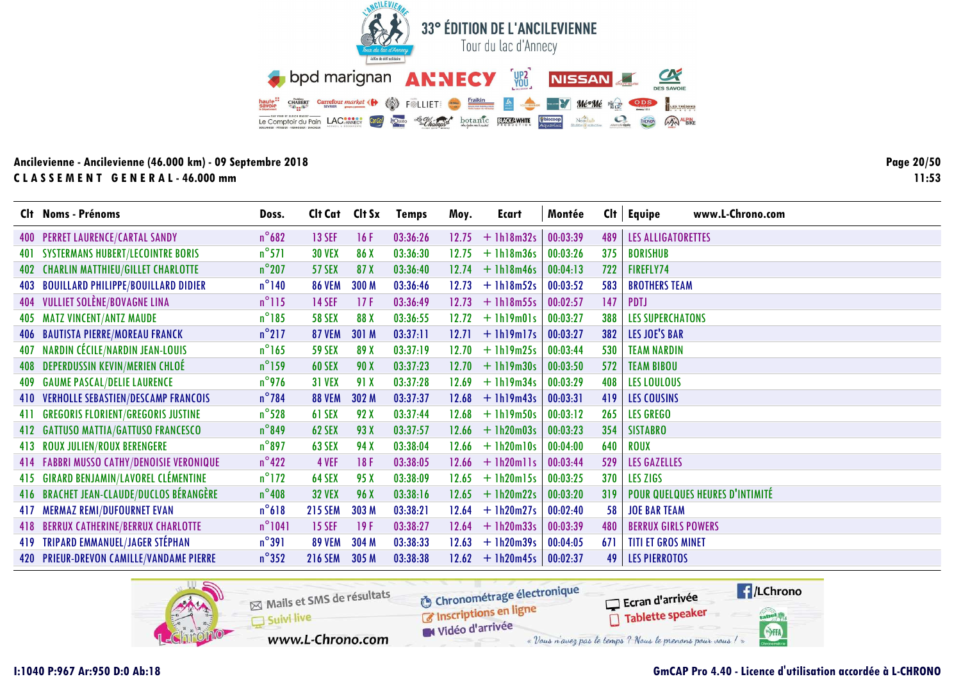![](_page_19_Picture_0.jpeg)

Page 20/50  $11:53$ 

|     | Clt Noms - Prénoms                         | Doss.           | Cit Cat Cit Sx |       | <b>Temps</b> | Moy.  | Ecart        | Montée   | Cl <sub>t</sub> | www.L-Chrono.com<br>Equipe      |
|-----|--------------------------------------------|-----------------|----------------|-------|--------------|-------|--------------|----------|-----------------|---------------------------------|
|     | 400 PERRET LAURENCE/CARTAL SANDY           | $n^{\circ}682$  | <b>13 SEF</b>  | 16F   | 03:36:26     | 12.75 | $+1h18m32s$  | 00:03:39 | 489             | LES ALLIGATORETTES              |
| 401 | <b>SYSTERMANS HUBERT/LECOINTRE BORIS</b>   | $n^{\circ}571$  | <b>30 VEX</b>  | 86 X  | 03:36:30     | 12.75 | $+$ 1h18m36s | 00:03:26 | 375             | <b>BORISHUB</b>                 |
| 402 | <b>CHARLIN MATTHIEU/GILLET CHARLOTTE</b>   | $n^{\circ}$ 207 | <b>57 SEX</b>  | 87 X  | 03:36:40     | 12.74 | $+$ 1h18m46s | 00:04:13 | 722             | FIREFLY74                       |
| 403 | <b>BOUILLARD PHILIPPE/BOUILLARD DIDIER</b> | $n^{\circ}$ 140 | <b>86 VEM</b>  | 300 M | 03:36:46     | 12.73 | $+ 1h18m52s$ | 00:03:52 | 583             | <b>BROTHERS TEAM</b>            |
|     | 404 VULLIET SOLÈNE/BOVAGNE LINA            | $n^{\circ}115$  | <b>14 SEF</b>  | 17F   | 03:36:49     | 12.73 | $+$ 1h18m55s | 00:02:57 | 147             | PDTJ                            |
| 405 | <b>MATZ VINCENT/ANTZ MAUDE</b>             | $n^{\circ}185$  | <b>58 SEX</b>  | 88 X  | 03:36:55     | 12.72 | $+$ 1h19m01s | 00:03:27 | 388             | <b>LES SUPERCHATONS</b>         |
|     | <b>406 BAUTISTA PIERRE/MOREAU FRANCK</b>   | $n^{\circ}$ 217 | <b>87 VEM</b>  | 301 M | 03:37:11     | 12.71 | $+$ 1h19m17s | 00:03:27 | 382             | LES JOE'S BAR                   |
|     | 407 NARDIN CÉCILE/NARDIN JEAN-LOUIS        | $n^{\circ}165$  | <b>59 SEX</b>  | 89 X  | 03:37:19     | 12.70 | $+$ 1h19m25s | 00:03:44 | 530             | <b>TEAM NARDIN</b>              |
|     | 408 DEPERDUSSIN KEVIN/MERIEN CHLOÉ         | $n^{\circ}$ 159 | <b>60 SEX</b>  | 90 X  | 03:37:23     | 12.70 | $+$ 1h19m30s | 00:03:50 | 572             | <b>TEAM BIBOU</b>               |
|     | <b>409 GAUME PASCAL/DELIE LAURENCE</b>     | $n^{\circ}$ 976 | <b>31 VEX</b>  | 91 X  | 03:37:28     | 12.69 | $+$ 1h19m34s | 00:03:29 | 408             | <b>LES LOULOUS</b>              |
|     | 410 VERHOLLE SEBASTIEN/DESCAMP FRANCOIS    | $n^{\circ}$ 784 | <b>88 VEM</b>  | 302 M | 03:37:37     | 12.68 | $+$ 1h19m43s | 00:03:31 | 419             | <b>LES COUSINS</b>              |
| 411 | <b>GREGORIS FLORIENT/GREGORIS JUSTINE</b>  | $n^{\circ}$ 528 | 61 SEX         | 92 X  | 03:37:44     | 12.68 | $+$ 1h19m50s | 00:03:12 | 265             | <b>LES GREGO</b>                |
| 412 | <b>GATTUSO MATTIA/GATTUSO FRANCESCO</b>    | $n^{\circ}$ 849 | 62 SEX         | 93 X  | 03:37:57     | 12.66 | $+1h20m03s$  | 00:03:23 | 354             | <b>SISTABRO</b>                 |
|     | 413 ROUX JULIEN/ROUX BERENGERE             | $n^{\circ}$ 897 | <b>63 SEX</b>  | 94 X  | 03:38:04     | 12.66 | $+1h20m10s$  | 00:04:00 | 640             | <b>ROUX</b>                     |
|     | 414 FABBRI MUSSO CATHY/DENOISIE VERONIQUE  | $n^{\circ}422$  | 4 VEF          | 18F   | 03:38:05     | 12.66 | $+$ 1h20mlls | 00:03:44 | 529             | <b>LES GAZELLES</b>             |
| 415 | <b>GIRARD BENJAMIN/LAVOREL CLÉMENTINE</b>  | $n^{\circ}$ 172 | 64 SEX         | 95 X  | 03:38:09     | 12.65 | $+$ 1h20m15s | 00:03:25 | 370             | LES ZIGS                        |
|     | 416 BRACHET JEAN-CLAUDE/DUCLOS BÉRANGÈRE   | $n^{\circ}$ 408 | <b>32 VEX</b>  | 96 X  | 03:38:16     | 12.65 | $+ 1h20m22s$ | 00:03:20 | 319             | POUR QUELQUES HEURES D'INTIMITÉ |
| 417 | <b>MERMAZ REMI/DUFOURNET EVAN</b>          | $n^{\circ}618$  | <b>215 SEM</b> | 303 M | 03:38:21     | 12.64 | $+ 1h20m27s$ | 00:02:40 | 58              | <b>JOE BAR TEAM</b>             |
| 418 | <b>BERRUX CATHERINE/BERRUX CHARLOTTE</b>   | $n^{\circ}1041$ | <b>15 SEF</b>  | 19F   | 03:38:27     | 12.64 | $+ 1h20m33s$ | 00:03:39 | 480             | <b>BERRUX GIRLS POWERS</b>      |
|     | 419 TRIPARD EMMANUEL/JAGER STÉPHAN         | $n^{\circ}391$  | <b>89 VEM</b>  | 304 M | 03:38:33     | 12.63 | $+1h20m39s$  | 00:04:05 | 671             | <b>TITI ET GROS MINET</b>       |
|     | 420 PRIEUR-DREVON CAMILLE/VANDAME PIERRE   | $n^{\circ}352$  | <b>216 SEM</b> | 305 M | 03:38:38     | 12.62 | $+$ 1h20m45s | 00:02:37 | 49              | <b>LES PIERROTOS</b>            |

![](_page_19_Picture_4.jpeg)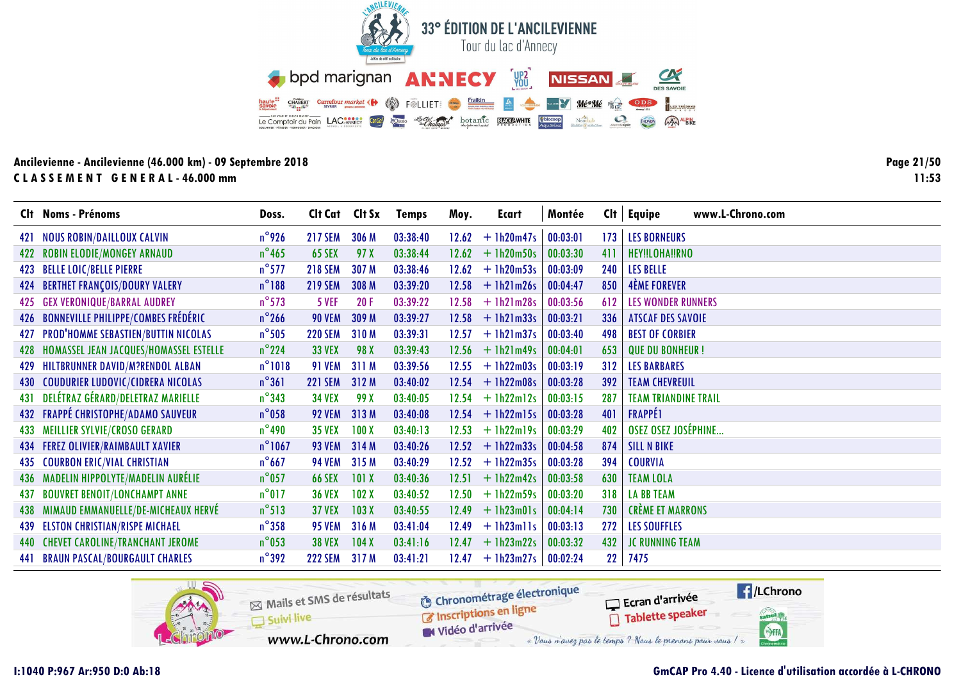![](_page_20_Picture_0.jpeg)

**Page 21/5011:53**

|     | Clt Noms - Prénoms                         | Doss.            | Cit Cat Cit Sx |       | <b>Temps</b> | Moy.  | Ecart        | Montée   | Cl <sub>t</sub> | <b>Equipe</b><br>www.L-Chrono.com |
|-----|--------------------------------------------|------------------|----------------|-------|--------------|-------|--------------|----------|-----------------|-----------------------------------|
|     | 421 NOUS ROBIN/DAILLOUX CALVIN             | $n^{\circ}$ 926  | <b>217 SEM</b> | 306 M | 03:38:40     | 12.62 | $+1h20m47s$  | 00:03:01 | 173             | <b>LES BORNEURS</b>               |
|     | 422 ROBIN ELODIE/MONGEY ARNAUD             | $n^{\circ}$ 465  | <b>65 SEX</b>  | 97 X  | 03:38:44     | 12.62 | $+1h20m50s$  | 00:03:30 | 411             | HEY!!LOHA!!RNO                    |
|     | 423 BELLE LOIC/BELLE PIERRE                | $n^{\circ}$ 577  | <b>218 SEM</b> | 307 M | 03:38:46     | 12.62 | $+ 1h20m53s$ | 00:03:09 | 240             | <b>LES BELLE</b>                  |
| 424 | <b>BERTHET FRANÇOIS/DOURY VALERY</b>       | $n^{\circ}188$   | <b>219 SEM</b> | 308 M | 03:39:20     | 12.58 | $+$ 1h21m26s | 00:04:47 | 850             | <b>4ÈME FOREVER</b>               |
|     | 425 GEX VERONIQUE/BARRAL AUDREY            | $n^{\circ}$ 573  | 5 VEF          | 20F   | 03:39:22     | 12.58 | $+$ 1h21m28s | 00:03:56 | 612             | <b>LES WONDER RUNNERS</b>         |
|     | 426 BONNEVILLE PHILIPPE/COMBES FRÉDÉRIC    | $n^{\circ}$ 266  | <b>90 VEM</b>  | 309 M | 03:39:27     | 12.58 | $+$ 1h21m33s | 00:03:21 | 336             | <b>ATSCAF DES SAVOIE</b>          |
|     | 427 PROD'HOMME SEBASTIEN/BUTTIN NICOLAS    | $n^{\circ}$ 505  | <b>220 SEM</b> | 310M  | 03:39:31     | 12.57 | $+$ 1h21m37s | 00:03:40 | 498             | <b>BEST OF CORBIER</b>            |
|     | 428 HOMASSEL JEAN JACQUES/HOMASSEL ESTELLE | $n^{\circ}$ 224  | <b>33 VEX</b>  | 98 X  | 03:39:43     | 12.56 | $+$ 1h21m49s | 00:04:01 | 653             | <b>QUE DU BONHEUR!</b>            |
|     | 429 HILTBRUNNER DAVID/M?RENDOL ALBAN       | $n^{\circ}$ 1018 | <b>91 VEM</b>  | 311 M | 03:39:56     | 12.55 | $+1h22m03s$  | 00:03:19 | 312             | <b>LES BARBARES</b>               |
|     | 430 COUDURIER LUDOVIC/CIDRERA NICOLAS      | $n^{\circ}361$   | <b>221 SEM</b> | 312 M | 03:40:02     | 12.54 | $+$ 1h22m08s | 00:03:28 | 392             | <b>TEAM CHEVREUIL</b>             |
|     | 431 DELÉTRAZ GÉRARD/DELETRAZ MARIELLE      | $n^{\circ}$ 343  | <b>34 VEX</b>  | 99 X  | 03:40:05     | 12.54 | $+$ 1h22m12s | 00:03:15 | 287             | <b>TEAM TRIANDINE TRAIL</b>       |
|     | 432 FRAPPÉ CHRISTOPHE/ADAMO SAUVEUR        | $n^{\circ}$ 058  | <b>92 VEM</b>  | 313 M | 03:40:08     | 12.54 | $+$ 1h22m15s | 00:03:28 | 401             | <b>FRAPPÉ1</b>                    |
| 433 | <b>MEILLIER SYLVIE/CROSO GERARD</b>        | $n^{\circ}$ 490  | <b>35 VEX</b>  | 100X  | 03:40:13     | 12.53 | $+$ 1h22m19s | 00:03:29 | 402             | OSEZ OSEZ JOSÉPHINE               |
|     | 434 FEREZ OLIVIER/RAIMBAULT XAVIER         | $n^{\circ}$ 1067 | <b>93 VEM</b>  | 314M  | 03:40:26     | 12.52 | $+1h22m33s$  | 00:04:58 | 874             | <b>SILL N BIKE</b>                |
| 435 | <b>COURBON ERIC/VIAL CHRISTIAN</b>         | $n^{\circ}$ 667  | <b>94 VEM</b>  | 315 M | 03:40:29     | 12.52 | $+$ 1h22m35s | 00:03:28 | 394             | <b>COURVIA</b>                    |
| 436 | <b>MADELIN HIPPOLYTE/MADELIN AURÉLIE</b>   | $n^{\circ}$ 057  | <b>66 SEX</b>  | 101X  | 03:40:36     | 12.51 | $+$ 1h22m42s | 00:03:58 | 630             | <b>TEAM LOLA</b>                  |
| 437 | <b>BOUVRET BENOIT/LONCHAMPT ANNE</b>       | $n^{\circ}$ 017  | <b>36 VEX</b>  | 102X  | 03:40:52     | 12.50 | $+1h22m59s$  | 00:03:20 | 318             | <b>LA BB TEAM</b>                 |
| 438 | MIMAUD EMMANUELLE/DE-MICHEAUX HERVÉ        | $n^{\circ}513$   | <b>37 VEX</b>  | 103X  | 03:40:55     | 12.49 | $+$ 1h23m01s | 00:04:14 | 730             | <b>CRÈME ET MARRONS</b>           |
|     | 439 ELSTON CHRISTIAN/RISPE MICHAEL         | $n^{\circ}358$   | <b>95 VEM</b>  | 316 M | 03:41:04     | 12.49 | $+$ 1h23mlls | 00:03:13 | 272             | <b>LES SOUFFLES</b>               |
| 440 | <b>CHEVET CAROLINE/TRANCHANT JEROME</b>    | $n^{\circ}$ 053  | <b>38 VEX</b>  | 104X  | 03:41:16     | 12.47 | $+1h23m22s$  | 00:03:32 | 432             | <b>JC RUNNING TEAM</b>            |
|     | <b>441 BRAUN PASCAL/BOURGAULT CHARLES</b>  | $n^{\circ}$ 392  | <b>222 SEM</b> | 317 M | 03:41:21     | 12.47 | $+$ 1h23m27s | 00:02:24 | 22              | 7475                              |

![](_page_20_Picture_4.jpeg)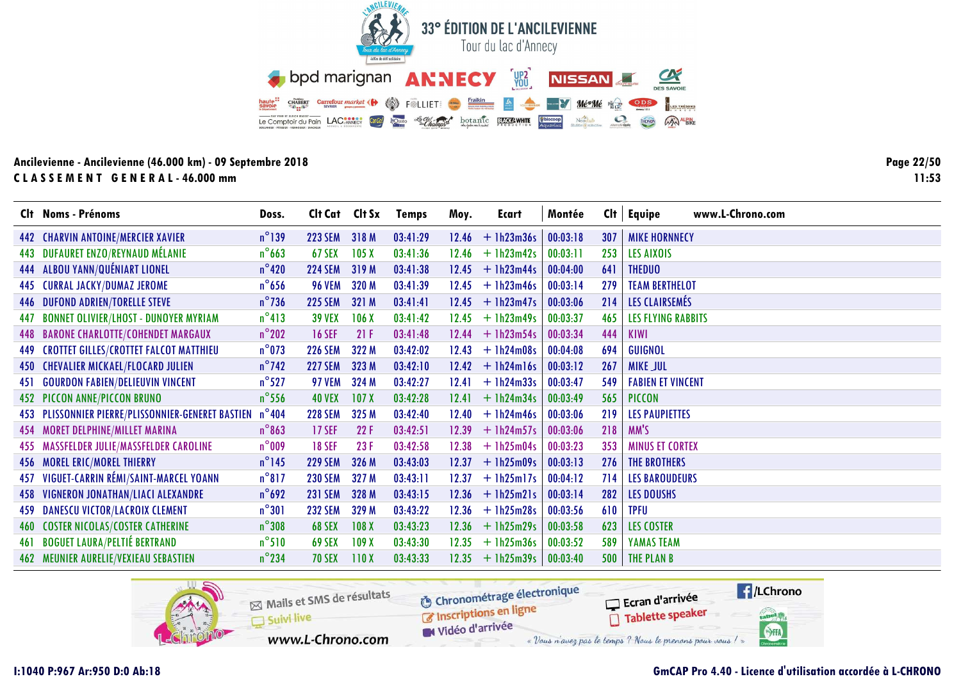![](_page_21_Picture_0.jpeg)

Page 22/50  $11:53$ 

|     | Clt Noms - Prénoms                                 | Doss.           | Cit Cat Cit Sx |                  | <b>Temps</b> | Moy.    | Ecart              | Montée   |     | $Clt$ Equipe<br>www.L-Chrono.com |
|-----|----------------------------------------------------|-----------------|----------------|------------------|--------------|---------|--------------------|----------|-----|----------------------------------|
|     | 442 CHARVIN ANTOINE/MERCIER XAVIER                 | $n^{\circ}$ 139 | <b>223 SEM</b> | 318 M            | 03:41:29     |         | $12.46 + 1h23m36s$ | 00:03:18 | 307 | <b>MIKE HORNNECY</b>             |
| 443 | <b>DUFAURET ENZO/REYNAUD MÉLANIE</b>               | $n^{\circ}$ 663 | <b>67 SEX</b>  | 105X             | 03:41:36     | 12.46   | $+$ 1h23m42s       | 00:03:11 | 253 | LES AIXOIS                       |
|     | 444 ALBOU YANN/QUÉNIART LIONEL                     | $n^{\circ}420$  | <b>224 SEM</b> | 319 M            | 03:41:38     | 12.45   | $+$ 1h23m44s       | 00:04:00 | 641 | <b>THEDUO</b>                    |
| 445 | <b>CURRAL JACKY/DUMAZ JEROME</b>                   | $n^{\circ}$ 656 | <b>96 VEM</b>  | 320 M            | 03:41:39     | 12.45   | $+$ 1h23m46s       | 00:03:14 | 279 | <b>TEAM BERTHELOT</b>            |
|     | <b>446 DUFOND ADRIEN/TORELLE STEVE</b>             | $n^{\circ}$ 736 | <b>225 SEM</b> | 321 M            | 03:41:41     |         | $12.45 + 1h23m47s$ | 00:03:06 | 214 | LES CLAIRSEMÉS                   |
| 447 | <b>BONNET OLIVIER/LHOST - DUNOYER MYRIAM</b>       | $n^{\circ}413$  | <b>39 VEX</b>  | 106X             | 03:41:42     | 12.45   | $+$ 1h23m49s       | 00:03:37 | 465 | <b>LES FLYING RABBITS</b>        |
|     | 448 BARONE CHARLOTTE/COHENDET MARGAUX              | $n^{\circ}$ 202 | <b>16 SEF</b>  | 21F              | 03:41:48     | 12.44   | $+$ 1h23m54s       | 00:03:34 | 444 | <b>KIWI</b>                      |
| 449 | <b>CROTTET GILLES/CROTTET FALCOT MATTHIEU</b>      | $n^{\circ}$ 073 | <b>226 SEM</b> | 322 M            | 03:42:02     | 12.43   | $+$ 1h24m08s       | 00:04:08 | 694 | GUIGNOL                          |
|     | 450 CHEVALIER MICKAEL/FLOCARD JULIEN               | $n^{\circ}$ 742 | <b>227 SEM</b> | 323 M            | 03:42:10     | $12.42$ | $+$ 1h24m16s       | 00:03:12 | 267 | <b>MIKE JUL</b>                  |
| 451 | <b>GOURDON FABIEN/DELIEUVIN VINCENT</b>            | $n^{\circ}$ 527 | <b>97 VEM</b>  | 324 M            | 03:42:27     | 12.41   | $+1h24m33s$        | 00:03:47 | 549 | <b>FABIEN ET VINCENT</b>         |
|     | 452 PICCON ANNE/PICCON BRUNO                       | $n^{\circ}$ 556 | <b>40 VEX</b>  | 107X             | 03:42:28     | 12.41   | $+$ 1h24m34s       | 00:03:49 | 565 | <b>PICCON</b>                    |
|     | 453 PLISSONNIER PIERRE/PLISSONNIER-GENERET BASTIEN | $n^{\circ}$ 404 | <b>228 SEM</b> | 325 M            | 03:42:40     | 12.40   | $+1h24m46s$        | 00:03:06 | 219 | <b>LES PAUPIETTES</b>            |
|     | 454 MORET DELPHINE/MILLET MARINA                   | $n^{\circ}863$  | <b>17 SEF</b>  | 22F              | 03:42:51     | 12.39   | $+$ 1h24m57s       | 00:03:06 | 218 | MM'S                             |
|     | 455 MASSFELDER JULIE/MASSFELDER CAROLINE           | $n^{\circ}$ 009 | <b>18 SEF</b>  | 23F              | 03:42:58     | 12.38   | $+$ 1h25m04s       | 00:03:23 | 353 | <b>MINUS ET CORTEX</b>           |
|     | 456 MOREL ERIC/MOREL THIERRY                       | $n^{\circ}$ 145 | <b>229 SEM</b> | 326 M            | 03:43:03     |         | $12.37 + 1h25m09s$ | 00:03:13 | 276 | <b>THE BROTHERS</b>              |
|     | 457 VIGUET-CARRIN RÉMI/SAINT-MARCEL YOANN          | $n^{\circ}817$  | <b>230 SEM</b> | 327 M            | 03:43:11     | 12.37   | $+1h25m17s$        | 00:04:12 | 714 | <b>LES BAROUDEURS</b>            |
|     | 458 VIGNERON JONATHAN/LIACI ALEXANDRE              | $n^{\circ}692$  | <b>231 SEM</b> | 328 M            | 03:43:15     | 12.36   | $+$ 1h25m21s       | 00:03:14 | 282 | <b>LES DOUSHS</b>                |
|     | 459 DANESCU VICTOR/LACROIX CLEMENT                 | $n^{\circ}301$  | <b>232 SEM</b> | 329 M            | 03:43:22     |         | $12.36 + 1h25m28s$ | 00:03:56 | 610 | <b>TPFU</b>                      |
|     | <b>460 COSTER NICOLAS/COSTER CATHERINE</b>         | $n^{\circ}308$  | <b>68 SEX</b>  | 108 <sub>X</sub> | 03:43:23     | 12.36   | $+$ 1h25m29s       | 00:03:58 | 623 | <b>LES COSTER</b>                |
| 461 | <b>BOGUET LAURA/PELTIÉ BERTRAND</b>                | $n^{\circ}510$  | <b>69 SEX</b>  | 109X             | 03:43:30     | 12.35   | $+1h25m36s$        | 00:03:52 | 589 | YAMAS TEAM                       |
|     | <b>462 MEUNIER AURELIE/VEXIEAU SEBASTIEN</b>       | $n^{\circ}$ 234 | <b>70 SEX</b>  | 110X             | 03:43:33     | 12.35   | $+1h25m39s$        | 00:03:40 | 500 | THE PLAN B                       |

![](_page_21_Picture_4.jpeg)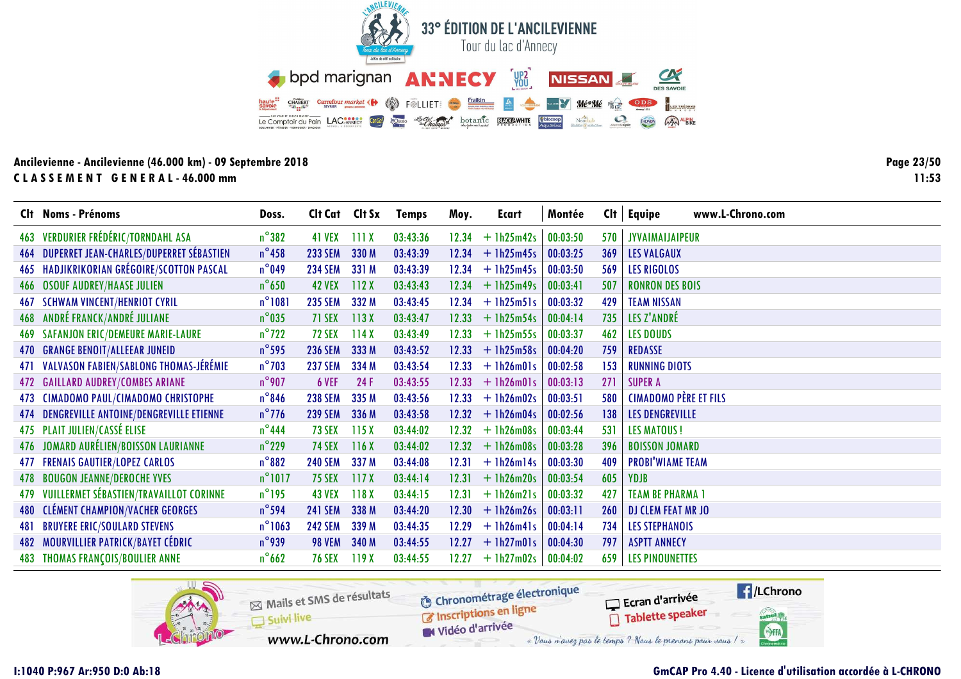![](_page_22_Picture_0.jpeg)

Page 23/50  $11:53$ 

|     | Clt Noms - Prénoms                           | Doss.            | Cit Cat Cit Sx |       | <b>Temps</b> | Moy.  | Ecart              | Montée   |       | $Clt$ Equipe<br>www.L-Chrono.com |
|-----|----------------------------------------------|------------------|----------------|-------|--------------|-------|--------------------|----------|-------|----------------------------------|
|     | 463 VERDURIER FRÉDÉRIC/TORNDAHL ASA          | $n^{\circ}382$   | 41 VEX         | 111X  | 03:43:36     | 12.34 | $+1h25m42s$        | 00:03:50 | 570   | <b>JYVAIMAIJAIPEUR</b>           |
|     | 464 DUPERRET JEAN-CHARLES/DUPERRET SÉBASTIEN | $n^{\circ}$ 458  | <b>233 SEM</b> | 330 M | 03:43:39     | 12.34 | $+1h25m45s$        | 00:03:25 | 369   | <b>LES VALGAUX</b>               |
|     | 465 HADJIKRIKORIAN GRÉGOIRE/SCOTTON PASCAL   | $n^{\circ}$ 049  | <b>234 SEM</b> | 331 M | 03:43:39     | 12.34 | $+$ 1h25m45s       | 00:03:50 | 569   | <b>LES RIGOLOS</b>               |
|     | <b>466 OSOUF AUDREY/HAASE JULIEN</b>         | $n^{\circ}$ 650  | <b>42 VEX</b>  | 112X  | 03:43:43     | 12.34 | $+1h25m49s$        | 00:03:41 | 507   | <b>RONRON DES BOIS</b>           |
|     | <b>467 SCHWAM VINCENT/HENRIOT CYRIL</b>      | $n^{\circ}1081$  | <b>235 SEM</b> | 332 M | 03:43:45     |       | $12.34 + 1h25m51s$ | 00:03:32 | 429   | <b>TEAM NISSAN</b>               |
|     | 468 ANDRÉ FRANCK/ANDRÉ JULIANE               | $n^{\circ}$ 035  | 71 SEX         | 113X  | 03:43:47     | 12.33 | $+$ 1h25m54s       | 00:04:14 | 735   | LES Z'ANDRÉ                      |
|     | 469 SAFANJON ERIC/DEMEURE MARIE-LAURE        | $n^{\circ}$ 722  | <b>72 SEX</b>  | 114X  | 03:43:49     | 12.33 | $+1h25m55s$        | 00:03:37 | 462   | <b>LES DOUDS</b>                 |
|     | 470 GRANGE BENOIT/ALLEEAR JUNEID             | $n^{\circ}$ 595  | <b>236 SEM</b> | 333 M | 03:43:52     | 12.33 | $+$ 1h25m58s       | 00:04:20 | 759   | <b>REDASSE</b>                   |
|     | 471 VALVASON FABIEN/SABLONG THOMAS-JÉRÉMIE   | $n^{\circ}$ 703  | <b>237 SEM</b> | 334 M | 03:43:54     | 12.33 | $+$ 1h26m01s       | 00:02:58 | 153   | <b>RUNNING DIOTS</b>             |
|     | 472 GAILLARD AUDREY/COMBES ARIANE            | $n^{\circ}$ 907  | 6 VEF          | 24 F  | 03:43:55     |       | $12.33 + 1h26m01s$ | 00:03:13 | 271   | <b>SUPER A</b>                   |
|     | 473 CIMADOMO PAUL/CIMADOMO CHRISTOPHE        | $n^{\circ}846$   | <b>238 SEM</b> | 335 M | 03:43:56     | 12.33 | $+ 1h26m02s$       | 00:03:51 | 580   | <b>CIMADOMO PÈRE ET FILS</b>     |
|     | 474 DENGREVILLE ANTOINE/DENGREVILLE ETIENNE  | $n^{\circ}$ 776  | <b>239 SEM</b> | 336 M | 03:43:58     | 12.32 | $+$ 1h26m04s       | 00:02:56 | 138   | LES DENGREVILLE                  |
|     | 475 PLAIT JULIEN/CASSÉ ELISE                 | $n^{\circ}$ 444  | <b>73 SEX</b>  | 115X  | 03:44:02     | 12.32 | $+1h26m08s$        | 00:03:44 | 531   | <b>LES MATOUS!</b>               |
|     | 476 JOMARD AURÉLIEN/BOISSON LAURIANNE        | $n^{\circ}$ 229  | <b>74 SEX</b>  | 116X  | 03:44:02     | 12.32 | $+$ 1h26m08s       | 00:03:28 | 396   | <b>BOISSON JOMARD</b>            |
|     | <b>477 FRENAIS GAUTIER/LOPEZ CARLOS</b>      | $n^{\circ}882$   | <b>240 SEM</b> | 337 M | 03:44:08     | 12.31 | $+$ 1h26m14s       | 00:03:30 | 409   | <b>PROBI'WIAME TEAM</b>          |
|     | 478 BOUGON JEANNE/DEROCHE YVES               | $n^{\circ}1017$  | <b>75 SEX</b>  | 117X  | 03:44:14     | 12.31 | $+$ 1h26m20s       | 00:03:54 | 605   | YDJB                             |
|     | 479 VUILLERMET SÉBASTIEN/TRAVAILLOT CORINNE  | $n^{\circ}$ 195  | <b>43 VEX</b>  | 118X  | 03:44:15     | 12.31 | $+$ 1h26m21s       | 00:03:32 | 427   | <b>TEAM BE PHARMA 1</b>          |
|     | <b>480 CLÉMENT CHAMPION/VACHER GEORGES</b>   | $n^{\circ}$ 594  | <b>241 SEM</b> | 338 M | 03:44:20     | 12.30 | $+$ 1h26m26s       | 00:03:11 | 260   | <b>DJ CLEM FEAT MR JO</b>        |
| 481 | <b>BRUYERE ERIC/SOULARD STEVENS</b>          | $n^{\circ}$ 1063 | <b>242 SEM</b> | 339 M | 03:44:35     | 12.29 | $+$ 1h26m41s       | 00:04:14 | 734   | <b>LES STEPHANOIS</b>            |
|     | 482 MOURVILLIER PATRICK/BAYET CÉDRIC         | $n^{\circ}$ 939  | <b>98 VEM</b>  | 340 M | 03:44:55     |       | $12.27 + 1h27m01s$ | 00:04:30 | 797   | <b>ASPTT ANNECY</b>              |
| 483 | <b>THOMAS FRANÇOIS/BOULIER ANNE</b>          | $n^{\circ}$ 662  | <b>76 SEX</b>  | 119X  | 03:44:55     | 12.27 | $+ 1h27m02s$       | 00:04:02 | $659$ | <b>LES PINOUNETTES</b>           |

![](_page_22_Picture_4.jpeg)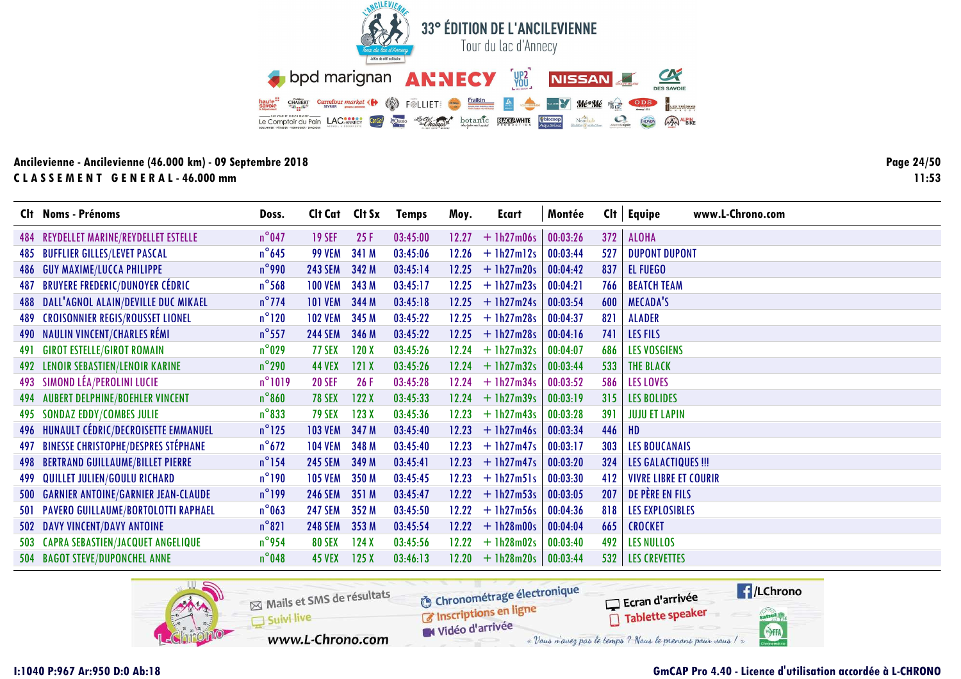![](_page_23_Picture_0.jpeg)

**Page 24/5011:53**

|            | Clt Noms - Prénoms                          | Doss.           | Cit Cat Cit Sx |       | <b>Temps</b> | Moy.  | Ecart        | Montée   | Cl <sub>t</sub> | www.L-Chrono.com<br>Equipe   |
|------------|---------------------------------------------|-----------------|----------------|-------|--------------|-------|--------------|----------|-----------------|------------------------------|
|            | 484 REYDELLET MARINE/REYDELLET ESTELLE      | $n^{\circ}$ 047 | <b>19 SEF</b>  | 25F   | 03:45:00     | 12.27 | $+$ 1h27m06s | 00:03:26 | 372             | <b>ALOHA</b>                 |
|            | <b>485 BUFFLIER GILLES/LEVET PASCAL</b>     | $n^{\circ}$ 645 | <b>99 VEM</b>  | 341 M | 03:45:06     | 12.26 | $+$ 1h27m12s | 00:03:44 | 527             | <b>DUPONT DUPONT</b>         |
|            | <b>486 GUY MAXIME/LUCCA PHILIPPE</b>        | $n^{\circ}$ 990 | <b>243 SEM</b> | 342 M | 03:45:14     | 12.25 | $+$ 1h27m20s | 00:04:42 | 837             | EL FUEGO                     |
| 487        | <b>BRUYERE FREDERIC/DUNOYER CÉDRIC</b>      | $n^{\circ}$ 568 | <b>100 VEM</b> | 343 M | 03:45:17     | 12.25 | $+$ 1h27m23s | 00:04:21 | 766             | <b>BEATCH TEAM</b>           |
|            | 488 DALL'AGNOL ALAIN/DEVILLE DUC MIKAEL     | $n^{\circ}$ 774 | <b>101 VEM</b> | 344 M | 03:45:18     | 12.25 | $+$ 1h27m24s | 00:03:54 | 600             | <b>MECADA'S</b>              |
| 489.       | <b>CROISONNIER REGIS/ROUSSET LIONEL</b>     | $n^{\circ}120$  | <b>102 VEM</b> | 345 M | 03:45:22     | 12.25 | $+ 1h27m28s$ | 00:04:37 | 821             | <b>ALADER</b>                |
| 490        | <b>NAULIN VINCENT/CHARLES RÉMI</b>          | $n^{\circ}$ 557 | <b>244 SEM</b> | 346 M | 03:45:22     | 12.25 | $+$ 1h27m28s | 00:04:16 | 741             | <b>LES FILS</b>              |
| 491        | <b>GIROT ESTELLE/GIROT ROMAIN</b>           | $n^{\circ}$ 029 | 77 SEX         | 120X  | 03:45:26     | 12.24 | $+ 1h27m32s$ | 00:04:07 | 686             | <b>LES VOSGIENS</b>          |
|            | <b>492 LENOIR SEBASTIEN/LENOIR KARINE</b>   | $n^{\circ}$ 290 | <b>44 VEX</b>  | 121X  | 03:45:26     | 12.24 | $+$ 1h27m32s | 00:03:44 | 533             | <b>THE BLACK</b>             |
|            | 493 SIMOND LÉA/PEROLINI LUCIE               | $n^{\circ}1019$ | <b>20 SEF</b>  | 26F   | 03:45:28     | 12.24 | $+$ 1h27m34s | 00:03:52 | 586             | <b>LES LOVES</b>             |
|            | 494 AUBERT DELPHINE/BOEHLER VINCENT         | $n^{\circ}860$  | <b>78 SEX</b>  | 122X  | 03:45:33     | 12.24 | $+$ 1h27m39s | 00:03:19 | 315             | <b>LES BOLIDES</b>           |
| 495        | <b>SONDAZ EDDY/COMBES JULIE</b>             | $n^{\circ}833$  | <b>79 SEX</b>  | 123X  | 03:45:36     | 12.23 | $+$ 1h27m43s | 00:03:28 | 391             | <b>JUJU ET LAPIN</b>         |
|            | 496 HUNAULT CÉDRIC/DECROISETTE EMMANUEL     | $n^{\circ}$ 125 | <b>103 VEM</b> | 347 M | 03:45:40     | 12.23 | $+ 1h27m46s$ | 00:03:34 | 446             | HD                           |
|            | 497 BINESSE CHRISTOPHE/DESPRES STÉPHANE     | $n^{\circ}672$  | <b>104 VEM</b> | 348 M | 03:45:40     | 12.23 | $+1h27m47s$  | 00:03:17 | 303             | <b>LES BOUCANAIS</b>         |
|            | <b>498 BERTRAND GUILLAUME/BILLET PIERRE</b> | $n^{\circ}$ 154 | <b>245 SEM</b> | 349 M | 03:45:41     | 12.23 | $+$ 1h27m47s | 00:03:20 | 324             | <b>LES GALACTIQUES !!!</b>   |
| 499        | QUILLET JULIEN/GOULU RICHARD                | $n^{\circ}$ 190 | <b>105 VEM</b> | 350 M | 03:45:45     | 12.23 | $+$ 1h27m51s | 00:03:30 | 412             | <b>VIVRE LIBRE ET COURIR</b> |
| <b>500</b> | <b>GARNIER ANTOINE/GARNIER JEAN-CLAUDE</b>  | $n^{\circ}$ 199 | <b>246 SEM</b> | 351 M | 03:45:47     | 12.22 | $+$ 1h27m53s | 00:03:05 | 207             | DE PÈRE EN FILS              |
|            | 501 PAVERO GUILLAUME/BORTOLOTTI RAPHAEL     | $n^{\circ}$ 063 | <b>247 SEM</b> | 352 M | 03:45:50     | 12.22 | $+1h27m56s$  | 00:04:36 | 818             | LES EXPLOSIBLES              |
|            | 502 DAVY VINCENT/DAVY ANTOINE               | $n^{\circ}821$  | <b>248 SEM</b> | 353 M | 03:45:54     | 12.22 | $+ 1h28m00s$ | 00:04:04 | 665             | <b>CROCKET</b>               |
|            | 503 CAPRA SEBASTIEN/JACQUET ANGELIQUE       | $n^{\circ}$ 954 | <b>80 SEX</b>  | 124X  | 03:45:56     | 12.22 | $+ 1h28m02s$ | 00:03:40 | 492             | <b>LES NULLOS</b>            |
|            | 504 BAGOT STEVE/DUPONCHEL ANNE              | $n^{\circ}$ 048 | <b>45 VEX</b>  | 125X  | 03:46:13     | 12.20 | $+1h28m20s$  | 00:03:44 | 532             | <b>LES CREVETTES</b>         |

![](_page_23_Picture_4.jpeg)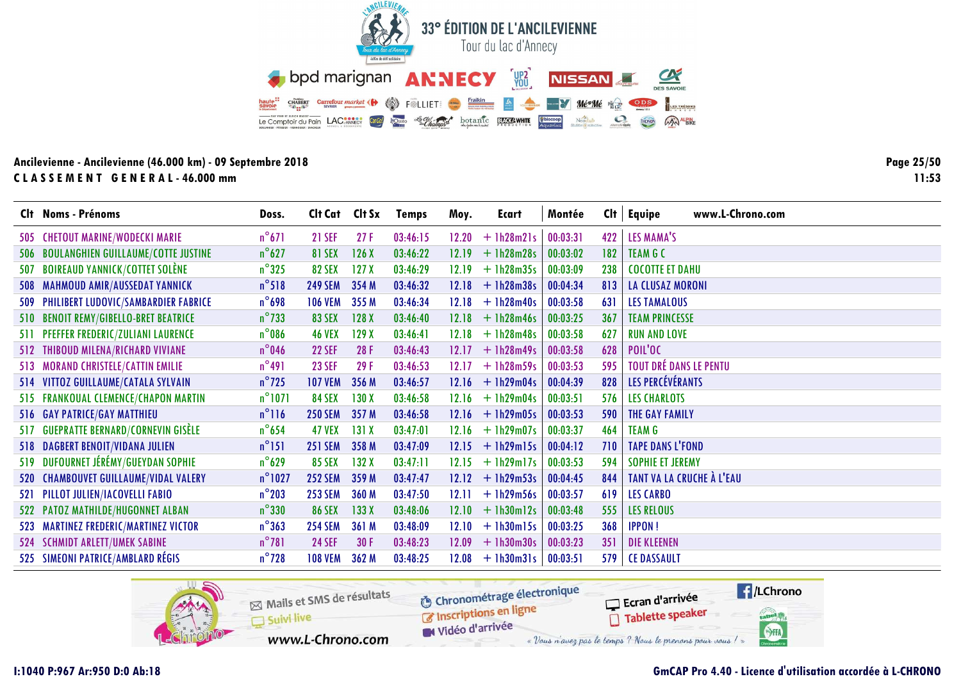![](_page_24_Picture_0.jpeg)

Page 25/50  $11:53$ 

|     | Clt Noms - Prénoms                       | Doss.            | Clt Cat Clt Sx |       | <b>Temps</b> | Moy.  | Ecart              | Montée   | Cl <sub>t</sub> | www.L-Chrono.com<br>Equipe    |
|-----|------------------------------------------|------------------|----------------|-------|--------------|-------|--------------------|----------|-----------------|-------------------------------|
|     | 505 CHETOUT MARINE/WODECKI MARIE         | $n^{\circ}671$   | <b>21 SEF</b>  | 27F   | 03:46:15     | 12.20 | $+$ 1h28m21s       | 00:03:31 | 422             | LES MAMA'S                    |
|     | 506 BOULANGHIEN GUILLAUME/COTTE JUSTINE  | $n^{\circ}627$   | <b>81 SEX</b>  | 126X  | 03:46:22     | 12.19 | $+1h28m28s$        | 00:03:02 | 182             | <b>TEAM G C</b>               |
| 507 | <b>BOIREAUD YANNICK/COTTET SOLÈNE</b>    | $n^{\circ}325$   | <b>82 SEX</b>  | 127X  | 03:46:29     | 12.19 | $+$ 1h28m35s       | 00:03:09 | 238             | <b>COCOTTE ET DAHU</b>        |
|     | 508 MAHMOUD AMIR/AUSSEDAT YANNICK        | $n^{\circ}518$   | <b>249 SEM</b> | 354 M | 03:46:32     | 12.18 | $+1h28m38s$        | 00:04:34 | 813             | <b>LA CLUSAZ MORONI</b>       |
|     | 509 PHILIBERT LUDOVIC/SAMBARDIER FABRICE | $n^{\circ}$ 698  | <b>106 VEM</b> | 355 M | 03:46:34     |       | $12.18 + 1h28m40s$ | 00:03:58 | 631             | <b>LES TAMALOUS</b>           |
|     | 510 BENOIT REMY/GIBELLO-BRET BEATRICE    | $n^{\circ}$ 733  | <b>83 SEX</b>  | 128X  | 03:46:40     |       | $12.18 + 1h28m46s$ | 00:03:25 | 367             | <b>TEAM PRINCESSE</b>         |
|     | 511 PFEFFER FREDERIC/ZULIANI LAURENCE    | $n^{\circ}$ 086  | <b>46 VEX</b>  | 129X  | 03:46:41     |       | $12.18 + 1h28m48s$ | 00:03:58 | 627             | <b>RUN AND LOVE</b>           |
|     | 512 THIBOUD MILENA/RICHARD VIVIANE       | $n^{\circ}$ 046  | <b>22 SEF</b>  | 28F   | 03:46:43     | 12.17 | $+ 1h28m49s$       | 00:03:58 | 628             | POIL'OC                       |
|     | 513 MORAND CHRISTELE/CATTIN EMILIE       | $n^{\circ}491$   | <b>23 SEF</b>  | 29F   | 03:46:53     | 12.17 | $+1h28m59s$        | 00:03:53 | 595             | <b>TOUT DRÉ DANS LE PENTU</b> |
|     | 514 VITTOZ GUILLAUME/CATALA SYLVAIN      | $n^{\circ}$ 725  | <b>107 VEM</b> | 356 M | 03:46:57     |       | $12.16 + 1h29m04s$ | 00:04:39 | 828             | LES PERCÉVÉRANTS              |
|     | 515 FRANKOUAL CLEMENCE/CHAPON MARTIN     | $n^{\circ}$ 1071 | <b>84 SEX</b>  | 130X  | 03:46:58     | 12.16 | $+1h29m04s$        | 00:03:51 | 576             | <b>LES CHARLOTS</b>           |
|     | 516 GAY PATRICE/GAY MATTHIEU             | $n^{\circ}116$   | <b>250 SEM</b> | 357 M | 03:46:58     | 12.16 | $+1h29m05s$        | 00:03:53 | 590             | THE GAY FAMILY                |
| 517 | <b>GUEPRATTE BERNARD/CORNEVIN GISÈLE</b> | $n^{\circ}$ 654  | <b>47 VEX</b>  | 131X  | 03:47:01     | 12.16 | $+1h29m07s$        | 00:03:37 | 464             | <b>TEAM G</b>                 |
|     | 518 DAGBERT BENOIT/VIDANA JULIEN         | $n^{\circ}151$   | <b>251 SEM</b> | 358 M | 03:47:09     | 12.15 | $+$ 1h29m15s       | 00:04:12 | 710             | <b>TAPE DANS L'FOND</b>       |
|     | 519 DUFOURNET JÉRÉMY/GUEYDAN SOPHIE      | $n^{\circ}$ 629  | <b>85 SEX</b>  | 132X  | 03:47:11     | 12.15 | $+$ 1h29m17s       | 00:03:53 | 594             | <b>SOPHIE ET JEREMY</b>       |
|     | 520 CHAMBOUVET GUILLAUME/VIDAL VALERY    | $n^{\circ}$ 1027 | <b>252 SEM</b> | 359 M | 03:47:47     |       | $12.12 + 1h29m53s$ | 00:04:45 | 844             | TANT VA LA CRUCHE À L'EAU     |
|     | 521 PILLOT JULIEN/IACOVELLI FABIO        | $n^{\circ}$ 203  | <b>253 SEM</b> | 360 M | 03:47:50     | 12.11 | $+1h29m56s$        | 00:03:57 | 619             | <b>LES CARBO</b>              |
|     | 522 PATOZ MATHILDE/HUGONNET ALBAN        | $n^{\circ}330$   | <b>86 SEX</b>  | 133X  | 03:48:06     | 12.10 | $+1h30m12s$        | 00:03:48 | 555             | <b>LES RELOUS</b>             |
|     | 523 MARTINEZ FREDERIC/MARTINEZ VICTOR    | $n^{\circ}363$   | <b>254 SEM</b> | 361 M | 03:48:09     | 12.10 | $+$ 1h30m15s       | 00:03:25 | 368             | <b>IPPON!</b>                 |
|     | 524 SCHMIDT ARLETT/UMEK SABINE           | $n^{\circ}781$   | <b>24 SEF</b>  | 30 F  | 03:48:23     | 12.09 | $+1h30m30s$        | 00:03:23 | 351             | <b>DIE KLEENEN</b>            |
|     | 525 SIMEONI PATRICE/AMBLARD RÉGIS        | $n^{\circ}$ 728  | <b>108 VEM</b> | 362 M | 03:48:25     | 12.08 | $+$ 1h30m31s       | 00:03:51 | 579             | <b>CE DASSAULT</b>            |

![](_page_24_Picture_4.jpeg)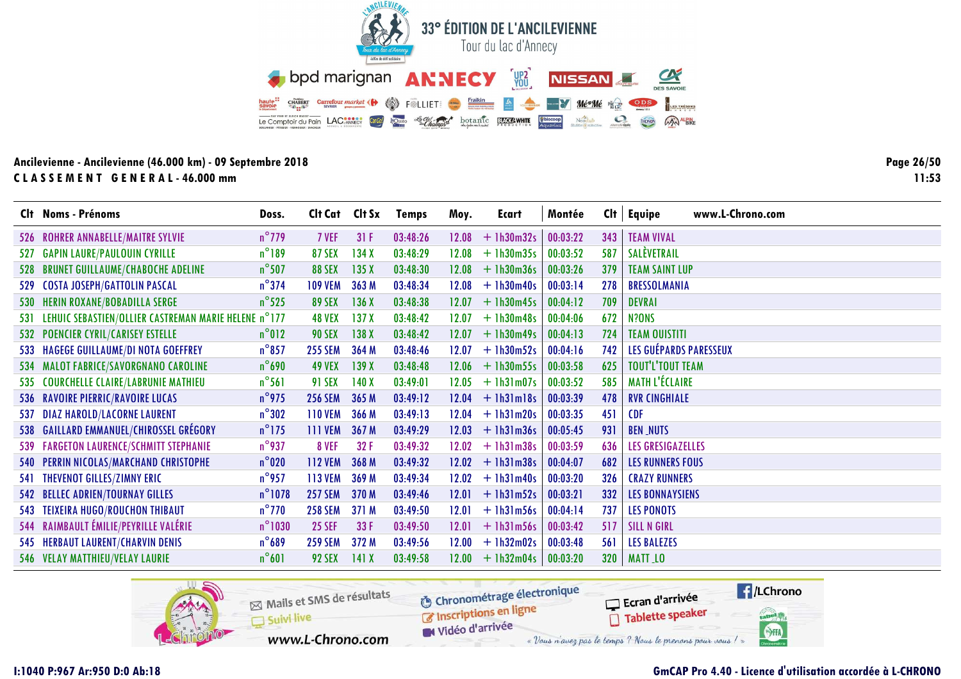![](_page_25_Picture_0.jpeg)

Page 26/50  $11:53$ 

|     | Clt Noms - Prénoms                                       | Doss.            | Clt Cat Clt Sx |       | <b>Temps</b> | Moy.  | Ecart        | Montée   |     | $Clt$ Equipe<br>www.L-Chrono.com |
|-----|----------------------------------------------------------|------------------|----------------|-------|--------------|-------|--------------|----------|-----|----------------------------------|
|     | 526 ROHRER ANNABELLE/MAITRE SYLVIE                       | $n^{\circ}$ 779  | 7 VEF          | 31F   | 03:48:26     | 12.08 | $+$ 1h30m32s | 00:03:22 | 343 | <b>TEAM VIVAL</b>                |
|     | 527 GAPIN LAURE/PAULOUIN CYRILLE                         | $n^{\circ}189$   | <b>87 SEX</b>  | 134X  | 03:48:29     | 12.08 | $+1h30m35s$  | 00:03:52 | 587 | SALEVETRAIL                      |
| 528 | <b>BRUNET GUILLAUME/CHABOCHE ADELINE</b>                 | $n^{\circ}$ 507  | <b>88 SEX</b>  | 135X  | 03:48:30     | 12.08 | $+$ 1h30m36s | 00:03:26 | 379 | <b>TEAM SAINT LUP</b>            |
|     | 529 COSTA JOSEPH/GATTOLIN PASCAL                         | $n^{\circ}$ 374  | <b>109 VEM</b> | 363 M | 03:48:34     | 12.08 | $+1h30m40s$  | 00:03:14 | 278 | <b>BRESSOLMANIA</b>              |
|     | 530 HERIN ROXANE/BOBADILLA SERGE                         | $n^{\circ}$ 525  | <b>89 SEX</b>  | 136X  | 03:48:38     | 12.07 | $+ 1h30m45s$ | 00:04:12 | 709 | <b>DEVRAI</b>                    |
|     | 531 LEHUIC SEBASTIEN/OLLIER CASTREMAN MARIE HELENE n°177 |                  | <b>48 VEX</b>  | 137X  | 03:48:42     | 12.07 | $+$ 1h30m48s | 00:04:06 | 672 | N?ONS                            |
|     | 532 POENCIER CYRIL/CARISEY ESTELLE                       | $n^{\circ}012$   | <b>90 SEX</b>  | 138X  | 03:48:42     | 12.07 | $+1h30m49s$  | 00:04:13 | 724 | <b>TEAM OUISTITI</b>             |
|     | 533 HAGEGE GUILLAUME/DI NOTA GOEFFREY                    | $n^{\circ}$ 857  | <b>255 SEM</b> | 364 M | 03:48:46     | 12.07 | $+$ 1h30m52s | 00:04:16 | 742 | LES GUÉPARDS PARESSEUX           |
|     | 534 MALOT FABRICE/SAVORGNANO CAROLINE                    | $n^{\circ}$ 690  | <b>49 VEX</b>  | 139X  | 03:48:48     | 12.06 | $+ 1h30m55s$ | 00:03:58 | 625 | <b>TOUT'L'TOUT TEAM</b>          |
|     | 535 COURCHELLE CLAIRE/LABRUNIE MATHIEU                   | $n^{\circ}$ 561  | <b>91 SEX</b>  | 140X  | 03:49:01     | 12.05 | $+$ 1h31m07s | 00:03:52 | 585 | <b>MATH L'ÉCLAIRE</b>            |
|     | 536 RAVOIRE PIERRIC/RAVOIRE LUCAS                        | $n^{\circ}$ 975  | <b>256 SEM</b> | 365 M | 03:49:12     | 12.04 | $+$ 1h31m18s | 00:03:39 | 478 | <b>RVR CINGHIALE</b>             |
|     | 537 DIAZ HAROLD/LACORNE LAURENT                          | $n^{\circ}302$   | <b>110 VEM</b> | 366 M | 03:49:13     | 12.04 | $+$ 1h31m20s | 00:03:35 | 451 | <b>CDF</b>                       |
|     | 538 GAILLARD EMMANUEL/CHIROSSEL GRÉGORY                  | $n^{\circ}$ 175  | <b>111 VEM</b> | 367 M | 03:49:29     | 12.03 | $+$ 1h31m36s | 00:05:45 | 931 | <b>BEN_NUTS</b>                  |
|     | 539 FARGETON LAURENCE/SCHMITT STEPHANIE                  | $n^{\circ}$ 937  | 8 VEF          | 32 F  | 03:49:32     | 12.02 | $+$ 1h31m38s | 00:03:59 | 636 | LES GRESIGAZELLES                |
|     | 540 PERRIN NICOLAS/MARCHAND CHRISTOPHE                   | $n^{\circ}020$   | <b>112 VEM</b> | 368 M | 03:49:32     | 12.02 | $+$ 1h31m38s | 00:04:07 | 682 | <b>LES RUNNERS FOUS</b>          |
|     | 541 THEVENOT GILLES/ZIMNY ERIC                           | $n^{\circ}$ 957  | <b>113 VEM</b> | 369 M | 03:49:34     | 12.02 | $+$ 1h31m40s | 00:03:20 | 326 | <b>CRAZY RUNNERS</b>             |
|     | 542 BELLEC ADRIEN/TOURNAY GILLES                         | $n^{\circ}$ 1078 | <b>257 SEM</b> | 370 M | 03:49:46     | 12.01 | $+$ 1h31m52s | 00:03:21 | 332 | <b>LES BONNAYSIENS</b>           |
|     | 543 TEIXEIRA HUGO/ROUCHON THIBAUT                        | $n^{\circ}$ 770  | <b>258 SEM</b> | 371 M | 03:49:50     | 12.01 | $+$ 1h31m56s | 00:04:14 | 737 | <b>LES PONOTS</b>                |
|     | 544 RAIMBAULT ÉMILIE/PEYRILLE VALÉRIE                    | $n^{\circ}$ 1030 | <b>25 SEF</b>  | 33F   | 03:49:50     | 12.01 | $+$ 1h31m56s | 00:03:42 | 517 | <b>SILL N GIRL</b>               |
|     | 545 HERBAUT LAURENT/CHARVIN DENIS                        | $n^{\circ}689$   | <b>259 SEM</b> | 372 M | 03:49:56     | 12.00 | $+ 1h32m02s$ | 00:03:48 | 561 | <b>LES BALEZES</b>               |
|     | 546 VELAY MATTHIEU/VELAY LAURIE                          | $n^{\circ}601$   | <b>92 SEX</b>  | 141X  | 03:49:58     | 12.00 | $+1h32m04s$  | 00:03:20 | 320 | <b>MATT_LO</b>                   |

![](_page_25_Picture_4.jpeg)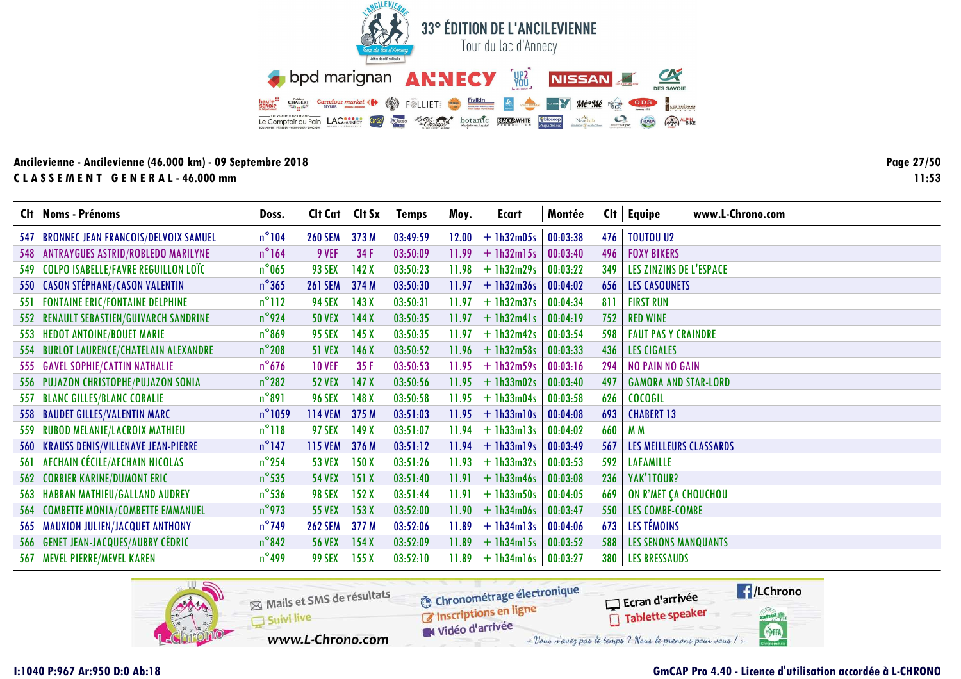![](_page_26_Picture_0.jpeg)

Page 27/50  $11:53$ 

| Clt Noms - Prénoms                       | Doss.            | Clt Cat Clt Sx |       |          | Moy.  | Ecart              | Montée   |     | www.L-Chrono.com            |
|------------------------------------------|------------------|----------------|-------|----------|-------|--------------------|----------|-----|-----------------------------|
|                                          |                  |                |       | Temps    |       |                    |          |     | $Clt$ Equipe                |
| 547 BRONNEC JEAN FRANCOIS/DELVOIX SAMUEL | $n^{\circ}104$   | <b>260 SEM</b> | 373 M | 03:49:59 | 12.00 | $+1h32m05s$        | 00:03:38 | 476 | <b>TOUTOU U2</b>            |
| 548 ANTRAYGUES ASTRID/ROBLEDO MARILYNE   | $n^{\circ}164$   | 9 VEF          | 34 F  | 03:50:09 | 11.99 | $+$ 1h32m15s       | 00:03:40 | 496 | <b>FOXY BIKERS</b>          |
| 549 COLPO ISABELLE/FAVRE REGUILLON LOÏC  | $n^{\circ}$ 065  | <b>93 SEX</b>  | 142X  | 03:50:23 | 11.98 | $+$ 1h32m29s       | 00:03:22 | 349 | LES ZINZINS DE L'ESPACE     |
| 550 CASON STÉPHANE/CASON VALENTIN        | $n^{\circ}365$   | <b>261 SEM</b> | 374 M | 03:50:30 | 11.97 | $+1h32m36s$        | 00:04:02 | 656 | <b>LES CASOUNETS</b>        |
| 551 FONTAINE ERIC/FONTAINE DELPHINE      | $n^{\circ}112$   | <b>94 SEX</b>  | 143X  | 03:50:31 | 11.97 | $+$ 1h32m37s       | 00:04:34 | 811 | <b>FIRST RUN</b>            |
| 552 RENAULT SEBASTIEN/GUIVARCH SANDRINE  | $n^{\circ}$ 924  | <b>50 VEX</b>  | 144X  | 03:50:35 | 11.97 | $+$ 1h32m41s       | 00:04:19 | 752 | <b>RED WINE</b>             |
| 553 HEDOT ANTOINE/BOUET MARIE            | $n^{\circ}869$   | <b>95 SEX</b>  | 145X  | 03:50:35 | 11.97 | $+$ 1h32m42s       | 00:03:54 | 598 | <b>FAUT PAS Y CRAINDRE</b>  |
| 554 BURLOT LAURENCE/CHATELAIN ALEXANDRE  | $n^{\circ}$ 208  | <b>51 VEX</b>  | 146X  | 03:50:52 | 11.96 | $+$ 1h32m58s       | 00:03:33 | 436 | <b>LES CIGALES</b>          |
| 555 GAVEL SOPHIE/CATTIN NATHALIE         | $n^{\circ}$ 676  | <b>10 VEF</b>  | 35F   | 03:50:53 | 11.95 | $+ 1h32m59s$       | 00:03:16 | 294 | <b>NO PAIN NO GAIN</b>      |
| 556 PUJAZON CHRISTOPHE/PUJAZON SONIA     | $n^{\circ}282$   | <b>52 VEX</b>  | 147X  | 03:50:56 |       | $11.95 + 1h33m02s$ | 00:03:40 | 497 | <b>GAMORA AND STAR-LORD</b> |
| 557 BLANC GILLES/BLANC CORALIE           | $n^{\circ}891$   | <b>96 SEX</b>  | 148X  | 03:50:58 | 11.95 | $+$ 1h33m04s       | 00:03:58 | 626 | <b>COCOGIL</b>              |
| 558 BAUDET GILLES/VALENTIN MARC          | $n^{\circ}$ 1059 | <b>114 VEM</b> | 375 M | 03:51:03 | 11.95 | $+1h33m10s$        | 00:04:08 | 693 | <b>CHABERT 13</b>           |
| 559 RUBOD MELANIE/LACROIX MATHIEU        | $n^{\circ}118$   | <b>97 SEX</b>  | 149X  | 03:51:07 | 11.94 | $+$ 1h33m13s       | 00:04:02 | 660 | M <sub>M</sub>              |
| 560 KRAUSS DENIS/VILLENAVE JEAN-PIERRE   | $n^{\circ}$ 147  | <b>115 VEM</b> | 376 M | 03:51:12 | 11.94 | $+$ 1h33m19s       | 00:03:49 | 567 | LES MEILLEURS CLASSARDS     |
| 561 AFCHAIN CÉCILE/AFCHAIN NICOLAS       | $n^{\circ}$ 254  | <b>53 VEX</b>  | 150X  | 03:51:26 | 11.93 | $+ 1h33m32s$       | 00:03:53 | 592 | <b>LAFAMILLE</b>            |
| <b>562 CORBIER KARINE/DUMONT ERIC</b>    | $n^{\circ}$ 535  | <b>54 VEX</b>  | 151X  | 03:51:40 | 11.91 | $+ 1h33m46s$       | 00:03:08 | 236 | YAK'ITOUR?                  |
| 563 HABRAN MATHIEU/GALLAND AUDREY        | $n^{\circ}$ 536  | <b>98 SEX</b>  | 152X  | 03:51:44 | 11.91 | $+$ 1h33m50s       | 00:04:05 | 669 | ON R'MET ÇA CHOUCHOU        |
| 564 COMBETTE MONIA/COMBETTE EMMANUEL     | $n^{\circ}$ 973  | <b>55 VEX</b>  | 153X  | 03:52:00 | 11.90 | $+1h34m06s$        | 00:03:47 | 550 | LES COMBE-COMBE             |
| 565 MAUXION JULIEN/JACQUET ANTHONY       | $n^{\circ}$ 749  | <b>262 SEM</b> | 377 M | 03:52:06 | 11.89 | $+$ 1h34m13s       | 00:04:06 | 673 | LES TÉMOINS                 |
| 566 GENET JEAN-JACQUES/AUBRY CÉDRIC      | $n^{\circ}842$   | <b>56 VEX</b>  | 154X  | 03:52:09 | 11.89 | $+$ 1h34m15s       | 00:03:52 | 588 | <b>LES SENONS MANQUANTS</b> |
| 567 MEVEL PIERRE/MEVEL KAREN             | $n^{\circ}$ 499  | <b>99 SEX</b>  | 155X  | 03:52:10 | 11.89 | $+1h34ml6s$        | 00:03:27 |     | 380   LES BRESSAUDS         |
|                                          |                  |                |       |          |       |                    |          |     |                             |

![](_page_26_Picture_4.jpeg)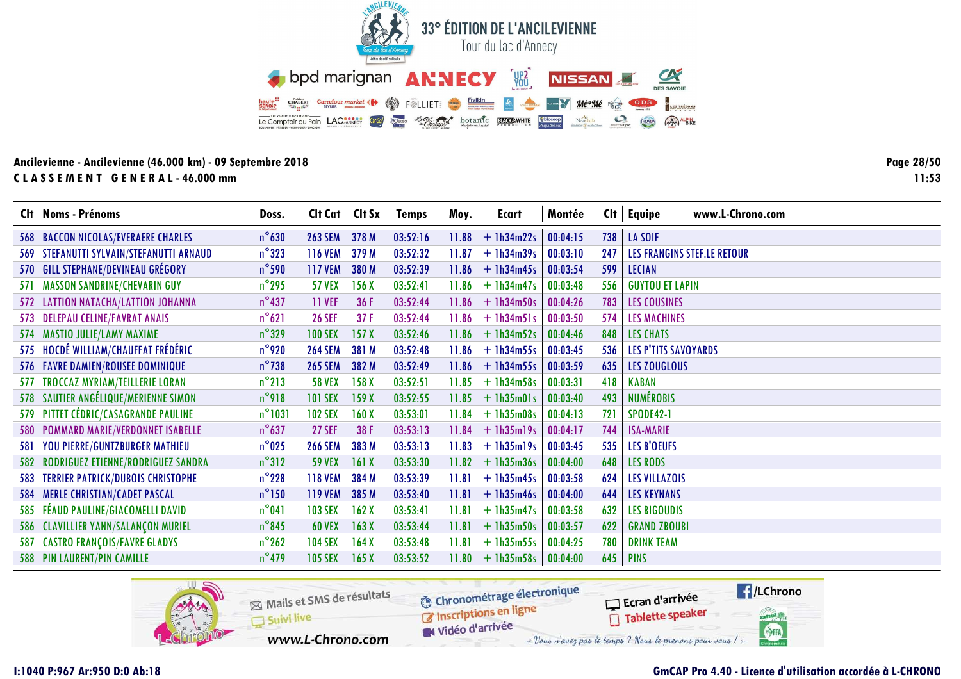![](_page_27_Picture_0.jpeg)

Page 28/50  $11:53$ 

|     | Clt Noms - Prénoms                         | Doss.            | Clt Cat Clt Sx |       | <b>Temps</b> | Moy.  | Ecart              | Montée   |     | $Clt$ Equipe<br>www.L-Chrono.com |
|-----|--------------------------------------------|------------------|----------------|-------|--------------|-------|--------------------|----------|-----|----------------------------------|
|     | <b>568 BACCON NICOLAS/EVERAERE CHARLES</b> | $n^{\circ}$ 630  | <b>263 SEM</b> | 378 M | 03:52:16     | 11.88 | $+$ 1h34m22s       | 00:04:15 | 738 | LA SOIF                          |
|     | 569 STEFANUTTI SYLVAIN/STEFANUTTI ARNAUD   | $n^{\circ}323$   | <b>116 VEM</b> | 379 M | 03:52:32     | 11.87 | $+$ 1h34m39s       | 00:03:10 | 247 | LES FRANGINS STEF.LE RETOUR      |
|     | 570 GILL STEPHANE/DEVINEAU GRÉGORY         | $n^{\circ}$ 590  | <b>117 VEM</b> | 380 M | 03:52:39     | 11.86 | $+ 1h34m45s$       | 00:03:54 | 599 | <b>LECIAN</b>                    |
| 571 | <b>MASSON SANDRINE/CHEVARIN GUY</b>        | $n^{\circ}$ 295  | <b>57 VEX</b>  | 156X  | 03:52:41     | 11.86 | $+$ 1h34m47s       | 00:03:48 | 556 | <b>GUYTOU ET LAPIN</b>           |
|     | 572 LATTION NATACHA/LATTION JOHANNA        | $n^{\circ}$ 437  | <b>11 VEF</b>  | 36F   | 03:52:44     | 11.86 | $+$ 1h34m50s       | 00:04:26 | 783 | <b>LES COUSINES</b>              |
|     | 573 DELEPAU CELINE/FAVRAT ANAIS            | $n^{\circ}621$   | <b>26 SEF</b>  | 37F   | 03:52:44     | 11.86 | $+$ 1h34m51s       | 00:03:50 | 574 | <b>LES MACHINES</b>              |
|     | 574 MASTIO JULIE/LAMY MAXIME               | $n^{\circ}329$   | <b>100 SEX</b> | 157X  | 03:52:46     | 11.86 | $+ 1h34m52s$       | 00:04:46 | 848 | <b>LES CHATS</b>                 |
|     | 575 HOCDÉ WILLIAM/CHAUFFAT FRÉDÉRIC        | $n^{\circ}$ 920  | <b>264 SEM</b> | 381 M | 03:52:48     | 11.86 | $+$ 1h34m55s       | 00:03:45 | 536 | LES P'TITS SAVOYARDS             |
|     | 576 FAVRE DAMIEN/ROUSEE DOMINIQUE          | $n^{\circ}$ 738  | <b>265 SEM</b> | 382 M | 03:52:49     | 11.86 | $+$ 1h34m55s       | 00:03:59 | 635 | LES ZOUGLOUS                     |
|     | 577 TROCCAZ MYRIAM/TEILLERIE LORAN         | $n^{\circ}$ 213  | <b>58 VEX</b>  | 158X  | 03:52:51     | 11.85 | $+1h34m58s$        | 00:03:31 | 418 | <b>KABAN</b>                     |
|     | 578 SAUTIER ANGÉLIQUE/MERIENNE SIMON       | $n^{\circ}$ 918  | <b>101 SEX</b> | 159X  | 03:52:55     | 11.85 | $+$ 1h35m01s       | 00:03:40 | 493 | <b>NUMÉROBIS</b>                 |
|     | 579 PITTET CÉDRIC/CASAGRANDE PAULINE       | $n^{\circ}$ 1031 | <b>102 SEX</b> | 160X  | 03:53:01     | 11.84 | $+1h35m08s$        | 00:04:13 | 721 | <b>SPODE42-1</b>                 |
|     | 580 POMMARD MARIE/VERDONNET ISABELLE       | $n^{\circ}$ 637  | <b>27 SEF</b>  | 38 F  | 03:53:13     | 11.84 | $+$ 1h35m19s       | 00:04:17 | 744 | <b>ISA-MARIE</b>                 |
|     | 581 YOU PIERRE/GUNTZBURGER MATHIEU         | $n^{\circ}$ 025  | <b>266 SEM</b> | 383 M | 03:53:13     | 11.83 | $+1h35m19s$        | 00:03:45 | 535 | LES B'OEUFS                      |
|     | 582 RODRIGUEZ ETIENNE/RODRIGUEZ SANDRA     | $n^{\circ}312$   | <b>59 VEX</b>  | 161X  | 03:53:30     | 11.82 | $+1h35m36s$        | 00:04:00 | 648 | <b>LES RODS</b>                  |
|     | 583 TERRIER PATRICK/DUBOIS CHRISTOPHE      | $n^{\circ}$ 228  | <b>118 VEM</b> | 384 M | 03:53:39     | 11.81 | $+1h35m45s$        | 00:03:58 | 624 | <b>LES VILLAZOIS</b>             |
|     | 584 MERLE CHRISTIAN/CADET PASCAL           | $n^{\circ}$ 150  | <b>119 VEM</b> | 385 M | 03:53:40     | 11.81 | $+$ 1h35m46s       | 00:04:00 | 644 | <b>LES KEYNANS</b>               |
|     | 585 FÉAUD PAULINE/GIACOMELLI DAVID         | $n^{\circ}041$   | <b>103 SEX</b> | 162X  | 03:53:41     | 11.81 | $+$ 1h35m47s       | 00:03:58 | 632 | <b>LES BIGOUDIS</b>              |
|     | 586 CLAVILLIER YANN/SALANÇON MURIEL        | $n^{\circ}$ 845  | <b>60 VEX</b>  | 163X  | 03:53:44     | 11.81 | $+$ 1h35m50s       | 00:03:57 | 622 | <b>GRAND ZBOUBI</b>              |
|     | 587 CASTRO FRANÇOIS/FAVRE GLADYS           | $n^{\circ}262$   | <b>104 SEX</b> | 164X  | 03:53:48     | 11.81 | $+1h35m55s$        | 00:04:25 | 780 | <b>DRINK TEAM</b>                |
|     | 588 PIN LAURENT/PIN CAMILLE                | $n^{\circ}$ 479  | <b>105 SEX</b> | 165X  | 03:53:52     |       | $11.80 + 1h35m58s$ | 00:04:00 | 645 | <b>PINS</b>                      |

![](_page_27_Picture_4.jpeg)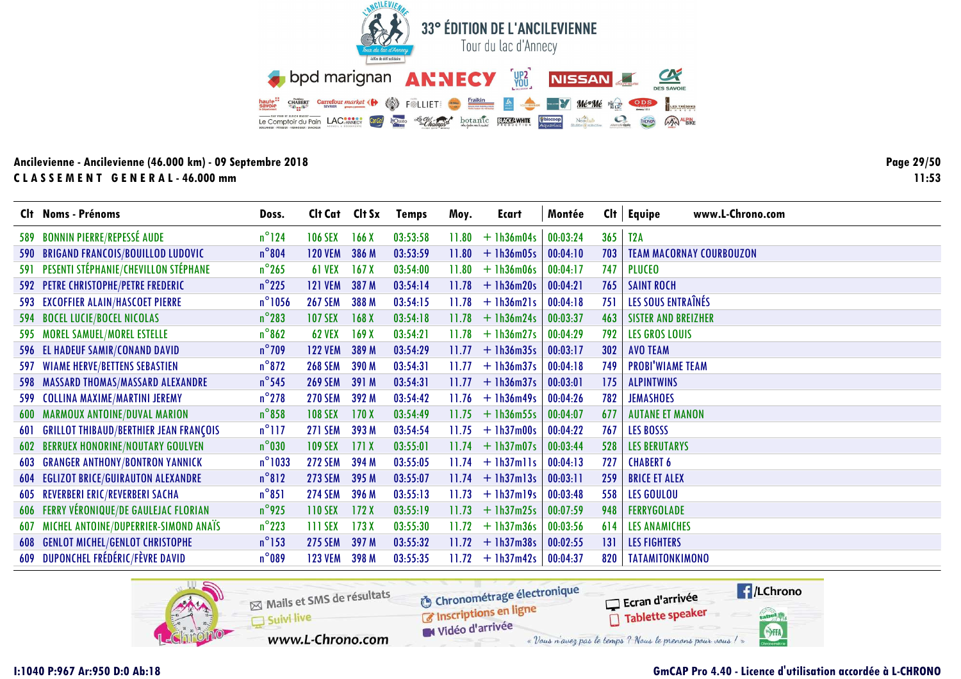![](_page_28_Picture_0.jpeg)

Page 29/50  $11:53$ 

|     | Clt Noms - Prénoms                                | Doss.            | Cit Cat Cit Sx |                  | <b>Temps</b> | Moy.  | Ecart              | Montée   | Cl <sub>t</sub> | www.L-Chrono.com<br>Equipe      |
|-----|---------------------------------------------------|------------------|----------------|------------------|--------------|-------|--------------------|----------|-----------------|---------------------------------|
|     | 589 BONNIN PIERRE/REPESSÉ AUDE                    | $n^{\circ}$ 124  | <b>106 SEX</b> | 166 <sub>X</sub> | 03:53:58     | 11.80 | $+1h36m04s$        | 00:03:24 | 365             | T <sub>2</sub> A                |
|     | 590 BRIGAND FRANCOIS/BOUILLOD LUDOVIC             | $n^{\circ}804$   | <b>120 VEM</b> | 386 M            | 03:53:59     |       | $11.80 + 1h36m05s$ | 00:04:10 | 703             | <b>TEAM MACORNAY COURBOUZON</b> |
|     | 591 PESENTI STÉPHANIE/CHEVILLON STÉPHANE          | $n^{\circ}$ 265  | <b>61 VEX</b>  | 167X             | 03:54:00     | 11.80 | $+1h36m06s$        | 00:04:17 | 747             | <b>PLUCEO</b>                   |
|     | 592 PETRE CHRISTOPHE/PETRE FREDERIC               | $n^{\circ}$ 225  | <b>121 VEM</b> | 387 M            | 03:54:14     | 11.78 | $+1h36m20s$        | 00:04:21 | 765             | <b>SAINT ROCH</b>               |
|     | 593 EXCOFFIER ALAIN/HASCOET PIERRE                | $n^{\circ}$ 1056 | <b>267 SEM</b> | 388 M            | 03:54:15     |       | $11.78 + 1h36m21s$ | 00:04:18 | 751             | LES SOUS ENTRAÎNÉS              |
|     | 594 BOCEL LUCIE/BOCEL NICOLAS                     | $n^{\circ}283$   | <b>107 SEX</b> | 168X             | 03:54:18     |       | $11.78 + 1h36m24s$ | 00:03:37 | 463             | <b>SISTER AND BREIZHER</b>      |
|     | 595 MOREL SAMUEL/MOREL ESTELLE                    | $n^{\circ}862$   | <b>62 VEX</b>  | 169X             | 03:54:21     |       | $11.78 + 1h36m27s$ | 00:04:29 | 792             | <b>LES GROS LOUIS</b>           |
|     | 596 EL HADEUF SAMIR/CONAND DAVID                  | $n^{\circ}$ 709  | <b>122 VEM</b> | 389 M            | 03:54:29     | 11.77 | $+$ 1h36m35s       | 00:03:17 | 302             | <b>AVO TEAM</b>                 |
| 597 | <b>WIAME HERVE/BETTENS SEBASTIEN</b>              | $n^{\circ}872$   | <b>268 SEM</b> | 390 M            | 03:54:31     | 11.77 | $+$ 1h36m37s       | 00:04:18 | 749             | <b>PROBI'WIAME TEAM</b>         |
|     | 598 MASSARD THOMAS/MASSARD ALEXANDRE              | $n^{\circ}$ 545  | <b>269 SEM</b> | 391 M            | 03:54:31     |       | $11.77 + 1h36m37s$ | 00:03:01 | 175             | <b>ALPINTWINS</b>               |
|     | 599 COLLINA MAXIME/MARTINI JEREMY                 | $n^{\circ}$ 278  | <b>270 SEM</b> | 392 M            | 03:54:42     |       | $11.76 + 1h36m49s$ | 00:04:26 | 782             | <b>JEMASHOES</b>                |
|     | <b>600 MARMOUX ANTOINE/DUVAL MARION</b>           | $n^{\circ}858$   | <b>108 SEX</b> | 170X             | 03:54:49     | 11.75 | $+1h36m55s$        | 00:04:07 | 677             | <b>AUTANE ET MANON</b>          |
|     | <b>601 GRILLOT THIBAUD/BERTHIER JEAN FRANÇOIS</b> | $n^{\circ}$ 117  | <b>271 SEM</b> | 393 M            | 03:54:54     | 11.75 | $+1h37m00s$        | 00:04:22 | 767             | <b>LES BOSSS</b>                |
| 602 | <b>BERRUEX HONORINE/NOUTARY GOULVEN</b>           | $n^{\circ}$ 030  | <b>109 SEX</b> | 171X             | 03:55:01     | 11.74 | $+ 1h37m07s$       | 00:03:44 | 528             | <b>LES BERUTARYS</b>            |
|     | <b>603 GRANGER ANTHONY/BONTRON YANNICK</b>        | $n^{\circ}$ 1033 | <b>272 SEM</b> | 394 M            | 03:55:05     |       | $11.74 + 1h37m11s$ | 00:04:13 | 727             | <b>CHABERT 6</b>                |
|     | <b>604 EGLIZOT BRICE/GUIRAUTON ALEXANDRE</b>      | $n^{\circ}812$   | <b>273 SEM</b> | 395 M            | 03:55:07     |       | $11.74 + 1h37m13s$ | 00:03:11 | 259             | <b>BRICE ET ALEX</b>            |
|     | 605 REVERBERI ERIC/REVERBERI SACHA                | $n^{\circ}851$   | <b>274 SEM</b> | 396 M            | 03:55:13     | 11.73 | $+$ 1h37m19s       | 00:03:48 | 558             | <b>LES GOULOU</b>               |
|     | 606 FERRY VÉRONIQUE/DE GAULEJAC FLORIAN           | $n^{\circ}$ 925  | <b>110 SEX</b> | 172X             | 03:55:19     | 11.73 | $+ 1h37m25s$       | 00:07:59 | 948             | <b>FERRYGOLADE</b>              |
| 607 | MICHEL ANTOINE/DUPERRIER-SIMOND ANAÏS             | $n^{\circ}$ 223  | 111 SEX        | 173X             | 03:55:30     | 11.72 | $+ 1h37m36s$       | 00:03:56 | 614             | <b>LES ANAMICHES</b>            |
|     | <b>608 GENLOT MICHEL/GENLOT CHRISTOPHE</b>        | $n^{\circ}$ 153  | <b>275 SEM</b> | 397 M            | 03:55:32     |       | $11.72 + 1h37m38s$ | 00:02:55 | 131             | <b>LES FIGHTERS</b>             |
|     | 609 DUPONCHEL FRÉDÉRIC/FÈVRE DAVID                | $n^{\circ}089$   | <b>123 VEM</b> | 398 M            | 03:55:35     |       | $11.72 + 1h37m42s$ | 00:04:37 | 820             | <b>TATAMITONKIMONO</b>          |

![](_page_28_Picture_4.jpeg)

# **GmCAP Pro 4.40 - Licence d'utilisation accordée à L-CHRONO**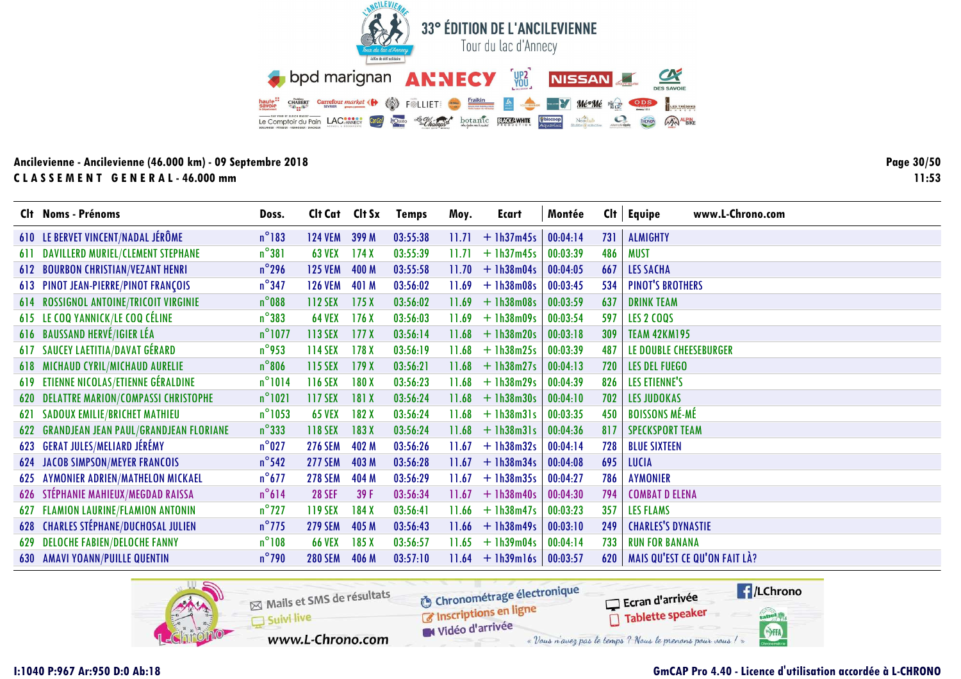![](_page_29_Picture_0.jpeg)

Page 30/50  $11:53$ 

|     | Clt Noms - Prénoms                         | Doss.            | Cit Cat Cit Sx |                  | <b>Temps</b> | Moy.  | Ecart        | Montée   | Cl <sub>t</sub> | Equipe<br>www.L-Chrono.com    |
|-----|--------------------------------------------|------------------|----------------|------------------|--------------|-------|--------------|----------|-----------------|-------------------------------|
|     | 610 LE BERVET VINCENT/NADAL JÉRÔME         | $n^{\circ}183$   | <b>124 VEM</b> | 399 M            | 03:55:38     | 11.71 | $+$ 1h37m45s | 00:04:14 | 731             | <b>ALMIGHTY</b>               |
|     | 611 DAVILLERD MURIEL/CLEMENT STEPHANE      | $n^{\circ}381$   | <b>63 VEX</b>  | 174X             | 03:55:39     | 11.71 | $+1h37m45s$  | 00:03:39 | 486             | <b>MUST</b>                   |
|     | <b>612 BOURBON CHRISTIAN/VEZANT HENRI</b>  | $n^{\circ}$ 296  | <b>125 VEM</b> | 400 M            | 03:55:58     | 11.70 | $+$ 1h38m04s | 00:04:05 | 667             | <b>LES SACHA</b>              |
|     | 613 PINOT JEAN-PIERRE/PINOT FRANÇOIS       | $n^{\circ}$ 347  | <b>126 VEM</b> | 401 M            | 03:56:02     | 11.69 | $+1h38m08s$  | 00:03:45 | 534             | <b>PINOT'S BROTHERS</b>       |
|     | 614 ROSSIGNOL ANTOINE/TRICOIT VIRGINIE     | $n^{\circ}$ 088  | 112 SEX        | 175X             | 03:56:02     | 11.69 | $+1h38m08s$  | 00:03:59 | 637             | <b>DRINK TEAM</b>             |
|     | 615 LE COQ YANNICK/LE COQ CÉLINE           | $n^{\circ}383$   | <b>64 VEX</b>  | 176X             | 03:56:03     | 11.69 | $+1h38m09s$  | 00:03:54 | 597             | <b>LES 2 COQS</b>             |
|     | 616 BAUSSAND HERVÉ/IGIER LÉA               | $n^{\circ}$ 1077 | 113 SEX        | 177 <sub>X</sub> | 03:56:14     | 11.68 | $+ 1h38m20s$ | 00:03:18 | 309             | <b>TEAM 42KM195</b>           |
|     | 617 SAUCEY LAETITIA/DAVAT GÉRARD           | $n^{\circ}$ 953  | 114 SEX        | 178X             | 03:56:19     | 11.68 | $+ 1h38m25s$ | 00:03:39 | 487             | LE DOUBLE CHEESEBURGER        |
|     | <b>618 MICHAUD CYRIL/MICHAUD AURELIE</b>   | $n^{\circ}806$   | 115 SEX        | 179X             | 03:56:21     | 11.68 | $+1h38m27s$  | 00:04:13 | 720             | <b>LES DEL FUEGO</b>          |
|     | 619 ETIENNE NICOLAS/ETIENNE GÉRALDINE      | $n^{\circ}1014$  | <b>116 SEX</b> | 180X             | 03:56:23     | 11.68 | $+1h38m29s$  | 00:04:39 | 826             | <b>LES ETIENNE'S</b>          |
|     | 620 DELATTRE MARION/COMPASSI CHRISTOPHE    | $n^{\circ}1021$  | 117 SEX        | 181X             | 03:56:24     | 11.68 | $+ 1h38m30s$ | 00:04:10 | 702             | <b>LES JUDOKAS</b>            |
| 621 | <b>SADOUX EMILIE/BRICHET MATHIEU</b>       | $n^{\circ}$ 1053 | <b>65 VEX</b>  | 182X             | 03:56:24     | 11.68 | $+$ 1h38m31s | 00:03:35 | 450             | <b>BOISSONS MÉ-MÉ</b>         |
|     | 622 GRANDJEAN JEAN PAUL/GRANDJEAN FLORIANE | $n^{\circ}333$   | 118 SEX        | 183X             | 03:56:24     | 11.68 | $+$ 1h38m31s | 00:04:36 | 817             | <b>SPECKSPORT TEAM</b>        |
|     | 623 GERAT JULES/MELIARD JÉRÉMY             | $n^{\circ}$ 027  | <b>276 SEM</b> | 402 M            | 03:56:26     | 11.67 | $+$ 1h38m32s | 00:04:14 | 728             | <b>BLUE SIXTEEN</b>           |
|     | <b>624 JACOB SIMPSON/MEYER FRANCOIS</b>    | $n^{\circ}$ 542  | <b>277 SEM</b> | 403 M            | 03:56:28     | 11.67 | $+1h38m34s$  | 00:04:08 | 695             | <b>LUCIA</b>                  |
| 625 | <b>AYMONIER ADRIEN/MATHELON MICKAEL</b>    | $n^{\circ}677$   | <b>278 SEM</b> | 404 M            | 03:56:29     | 11.67 | $+1h38m35s$  | 00:04:27 | 786             | <b>AYMONIER</b>               |
| 626 | STÉPHANIE MAHIEUX/MEGDAD RAISSA            | $n^{\circ}614$   | <b>28 SEF</b>  | 39 F             | 03:56:34     | 11.67 | $+ 1h38m40s$ | 00:04:30 | 794             | <b>COMBAT D ELENA</b>         |
|     | 627 FLAMION LAURINE/FLAMION ANTONIN        | $n^{\circ}$ 727  | <b>119 SEX</b> | 184 X            | 03:56:41     | 11.66 | $+$ 1h38m47s | 00:03:23 | 357             | <b>LES FLAMS</b>              |
|     | 628 CHARLES STÉPHANE/DUCHOSAL JULIEN       | $n^{\circ}$ 775  | <b>279 SEM</b> | 405 M            | 03:56:43     | 11.66 | $+ 1h38m49s$ | 00:03:10 | 249             | <b>CHARLES'S DYNASTIE</b>     |
| 629 | <b>DELOCHE FABIEN/DELOCHE FANNY</b>        | $n^{\circ}108$   | <b>66 VEX</b>  | 185X             | 03:56:57     | 11.65 | $+1h39m04s$  | 00:04:14 | 733             | <b>RUN FOR BANANA</b>         |
|     | <b>630 AMAVI YOANN/PUILLE QUENTIN</b>      | $n^{\circ}$ 790  | <b>280 SEM</b> | 406 M            | 03:57:10     | 11.64 | $+$ 1h39m16s | 00:03:57 | 620             | MAIS QU'EST CE QU'ON FAIT LÀ? |

![](_page_29_Picture_4.jpeg)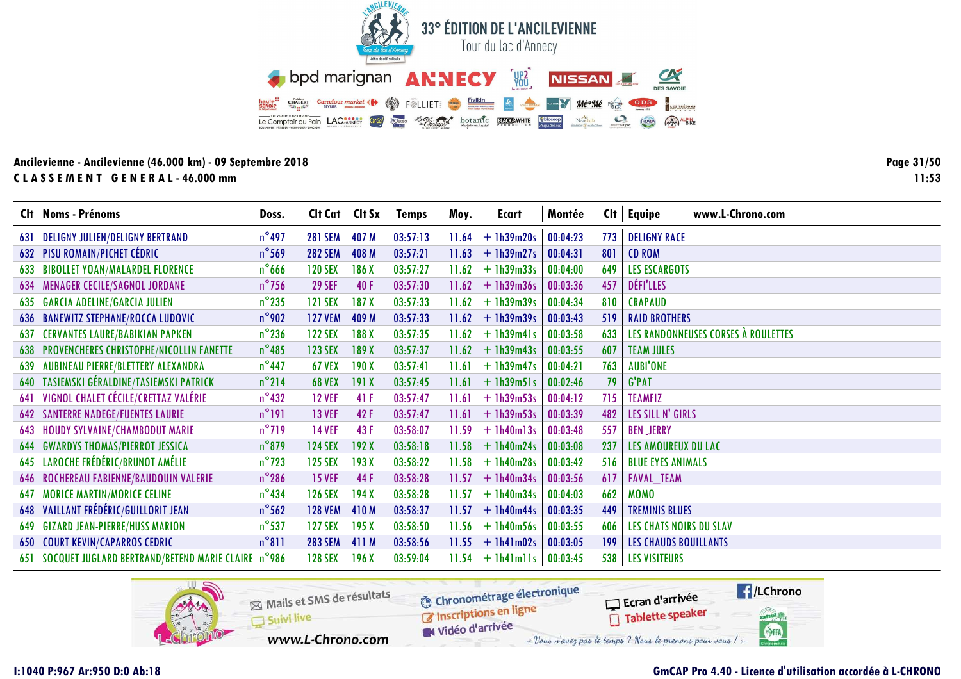![](_page_30_Picture_0.jpeg)

Page 31/50  $11:53$ 

|     | Clt Noms - Prénoms                                     | Doss.           | Clt Cat Clt Sx |       | <b>Temps</b> | Moy.  | Ecart              | Montée   |     | www.L-Chrono.com<br>$Clt$   Equipe  |
|-----|--------------------------------------------------------|-----------------|----------------|-------|--------------|-------|--------------------|----------|-----|-------------------------------------|
| 631 | <b>DELIGNY JULIEN/DELIGNY BERTRAND</b>                 | $n^{\circ}$ 497 | <b>281 SEM</b> | 407 M | 03:57:13     | 11.64 | $+1h39m20s$        | 00:04:23 | 773 | <b>DELIGNY RACE</b>                 |
|     | <b>632 PISU ROMAIN/PICHET CÉDRIC</b>                   | $n^{\circ}$ 569 | <b>282 SEM</b> | 408 M | 03:57:21     | 11.63 | $+1h39m27s$        | 00:04:31 | 801 | <b>CD ROM</b>                       |
|     | 633 BIBOLLET YOAN/MALARDEL FLORENCE                    | $n^{\circ}$ 666 | <b>120 SEX</b> | 186 X | 03:57:27     | 11.62 | $+1h39m33s$        | 00:04:00 | 649 | <b>LES ESCARGOTS</b>                |
|     | 634 MENAGER CECILE/SAGNOL JORDANE                      | $n^{\circ}$ 756 | <b>29 SEF</b>  | 40F   | 03:57:30     | 11.62 | $+1h39m36s$        | 00:03:36 | 457 | DÉFI'LLES                           |
|     | 635 GARCIA ADELINE/GARCIA JULIEN                       | $n^{\circ}$ 235 | 121 SEX        | 187X  | 03:57:33     |       | $11.62 + 1h39m39s$ | 00:04:34 | 810 | <b>CRAPAUD</b>                      |
|     | <b>636 BANEWITZ STEPHANE/ROCCA LUDOVIC</b>             | $n^{\circ}$ 902 | <b>127 VEM</b> | 409 M | 03:57:33     |       | $11.62 + 1h39m39s$ | 00:03:43 | 519 | <b>RAID BROTHERS</b>                |
| 637 | <b>CERVANTES LAURE/BABIKIAN PAPKEN</b>                 | $n^{\circ}$ 236 | <b>122 SEX</b> | 188 X | 03:57:35     | 11.62 | $+$ 1h39m41s       | 00:03:58 | 633 | LES RANDONNEUSES CORSES À ROULETTES |
|     | 638 PROVENCHERES CHRISTOPHE/NICOLLIN FANETTE           | $n^{\circ}$ 485 | <b>123 SEX</b> | 189 X | 03:57:37     | 11.62 | $+1h39m43s$        | 00:03:55 | 607 | <b>TEAM JULES</b>                   |
| 639 | AUBINEAU PIERRE/BLETTERY ALEXANDRA                     | $n^{\circ}$ 447 | <b>67 VEX</b>  | 190X  | 03:57:41     | 11.61 | $+$ 1h39m47s       | 00:04:21 | 763 | <b>AUBI'ONE</b>                     |
|     | 640 TASIEMSKI GÉRALDINE/TASIEMSKI PATRICK              | $n^{\circ}$ 214 | <b>68 VEX</b>  | 191X  | 03:57:45     | 11.61 | $+$ 1h39m51s       | 00:02:46 | 79  | <b>G'PAT</b>                        |
|     | 641 VIGNOL CHALET CÉCILE/CRETTAZ VALÉRIE               | $n^{\circ}$ 432 | <b>12 VEF</b>  | 41 F  | 03:57:47     | 11.61 | $+1h39m53s$        | 00:04:12 | 715 | <b>TEAMFIZ</b>                      |
|     | <b>642 SANTERRE NADEGE/FUENTES LAURIE</b>              | $n^{\circ}191$  | <b>13 VEF</b>  | 42F   | 03:57:47     | 11.61 | $+ 1h39m53s$       | 00:03:39 | 482 | LES SILL N' GIRLS                   |
|     | <b>643 HOUDY SYLVAINE/CHAMBODUT MARIE</b>              | $n^{\circ}$ 719 | <b>14 VEF</b>  | 43 F  | 03:58:07     | 11.59 | $+$ 1h40m13s       | 00:03:48 | 557 | <b>BEN JERRY</b>                    |
|     | <b>644 GWARDYS THOMAS/PIERROT JESSICA</b>              | $n^{\circ}$ 879 | <b>124 SEX</b> | 192X  | 03:58:18     |       | $11.58 + 1h40m24s$ | 00:03:08 | 237 | LES AMOUREUX DU LAC                 |
|     | 645 LAROCHE FRÉDÉRIC/BRUNOT AMÉLIE                     | $n^{\circ}$ 723 | <b>125 SEX</b> | 193X  | 03:58:22     | 11.58 | $+1h40m28s$        | 00:03:42 | 516 | <b>BLUE EYES ANIMALS</b>            |
|     | <b>646 ROCHEREAU FABIENNE/BAUDOUIN VALERIE</b>         | $n^{\circ}$ 286 | <b>15 VEF</b>  | 44 F  | 03:58:28     | 11.57 | $+1h40m34s$        | 00:03:56 | 617 | <b>FAVAL_TEAM</b>                   |
| 647 | <b>MORICE MARTIN/MORICE CELINE</b>                     | $n^{\circ}$ 434 | <b>126 SEX</b> | 194X  | 03:58:28     | 11.57 | $+$ 1h40m34s       | 00:04:03 | 662 | <b>MOMO</b>                         |
|     | 648 VAILLANT FRÉDÉRIC/GUILLORIT JEAN                   | $n^{\circ}$ 562 | <b>128 VEM</b> | 410M  | 03:58:37     | 11.57 | $+$ 1h40m44s       | 00:03:35 | 449 | <b>TREMINIS BLUES</b>               |
|     | <b>649 GIZARD JEAN-PIERRE/HUSS MARION</b>              | $n^{\circ}$ 537 | 127 SEX        | 195X  | 03:58:50     |       | $11.56 + 1h40m56s$ | 00:03:55 | 606 | <b>LES CHATS NOIRS DU SLAV</b>      |
|     | <b>650 COURT KEVIN/CAPARROS CEDRIC</b>                 | $n^{\circ}811$  | <b>283 SEM</b> | 411 M | 03:58:56     |       | $11.55 + 1h41m02s$ | 00:03:05 | 199 | <b>LES CHAUDS BOUILLANTS</b>        |
|     | 651 SOCQUET JUGLARD BERTRAND/BETEND MARIE CLAIRE n°986 |                 | <b>128 SEX</b> | 196X  | 03:59:04     |       | $11.54 + 1h41m11s$ | 00:03:45 | 538 | <b>LES VISITEURS</b>                |

![](_page_30_Picture_4.jpeg)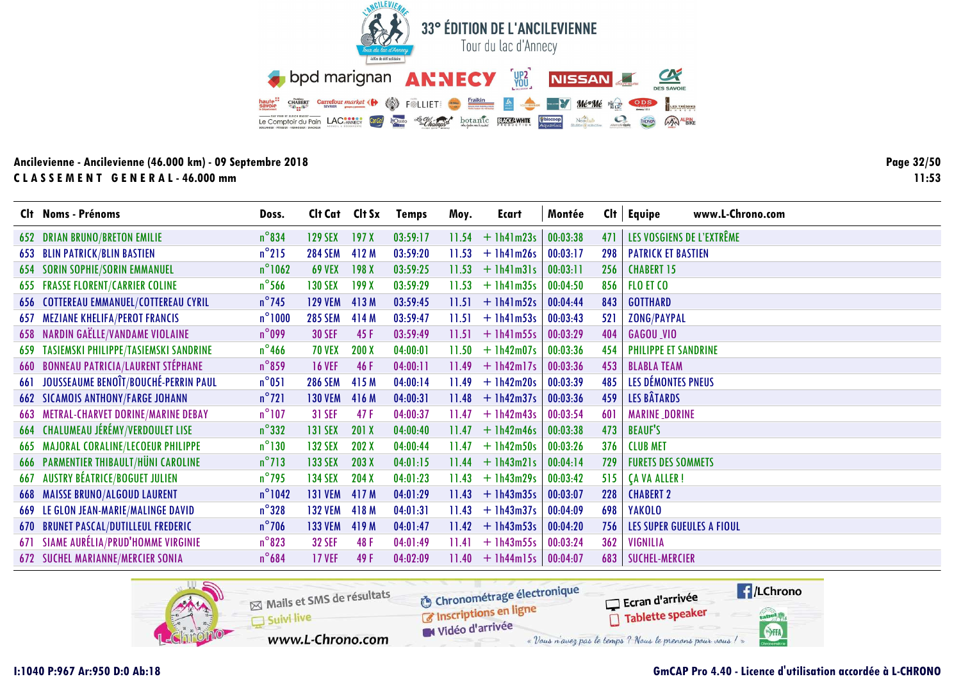![](_page_31_Picture_0.jpeg)

Page 32/50  $11:53$ 

|     | Clt Noms - Prénoms                            | Doss.            | Cit Cat Cit Sx |       | <b>Temps</b> | Moy.  | <b>Ecart</b> | Montée   | Cl <sub>t</sub> | www.L-Chrono.com<br>Equipe       |
|-----|-----------------------------------------------|------------------|----------------|-------|--------------|-------|--------------|----------|-----------------|----------------------------------|
|     | <b>652 DRIAN BRUNO/BRETON EMILIE</b>          | $n^{\circ}834$   | <b>129 SEX</b> | 197X  | 03:59:17     | 11.54 | $+1h41m23s$  | 00:03:38 | 471             | LES VOSGIENS DE L'EXTRÊME        |
|     | <b>653 BLIN PATRICK/BLIN BASTIEN</b>          | $n^{\circ}$ 215  | <b>284 SEM</b> | 412 M | 03:59:20     | 11.53 | $+$ 1h41m26s | 00:03:17 | 298             | <b>PATRICK ET BASTIEN</b>        |
|     | <b>654 SORIN SOPHIE/SORIN EMMANUEL</b>        | $n^{\circ}$ 1062 | <b>69 VEX</b>  | 198X  | 03:59:25     | 11.53 | $+$ 1h41m31s | 00:03:11 | 256             | <b>CHABERT 15</b>                |
|     | <b>655 FRASSE FLORENT/CARRIER COLINE</b>      | $n^{\circ}$ 566  | <b>130 SEX</b> | 199X  | 03:59:29     | 11.53 | $+1h41m35s$  | 00:04:50 | 856             | FLO ET CO                        |
|     | 656 COTTEREAU EMMANUEL/COTTEREAU CYRIL        | $n^{\circ}$ 745  | <b>129 VEM</b> | 413M  | 03:59:45     | 11.51 | $+$ 1h41m52s | 00:04:44 | 843             | <b>GOTTHARD</b>                  |
| 657 | <b>MEZIANE KHELIFA/PEROT FRANCIS</b>          | $n^{\circ}1000$  | <b>285 SEM</b> | 414 M | 03:59:47     | 11.51 | $+$ 1h41m53s | 00:03:43 | 521             | <b>ZONG/PAYPAL</b>               |
|     | <b>658 NARDIN GAËLLE/VANDAME VIOLAINE</b>     | $n^{\circ}$ 099  | <b>30 SEF</b>  | 45F   | 03:59:49     | 11.51 | $+$ 1h41m55s | 00:03:29 | 404             | GAGOU VIO                        |
|     | 659 TASIEMSKI PHILIPPE/TASIEMSKI SANDRINE     | $n^{\circ}$ 466  | <b>70 VEX</b>  | 200X  | 04:00:01     | 11.50 | $+$ 1h42m07s | 00:03:36 | 454             | PHILIPPE ET SANDRINE             |
|     | <b>660 BONNEAU PATRICIA/LAURENT STÉPHANE</b>  | $n^{\circ}$ 859  | <b>16 VEF</b>  | 46 F  | 04:00:11     | 11.49 | $+$ 1h42m17s | 00:03:36 | 453             | <b>BLABLA TEAM</b>               |
| 661 | JOUSSEAUME BENOIT/BOUCHÉ-PERRIN PAUL          | $n^{\circ}051$   | <b>286 SEM</b> | 415 M | 04:00:14     | 11.49 | $+1h42m20s$  | 00:03:39 | 485             | LES DÉMONTES PNEUS               |
|     | <b>662 SICAMOIS ANTHONY/FARGE JOHANN</b>      | $n^{\circ}721$   | <b>130 VEM</b> | 416 M | 04:00:31     | 11.48 | $+1h42m37s$  | 00:03:36 | 459             | <b>LES BÂTARDS</b>               |
|     | <b>663 METRAL-CHARVET DORINE/MARINE DEBAY</b> | $n^{\circ}$ 107  | 31 SEF         | 47F   | 04:00:37     | 11.47 | $+1h42m43s$  | 00:03:54 | 601             | <b>MARINE_DORINE</b>             |
|     | 664 CHALUMEAU JÉRÉMY/VERDOULET LISE           | $n^{\circ}332$   | <b>131 SEX</b> | 201 X | 04:00:40     | 11.47 | $+$ 1h42m46s | 00:03:38 | 473             | <b>BEAUF'S</b>                   |
|     | <b>665 MAJORAL CORALINE/LECOEUR PHILIPPE</b>  | $n^{\circ}130$   | <b>132 SEX</b> | 202X  | 04:00:44     | 11.47 | $+ 1h42m50s$ | 00:03:26 | 376             | <b>CLUB MET</b>                  |
|     | <b>666 PARMENTIER THIBAULT/HÜNI CAROLINE</b>  | $n^{\circ}713$   | <b>133 SEX</b> | 203X  | 04:01:15     | 11.44 | $+$ 1h43m21s | 00:04:14 | 729             | <b>FURETS DES SOMMETS</b>        |
| 667 | <b>AUSTRY BÉATRICE/BOGUET JULIEN</b>          | $n^{\circ}$ 795  | <b>134 SEX</b> | 204X  | 04:01:23     | 11.43 | $+1h43m29s$  | 00:03:42 | 515             | <b>CA VA ALLER!</b>              |
|     | <b>668 MAISSE BRUNO/ALGOUD LAURENT</b>        | $n^{\circ}$ 1042 | <b>131 VEM</b> | 417 M | 04:01:29     | 11.43 | $+1h43m35s$  | 00:03:07 | 228             | <b>CHABERT 2</b>                 |
|     | 669 LE GLON JEAN-MARIE/MALINGE DAVID          | $n^{\circ}328$   | <b>132 VEM</b> | 418 M | 04:01:31     | 11.43 | $+1h43m37s$  | 00:04:09 | 698             | <b>YAKOLO</b>                    |
|     | <b>670 BRUNET PASCAL/DUTILLEUL FREDERIC</b>   | $n^{\circ}$ 706  | <b>133 VEM</b> | 419 M | 04:01:47     | 11.42 | $+1h43m53s$  | 00:04:20 | 756             | <b>LES SUPER GUEULES A FIOUL</b> |
|     | 671 SIAME AURÉLIA/PRUD'HOMME VIRGINIE         | $n^{\circ}823$   | <b>32 SEF</b>  | 48 F  | 04:01:49     | 11.41 | $+1h43m55s$  | 00:03:24 | 362             | <b>VIGNILIA</b>                  |
|     | <b>672 SUCHEL MARIANNE/MERCIER SONIA</b>      | $n^{\circ}684$   | <b>17 VEF</b>  | 49F   | 04:02:09     | 11.40 | $+$ 1h44m15s | 00:04:07 | 683             | <b>SUCHEL-MERCIER</b>            |

![](_page_31_Picture_4.jpeg)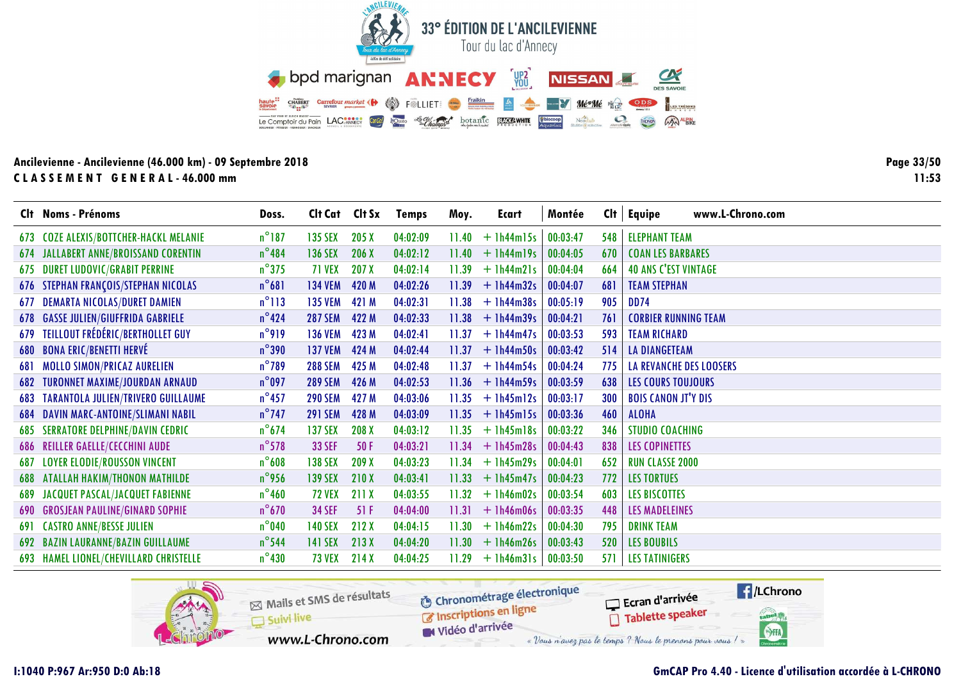![](_page_32_Picture_0.jpeg)

Page 33/50  $11:53$ 

|     | Clt Noms - Prénoms                           | Doss.           | Clt Cat Clt Sx |       | <b>Temps</b> | Moy.  | Ecart              | Montée   | Cl <sub>t</sub> | www.L-Chrono.com<br>Equipe     |
|-----|----------------------------------------------|-----------------|----------------|-------|--------------|-------|--------------------|----------|-----------------|--------------------------------|
|     | 673 COZE ALEXIS/BOTTCHER-HACKL MELANIE       | $n^{\circ}$ 187 | <b>135 SEX</b> | 205X  | 04:02:09     | 11.40 | $+$ 1h44m15s       | 00:03:47 | 548             | <b>ELEPHANT TEAM</b>           |
|     | <b>674 JALLABERT ANNE/BROISSAND CORENTIN</b> | $n^{\circ}484$  | <b>136 SEX</b> | 206X  | 04:02:12     | 11.40 | $+$ $lh44m19s$     | 00:04:05 | 670             | <b>COAN LES BARBARES</b>       |
|     | 675 DURET LUDOVIC/GRABIT PERRINE             | $n^{\circ}375$  | <b>71 VEX</b>  | 207 X | 04:02:14     | 11.39 | $+$ $lh44m21s$     | 00:04:04 | 664             | <b>40 ANS C'EST VINTAGE</b>    |
|     | <b>676 STEPHAN FRANÇOIS/STEPHAN NICOLAS</b>  | $n^{\circ}681$  | <b>134 VEM</b> | 420 M | 04:02:26     | 11.39 | $+$ 1h44m32s       | 00:04:07 | 681             | <b>TEAM STEPHAN</b>            |
|     | <b>677 DEMARTA NICOLAS/DURET DAMIEN</b>      | $n^{\circ}113$  | <b>135 VEM</b> | 421 M | 04:02:31     | 11.38 | $+1h44m38s$        | 00:05:19 | 905             | <b>DD74</b>                    |
|     | <b>678 GASSE JULIEN/GIUFFRIDA GABRIELE</b>   | $n^{\circ}424$  | <b>287 SEM</b> | 422 M | 04:02:33     | 11.38 | $+$ 1h44m39s       | 00:04:21 | 761             | <b>CORBIER RUNNING TEAM</b>    |
|     | 679 TEILLOUT FRÉDÉRIC/BERTHOLLET GUY         | $n^{\circ}$ 919 | <b>136 VEM</b> | 423 M | 04:02:41     | 11.37 | $+$ 1h44m47s       | 00:03:53 | 593             | <b>TEAM RICHARD</b>            |
|     | 680 BONA ERIC/BENETTI HERVÉ                  | $n^{\circ}$ 390 | <b>137 VEM</b> | 424 M | 04:02:44     | 11.37 | $+$ 1h44m50s       | 00:03:42 | 514             | <b>LA DIANGETEAM</b>           |
| 681 | MOLLO SIMON/PRICAZ AURELIEN                  | $n^{\circ}$ 789 | <b>288 SEM</b> | 425 M | 04:02:48     | 11.37 | $+1h44m54s$        | 00:04:24 | 775             | <b>LA REVANCHE DES LOOSERS</b> |
|     | 682 TURONNET MAXIME/JOURDAN ARNAUD           | $n^{\circ}$ 097 | <b>289 SEM</b> | 426 M | 04:02:53     |       | $11.36 + 1h44m59s$ | 00:03:59 | 638             | <b>LES COURS TOUJOURS</b>      |
|     | 683 TARANTOLA JULIEN/TRIVERO GUILLAUME       | $n^{\circ}$ 457 | <b>290 SEM</b> | 427 M | 04:03:06     | 11.35 | $+$ 1h45m12s       | 00:03:17 | 300             | <b>BOIS CANON JT'Y DIS</b>     |
|     | 684 DAVIN MARC-ANTOINE/SLIMANI NABIL         | $n^{\circ}$ 747 | <b>291 SEM</b> | 428 M | 04:03:09     | 11.35 | $+$ 1h45m15s       | 00:03:36 | 460             | <b>ALOHA</b>                   |
|     | <b>685 SERRATORE DELPHINE/DAVIN CEDRIC</b>   | $n^{\circ}674$  | <b>137 SEX</b> | 208 X | 04:03:12     | 11.35 | $+$ 1h45m18s       | 00:03:22 | 346             | <b>STUDIO COACHING</b>         |
|     | <b>686 REILLER GAELLE/CECCHINI AUDE</b>      | $n^{\circ}$ 578 | <b>33 SEF</b>  | 50F   | 04:03:21     | 11.34 | $+1h45m28s$        | 00:04:43 | 838             | <b>LES COPINETTES</b>          |
|     | <b>687 LOYER ELODIE/ROUSSON VINCENT</b>      | $n^{\circ}$ 608 | <b>138 SEX</b> | 209 X | 04:03:23     | 11.34 | $+$ 1h45m29s       | 00:04:01 | 652             | <b>RUN CLASSE 2000</b>         |
|     | <b>688 ATALLAH HAKIM/THONON MATHILDE</b>     | $n^{\circ}$ 956 | <b>139 SEX</b> | 210X  | 04:03:41     | 11.33 | $+1h45m47s$        | 00:04:23 | 772             | <b>LES TORTUES</b>             |
|     | <b>689 JACQUET PASCAL/JACQUET FABIENNE</b>   | $n^{\circ}$ 460 | <b>72 VEX</b>  | 211 X | 04:03:55     | 11.32 | $+ 1h46m02s$       | 00:03:54 | 603             | <b>LES BISCOTTES</b>           |
|     | <b>690 GROSJEAN PAULINE/GINARD SOPHIE</b>    | $n^{\circ}$ 670 | <b>34 SEF</b>  | 51F   | 04:04:00     | 11.31 | $+$ 1h46m06s       | 00:03:35 | 448             | <b>LES MADELEINES</b>          |
|     | <b>691 CASTRO ANNE/BESSE JULIEN</b>          | $n^{\circ}$ 040 | <b>140 SEX</b> | 212 X | 04:04:15     | 11.30 | $+1h46m22s$        | 00:04:30 | 795             | <b>DRINK TEAM</b>              |
|     | 692 BAZIN LAURANNE/BAZIN GUILLAUME           | $n^{\circ}$ 544 | <b>141 SEX</b> | 213X  | 04:04:20     | 11.30 | $+1h46m26s$        | 00:03:43 | 520             | <b>LES BOUBILS</b>             |
|     | 693 HAMEL LIONEL/CHEVILLARD CHRISTELLE       | $n^{\circ}$ 430 | <b>73 VEX</b>  | 214X  | 04:04:25     | 11.29 | $+$ 1h46m31s       | 00:03:50 | 571             | <b>LES TATINIGERS</b>          |

![](_page_32_Picture_4.jpeg)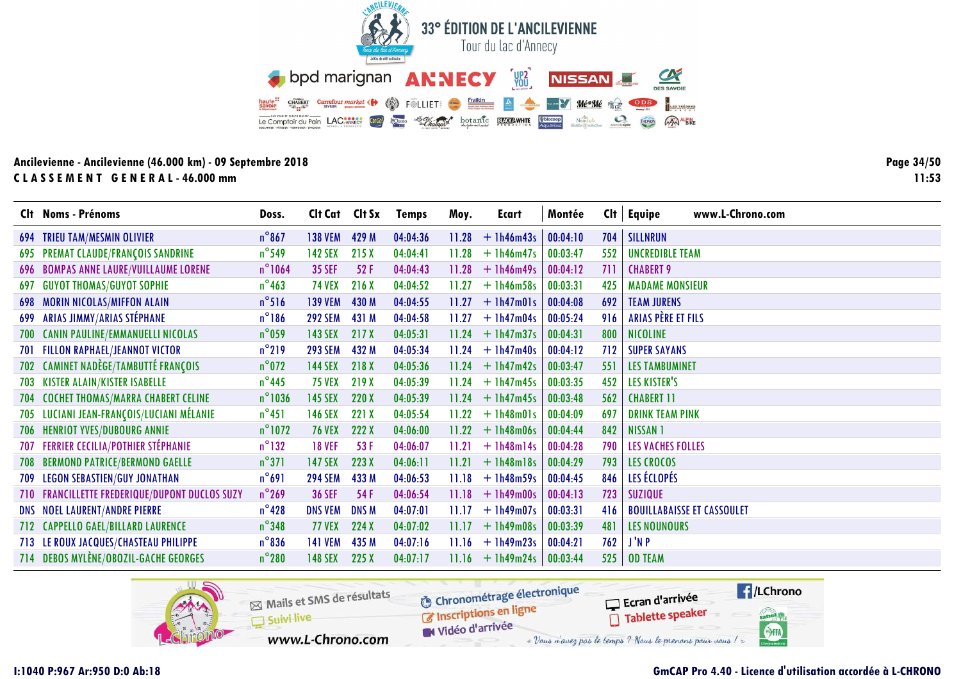![](_page_33_Picture_0.jpeg)

Page 34/50  $11:53$ 

|     | Clt Noms - Prénoms                             | Doss.            | Cit Cat Cit Sx |             | <b>Temps</b> | Moy.  | Ecart              | Montée   |     | $Clt$ Equipe<br>www.L-Chrono.com  |
|-----|------------------------------------------------|------------------|----------------|-------------|--------------|-------|--------------------|----------|-----|-----------------------------------|
|     | 694 TRIEU TAM/MESMIN OLIVIER                   | $n^{\circ}867$   | <b>138 VEM</b> | 429 M       | 04:04:36     | 11.28 | $+1h46m43s$        | 00:04:10 | 704 | SILLNRUN                          |
|     | 695 PREMAT CLAUDE/FRANÇOIS SANDRINE            | $n^{\circ}$ 549  | <b>142 SEX</b> | 215 X       | 04:04:41     | 11.28 | $+1h46m47s$        | 00:03:47 | 552 | <b>UNCREDIBLE TEAM</b>            |
|     | 696 BOMPAS ANNE LAURE/VUILLAUME LORENE         | $n^{\circ}$ 1064 | <b>35 SEF</b>  | 52F         | 04:04:43     | 11.28 | $+$ 1h46m49s       | 00:04:12 | 711 | <b>CHABERT 9</b>                  |
| 697 | <b>GUYOT THOMAS/GUYOT SOPHIE</b>               | $n^{\circ}$ 463  | <b>74 VEX</b>  | 216 X       | 04:04:52     | 11.27 | $+$ 1h46m58s       | 00:03:31 | 425 | <b>MADAME MONSIEUR</b>            |
|     | <b>698 MORIN NICOLAS/MIFFON ALAIN</b>          | $n^{\circ}$ 516  | <b>139 VEM</b> | 430 M       | 04:04:55     | 11.27 | $+$ 1h47m01s       | 00:04:08 | 692 | <b>TEAM JURENS</b>                |
|     | 699 ARIAS JIMMY/ARIAS STÉPHANE                 | $n^{\circ}186$   | <b>292 SEM</b> | 431 M       | 04:04:58     | 11.27 | $+1h47m04s$        | 00:05:24 | 916 | ARIAS PÈRE ET FILS                |
| 700 | <b>CANIN PAULINE/EMMANUELLI NICOLAS</b>        | $n^{\circ}$ 059  | <b>143 SEX</b> | 217 X       | 04:05:31     | 11.24 | $+1h47m37s$        | 00:04:31 | 800 | NICOLINE                          |
| 701 | <b>FILLON RAPHAEL/JEANNOT VICTOR</b>           | $n^{\circ}$ 219  | <b>293 SEM</b> | 432 M       | 04:05:34     | 11.24 | $+$ 1h47m40s       | 00:04:12 | 712 | <b>SUPER SAYANS</b>               |
|     | 702 CAMINET NADÈGE/TAMBUTTÉ FRANÇOIS           | $n^{\circ}$ 072  | <b>144 SEX</b> | 218 X       | 04:05:36     | 11.24 | $+1h47m42s$        | 00:03:47 | 551 | <b>LES TAMBUMINET</b>             |
|     | 703 KISTER ALAIN/KISTER ISABELLE               | $n^{\circ}$ 445  | <b>75 VEX</b>  | 219 X       | 04:05:39     | 11.24 | $+$ 1h47m45s       | 00:03:35 | 452 | <b>LES KISTER'S</b>               |
| 704 | <b>COCHET THOMAS/MARRA CHABERT CELINE</b>      | $n^{\circ}$ 1036 | <b>145 SEX</b> | 220 X       | 04:05:39     |       | $11.24 + 1h47m45s$ | 00:03:48 | 562 | <b>CHABERT 11</b>                 |
| 705 | LUCIANI JEAN-FRANÇOIS/LUCIANI MÉLANIE          | $n^{\circ}451$   | <b>146 SEX</b> | 221 X       | 04:05:54     | 11.22 | $+$ 1h48m01s       | 00:04:09 | 697 | <b>DRINK TEAM PINK</b>            |
| 706 | <b>HENRIOT YVES/DUBOURG ANNIE</b>              | $n^{\circ}$ 1072 | <b>76 VEX</b>  | 222 X       | 04:06:00     | 11.22 | $+1h48m06s$        | 00:04:44 | 842 | <b>NISSAN 1</b>                   |
|     | <b>707 FERRIER CECILIA/POTHIER STÉPHANIE</b>   | $n^{\circ}$ 132  | <b>18 VEF</b>  | 53 F        | 04:06:07     | 11.21 | $+$ 1h48m14s       | 00:04:28 | 790 | <b>LES VACHES FOLLES</b>          |
| 708 | <b>BERMOND PATRICE/BERMOND GAELLE</b>          | $n^{\circ}371$   | <b>147 SEX</b> | 223 X       | 04:06:11     | 11.21 | $+1h48m18s$        | 00:04:29 | 793 | <b>LES CROCOS</b>                 |
| 709 | <b>LEGON SEBASTIEN/GUY JONATHAN</b>            | $n^{\circ}691$   | <b>294 SEM</b> | 433 M       | 04:06:53     | 11.18 | $+ 1h48m59s$       | 00:04:45 | 846 | LES ÉCLOPÉS                       |
|     | 710 FRANCILLETTE FREDERIQUE/DUPONT DUCLOS SUZY | $n^{\circ}$ 269  | <b>36 SEF</b>  | 54 F        | 04:06:54     | 11.18 | $+1h49m00s$        | 00:04:13 | 723 | <b>SUZIQUE</b>                    |
|     | <b>DNS NOEL LAURENT/ANDRE PIERRE</b>           | $n^{\circ}$ 428  | <b>DNS VEM</b> | <b>DNSM</b> | 04:07:01     | 11.17 | $+1h49m07s$        | 00:03:31 | 416 | <b>BOUILLABAISSE ET CASSOULET</b> |
|     | 712 CAPPELLO GAEL/BILLARD LAURENCE             | $n^{\circ}$ 348  | <b>77 VEX</b>  | 224 X       | 04:07:02     | 11.17 | $+1h49m08s$        | 00:03:39 | 481 | <b>LES NOUNOURS</b>               |
|     | 713 LE ROUX JACQUES/CHASTEAU PHILIPPE          | $n^{\circ}836$   | <b>141 VEM</b> | 435 M       | 04:07:16     | 11.16 | $+1h49m23s$        | 00:04:21 | 762 | J'N P                             |
|     | 714 DEBOS MYLÈNE/OBOZIL-GACHE GEORGES          | $n^{\circ}280$   | <b>148 SEX</b> | 225X        | 04:07:17     | 11.16 | $+1h49m24s$        | 00:03:44 | 525 | <b>OD TEAM</b>                    |

![](_page_33_Picture_4.jpeg)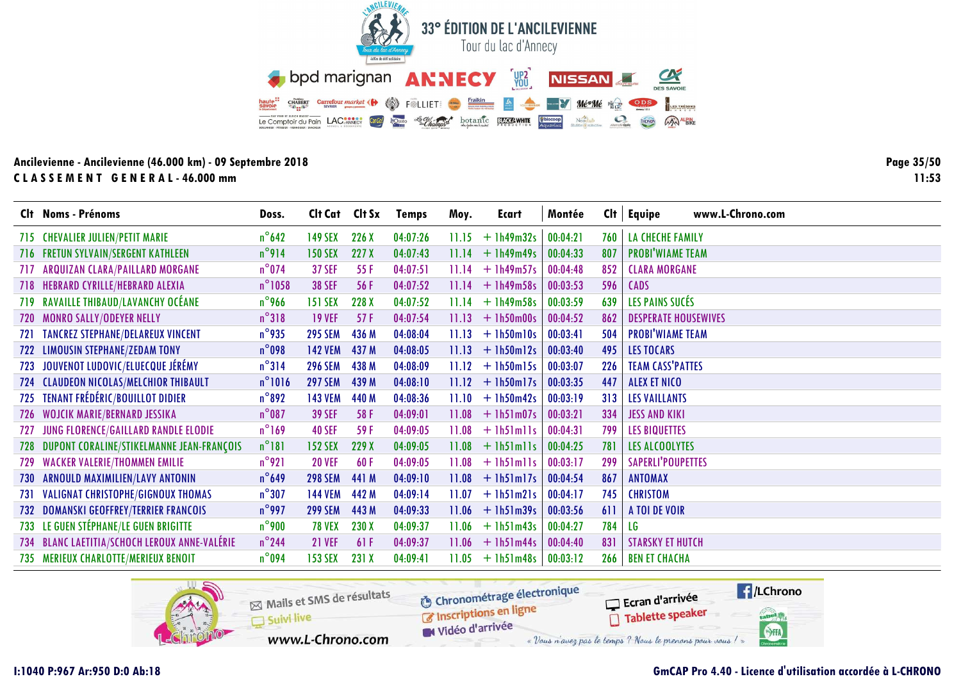![](_page_34_Picture_0.jpeg)

Page 35/50  $11:53$ 

|     | Clt Noms - Prénoms                            | Doss.            | Clt Cat Clt Sx |       | <b>Temps</b> | Moy.  | Ecart              | Montée   | Cl <sub>t</sub> | <b>Equipe</b><br>www.L-Chrono.com |
|-----|-----------------------------------------------|------------------|----------------|-------|--------------|-------|--------------------|----------|-----------------|-----------------------------------|
|     | 715 CHEVALIER JULIEN/PETIT MARIE              | $n^{\circ}$ 642  | <b>149 SEX</b> | 226 X | 04:07:26     | 11.15 | $+1h49m32s$        | 00:04:21 | 760             | <b>LA CHECHE FAMILY</b>           |
|     | 716 FRETUN SYLVAIN/SERGENT KATHLEEN           | $n^{\circ}914$   | <b>150 SEX</b> | 227 X | 04:07:43     |       | $11.14 + 1h49m49s$ | 00:04:33 | 807             | <b>PROBI'WIAME TEAM</b>           |
| 717 | ARQUIZAN CLARA/PAILLARD MORGANE               | $n^{\circ}$ 074  | <b>37 SEF</b>  | 55 F  | 04:07:51     | 11.14 | $+$ 1h49m57s       | 00:04:48 | 852             | <b>CLARA MORGANE</b>              |
|     | 718 HEBRARD CYRILLE/HEBRARD ALEXIA            | $n^{\circ}$ 1058 | <b>38 SEF</b>  | 56 F  | 04:07:52     | 11.14 | $+1h49m58s$        | 00:03:53 | 596             | <b>CADS</b>                       |
|     | 719 RAVAILLE THIBAUD/LAVANCHY OCÉANE          | $n^{\circ}$ 966  | <b>151 SEX</b> | 228 X | 04:07:52     | 11.14 | $+1h49m58s$        | 00:03:59 | 639             | LES PAINS SUCÉS                   |
| 720 | <b>MONRO SALLY/ODEYER NELLY</b>               | $n^{\circ}318$   | <b>19 VEF</b>  | 57F   | 04:07:54     | 11.13 | $+1h50m00s$        | 00:04:52 | 862             | <b>DESPERATE HOUSEWIVES</b>       |
| 721 | <b>TANCREZ STEPHANE/DELAREUX VINCENT</b>      | $n^{\circ}$ 935  | <b>295 SEM</b> | 436 M | 04:08:04     | 11.13 | $+1h50m10s$        | 00:03:41 | 504             | <b>PROBI'WIAME TEAM</b>           |
| 722 | <b>LIMOUSIN STEPHANE/ZEDAM TONY</b>           | $n^{\circ}$ 098  | <b>142 VEM</b> | 437 M | 04:08:05     | 11.13 | $+$ 1h50m12s       | 00:03:40 | 495             | <b>LES TOCARS</b>                 |
| 723 | JOUVENOT LUDOVIC/ELUECQUE JÉRÉMY              | $n^{\circ}314$   | <b>296 SEM</b> | 438 M | 04:08:09     | 11.12 | $+$ 1h50m15s       | 00:03:07 | 226             | <b>TEAM CASS'PATTES</b>           |
|     | 724 CLAUDEON NICOLAS/MELCHIOR THIBAULT        | $n^{\circ}1016$  | <b>297 SEM</b> | 439 M | 04:08:10     |       | $11.12 + 1h50m17s$ | 00:03:35 | 447             | <b>ALEX ET NICO</b>               |
| 725 | TENANT FRÉDÉRIC/BOUILLOT DIDIER               | $n^{\circ}892$   | <b>143 VEM</b> | 440 M | 04:08:36     | 11.10 | $+1h50m42s$        | 00:03:19 | 313             | <b>LES VAILLANTS</b>              |
|     | 726 WOJCIK MARIE/BERNARD JESSIKA              | $n^{\circ}$ 087  | <b>39 SEF</b>  | 58 F  | 04:09:01     | 11.08 | $+$ 1h51m07s       | 00:03:21 | 334             | <b>JESS AND KIKI</b>              |
| 727 | JUNG FLORENCE/GAILLARD RANDLE ELODIE          | $n^{\circ}$ 169  | <b>40 SEF</b>  | 59F   | 04:09:05     | 11.08 | $+$ lh5lmlls       | 00:04:31 | 799             | <b>LES BIQUETTES</b>              |
| 728 | DUPONT CORALINE/STIKELMANNE JEAN-FRANÇOIS     | $n^{\circ}181$   | <b>152 SEX</b> | 229 X | 04:09:05     | 11.08 | $+$ lh5 $\ln$ lls  | 00:04:25 | 781             | LES ALCOOLYTES                    |
|     | 729 WACKER VALERIE/THOMMEN EMILIE             | $n^{\circ}$ 921  | <b>20 VEF</b>  | 60F   | 04:09:05     | 11.08 | $+$ lh5 $\ln$ lls  | 00:03:17 | 299             | <b>SAPERLI'POUPETTES</b>          |
| 730 | ARNOULD MAXIMILIEN/LAVY ANTONIN               | $n^{\circ}$ 649  | <b>298 SEM</b> | 441 M | 04:09:10     | 11.08 | $+$ 1h51m17s       | 00:04:54 | 867             | <b>ANTOMAX</b>                    |
|     | 731 VALIGNAT CHRISTOPHE/GIGNOUX THOMAS        | $n^{\circ}307$   | <b>144 VEM</b> | 442 M | 04:09:14     | 11.07 | $+$ 1h51m21s       | 00:04:17 | 745             | <b>CHRISTOM</b>                   |
|     | 732 DOMANSKI GEOFFREY/TERRIER FRANCOIS        | $n^{\circ}$ 997  | <b>299 SEM</b> | 443 M | 04:09:33     | 11.06 | $+$ 1h51m39s       | 00:03:56 | 611             | A TOI DE VOIR                     |
|     | 733 LE GUEN STÉPHANE/LE GUEN BRIGITTE         | $n^{\circ}$ 900  | <b>78 VEX</b>  | 230 X | 04:09:37     | 11.06 | $+1h51m43s$        | 00:04:27 | 784             | LG                                |
|     | 734 BLANC LAETITIA/SCHOCH LEROUX ANNE-VALÉRIE | $n^{\circ}$ 244  | <b>21 VEF</b>  | 61F   | 04:09:37     |       | $11.06 + 1h51m44s$ | 00:04:40 | 831             | <b>STARSKY ET HUTCH</b>           |
|     | 735 MERIEUX CHARLOTTE/MERIEUX BENOIT          | $n^{\circ}$ 094  | <b>153 SEX</b> | 231 X | 04:09:41     | 11.05 | $+$ 1h51m48s       | 00:03:12 | 266             | <b>BEN ET CHACHA</b>              |

![](_page_34_Picture_4.jpeg)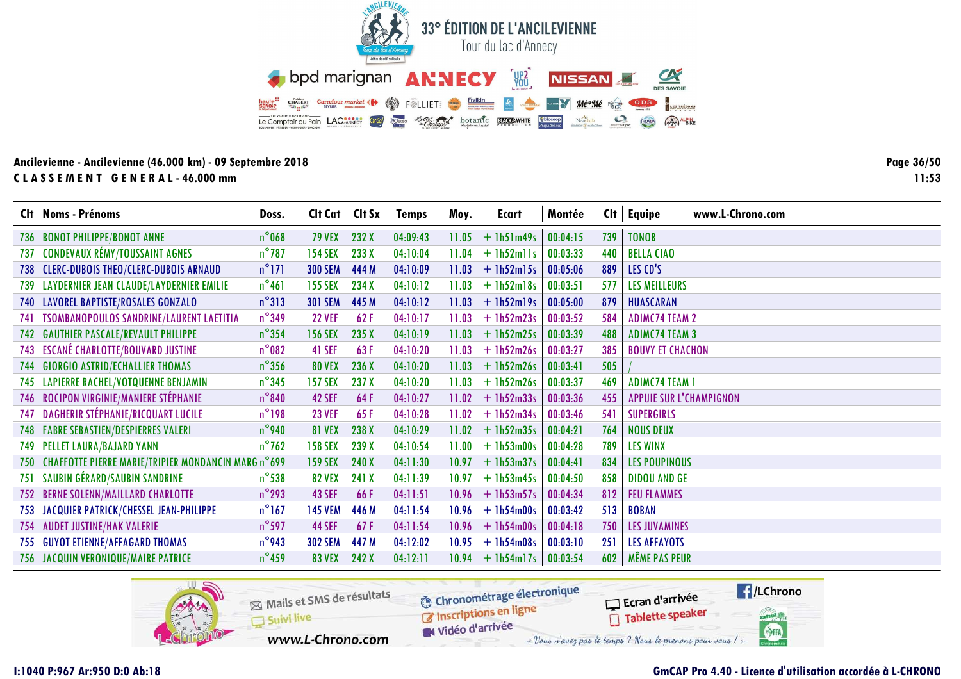![](_page_35_Picture_0.jpeg)

Page 36/50  $11:53$ 

|     | Clt Noms - Prénoms                                      | Doss.           | Clt Cat Clt Sx |       | <b>Temps</b> | Moy.  | Ecart        | Montée   | Cl <sub>t</sub> | www.L-Chrono.com<br>Equipe     |
|-----|---------------------------------------------------------|-----------------|----------------|-------|--------------|-------|--------------|----------|-----------------|--------------------------------|
| 736 | <b>BONOT PHILIPPE/BONOT ANNE</b>                        | $n^{\circ}$ 068 | <b>79 VEX</b>  | 232 X | 04:09:43     | 11.05 | $+$ 1h51m49s | 00:04:15 | 739             | <b>TONOB</b>                   |
| 737 | <b>CONDEVAUX RÉMY/TOUSSAINT AGNES</b>                   | $n^{\circ}$ 787 | <b>154 SEX</b> | 233 X | 04:10:04     | 11.04 | $+$ 1h52mlls | 00:03:33 | 440             | <b>BELLA CIAO</b>              |
|     | 738 CLERC-DUBOIS THEO/CLERC-DUBOIS ARNAUD               | $n^{\circ}$ 171 | <b>300 SEM</b> | 444 M | 04:10:09     | 11.03 | $+$ 1h52m15s | 00:05:06 | 889             | LES CD'S                       |
|     | 739 LAYDERNIER JEAN CLAUDE/LAYDERNIER EMILIE            | $n^{\circ}461$  | <b>155 SEX</b> | 234 X | 04:10:12     | 11.03 | $+$ 1h52m18s | 00:03:51 | 577             | LES MEILLEURS                  |
|     | 740 LAVOREL BAPTISTE/ROSALES GONZALO                    | $n^{\circ}313$  | <b>301 SEM</b> | 445 M | 04:10:12     | 11.03 | $+1h52m19s$  | 00:05:00 | 879             | HUASCARAN                      |
| 741 | <b>TSOMBANOPOULOS SANDRINE/LAURENT LAETITIA</b>         | $n^{\circ}$ 349 | <b>22 VEF</b>  | 62F   | 04:10:17     | 11.03 | $+$ 1h52m23s | 00:03:52 | 584             | <b>ADIMC74 TEAM 2</b>          |
|     | 742 GAUTHIER PASCALE/REVAULT PHILIPPE                   | $n^{\circ}$ 354 | <b>156 SEX</b> | 235 X | 04:10:19     | 11.03 | $+$ 1h52m25s | 00:03:39 | 488             | <b>ADIMC74 TEAM 3</b>          |
|     | <b>743 ESCANÉ CHARLOTTE/BOUVARD JUSTINE</b>             | $n^{\circ}$ 082 | 41 SEF         | 63F   | 04:10:20     | 11.03 | $+$ 1h52m26s | 00:03:27 | 385             | <b>BOUVY ET CHACHON</b>        |
|     | 744 GIORGIO ASTRID/ECHALLIER THOMAS                     | $n^{\circ}$ 356 | <b>80 VEX</b>  | 236 X | 04:10:20     | 11.03 | $+ 1h52m26s$ | 00:03:41 | 505             |                                |
|     | 745 LAPIERRE RACHEL/VOTQUENNE BENJAMIN                  | $n^{\circ}345$  | <b>157 SEX</b> | 237 X | 04:10:20     | 11.03 | $+1h52m26s$  | 00:03:37 | 469             | <b>ADIMC74 TEAM 1</b>          |
|     | 746 ROCIPON VIRGINIE/MANIERE STÉPHANIE                  | $n^{\circ}840$  | 42 SEF         | 64F   | 04:10:27     | 11.02 | $+$ 1h52m33s | 00:03:36 | 455             | <b>APPUIE SUR L'CHAMPIGNON</b> |
| 747 | <b>DAGHERIR STÉPHANIE/RICQUART LUCILE</b>               | $n^{\circ}$ 198 | <b>23 VEF</b>  | 65F   | 04:10:28     | 11.02 | $+$ 1h52m34s | 00:03:46 | 541             | <b>SUPERGIRLS</b>              |
|     | <b>748 FABRE SEBASTIEN/DESPIERRES VALERI</b>            | $n^{\circ}$ 940 | <b>81 VEX</b>  | 238 X | 04:10:29     | 11.02 | $+1h52m35s$  | 00:04:21 | 764             | <b>NOUS DEUX</b>               |
|     | <b>749 PELLET LAURA/BAJARD YANN</b>                     | $n^{\circ}$ 762 | <b>158 SEX</b> | 239 X | 04:10:54     | 11.00 | $+1h53m00s$  | 00:04:28 | 789             | <b>LES WINX</b>                |
|     | 750 CHAFFOTTE PIERRE MARIE/TRIPIER MONDANCIN MARG n°699 |                 | <b>159 SEX</b> | 240 X | 04:11:30     | 10.97 | $+$ 1h53m37s | 00:04:41 | 834             | <b>LES POUPINOUS</b>           |
| 751 | SAUBIN GÉRARD/SAUBIN SANDRINE                           | $n^{\circ}$ 538 | <b>82 VEX</b>  | 241 X | 04:11:39     | 10.97 | $+1h53m45s$  | 00:04:50 | 858             | <b>DIDOU AND GE</b>            |
|     | 752 BERNE SOLENN/MAILLARD CHARLOTTE                     | $n^{\circ}$ 293 | <b>43 SEF</b>  | 66F   | 04:11:51     | 10.96 | $+$ 1h53m57s | 00:04:34 | 812             | <b>FEU FLAMMES</b>             |
|     | 753 JACQUIER PATRICK/CHESSEL JEAN-PHILIPPE              | $n^{\circ}$ 167 | <b>145 VEM</b> | 446 M | 04:11:54     | 10.96 | $+$ 1h54m00s | 00:03:42 | 513             | <b>BOBAN</b>                   |
| 754 | <b>AUDET JUSTINE/HAK VALERIE</b>                        | $n^{\circ}$ 597 | <b>44 SEF</b>  | 67F   | 04:11:54     | 10.96 | $+$ 1h54m00s | 00:04:18 | 750             | <b>LES JUVAMINES</b>           |
|     | 755 GUYOT ETIENNE/AFFAGARD THOMAS                       | $n^{\circ}$ 943 | <b>302 SEM</b> | 447 M | 04:12:02     | 10.95 | $+$ 1h54m08s | 00:03:10 | 251             | <b>LES AFFAYOTS</b>            |
|     | 756 JACQUIN VERONIQUE/MAIRE PATRICE                     | $n^{\circ}$ 459 | <b>83 VEX</b>  | 242 X | 04:12:11     | 10.94 | $+$ 1h54m17s | 00:03:54 | 602             | <b>MÊME PAS PEUR</b>           |

![](_page_35_Picture_4.jpeg)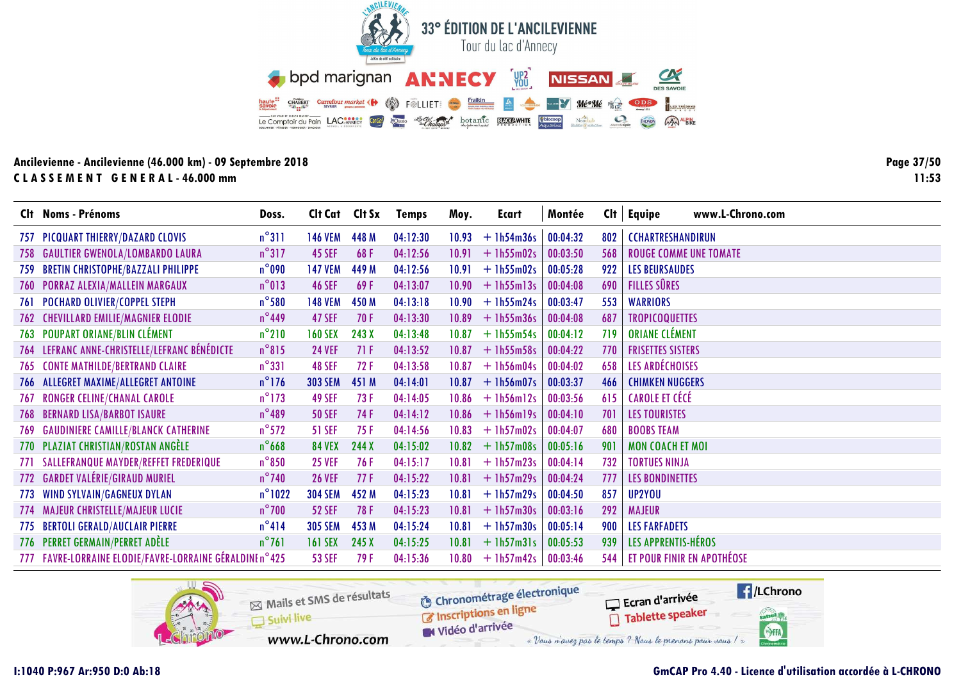![](_page_36_Picture_0.jpeg)

Page 37/50  $11:53$ 

|       | Clt Noms - Prénoms                                       | Doss.            | Cit Cat Cit Sx |       | <b>Temps</b> | Moy.  | Ecart        | Montée   |     | $Clt$ Equipe<br>www.L-Chrono.com  |
|-------|----------------------------------------------------------|------------------|----------------|-------|--------------|-------|--------------|----------|-----|-----------------------------------|
|       | 757 PICQUART THIERRY/DAZARD CLOVIS                       | $n^{\circ}311$   | <b>146 VEM</b> | 448 M | 04:12:30     | 10.93 | $+ 1h54m36s$ | 00:04:32 | 802 | <b>CCHARTRESHANDIRUN</b>          |
|       | 758 GAULTIER GWENOLA/LOMBARDO LAURA                      | $n^{\circ}317$   | <b>45 SEF</b>  | 68F   | 04:12:56     | 10.91 | $+1h55m02s$  | 00:03:50 | 568 | <b>ROUGE COMME UNE TOMATE</b>     |
| 759.  | <b>BRETIN CHRISTOPHE/BAZZALI PHILIPPE</b>                | $n^{\circ}$ 090  | <b>147 VEM</b> | 449 M | 04:12:56     | 10.91 | $+$ 1h55m02s | 00:05:28 | 922 | <b>LES BEURSAUDES</b>             |
| 760 - | <b>PORRAZ ALEXIA/MALLEIN MARGAUX</b>                     | $n^{\circ}013$   | <b>46 SEF</b>  | 69F   | 04:13:07     | 10.90 | $+$ 1h55m13s | 00:04:08 | 690 | <b>FILLES SÛRES</b>               |
| 761   | <b>POCHARD OLIVIER/COPPEL STEPH</b>                      | $n^{\circ}$ 580  | <b>148 VEM</b> | 450 M | 04:13:18     | 10.90 | $+1h55m24s$  | 00:03:47 | 553 | <b>WARRIORS</b>                   |
| 762   | <b>CHEVILLARD EMILIE/MAGNIER ELODIE</b>                  | $n^{\circ}$ 449  | 47 SEF         | 70F   | 04:13:30     | 10.89 | $+$ 1h55m36s | 00:04:08 | 687 | <b>TROPICOQUETTES</b>             |
|       | 763 POUPART ORIANE/BLIN CLÉMENT                          | $n^{\circ}210$   | <b>160 SEX</b> | 243 X | 04:13:48     | 10.87 | $+1h55m54s$  | 00:04:12 | 719 | <b>ORIANE CLÉMENT</b>             |
|       | 764 LEFRANC ANNE-CHRISTELLE/LEFRANC BÉNÉDICTE            | $n^{\circ}815$   | <b>24 VEF</b>  | 71F   | 04:13:52     | 10.87 | $+$ 1h55m58s | 00:04:22 | 770 | <b>FRISETTES SISTERS</b>          |
|       | 765 CONTE MATHILDE/BERTRAND CLAIRE                       | $n^{\circ}331$   | <b>48 SEF</b>  | 72F   | 04:13:58     | 10.87 | $+$ 1h56m04s | 00:04:02 | 658 | <b>LES ARDÉCHOISES</b>            |
|       | 766 ALLEGRET MAXIME/ALLEGRET ANTOINE                     | $n^{\circ}$ 176  | <b>303 SEM</b> | 451 M | 04:14:01     | 10.87 | $+$ 1h56m07s | 00:03:37 | 466 | <b>CHIMKEN NUGGERS</b>            |
| 767   | <b>RONGER CELINE/CHANAL CAROLE</b>                       | $n^{\circ}$ 173  | <b>49 SEF</b>  | 73F   | 04:14:05     | 10.86 | $+$ 1h56m12s | 00:03:56 | 615 | CAROLE ET CÉCÉ                    |
|       | <b>768 BERNARD LISA/BARBOT ISAURE</b>                    | $n^{\circ}489$   | <b>50 SEF</b>  | 74 F  | 04:14:12     | 10.86 | $+$ 1h56m19s | 00:04:10 | 701 | <b>LES TOURISTES</b>              |
| 769.  | <b>GAUDINIERE CAMILLE/BLANCK CATHERINE</b>               | $n^{\circ}572$   | <b>51 SEF</b>  | 75 F  | 04:14:56     | 10.83 | $+$ 1h57m02s | 00:04:07 | 680 | <b>BOOBS TEAM</b>                 |
|       | 770 PLAZIAT CHRISTIAN/ROSTAN ANGÈLE                      | $n^{\circ}$ 668  | <b>84 VEX</b>  | 244 X | 04:15:02     | 10.82 | $+1h57m08s$  | 00:05:16 | 901 | <b>MON COACH ET MOI</b>           |
|       | 771 SALLEFRANQUE MAYDER/REFFET FREDERIQUE                | $n^{\circ}850$   | <b>25 VEF</b>  | 76 F  | 04:15:17     | 10.81 | $+1h57m23s$  | 00:04:14 | 732 | <b>TORTUES NINJA</b>              |
|       | 772 GARDET VALÉRIE/GIRAUD MURIEL                         | $n^{\circ}$ 740  | <b>26 VEF</b>  | 77F   | 04:15:22     | 10.81 | $+$ 1h57m29s | 00:04:24 | 777 | <b>LES BONDINETTES</b>            |
|       | 773 WIND SYLVAIN/GAGNEUX DYLAN                           | $n^{\circ}$ 1022 | <b>304 SEM</b> | 452 M | 04:15:23     | 10.81 | $+ 1h57m29s$ | 00:04:50 | 857 | UP2YOU                            |
|       | 774 MAJEUR CHRISTELLE/MAJEUR LUCIE                       | $n^{\circ}$ 700  | <b>52 SEF</b>  | 78F   | 04:15:23     | 10.81 | $+$ 1h57m30s | 00:03:16 | 292 | <b>MAJEUR</b>                     |
| 775   | <b>BERTOLI GERALD/AUCLAIR PIERRE</b>                     | $n^{\circ}414$   | <b>305 SEM</b> | 453 M | 04:15:24     | 10.81 | $+$ 1h57m30s | 00:05:14 | 900 | <b>LES FARFADETS</b>              |
|       | 776 PERRET GERMAIN/PERRET ADÈLE                          | $n^{\circ}761$   | <b>161 SEX</b> | 245 X | 04:15:25     | 10.81 | $+$ 1h57m31s | 00:05:53 | 939 | LES APPRENTIS-HÉROS               |
|       | 777 FAVRE-LORRAINE ELODIE/FAVRE-LORRAINE GÉRALDINE n°425 |                  | <b>53 SEF</b>  | 79 F  | 04:15:36     | 10.80 | $+1h57m42s$  | 00:03:46 | 544 | <b>ET POUR FINIR EN APOTHÉOSE</b> |

![](_page_36_Picture_4.jpeg)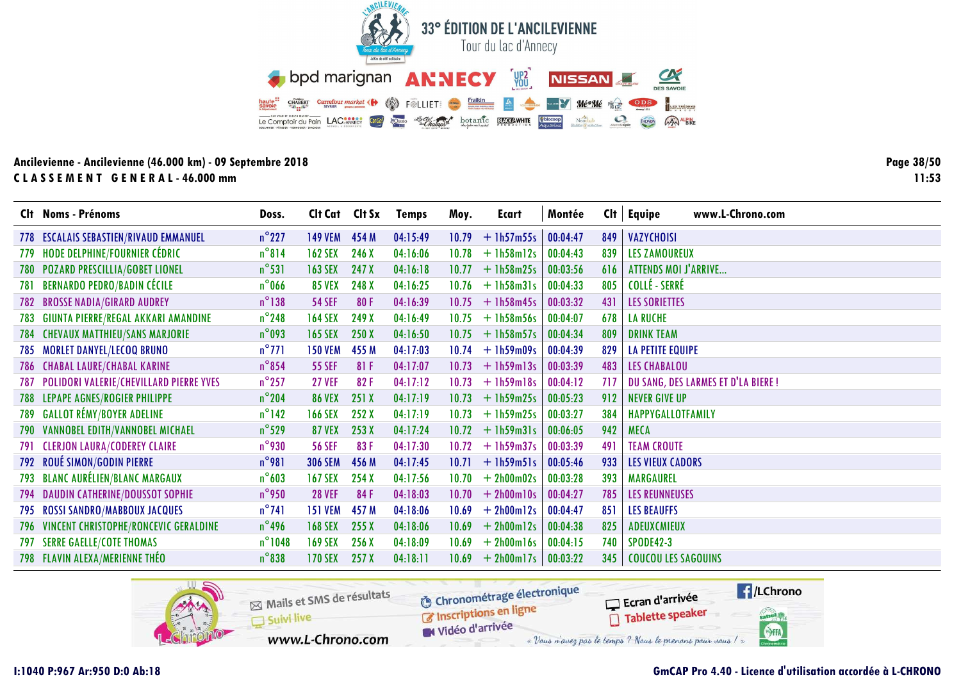![](_page_37_Picture_0.jpeg)

Page 38/50  $11:53$ 

|     | Clt Noms - Prénoms                          | Doss.            | Cit Cat Cit Sx |       | Temps    | Moy.  | Ecart        | Montée   | Cl <sub>t</sub> | www.L-Chrono.com<br><b>Equipe</b>   |
|-----|---------------------------------------------|------------------|----------------|-------|----------|-------|--------------|----------|-----------------|-------------------------------------|
|     | 778 ESCALAIS SEBASTIEN/RIVAUD EMMANUEL      | $n^{\circ}$ 227  | <b>149 VEM</b> | 454 M | 04:15:49 | 10.79 | $+$ 1h57m55s | 00:04:47 | 849             | <b>VAZYCHOISI</b>                   |
| 779 | HODE DELPHINE/FOURNIER CÉDRIC               | $n^{\circ}814$   | <b>162 SEX</b> | 246 X | 04:16:06 | 10.78 | $+1h58m12s$  | 00:04:43 | 839             | <b>LES ZAMOUREUX</b>                |
|     | 780 POZARD PRESCILLIA/GOBET LIONEL          | $n^{\circ}531$   | <b>163 SEX</b> | 247 X | 04:16:18 | 10.77 | $+1h58m25s$  | 00:03:56 | 616             | <b>ATTENDS MOI J'ARRIVE</b>         |
| 781 | <b>BERNARDO PEDRO/BADIN CÉCILE</b>          | $n^{\circ}$ 066  | <b>85 VEX</b>  | 248 X | 04:16:25 | 10.76 | $+$ 1h58m31s | 00:04:33 | 805             | COLLÉ - SERRÉ                       |
|     | <b>782 BROSSE NADIA/GIRARD AUDREY</b>       | $n^{\circ}$ 138  | <b>54 SEF</b>  | 80F   | 04:16:39 | 10.75 | $+1h58m45s$  | 00:03:32 | 431             | <b>LES SORIETTES</b>                |
| 783 | GIUNTA PIERRE/REGAL AKKARI AMANDINE         | $n^{\circ}$ 248  | <b>164 SEX</b> | 249 X | 04:16:49 | 10.75 | $+1h58m56s$  | 00:04:07 | 678             | <b>LA RUCHE</b>                     |
| 784 | <b>CHEVAUX MATTHIEU/SANS MARJORIE</b>       | $n^{\circ}$ 093  | <b>165 SEX</b> | 250 X | 04:16:50 | 10.75 | $+$ 1h58m57s | 00:04:34 | 809             | <b>DRINK TEAM</b>                   |
|     | 785 MORLET DANYEL/LECOQ BRUNO               | $n^{\circ}$ 771  | <b>150 VEM</b> | 455 M | 04:17:03 | 10.74 | $+1h59m09s$  | 00:04:39 | 829             | <b>LA PETITE EQUIPE</b>             |
|     | 786 CHABAL LAURE/CHABAL KARINE              | $n^{\circ}$ 854  | <b>55 SEF</b>  | 81F   | 04:17:07 | 10.73 | $+$ 1h59m13s | 00:03:39 | 483             | <b>LES CHABALOU</b>                 |
|     | 787 POLIDORI VALERIE/CHEVILLARD PIERRE YVES | $n^{\circ}$ 257  | <b>27 VEF</b>  | 82F   | 04:17:12 | 10.73 | $+1h59m18s$  | 00:04:12 | 717             | DU SANG, DES LARMES ET D'LA BIERE ! |
|     | 788 LEPAPE AGNES/ROGIER PHILIPPE            | $n^{\circ}$ 204  | <b>86 VEX</b>  | 251 X | 04:17:19 | 10.73 | $+1h59m25s$  | 00:05:23 | 912             | <b>NEVER GIVE UP</b>                |
|     | 789 GALLOT RÉMY/BOYER ADELINE               | $n^{\circ}$ 142  | <b>166 SEX</b> | 252 X | 04:17:19 | 10.73 | $+1h59m25s$  | 00:03:27 | 384             | HAPPYGALLOTFAMILY                   |
|     | 790 VANNOBEL EDITH/VANNOBEL MICHAEL         | $n^{\circ}$ 529  | <b>87 VEX</b>  | 253X  | 04:17:24 | 10.72 | $+$ 1h59m31s | 00:06:05 | 942             | <b>MECA</b>                         |
|     | 791 CLERJON LAURA/CODEREY CLAIRE            | $n^{\circ}$ 930  | <b>56 SEF</b>  | 83F   | 04:17:30 | 10.72 | $+1h59m37s$  | 00:03:39 | 491             | <b>TEAM CROUTE</b>                  |
|     | 792 ROUÉ SIMON/GODIN PIERRE                 | $n^{\circ}$ 981  | <b>306 SEM</b> | 456 M | 04:17:45 | 10.71 | $+$ 1h59m51s | 00:05:46 | 933             | <b>LES VIEUX CADORS</b>             |
|     | 793 BLANC AURÉLIEN/BLANC MARGAUX            | $n^{\circ}603$   | <b>167 SEX</b> | 254X  | 04:17:56 | 10.70 | $+ 2h00m02s$ | 00:03:28 | 393             | <b>MARGAUREL</b>                    |
|     | 794 DAUDIN CATHERINE/DOUSSOT SOPHIE         | $n^{\circ}$ 950  | <b>28 VEF</b>  | 84F   | 04:18:03 | 10.70 | $+ 2h00m10s$ | 00:04:27 | 785             | <b>LES REUNNEUSES</b>               |
|     | 795 ROSSI SANDRO/MABBOUX JACQUES            | $n^{\circ}741$   | <b>151 VEM</b> | 457 M | 04:18:06 | 10.69 | $+ 2h00m12s$ | 00:04:47 | 851             | <b>LES BEAUFFS</b>                  |
|     | 796 VINCENT CHRISTOPHE/RONCEVIC GERALDINE   | $n^{\circ}$ 496  | <b>168 SEX</b> | 255X  | 04:18:06 | 10.69 | $+ 2h00m12s$ | 00:04:38 | 825             | ADEUXCMIEUX                         |
|     | <b>797 SERRE GAELLE/COTE THOMAS</b>         | $n^{\circ}$ 1048 | <b>169 SEX</b> | 256X  | 04:18:09 | 10.69 | $+ 2h00ml6s$ | 00:04:15 | 740             | <b>SPODE42-3</b>                    |
|     | 798 FLAVIN ALEXA/MERIENNE THÉO              | $n^{\circ}$ 838  | <b>170 SEX</b> | 257X  | 04:18:11 | 10.69 | $+ 2h00m17s$ | 00:03:22 | 345             | <b>COUCOU LES SAGOUINS</b>          |
|     |                                             |                  |                |       |          |       |              |          |                 |                                     |

![](_page_37_Picture_4.jpeg)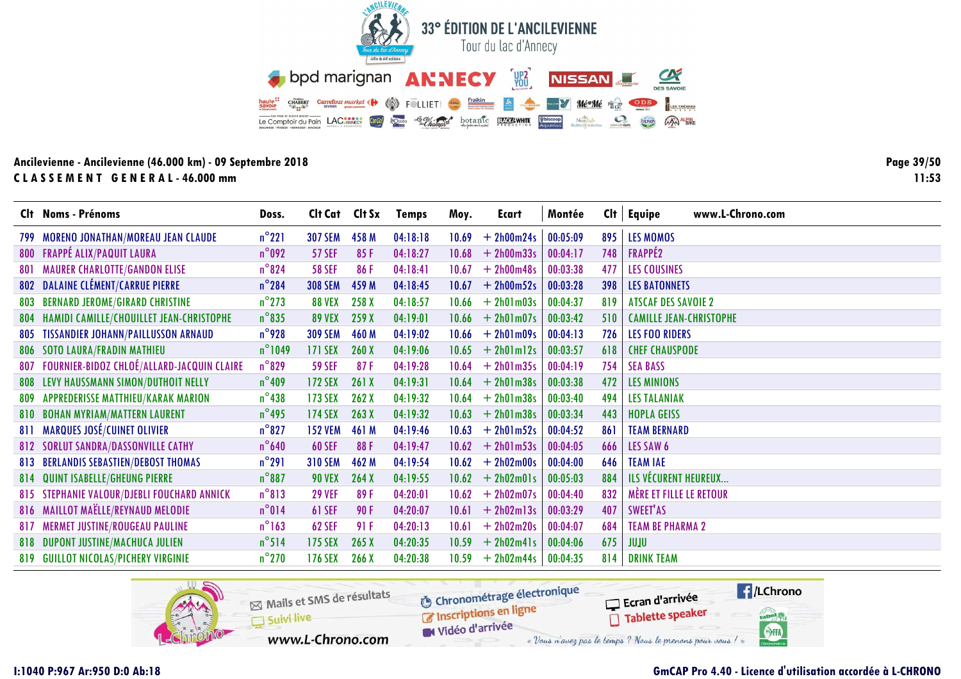![](_page_38_Picture_0.jpeg)

Page 39/50  $11:53$ 

|     | Clt Noms - Prénoms                            | Doss.            | Cit Cat Cit Sx |       | <b>Temps</b> | Moy.  | Ecart        | Montée   | Cl <sub>t</sub> | www.L-Chrono.com<br>Equipe     |
|-----|-----------------------------------------------|------------------|----------------|-------|--------------|-------|--------------|----------|-----------------|--------------------------------|
|     | 799 MORENO JONATHAN/MOREAU JEAN CLAUDE        | $n^{\circ}221$   | <b>307 SEM</b> | 458 M | 04:18:18     | 10.69 | $+ 2h00m24s$ | 00:05:09 | 895             | LES MOMOS                      |
|     | <b>800 FRAPPÉ ALIX/PAQUIT LAURA</b>           | $n^{\circ}$ 092  | <b>57 SEF</b>  | 85F   | 04:18:27     | 10.68 | $+ 2h00m33s$ | 00:04:17 | 748             | <b>FRAPPÉ2</b>                 |
| 801 | <b>MAURER CHARLOTTE/GANDON ELISE</b>          | $n^{\circ}824$   | <b>58 SEF</b>  | 86F   | 04:18:41     | 10.67 | $+ 2h00m48s$ | 00:03:38 | 477             | <b>LES COUSINES</b>            |
|     | 802 DALAINE CLÉMENT/CARRUE PIERRE             | $n^{\circ}$ 284  | <b>308 SEM</b> | 459 M | 04:18:45     | 10.67 | $+ 2h00m52s$ | 00:03:28 | 398             | <b>LES BATONNETS</b>           |
| 803 | <b>BERNARD JEROME/GIRARD CHRISTINE</b>        | $n^{\circ}$ 273  | <b>88 VEX</b>  | 258 X | 04:18:57     | 10.66 | $+ 2h01m03s$ | 00:04:37 | 819             | <b>ATSCAF DES SAVOIE 2</b>     |
| 804 | HAMIDI CAMILLE/CHOUILLET JEAN-CHRISTOPHE      | $n^{\circ}$ 835  | <b>89 VEX</b>  | 259 X | 04:19:01     | 10.66 | $+ 2h01m07s$ | 00:03:42 | 510             | <b>CAMILLE JEAN-CHRISTOPHE</b> |
|     | 805 TISSANDIER JOHANN/PAILLUSSON ARNAUD       | $n^{\circ}$ 928  | <b>309 SEM</b> | 460 M | 04:19:02     | 10.66 | $+ 2h01m09s$ | 00:04:13 | 726             | <b>LES FOO RIDERS</b>          |
|     | 806 SOTO LAURA/FRADIN MATHIEU                 | $n^{\circ}$ 1049 | <b>171 SEX</b> | 260X  | 04:19:06     | 10.65 | $+ 2h01m12s$ | 00:03:57 | 618             | <b>CHEF CHAUSPODE</b>          |
| 807 | FOURNIER-BIDOZ CHLOÉ/ALLARD-JACQUIN CLAIRE    | $n^{\circ}829$   | <b>59 SEF</b>  | 87F   | 04:19:28     | 10.64 | $+ 2h01m35s$ | 00:04:19 | 754             | <b>SEA BASS</b>                |
|     | <b>808 LEVY HAUSSMANN SIMON/DUTHOIT NELLY</b> | $n^{\circ}$ 409  | <b>172 SEX</b> | 261X  | 04:19:31     | 10.64 | $+ 2h01m38s$ | 00:03:38 | 472             | <b>LES MINIONS</b>             |
| 809 | <b>APPREDERISSE MATTHIEU/KARAK MARION</b>     | $n^{\circ}$ 438  | <b>173 SEX</b> | 262X  | 04:19:32     | 10.64 | $+ 2h01m38s$ | 00:03:40 | 494             | <b>LES TALANIAK</b>            |
|     | 810 BOHAN MYRIAM/MATTERN LAURENT              | $n^{\circ}$ 495  | <b>174 SEX</b> | 263X  | 04:19:32     | 10.63 | $+ 2h01m38s$ | 00:03:34 | 443             | <b>HOPLA GEISS</b>             |
|     | 811 MARQUES JOSÉ/CUINET OLIVIER               | $n^{\circ}827$   | <b>152 VEM</b> | 461 M | 04:19:46     | 10.63 | $+ 2h01m52s$ | 00:04:52 | 861             | <b>TEAM BERNARD</b>            |
|     | <b>812 SORLUT SANDRA/DASSONVILLE CATHY</b>    | $n^{\circ}$ 640  | <b>60 SEF</b>  | 88F   | 04:19:47     | 10.62 | $+ 2h01m53s$ | 00:04:05 | 666             | LES SAW 6                      |
|     | <b>813 BERLANDIS SEBASTIEN/DEBOST THOMAS</b>  | $n^{\circ}291$   | <b>310 SEM</b> | 462 M | 04:19:54     | 10.62 | $+ 2h02m00s$ | 00:04:00 | 646             | <b>TEAM IAE</b>                |
| 814 | <b>QUINT ISABELLE/GHEUNG PIERRE</b>           | $n^{\circ}887$   | <b>90 VEX</b>  | 264X  | 04:19:55     | 10.62 | $+ 2h02m01s$ | 00:05:03 | 884             | ILS VÉCURENT HEUREUX           |
|     | 815 STEPHANIE VALOUR/DJEBLI FOUCHARD ANNICK   | $n^{\circ}813$   | <b>29 VEF</b>  | 89F   | 04:20:01     | 10.62 | $+ 2h02m07s$ | 00:04:40 | 832             | MÈRE ET FILLE LE RETOUR        |
|     | 816 MAILLOT MAËLLE/REYNAUD MELODIE            | $n^{\circ}014$   | <b>61 SEF</b>  | 90F   | 04:20:07     | 10.61 | $+ 2h02m13s$ | 00:03:29 | 407             | SWEET'AS                       |
| 817 | <b>MERMET JUSTINE/ROUGEAU PAULINE</b>         | $n^{\circ}163$   | <b>62 SEF</b>  | 91 F  | 04:20:13     | 10.61 | $+ 2h02m20s$ | 00:04:07 | 684             | <b>TEAM BE PHARMA 2</b>        |
|     | 818 DUPONT JUSTINE/MACHUCA JULIEN             | $n^{\circ}$ 514  | 175 SEX        | 265X  | 04:20:35     | 10.59 | $+ 2h02m41s$ | 00:04:06 | 675             | ULUL                           |
|     | 819 GUILLOT NICOLAS/PICHERY VIRGINIE          | $n^{\circ}$ 270  | <b>176 SEX</b> | 266X  | 04:20:38     | 10.59 | $+ 2h02m44s$ | 00:04:35 | 814             | <b>DRINK TEAM</b>              |

![](_page_38_Picture_4.jpeg)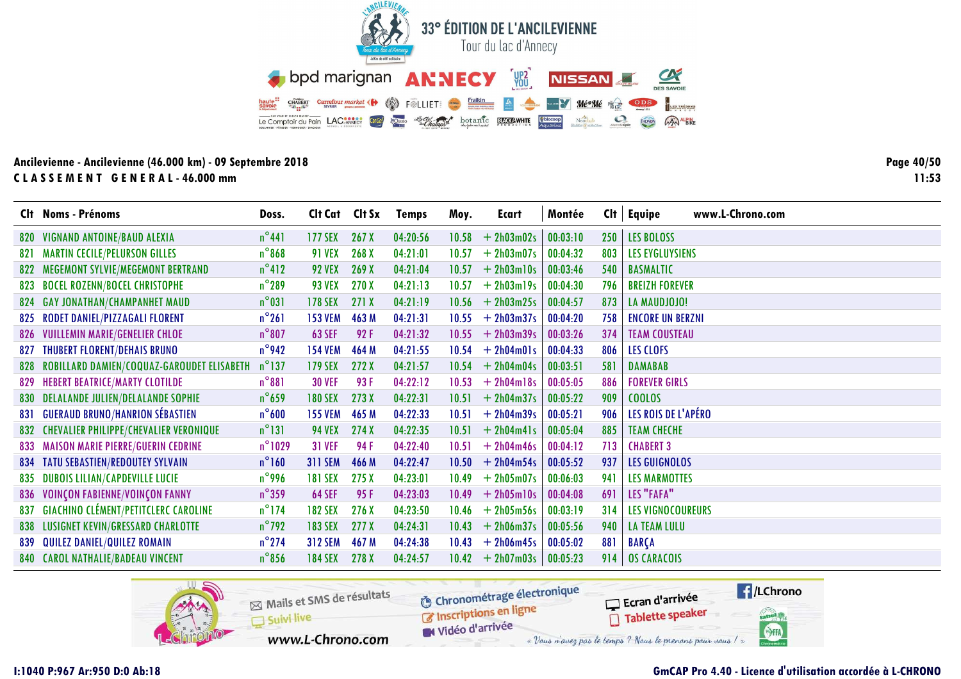![](_page_39_Picture_0.jpeg)

Page 40/50  $11:53$ 

|     | Clt Noms - Prénoms                            | Doss.            | Clt Cat Clt Sx |       | <b>Temps</b> | Moy.  | Ecart              | Montée   | Cl <sub>t</sub> | www.L-Chrono.com<br><b>Equipe</b> |
|-----|-----------------------------------------------|------------------|----------------|-------|--------------|-------|--------------------|----------|-----------------|-----------------------------------|
| 820 | VIGNAND ANTOINE/BAUD ALEXIA                   | $n^{\circ}441$   | 177 SEX        | 267X  | 04:20:56     | 10.58 | $+ 2h03m02s$       | 00:03:10 | 250             | <b>LES BOLOSS</b>                 |
| 821 | <b>MARTIN CECILE/PELURSON GILLES</b>          | $n^{\circ}868$   | <b>91 VEX</b>  | 268 X | 04:21:01     | 10.57 | $+ 2h03m07s$       | 00:04:32 | 803             | <b>LES EYGLUYSIENS</b>            |
| 822 | MEGEMONT SYLVIE/MEGEMONT BERTRAND             | $n^{\circ}412$   | <b>92 VEX</b>  | 269X  | 04:21:04     | 10.57 | $+ 2h03m10s$       | 00:03:46 | 540             | <b>BASMALTIC</b>                  |
| 823 | <b>BOCEL ROZENN/BOCEL CHRISTOPHE</b>          | $n^{\circ}$ 289  | <b>93 VEX</b>  | 270 X | 04:21:13     | 10.57 | $+ 2h03m19s$       | 00:04:30 | 796             | <b>BREIZH FOREVER</b>             |
|     | 824 GAY JONATHAN/CHAMPANHET MAUD              | $n^{\circ}031$   | 178 SEX        | 271X  | 04:21:19     |       | $10.56 + 2h03m25s$ | 00:04:57 | 873             | LA MAUDJOJO!                      |
| 825 | <b>RODET DANIEL/PIZZAGALI FLORENT</b>         | $n^{\circ}261$   | <b>153 VEM</b> | 463 M | 04:21:31     | 10.55 | $+ 2h03m37s$       | 00:04:20 | 758             | <b>ENCORE UN BERZNI</b>           |
|     | 826 VUILLEMIN MARIE/GENELIER CHLOE            | $n^{\circ}807$   | <b>63 SEF</b>  | 92F   | 04:21:32     | 10.55 | $+ 2h03m39s$       | 00:03:26 | 374             | <b>TEAM COUSTEAU</b>              |
| 827 | <b>THUBERT FLORENT/DEHAIS BRUNO</b>           | $n^{\circ}$ 942  | <b>154 VEM</b> | 464 M | 04:21:55     | 10.54 | $+ 2h04m01s$       | 00:04:33 | 806             | LES CLOFS                         |
| 828 | ROBILLARD DAMIEN/COQUAZ-GAROUDET ELISABETH    | $n^{\circ}$ 137  | <b>179 SEX</b> | 272 X | 04:21:57     | 10.54 | $+ 2h04m04s$       | 00:03:51 | 581             | <b>DAMABAB</b>                    |
|     | 829 HEBERT BEATRICE/MARTY CLOTILDE            | $n^{\circ}881$   | <b>30 VEF</b>  | 93 F  | 04:22:12     | 10.53 | $+ 2h04m18s$       | 00:05:05 | 886             | <b>FOREVER GIRLS</b>              |
|     | 830 DELALANDE JULIEN/DELALANDE SOPHIE         | $n^{\circ}$ 659  | <b>180 SEX</b> | 273X  | 04:22:31     | 10.51 | $+ 2h04m37s$       | 00:05:22 | 909             | <b>COOLOS</b>                     |
| 831 | <b>GUERAUD BRUNO/HANRION SÉBASTIEN</b>        | $n^{\circ}600$   | <b>155 VEM</b> | 465 M | 04:22:33     | 10.51 | $+ 2h04m39s$       | 00:05:21 | 906             | LES ROIS DE L'APÉRO               |
| 832 | <b>CHEVALIER PHILIPPE/CHEVALIER VERONIQUE</b> | $n^{\circ}131$   | <b>94 VEX</b>  | 274X  | 04:22:35     | 10.51 | $+ 2h04m41s$       | 00:05:04 | 885             | <b>TEAM CHECHE</b>                |
|     | 833 MAISON MARIE PIERRE/GUERIN CEDRINE        | $n^{\circ}$ 1029 | <b>31 VEF</b>  | 94 F  | 04:22:40     | 10.51 | $+ 2h04m46s$       | 00:04:12 | 713             | <b>CHABERT 3</b>                  |
|     | <b>834 TATU SEBASTIEN/REDOUTEY SYLVAIN</b>    | $n^{\circ}$ 160  | <b>311 SEM</b> | 466 M | 04:22:47     | 10.50 | $+ 2h04m54s$       | 00:05:52 | 937             | <b>LES GUIGNOLOS</b>              |
| 835 | <b>DUBOIS LILIAN/CAPDEVILLE LUCIE</b>         | $n^{\circ}$ 996  | <b>181 SEX</b> | 275 X | 04:23:01     | 10.49 | $+ 2h05m07s$       | 00:06:03 | 941             | <b>LES MARMOTTES</b>              |
|     | 836 VOINÇON FABIENNE/VOINÇON FANNY            | $n^{\circ}$ 359  | <b>64 SEF</b>  | 95F   | 04:23:03     | 10.49 | $+ 2h05m10s$       | 00:04:08 | 691             | LES "FAFA"                        |
| 837 | <b>GIACHINO CLÉMENT/PETITCLERC CAROLINE</b>   | $n^{\circ}$ 174  | <b>182 SEX</b> | 276X  | 04:23:50     | 10.46 | $+ 2h05m56s$       | 00:03:19 | 314             | <b>LES VIGNOCOUREURS</b>          |
| 838 | LUSIGNET KEVIN/GRESSARD CHARLOTTE             | $n^{\circ}$ 792  | <b>183 SEX</b> | 277X  | 04:24:31     | 10.43 | $+ 2h06m37s$       | 00:05:56 | 940             | <b>LA TEAM LULU</b>               |
| 839 | QUILEZ DANIEL/QUILEZ ROMAIN                   | $n^{\circ}$ 274  | <b>312 SEM</b> | 467 M | 04:24:38     | 10.43 | $+ 2h06m45s$       | 00:05:02 | 881             | BARÇA                             |
|     | 840 CAROL NATHALIE/BADEAU VINCENT             | $n^{\circ}$ 856  | <b>184 SEX</b> | 278 X | 04:24:57     | 10.42 | $+ 2h07m03s$       | 00:05:23 | 914             | <b>OS CARACOIS</b>                |

![](_page_39_Picture_4.jpeg)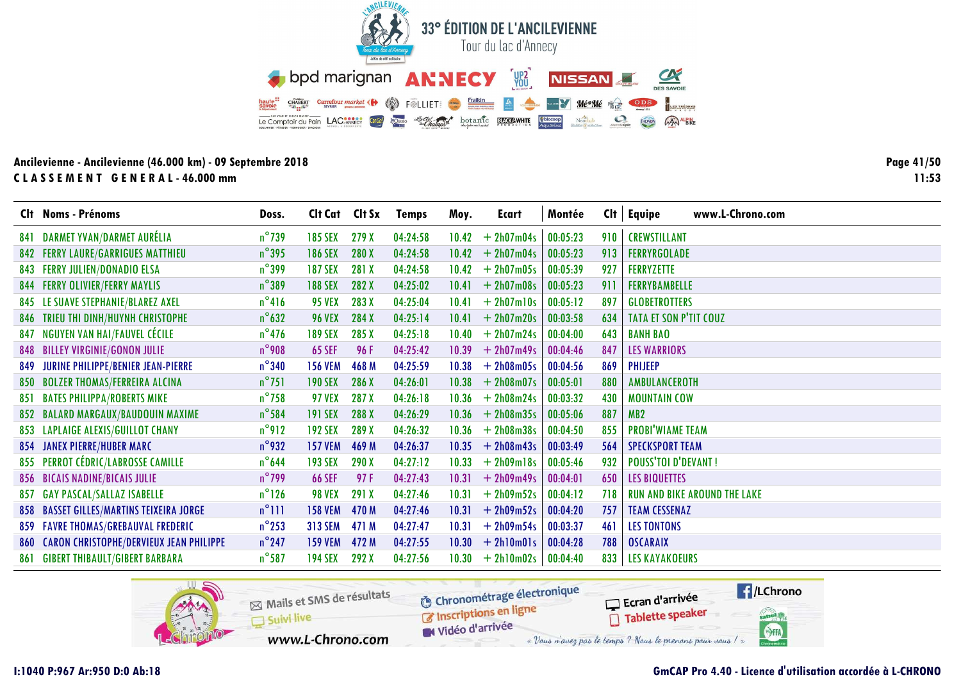![](_page_40_Picture_0.jpeg)

Page 41/50  $11:53$ 

|      | Clt Noms - Prénoms                          | Doss.           | Clt Cat Clt Sx |       | <b>Temps</b> | Moy.  | Ecart        | Montée   |     | $Clt$ Equipe<br>www.L-Chrono.com    |
|------|---------------------------------------------|-----------------|----------------|-------|--------------|-------|--------------|----------|-----|-------------------------------------|
| 84 1 | <b>DARMET YVAN/DARMET AURÉLIA</b>           | $n^{\circ}$ 739 | <b>185 SEX</b> | 279 X | 04:24:58     | 10.42 | $+ 2h07m04s$ | 00:05:23 | 910 | <b>CREWSTILLANT</b>                 |
|      | <b>842 FERRY LAURE/GARRIGUES MATTHIEU</b>   | $n^{\circ}395$  | <b>186 SEX</b> | 280X  | 04:24:58     | 10.42 | $+ 2h07m04s$ | 00:05:23 | 913 | <b>FERRYRGOLADE</b>                 |
|      | 843 FERRY JULIEN/DONADIO ELSA               | $n^{\circ}$ 399 | <b>187 SEX</b> | 281 X | 04:24:58     | 10.42 | $+ 2h07m05s$ | 00:05:39 | 927 | <b>FERRYZETTE</b>                   |
|      | <b>844 FERRY OLIVIER/FERRY MAYLIS</b>       | $n^{\circ}389$  | <b>188 SEX</b> | 282 X | 04:25:02     | 10.41 | $+ 2h07m08s$ | 00:05:23 | 911 | <b>FERRYBAMBELLE</b>                |
|      | 845 LE SUAVE STEPHANIE/BLAREZ AXEL          | $n^{\circ}416$  | <b>95 VEX</b>  | 283 X | 04:25:04     | 10.41 | $+ 2h07m10s$ | 00:05:12 | 897 | <b>GLOBETROTTERS</b>                |
| 846  | TRIEU THI DINH/HUYNH CHRISTOPHE             | $n^{\circ}$ 632 | <b>96 VEX</b>  | 284 X | 04:25:14     | 10.41 | $+ 2h07m20s$ | 00:03:58 | 634 | <b>TATA ET SON P'TIT COUZ</b>       |
| 847  | <b>NGUYEN VAN HAI/FAUVEL CÉCILE</b>         | $n^{\circ}$ 476 | <b>189 SEX</b> | 285 X | 04:25:18     | 10.40 | $+ 2h07m24s$ | 00:04:00 | 643 | <b>BANH BAO</b>                     |
|      | <b>848 BILLEY VIRGINIE/GONON JULIE</b>      | $n^{\circ}$ 908 | <b>65 SEF</b>  | 96 F  | 04:25:42     | 10.39 | $+ 2h07m49s$ | 00:04:46 | 847 | <b>LES WARRIORS</b>                 |
| 849  | <b>JURINE PHILIPPE/BENIER JEAN-PIERRE</b>   | $n^{\circ}340$  | <b>156 VEM</b> | 468 M | 04:25:59     | 10.38 | $+ 2h08m05s$ | 00:04:56 | 869 | PHIJEEP                             |
|      | 850 BOLZER THOMAS/FERREIRA ALCINA           | $n^{\circ}$ 751 | <b>190 SEX</b> | 286 X | 04:26:01     | 10.38 | $+ 2h08m07s$ | 00:05:01 | 880 | AMBULANCEROTH                       |
| 851  | <b>BATES PHILIPPA/ROBERTS MIKE</b>          | $n^{\circ}$ 758 | <b>97 VEX</b>  | 287 X | 04:26:18     | 10.36 | $+ 2h08m24s$ | 00:03:32 | 430 | <b>MOUNTAIN COW</b>                 |
|      | 852 BALARD MARGAUX/BAUDOUIN MAXIME          | $n^{\circ}$ 584 | <b>191 SEX</b> | 288 X | 04:26:29     | 10.36 | $+ 2h08m35s$ | 00:05:06 | 887 | MB <sub>2</sub>                     |
|      | 853 LAPLAIGE ALEXIS/GUILLOT CHANY           | $n^{\circ}912$  | <b>192 SEX</b> | 289 X | 04:26:32     | 10.36 | $+ 2h08m38s$ | 00:04:50 | 855 | <b>PROBI'WIAME TEAM</b>             |
|      | <b>854 JANEX PIERRE/HUBER MARC</b>          | $n^{\circ}$ 932 | <b>157 VEM</b> | 469 M | 04:26:37     | 10.35 | $+ 2h08m43s$ | 00:03:49 | 564 | <b>SPECKSPORT TEAM</b>              |
|      | 855 PERROT CÉDRIC/LABROSSE CAMILLE          | $n^{\circ}$ 644 | <b>193 SEX</b> | 290 X | 04:27:12     | 10.33 | $+ 2h09m18s$ | 00:05:46 | 932 | <b>POUSS'TOI D'DEVANT!</b>          |
|      | <b>856 BICAIS NADINE/BICAIS JULIE</b>       | $n^{\circ}$ 799 | <b>66 SEF</b>  | 97F   | 04:27:43     | 10.31 | $+ 2h09m49s$ | 00:04:01 | 650 | <b>LES BIQUETTES</b>                |
|      | 857 GAY PASCAL/SALLAZ ISABELLE              | $n^{\circ}$ 126 | <b>98 VEX</b>  | 291 X | 04:27:46     | 10.31 | $+ 2h09m52s$ | 00:04:12 | 718 | <b>RUN AND BIKE AROUND THE LAKE</b> |
|      | 858 BASSET GILLES/MARTINS TEIXEIRA JORGE    | $n^{\circ}$ 111 | <b>158 VEM</b> | 470 M | 04:27:46     | 10.31 | $+ 2h09m52s$ | 00:04:20 | 757 | <b>TEAM CESSENAZ</b>                |
|      | 859 FAVRE THOMAS/GREBAUVAL FREDERIC         | $n^{\circ}$ 253 | <b>313 SEM</b> | 471 M | 04:27:47     | 10.31 | $+ 2h09m54s$ | 00:03:37 | 461 | <b>LES TONTONS</b>                  |
|      | 860 CARON CHRISTOPHE/DERVIEUX JEAN PHILIPPE | $n^{\circ}$ 247 | <b>159 VEM</b> | 472 M | 04:27:55     | 10.30 | $+ 2h10m01s$ | 00:04:28 | 788 | <b>OSCARAIX</b>                     |
| 861  | <b>GIBERT THIBAULT/GIBERT BARBARA</b>       | $n^{\circ}$ 587 | <b>194 SEX</b> | 292 X | 04:27:56     | 10.30 | $+ 2h10m02s$ | 00:04:40 | 833 | <b>LES KAYAKOEURS</b>               |

![](_page_40_Picture_4.jpeg)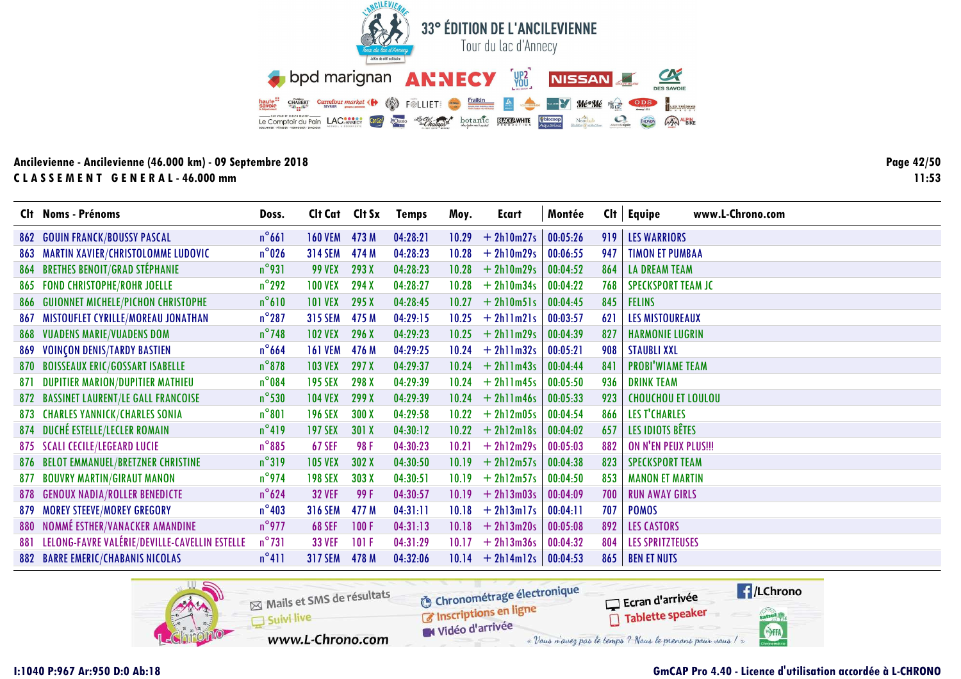![](_page_41_Picture_0.jpeg)

**Page 42/5011:53**

|     | Clt Noms - Prénoms                                | Doss.           | Cit Cat Cit Sx |       | <b>Temps</b> | Moy.  | Ecart        | Montée   | Cl <sub>t</sub> | <b>Equipe</b><br>www.L-Chrono.com |
|-----|---------------------------------------------------|-----------------|----------------|-------|--------------|-------|--------------|----------|-----------------|-----------------------------------|
| 862 | <b>GOUIN FRANCK/BOUSSY PASCAL</b>                 | $n^{\circ}661$  | <b>160 VEM</b> | 473 M | 04:28:21     | 10.29 | $+ 2h10m27s$ | 00:05:26 | 919             | <b>LES WARRIORS</b>               |
| 863 | <b>MARTIN XAVIER/CHRISTOLOMME LUDOVIC</b>         | $n^{\circ}$ 026 | <b>314 SEM</b> | 474 M | 04:28:23     | 10.28 | $+ 2h10m29s$ | 00:06:55 | 947             | <b>TIMON ET PUMBAA</b>            |
| 864 | <b>BRETHES BENOIT/GRAD STÉPHANIE</b>              | $n^{\circ}$ 931 | <b>99 VEX</b>  | 293 X | 04:28:23     | 10.28 | $+ 2h10m29s$ | 00:04:52 | 864             | <b>LA DREAM TEAM</b>              |
|     | 865 FOND CHRISTOPHE/ROHR JOELLE                   | $n^{\circ}$ 292 | <b>100 VEX</b> | 294 X | 04:28:27     | 10.28 | $+ 2h10m34s$ | 00:04:22 | 768             | <b>SPECKSPORT TEAM JC</b>         |
| 866 | <b>GUIONNET MICHELE/PICHON CHRISTOPHE</b>         | $n^{\circ}610$  | <b>101 VEX</b> | 295 X | 04:28:45     | 10.27 | $+ 2h10m51s$ | 00:04:45 | 845             | <b>FELINS</b>                     |
| 867 | MISTOUFLET CYRILLE/MOREAU JONATHAN                | $n^{\circ}287$  | <b>315 SEM</b> | 475 M | 04:29:15     | 10.25 | $+ 2h11m21s$ | 00:03:57 | 621             | <b>LES MISTOUREAUX</b>            |
| 868 | <b>VUADENS MARIE/VUADENS DOM</b>                  | $n^{\circ}$ 748 | <b>102 VEX</b> | 296 X | 04:29:23     | 10.25 | $+ 2h1lm29s$ | 00:04:39 | 827             | <b>HARMONIE LUGRIN</b>            |
| 869 | <b>VOINÇON DENIS/TARDY BASTIEN</b>                | $n^{\circ}$ 664 | <b>161 VEM</b> | 476 M | 04:29:25     | 10.24 | $+ 2h11m32s$ | 00:05:21 | 908             | <b>STAUBLI XXL</b>                |
|     | 870 BOISSEAUX ERIC/GOSSART ISABELLE               | $n^{\circ}$ 878 | <b>103 VEX</b> | 297X  | 04:29:37     | 10.24 | $+ 2h11m43s$ | 00:04:44 | 841             | <b>PROBI'WIAME TEAM</b>           |
| 871 | <b>DUPITIER MARION/DUPITIER MATHIEU</b>           | $n^{\circ}084$  | <b>195 SEX</b> | 298 X | 04:29:39     | 10.24 | $+ 2h1lm45s$ | 00:05:50 | 936             | <b>DRINK TEAM</b>                 |
|     | 872 BASSINET LAURENT/LE GALL FRANCOISE            | $n^{\circ}$ 530 | <b>104 VEX</b> | 299 X | 04:29:39     | 10.24 | $+ 2h1lm46s$ | 00:05:33 | 923             | <b>CHOUCHOU ET LOULOU</b>         |
|     | <b>873 CHARLES YANNICK/CHARLES SONIA</b>          | $n^{\circ}801$  | <b>196 SEX</b> | 300X  | 04:29:58     | 10.22 | $+ 2h12m05s$ | 00:04:54 | 866             | <b>LES T'CHARLES</b>              |
|     | 874 DUCHÉ ESTELLE/LECLER ROMAIN                   | $n^{\circ}419$  | <b>197 SEX</b> | 301 X | 04:30:12     | 10.22 | $+ 2h12m18s$ | 00:04:02 | 657             | LES IDIOTS BÊTES                  |
|     | 875 SCALI CECILE/LEGEARD LUCIE                    | $n^{\circ}885$  | <b>67 SEF</b>  | 98 F  | 04:30:23     | 10.21 | $+ 2h12m29s$ | 00:05:03 | 882             | ON N'EN PEUX PLUS !!!             |
|     | 876 BELOT EMMANUEL/BRETZNER CHRISTINE             | $n^{\circ}319$  | <b>105 VEX</b> | 302 X | 04:30:50     | 10.19 | $+ 2h12m57s$ | 00:04:38 | 823             | <b>SPECKSPORT TEAM</b>            |
| 877 | <b>BOUVRY MARTIN/GIRAUT MANON</b>                 | $n^{\circ}$ 974 | <b>198 SEX</b> | 303 X | 04:30:51     | 10.19 | $+ 2h12m57s$ | 00:04:50 | 853             | <b>MANON ET MARTIN</b>            |
| 878 | <b>GENOUX NADIA/ROLLER BENEDICTE</b>              | $n^{\circ}624$  | <b>32 VEF</b>  | 99 F  | 04:30:57     | 10.19 | $+ 2h13m03s$ | 00:04:09 | 700             | <b>RUN AWAY GIRLS</b>             |
| 879 | <b>MOREY STEEVE/MOREY GREGORY</b>                 | $n^{\circ}$ 403 | <b>316 SEM</b> | 477 M | 04:31:11     | 10.18 | $+ 2h13m17s$ | 00:04:11 | 707             | <b>POMOS</b>                      |
| 880 | NOMMÉ ESTHER/VANACKER AMANDINE                    | $n^{\circ}$ 977 | <b>68 SEF</b>  | 100F  | 04:31:13     | 10.18 | $+ 2h13m20s$ | 00:05:08 | 892             | <b>LES CASTORS</b>                |
|     | 881 LELONG-FAVRE VALÉRIE/DEVILLE-CAVELLIN ESTELLE | $n^{\circ}731$  | <b>33 VEF</b>  | 101F  | 04:31:29     | 10.17 | $+ 2h13m36s$ | 00:04:32 | 804             | <b>LES SPRITZTEUSES</b>           |
|     | <b>882 BARRE EMERIC/CHABANIS NICOLAS</b>          | $n^{\circ}411$  | <b>317 SEM</b> | 478 M | 04:32:06     | 10.14 | $+ 2h14m12s$ | 00:04:53 | 865             | <b>BEN ET NUTS</b>                |

![](_page_41_Picture_4.jpeg)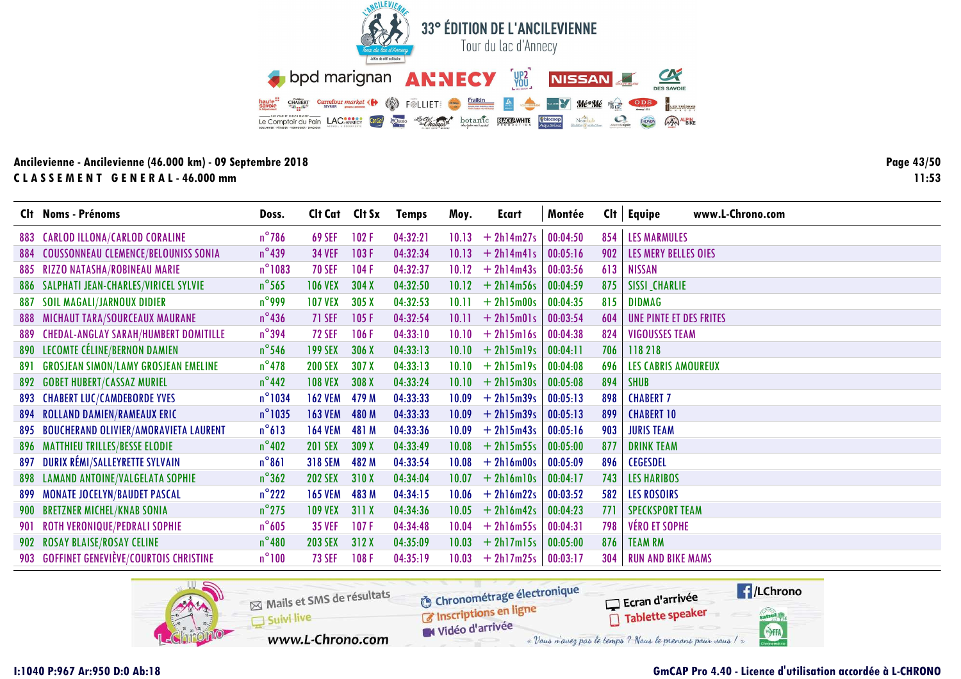![](_page_42_Picture_0.jpeg)

Page 43/50  $11:53$ 

|     | Clt Noms - Prénoms                          | Doss.            | Cit Cat Cit Sx |       | <b>Temps</b> | Moy.  | Ecart              | Montée   |     | www.L-Chrono.com<br>$Clt$ Equipe |
|-----|---------------------------------------------|------------------|----------------|-------|--------------|-------|--------------------|----------|-----|----------------------------------|
|     | 883 CARLOD ILLONA/CARLOD CORALINE           | $n^{\circ}$ 786  | <b>69 SEF</b>  | 102F  | 04:32:21     | 10.13 | $+ 2h14m27s$       | 00:04:50 | 854 | <b>LES MARMULES</b>              |
|     | 884 COUSSONNEAU CLEMENCE/BELOUNISS SONIA    | $n^{\circ}$ 439  | <b>34 VEF</b>  | 103F  | 04:32:34     | 10.13 | $+ 2h14m41s$       | 00:05:16 | 902 | LES MERY BELLES OIES             |
|     | 885 RIZZO NATASHA/ROBINEAU MARIE            | $n^{\circ}$ 1083 | <b>70 SEF</b>  | 104F  | 04:32:37     | 10.12 | $+ 2h14m43s$       | 00:03:56 | 613 | <b>NISSAN</b>                    |
|     | 886 SALPHATI JEAN-CHARLES/VIRICEL SYLVIE    | $n^{\circ}$ 565  | <b>106 VEX</b> | 304X  | 04:32:50     | 10.12 | $+ 2h14m56s$       | 00:04:59 | 875 | <b>SISSI_CHARLIE</b>             |
| 887 | <b>SOIL MAGALI/JARNOUX DIDIER</b>           | $n^{\circ}$ 999  | <b>107 VEX</b> | 305X  | 04:32:53     | 10.11 | $+ 2h15m00s$       | 00:04:35 | 815 | <b>DIDMAG</b>                    |
|     | <b>888 MICHAUT TARA/SOURCEAUX MAURANE</b>   | $n^{\circ}$ 436  | 71 SEF         | 105F  | 04:32:54     | 10.11 | $+ 2h15m01s$       | 00:03:54 | 604 | UNE PINTE ET DES FRITES          |
|     | 889 CHEDAL-ANGLAY SARAH/HUMBERT DOMITILLE   | $n^{\circ}$ 394  | <b>72 SEF</b>  | 106F  | 04:33:10     | 10.10 | $+ 2h15m16s$       | 00:04:38 | 824 | <b>VIGOUSSES TEAM</b>            |
|     | 890 LECOMTE CÉLINE/BERNON DAMIEN            | $n^{\circ}$ 546  | <b>199 SEX</b> | 306 X | 04:33:13     | 10.10 | $+ 2h15m19s$       | 00:04:11 | 706 | 118218                           |
| 891 | <b>GROSJEAN SIMON/LAMY GROSJEAN EMELINE</b> | $n^{\circ}$ 478  | <b>200 SEX</b> | 307 X | 04:33:13     | 10.10 | $+ 2h15m19s$       | 00:04:08 | 696 | <b>LES CABRIS AMOUREUX</b>       |
|     | <b>892 GOBET HUBERT/CASSAZ MURIEL</b>       | $n^{\circ}$ 442  | <b>108 VEX</b> | 308 X | 04:33:24     |       | $10.10 + 2h15m30s$ | 00:05:08 | 894 | <b>SHUB</b>                      |
|     | <b>893 CHABERT LUC/CAMDEBORDE YVES</b>      | $n^{\circ}$ 1034 | <b>162 VEM</b> | 479 M | 04:33:33     | 10.09 | $+ 2h15m39s$       | 00:05:13 | 898 | <b>CHABERT 7</b>                 |
|     | 894 ROLLAND DAMIEN/RAMEAUX ERIC             | $n^{\circ}$ 1035 | <b>163 VEM</b> | 480 M | 04:33:33     | 10.09 | $+ 2h15m39s$       | 00:05:13 | 899 | <b>CHABERT 10</b>                |
|     | 895 BOUCHERAND OLIVIER/AMORAVIETA LAURENT   | $n^{\circ}613$   | <b>164 VEM</b> | 481 M | 04:33:36     | 10.09 | $+ 2h15m43s$       | 00:05:16 | 903 | <b>JURIS TEAM</b>                |
|     | <b>896 MATTHIEU TRILLES/BESSE ELODIE</b>    | $n^{\circ}$ 402  | <b>201 SEX</b> | 309 X | 04:33:49     | 10.08 | $+ 2h15m55s$       | 00:05:00 | 877 | <b>DRINK TEAM</b>                |
| 897 | DURIX RÉMI/SALLEYRETTE SYLVAIN              | $n^{\circ}861$   | <b>318 SEM</b> | 482 M | 04:33:54     | 10.08 | $+ 2h16m00s$       | 00:05:09 | 896 | <b>CEGESDEL</b>                  |
|     | 898 LAMAND ANTOINE/VALGELATA SOPHIE         | $n^{\circ}362$   | <b>202 SEX</b> | 310X  | 04:34:04     | 10.07 | $+ 2h16m10s$       | 00:04:17 | 743 | <b>LES HARIBOS</b>               |
|     | 899 MONATE JOCELYN/BAUDET PASCAL            | $n^{\circ}$ 222  | <b>165 VEM</b> | 483 M | 04:34:15     | 10.06 | $+ 2h16m22s$       | 00:03:52 | 582 | <b>LES ROSOIRS</b>               |
|     | 900 BRETZNER MICHEL/KNAB SONIA              | $n^{\circ}$ 275  | <b>109 VEX</b> | 311X  | 04:34:36     | 10.05 | $+ 2h16m42s$       | 00:04:23 | 771 | <b>SPECKSPORT TEAM</b>           |
|     | 901 ROTH VERONIQUE/PEDRALI SOPHIE           | $n^{\circ}605$   | <b>35 VEF</b>  | 107F  | 04:34:48     | 10.04 | $+ 2h16m55s$       | 00:04:31 | 798 | <b>VÉRO ET SOPHE</b>             |
|     | 902 ROSAY BLAISE/ROSAY CELINE               | $n^{\circ}480$   | <b>203 SEX</b> | 312X  | 04:35:09     | 10.03 | $+ 2h17m15s$       | 00:05:00 | 876 | <b>TEAM RM</b>                   |
|     | 903 GOFFINET GENEVIÈVE/COURTOIS CHRISTINE   | $n^{\circ}100$   | <b>73 SEF</b>  | 108F  | 04:35:19     | 10.03 | $+ 2h17m25s$       | 00:03:17 | 304 | <b>RUN AND BIKE MAMS</b>         |

![](_page_42_Picture_4.jpeg)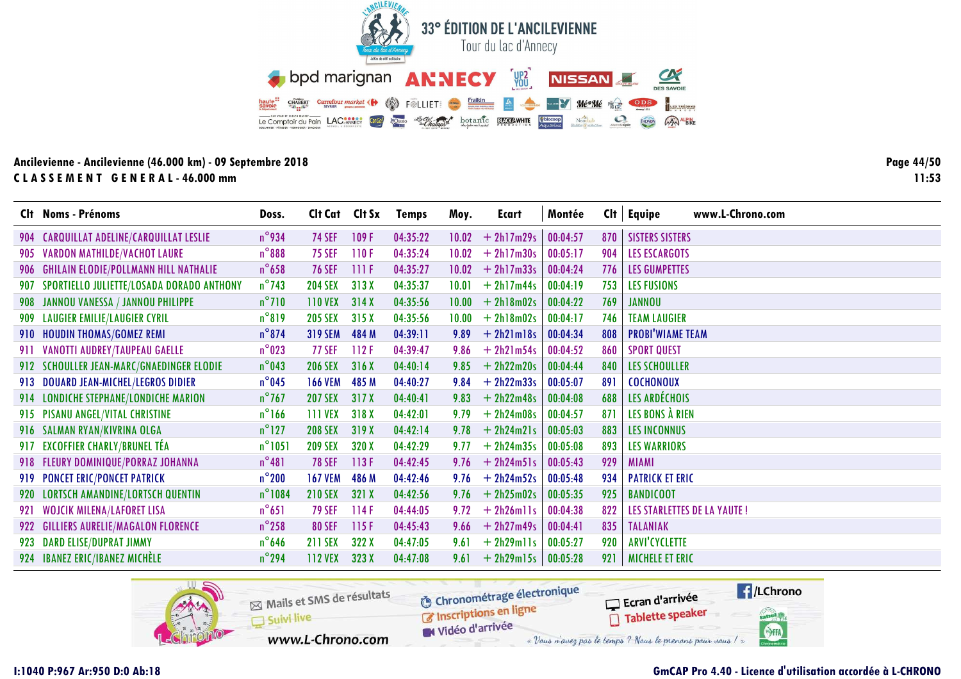![](_page_43_Picture_0.jpeg)

Page 44/50  $11:53$ 

|     | Clt Noms - Prénoms                          | Doss.            | Clt Cat Clt Sx |       | <b>Temps</b> | Moy.  | Ecart        | Montée   | Cl <sub>†</sub> | www.L-Chrono.com<br><b>Equipe</b>  |
|-----|---------------------------------------------|------------------|----------------|-------|--------------|-------|--------------|----------|-----------------|------------------------------------|
| 904 | <b>CARQUILLAT ADELINE/CARQUILLAT LESLIE</b> | $n^{\circ}$ 934  | <b>74 SEF</b>  | 109F  | 04:35:22     | 10.02 | $+ 2h17m29s$ | 00:04:57 | 870             | <b>SISTERS SISTERS</b>             |
|     | 905 VARDON MATHILDE/VACHOT LAURE            | $n^{\circ}$ 888  | <b>75 SEF</b>  | 110F  | 04:35:24     | 10.02 | $+ 2h17m30s$ | 00:05:17 | 904             | <b>LES ESCARGOTS</b>               |
|     | 906 GHILAIN ELODIE/POLLMANN HILL NATHALIE   | $n^{\circ}$ 658  | <b>76 SEF</b>  | 111F  | 04:35:27     | 10.02 | $+ 2h17m33s$ | 00:04:24 | 776             | <b>LES GUMPETTES</b>               |
| 907 | SPORTIELLO JULIETTE/LOSADA DORADO ANTHONY   | $n^{\circ}$ 743  | <b>204 SEX</b> | 313X  | 04:35:37     | 10.01 | $+ 2h17m44s$ | 00:04:19 | 753             | <b>LES FUSIONS</b>                 |
|     | 908 JANNOU VANESSA / JANNOU PHILIPPE        | $n^{\circ}$ 710  | <b>110 VEX</b> | 314X  | 04:35:56     | 10.00 | $+ 2h18m02s$ | 00:04:22 | 769             | <b>JANNOU</b>                      |
| 909 | <b>LAUGIER EMILIE/LAUGIER CYRIL</b>         | $n^{\circ}819$   | <b>205 SEX</b> | 315X  | 04:35:56     | 10.00 | $+ 2h18m02s$ | 00:04:17 | 746             | <b>TEAM LAUGIER</b>                |
|     | 910 HOUDIN THOMAS/GOMEZ REMI                | $n^{\circ}$ 874  | <b>319 SEM</b> | 484 M | 04:39:11     | 9.89  | $+ 2h21m18s$ | 00:04:34 | 808             | <b>PROBI'WIAME TEAM</b>            |
|     | 911 VANOTTI AUDREY/TAUPEAU GAELLE           | $n^{\circ}$ 023  | <b>77 SEF</b>  | 112F  | 04:39:47     | 9.86  | $+ 2h21m54s$ | 00:04:52 | 860             | <b>SPORT QUEST</b>                 |
|     | 912 SCHOULLER JEAN-MARC/GNAEDINGER ELODIE   | $n^{\circ}$ 043  | <b>206 SEX</b> | 316X  | 04:40:14     | 9.85  | $+ 2h22m20s$ | 00:04:44 | 840             | <b>LES SCHOULLER</b>               |
|     | 913 DOUARD JEAN-MICHEL/LEGROS DIDIER        | $n^{\circ}$ 045  | <b>166 VEM</b> | 485 M | 04:40:27     | 9.84  | $+ 2h22m33s$ | 00:05:07 | 891             | <b>COCHONOUX</b>                   |
|     | 914 LONDICHE STEPHANE/LONDICHE MARION       | $n^{\circ}$ 767  | <b>207 SEX</b> | 317X  | 04:40:41     | 9.83  | $+ 2h22m48s$ | 00:04:08 | 688             | LES ARDÉCHOIS                      |
|     | 915 PISANU ANGEL/VITAL CHRISTINE            | $n^{\circ}$ 166  | <b>111 VEX</b> | 318X  | 04:42:01     | 9.79  | $+ 2h24m08s$ | 00:04:57 | 871             | LES BONS À RIEN                    |
|     | 916 SALMAN RYAN/KIVRINA OLGA                | $n^{\circ}$ 127  | <b>208 SEX</b> | 319 X | 04:42:14     | 9.78  | $+ 2h24m21s$ | 00:05:03 | 883             | <b>LES INCONNUS</b>                |
|     | 917 EXCOFFIER CHARLY/BRUNEL TÉA             | $n^{\circ}$ 1051 | <b>209 SEX</b> | 320 X | 04:42:29     | 9.77  | $+ 2h24m35s$ | 00:05:08 | 893             | <b>LES WARRIORS</b>                |
|     | 918 FLEURY DOMINIQUE/PORRAZ JOHANNA         | $n^{\circ}481$   | <b>78 SEF</b>  | 113F  | 04:42:45     | 9.76  | $+ 2h24m51s$ | 00:05:43 | 929             | <b>MIAMI</b>                       |
|     | 919 PONCET ERIC/PONCET PATRICK              | $n^{\circ}$ 200  | <b>167 VEM</b> | 486 M | 04:42:46     | 9.76  | $+ 2h24m52s$ | 00:05:48 | 934             | <b>PATRICK ET ERIC</b>             |
|     | 920 LORTSCH AMANDINE/LORTSCH QUENTIN        | $n^{\circ}$ 1084 | <b>210 SEX</b> | 321X  | 04:42:56     | 9.76  | $+ 2h25m02s$ | 00:05:35 | 925             | <b>BANDICOOT</b>                   |
|     | 921 WOJCIK MILENA/LAFORET LISA              | $n^{\circ}651$   | <b>79 SEF</b>  | 114F  | 04:44:05     | 9.72  | $+ 2h26m11s$ | 00:04:38 | 822             | <b>LES STARLETTES DE LA YAUTE!</b> |
|     | 922 GILLIERS AURELIE/MAGALON FLORENCE       | $n^{\circ}$ 258  | <b>80 SEF</b>  | 115F  | 04:45:43     | 9.66  | $+ 2h27m49s$ | 00:04:41 | 835             | <b>TALANIAK</b>                    |
|     | 923 DARD ELISE/DUPRAT JIMMY                 | $n^{\circ}$ 646  | <b>211 SEX</b> | 322 X | 04:47:05     | 9.61  | $+ 2h29m11s$ | 00:05:27 | 920             | <b>ARVI'CYCLETTE</b>               |
|     | 924 IBANEZ ERIC/IBANEZ MICHÈLE              | $n^{\circ}$ 294  | <b>112 VEX</b> | 323 X | 04:47:08     | 9.61  | $+ 2h29m15s$ | 00:05:28 | 921             | <b>MICHELE ET ERIC</b>             |

![](_page_43_Picture_4.jpeg)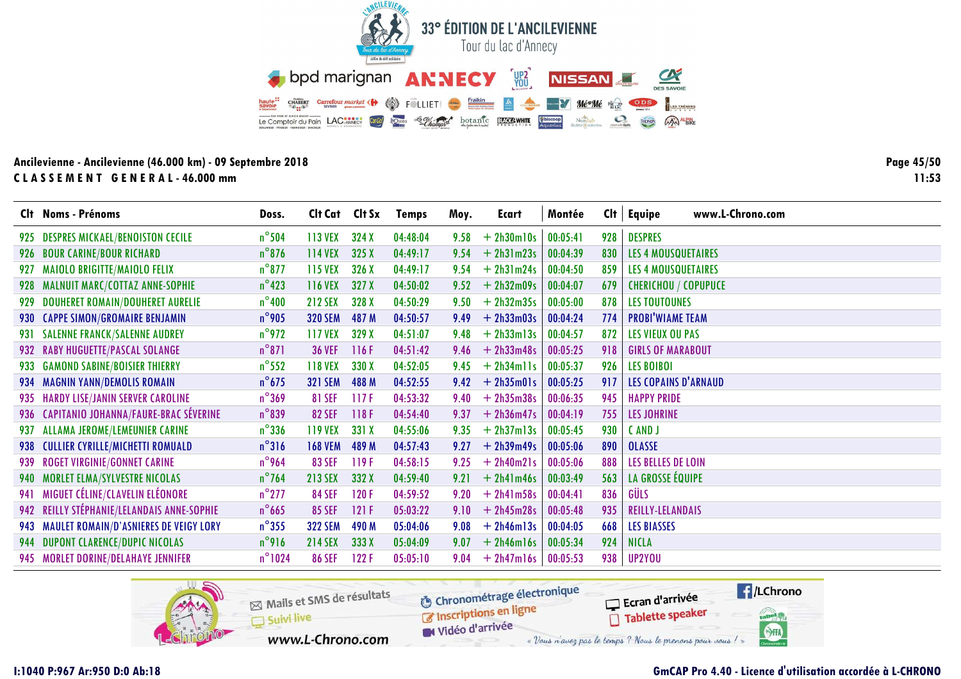![](_page_44_Picture_0.jpeg)

Page 45/50  $11:53$ 

|      | Clt Noms - Prénoms                         | Doss.            | Clt Cat Clt Sx |       | <b>Temps</b> | Moy. | Ecart        | Montée   | Cl <sub>t</sub> | www.L-Chrono.com<br>Equipe  |
|------|--------------------------------------------|------------------|----------------|-------|--------------|------|--------------|----------|-----------------|-----------------------------|
| 925  | <b>DESPRES MICKAEL/BENOISTON CECILE</b>    | $n^{\circ}$ 504  | 113 VEX        | 324X  | 04:48:04     | 9.58 | $+ 2h30m10s$ | 00:05:41 | 928             | <b>DESPRES</b>              |
|      | 926 BOUR CARINE/BOUR RICHARD               | $n^{\circ}$ 876  | <b>114 VEX</b> | 325X  | 04:49:17     | 9.54 | $+ 2h31m23s$ | 00:04:39 | 830             | LES 4 MOUSQUETAIRES         |
| 927  | <b>MAIOLO BRIGITTE/MAIOLO FELIX</b>        | $n^{\circ}$ 877  | <b>115 VEX</b> | 326X  | 04:49:17     | 9.54 | $+ 2h31m24s$ | 00:04:50 | 859             | <b>LES 4 MOUSQUETAIRES</b>  |
| 928  | MALNUIT MARC/COTTAZ ANNE-SOPHIE            | $n^{\circ}$ 423  | <b>116 VEX</b> | 327X  | 04:50:02     | 9.52 | $+ 2h32m09s$ | 00:04:07 | 679             | <b>CHERICHOU / COPUPUCE</b> |
| 929. | <b>DOUHERET ROMAIN/DOUHERET AURELIE</b>    | $n^{\circ}$ 400  | <b>212 SEX</b> | 328 X | 04:50:29     | 9.50 | $+ 2h32m35s$ | 00:05:00 | 878             | <b>LES TOUTOUNES</b>        |
|      | 930 CAPPE SIMON/GROMAIRE BENJAMIN          | $n^{\circ}$ 905  | <b>320 SEM</b> | 487 M | 04:50:57     | 9.49 | $+ 2h33m03s$ | 00:04:24 | 774             | <b>PROBI'WIAME TEAM</b>     |
|      | 931 SALENNE FRANCK/SALENNE AUDREY          | $n^{\circ}$ 972  | <b>117 VEX</b> | 329 X | 04:51:07     | 9.48 | $+ 2h33m13s$ | 00:04:57 | 872             | <b>LES VIEUX OU PAS</b>     |
|      | 932 RABY HUGUETTE/PASCAL SOLANGE           | $n^{\circ}871$   | <b>36 VEF</b>  | 116F  | 04:51:42     | 9.46 | $+ 2h33m48s$ | 00:05:25 | 918             | <b>GIRLS OF MARABOUT</b>    |
| 933  | <b>GAMOND SABINE/BOISIER THIERRY</b>       | $n^{\circ}$ 552  | <b>118 VEX</b> | 330 X | 04:52:05     | 9.45 | $+ 2h34m11s$ | 00:05:37 | 926             | <b>LES BOIBOI</b>           |
|      | 934 MAGNIN YANN/DEMOLIS ROMAIN             | $n^{\circ}$ 675  | <b>321 SEM</b> | 488 M | 04:52:55     | 9.42 | $+ 2h35m01s$ | 00:05:25 | 917             | <b>LES COPAINS D'ARNAUD</b> |
|      | 935 HARDY LISE/JANIN SERVER CAROLINE       | $n^{\circ}369$   | <b>81 SEF</b>  | 117F  | 04:53:32     | 9.40 | $+ 2h35m38s$ | 00:06:35 | 945             | <b>HAPPY PRIDE</b>          |
|      | 936 CAPITANIO JOHANNA/FAURE-BRAC SÉVERINE  | $n^{\circ}839$   | <b>82 SEF</b>  | 118F  | 04:54:40     | 9.37 | $+ 2h36m47s$ | 00:04:19 | 755             | <b>LES JOHRINE</b>          |
| 937. | <b>ALLAMA JEROME/LEMEUNIER CARINE</b>      | $n^{\circ}$ 336  | <b>119 VEX</b> | 331 X | 04:55:06     | 9.35 | $+ 2h37m13s$ | 00:05:45 | 930             | CAND J                      |
| 938  | <b>CULLIER CYRILLE/MICHETTI ROMUALD</b>    | $n^{\circ}316$   | <b>168 VEM</b> | 489 M | 04:57:43     | 9.27 | $+ 2h39m49s$ | 00:05:06 | 890             | <b>OLASSE</b>               |
|      | 939 ROGET VIRGINIE/GONNET CARINE           | $n^{\circ}$ 964  | <b>83 SEF</b>  | 119F  | 04:58:15     | 9.25 | $+ 2h40m21s$ | 00:05:06 | 888             | LES BELLES DE LOIN          |
| 940  | <b>MORLET ELMA/SYLVESTRE NICOLAS</b>       | $n^{\circ}$ 764  | <b>213 SEX</b> | 332 X | 04:59:40     | 9.21 | $+ 2h41m46s$ | 00:03:49 | 563             | LA GROSSE ÉQUIPE            |
| 941  | MIGUET CÉLINE/CLAVELIN ELÉONORE            | $n^{\circ}$ 277  | <b>84 SEF</b>  | 120F  | 04:59:52     | 9.20 | $+ 2h41m58s$ | 00:04:41 | 836             | GÜLS                        |
|      | 942 REILLY STÉPHANIE/LELANDAIS ANNE-SOPHIE | $n^{\circ}$ 665  | <b>85 SEF</b>  | 121F  | 05:03:22     | 9.10 | $+ 2h45m28s$ | 00:05:48 | 935             | <b>REILLY-LELANDAIS</b>     |
|      | 943 MAULET ROMAIN/D'ASNIERES DE VEIGY LORY | $n^{\circ}355$   | <b>322 SEM</b> | 490 M | 05:04:06     | 9.08 | $+ 2h46m13s$ | 00:04:05 | 668             | <b>LES BIASSES</b>          |
|      | 944 DUPONT CLARENCE/DUPIC NICOLAS          | $n^{\circ}$ 916  | <b>214 SEX</b> | 333X  | 05:04:09     | 9.07 | $+ 2h46m16s$ | 00:05:34 | 924             | <b>NICLA</b>                |
|      | 945 MORLET DORINE/DELAHAYE JENNIFER        | $n^{\circ}$ 1024 | <b>86 SEF</b>  | 122 F | 05:05:10     | 9.04 | $+ 2h47m16s$ | 00:05:53 | 938             | UP2YOU                      |

![](_page_44_Picture_4.jpeg)

# **GmCAP Pro 4.40 - Licence d'utilisation accordée à L-CHRONO**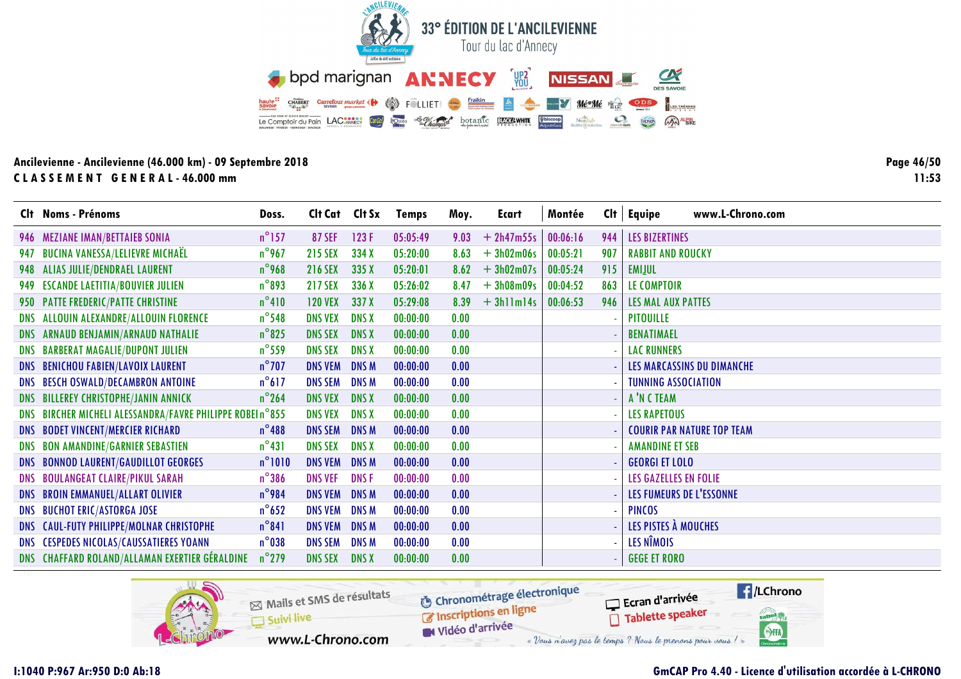![](_page_45_Picture_0.jpeg)

Page 46/50  $11:53$ 

|            | Clt Noms - Prénoms                                       | Doss.           | Clt Cat        | Clt Sx       | <b>Temps</b> | Moy. | <b>Ecart</b> | Montée   | Cl <sub>t</sub> | www.L-Chrono.com<br>Equipe        |
|------------|----------------------------------------------------------|-----------------|----------------|--------------|--------------|------|--------------|----------|-----------------|-----------------------------------|
|            | 946 MEZIANE IMAN/BETTAIEB SONIA                          | $n^{\circ}$ 157 | <b>87 SEF</b>  | 123F         | 05:05:49     | 9.03 | $+ 2h47m55s$ | 00:06:16 | 944             | <b>LES BIZERTINES</b>             |
|            | 947 BUCINA VANESSA/LELIEVRE MICHAËL                      | $n^{\circ}$ 967 | <b>215 SEX</b> | 334 X        | 05:20:00     | 8.63 | $+3h02m06s$  | 00:05:21 | 907             | <b>RABBIT AND ROUCKY</b>          |
|            | 948 ALIAS JULIE/DENDRAEL LAURENT                         | $n^{\circ}$ 968 | <b>216 SEX</b> | 335 X        | 05:20:01     | 8.62 | $+3h02m07s$  | 00:05:24 | 915             | <b>EMILUL</b>                     |
|            | 949 ESCANDE LAETITIA/BOUVIER JULIEN                      | $n^{\circ}893$  | <b>217 SEX</b> | 336 X        | 05:26:02     | 8.47 | $+3h08m09s$  | 00:04:52 | 863             | LE COMPTOIR                       |
|            | 950 PATTE FREDERIC/PATTE CHRISTINE                       | $n^{\circ}410$  | <b>120 VEX</b> | 337 X        | 05:29:08     | 8.39 | $+3$ hllml4s | 00:06:53 | 946             | <b>LES MAL AUX PATTES</b>         |
|            | DNS ALLOUIN ALEXANDRE/ALLOUIN FLORENCE                   | $n^{\circ}$ 548 | <b>DNS VEX</b> | <b>DNS X</b> | 00:00:00     | 0.00 |              |          |                 | <b>PITOUILLE</b>                  |
|            | DNS ARNAUD BENJAMIN/ARNAUD NATHALIE                      | $n^{\circ}$ 825 | <b>DNS SEX</b> | <b>DNS X</b> | 00:00:00     | 0.00 |              |          |                 | <b>BENATIMAEL</b>                 |
|            | DNS BARBERAT MAGALIE/DUPONT JULIEN                       | $n^{\circ}$ 559 | <b>DNS SEX</b> | <b>DNS X</b> | 00:00:00     | 0.00 |              |          |                 | <b>LAC RUNNERS</b>                |
|            | <b>DNS BENICHOU FABIEN/LAVOIX LAURENT</b>                | $n^{\circ}$ 707 | <b>DNS VEM</b> | <b>DNSM</b>  | 00:00:00     | 0.00 |              |          |                 | LES MARCASSINS DU DIMANCHE        |
|            | DNS BESCH OSWALD/DECAMBRON ANTOINE                       | $n^{\circ}617$  | <b>DNS SEM</b> | <b>DNSM</b>  | 00:00:00     | 0.00 |              |          |                 | <b>TUNNING ASSOCIATION</b>        |
|            | DNS BILLEREY CHRISTOPHE/JANIN ANNICK                     | $n^{\circ}$ 264 | <b>DNS VEX</b> | <b>DNS X</b> | 00:00:00     | 0.00 |              |          |                 | A'N C TEAM                        |
|            | DNS BIRCHER MICHELI ALESSANDRA/FAVRE PHILIPPE ROBEIn°855 |                 | <b>DNS VEX</b> | <b>DNS X</b> | 00:00:00     | 0.00 |              |          |                 | <b>LES RAPETOUS</b>               |
|            | DNS BODET VINCENT/MERCIER RICHARD                        | $n^{\circ}$ 488 | <b>DNS SEM</b> | <b>DNSM</b>  | 00:00:00     | 0.00 |              |          |                 | <b>COURIR PAR NATURE TOP TEAM</b> |
| <b>DNS</b> | <b>BON AMANDINE/GARNIER SEBASTIEN</b>                    | $n^{\circ}431$  | <b>DNS SEX</b> | <b>DNS X</b> | 00:00:00     | 0.00 |              |          |                 | <b>AMANDINE ET SEB</b>            |
|            | DNS BONNOD LAURENT/GAUDILLOT GEORGES                     | $n^{\circ}1010$ | <b>DNS VEM</b> | <b>DNSM</b>  | 00:00:00     | 0.00 |              |          |                 | <b>GEORGI ET LOLO</b>             |
|            | DNS BOULANGEAT CLAIRE/PIKUL SARAH                        | $n^{\circ}$ 386 | <b>DNS VEF</b> | <b>DNSF</b>  | 00:00:00     | 0.00 |              |          |                 | LES GAZELLES EN FOLIE             |
|            | DNS BROIN EMMANUEL/ALLART OLIVIER                        | $n^{\circ}$ 984 | <b>DNS VEM</b> | <b>DNSM</b>  | 00:00:00     | 0.00 |              |          |                 | LES FUMEURS DE L'ESSONNE          |
|            | <b>DNS BUCHOT ERIC/ASTORGA JOSE</b>                      | $n^{\circ}$ 652 | <b>DNS VEM</b> | <b>DNS M</b> | 00:00:00     | 0.00 |              |          |                 | <b>PINCOS</b>                     |
|            | DNS CAUL-FUTY PHILIPPE/MOLNAR CHRISTOPHE                 | $n^{\circ}841$  | <b>DNS VEM</b> | <b>DNS M</b> | 00:00:00     | 0.00 |              |          |                 | LES PISTES À MOUCHES              |
|            | DNS CESPEDES NICOLAS/CAUSSATIERES YOANN                  | $n^{\circ}$ 038 | <b>DNS SEM</b> | <b>DNSM</b>  | 00:00:00     | 0.00 |              |          |                 | LES NÎMOIS                        |
|            | DNS CHAFFARD ROLAND/ALLAMAN EXERTIER GÉRALDINE           | $n^{\circ}$ 279 | <b>DNS SEX</b> | <b>DNS X</b> | 00:00:00     | 0.00 |              |          |                 | <b>GEGE ET RORO</b>               |

![](_page_45_Picture_4.jpeg)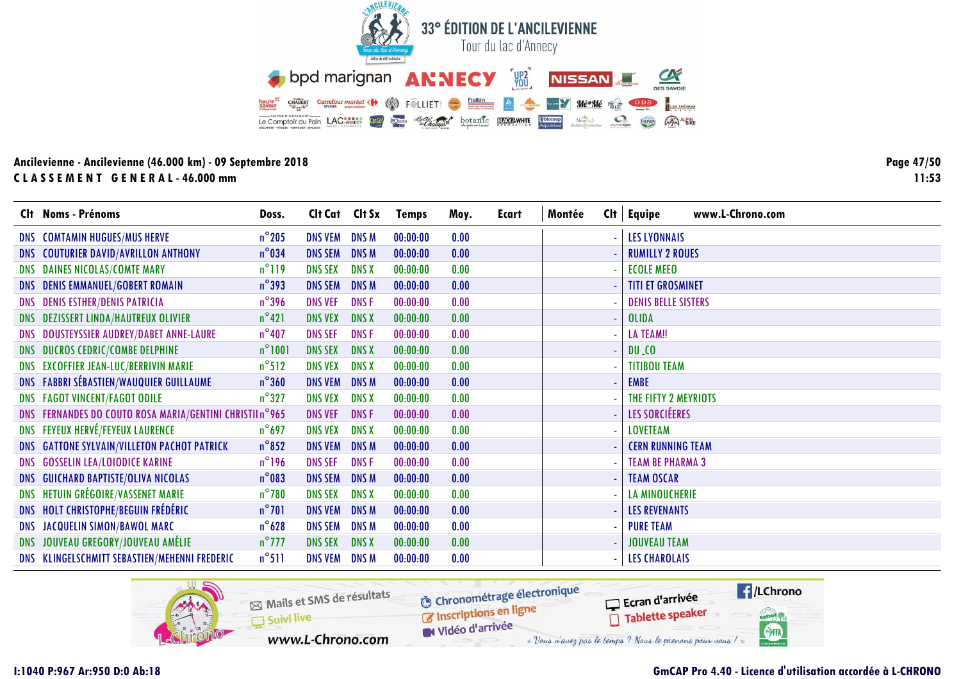![](_page_46_Picture_0.jpeg)

**Page 47/5011:53**

| Clt Noms - Prénoms                                       | Doss.           | Cit Cat Cit Sx |              | <b>Temps</b> | Moy. | <b>Ecart</b> | Montée | $Clt$ Equipe<br>www.L-Chrono.com   |
|----------------------------------------------------------|-----------------|----------------|--------------|--------------|------|--------------|--------|------------------------------------|
| DNS COMTAMIN HUGUES/MUS HERVE                            | $n^{\circ}$ 205 | <b>DNS VEM</b> | <b>DNSM</b>  | 00:00:00     | 0.00 |              |        | <b>LES LYONNAIS</b>                |
| DNS COUTURIER DAVID/AVRILLON ANTHONY                     | $n^{\circ}$ 034 | <b>DNS SEM</b> | <b>DNSM</b>  | 00:00:00     | 0.00 |              |        | <b>RUMILLY 2 ROUES</b>             |
| DNS DAINES NICOLAS/COMTE MARY                            | $n^{\circ}119$  | <b>DNS SEX</b> | <b>DNS X</b> | 00:00:00     | 0.00 |              |        | <b>ECOLE MEEO</b>                  |
| <b>DNS DENIS EMMANUEL/GOBERT ROMAIN</b>                  | $n^{\circ}$ 393 | <b>DNS SEM</b> | <b>DNSM</b>  | 00:00:00     | 0.00 |              |        | <b>TITI ET GROSMINET</b>           |
| <b>DNS DENIS ESTHER/DENIS PATRICIA</b>                   | $n^{\circ}$ 396 | <b>DNS VEF</b> | <b>DNSF</b>  | 00:00:00     | 0.00 |              |        | <b>DENIS BELLE SISTERS</b>         |
| DNS DEZISSERT LINDA/HAUTREUX OLIVIER                     | $n^{\circ}421$  | <b>DNS VEX</b> | <b>DNS X</b> | 00:00:00     | 0.00 |              |        | <b>OLIDA</b>                       |
| DNS DOUSTEYSSIER AUDREY/DABET ANNE-LAURE                 | $n^{\circ}$ 407 | <b>DNS SEF</b> | <b>DNSF</b>  | 00:00:00     | 0.00 |              |        | <b>LA TEAM!!</b>                   |
| DNS DUCROS CEDRIC/COMBE DELPHINE                         | $n^{\circ}1001$ | <b>DNS SEX</b> | <b>DNS X</b> | 00:00:00     | 0.00 |              |        | $DU_{10}$                          |
| DNS EXCOFFIER JEAN-LUC/BERRIVIN MARIE                    | $n^{\circ}512$  | <b>DNS VEX</b> | <b>DNS X</b> | 00:00:00     | 0.00 |              |        | <b>TITIBOU TEAM</b>                |
| DNS FABBRI SÉBASTIEN/WAUQUIER GUILLAUME                  | $n^{\circ}360$  | <b>DNS VEM</b> | <b>DNSM</b>  | 00:00:00     | 0.00 |              |        | <b>EMBE</b>                        |
| <b>DNS FAGOT VINCENT/FAGOT ODILE</b>                     | $n^{\circ}327$  | <b>DNS VEX</b> | <b>DNS X</b> | 00:00:00     | 0.00 |              |        | THE FIFTY 2 MEYRIOTS               |
| DNS FERNANDES DO COUTO ROSA MARIA/GENTINI CHRISTII nº965 |                 | <b>DNS VEF</b> | <b>DNSF</b>  | 00:00:00     | 0.00 |              |        | LES SORCIÉERES                     |
| <b>DNS FEYEUX HERVÉ/FEYEUX LAURENCE</b>                  | $n^{\circ}$ 697 | <b>DNS VEX</b> | <b>DNS X</b> | 00:00:00     | 0.00 |              |        | <b>LOVETEAM</b>                    |
| DNS GATTONE SYLVAIN/VILLETON PACHOT PATRICK              | $n^{\circ}852$  | <b>DNS VEM</b> | <b>DNSM</b>  | 00:00:00     | 0.00 |              |        | <b>CERN RUNNING TEAM</b><br>$\sim$ |
| DNS GOSSELIN LEA/LOIODICE KARINE                         | $n^{\circ}$ 196 | <b>DNS SEF</b> | <b>DNSF</b>  | 00:00:00     | 0.00 |              |        | <b>TEAM BE PHARMA 3</b>            |
| DNS GUICHARD BAPTISTE/OLIVA NICOLAS                      | $n^{\circ}083$  | <b>DNS SEM</b> | <b>DNSM</b>  | 00:00:00     | 0.00 |              |        | <b>TEAM OSCAR</b>                  |
| DNS HETUIN GRÉGOIRE/VASSENET MARIE                       | $n^{\circ}$ 780 | <b>DNS SEX</b> | <b>DNS X</b> | 00:00:00     | 0.00 |              |        | <b>LA MINOUCHERIE</b>              |
| <b>DNS HOLT CHRISTOPHE/BEGUIN FRÉDÉRIC</b>               | $n^{\circ}701$  | <b>DNS VEM</b> | <b>DNSM</b>  | 00:00:00     | 0.00 |              |        | <b>LES REVENANTS</b>               |
| DNS JACQUELIN SIMON/BAWOL MARC                           | $n^{\circ}$ 628 | <b>DNS SEM</b> | <b>DNSM</b>  | 00:00:00     | 0.00 |              |        | <b>PURE TEAM</b>                   |
| DNS JOUVEAU GREGORY/JOUVEAU AMÉLIE                       | $n^{\circ}$ 777 | <b>DNS SEX</b> | <b>DNS X</b> | 00:00:00     | 0.00 |              |        | <b>JOUVEAU TEAM</b>                |
| DNS KLINGELSCHMITT SEBASTIEN/MEHENNI FREDERIC            | $n^{\circ}511$  | <b>DNS VEM</b> | <b>DNSM</b>  | 00:00:00     | 0.00 |              |        | <b>LES CHAROLAIS</b>               |

![](_page_46_Picture_4.jpeg)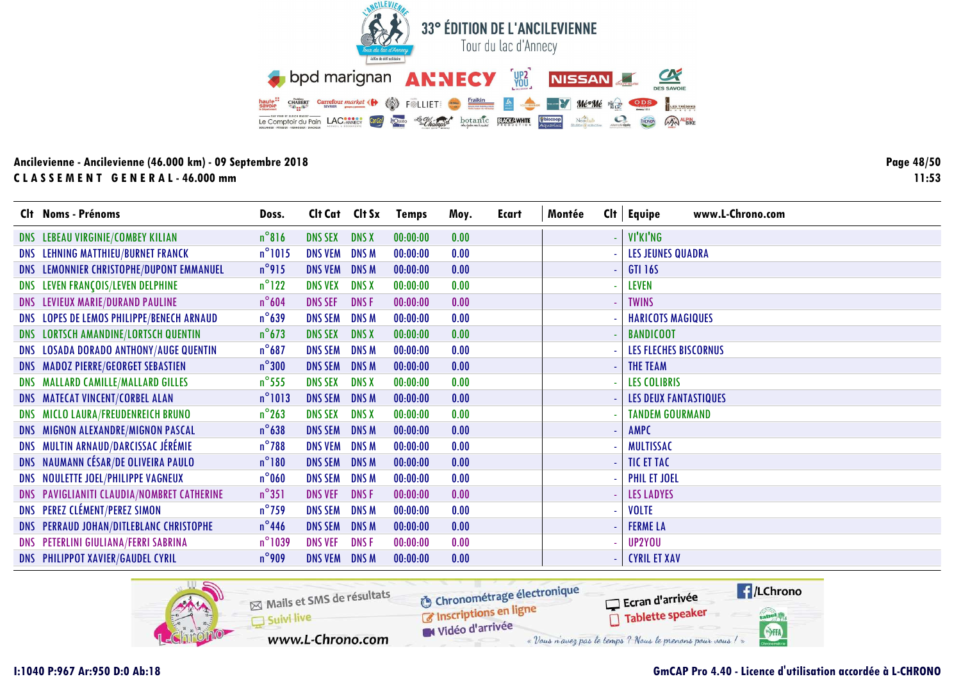![](_page_47_Picture_0.jpeg)

**Page 48/5011:53**

|     | Clt Noms - Prénoms                         | Doss.            | Clt Cat        | Clt Sx       | <b>Temps</b> | Moy. | <b>Ecart</b> | Montée | Cl <sub>t</sub> | www.L-Chrono.com<br><b>Equipe</b> |
|-----|--------------------------------------------|------------------|----------------|--------------|--------------|------|--------------|--------|-----------------|-----------------------------------|
|     | DNS LEBEAU VIRGINIE/COMBEY KILIAN          | $n^{\circ}816$   | <b>DNS SEX</b> | <b>DNS X</b> | 00:00:00     | 0.00 |              |        |                 | VI'KI'NG                          |
|     | DNS LEHNING MATTHIEU/BURNET FRANCK         | $n^{\circ}1015$  | <b>DNS VEM</b> | <b>DNSM</b>  | 00:00:00     | 0.00 |              |        |                 | <b>LES JEUNES QUADRA</b>          |
|     | DNS LEMONNIER CHRISTOPHE/DUPONT EMMANUEL   | $n^{\circ}$ 915  | <b>DNS VEM</b> | <b>DNS M</b> | 00:00:00     | 0.00 |              |        |                 | <b>GTI 16S</b>                    |
| DNS | LEVEN FRANÇOIS/LEVEN DELPHINE              | $n^{\circ}$ 122  | <b>DNS VEX</b> | <b>DNS X</b> | 00:00:00     | 0.00 |              |        |                 | <b>LEVEN</b>                      |
|     | DNS LEVIEUX MARIE/DURAND PAULINE           | $n^{\circ}604$   | <b>DNS SEF</b> | <b>DNSF</b>  | 00:00:00     | 0.00 |              |        |                 | <b>TWINS</b>                      |
|     | DNS LOPES DE LEMOS PHILIPPE/BENECH ARNAUD  | $n^{\circ}$ 639  | <b>DNS SEM</b> | <b>DNSM</b>  | 00:00:00     | 0.00 |              |        |                 | <b>HARICOTS MAGIQUES</b>          |
|     | DNS LORTSCH AMANDINE/LORTSCH QUENTIN       | $n^{\circ}$ 673  | <b>DNS SEX</b> | <b>DNS X</b> | 00:00:00     | 0.00 |              |        |                 | <b>BANDICOOT</b>                  |
|     | DNS LOSADA DORADO ANTHONY/AUGE QUENTIN     | $n^{\circ}687$   | <b>DNS SEM</b> | <b>DNSM</b>  | 00:00:00     | 0.00 |              |        |                 | <b>LES FLECHES BISCORNUS</b>      |
|     | <b>DNS MADOZ PIERRE/GEORGET SEBASTIEN</b>  | $n^{\circ}300$   | <b>DNS SEM</b> | <b>DNSM</b>  | 00:00:00     | 0.00 |              |        |                 | <b>THE TEAM</b>                   |
|     | DNS MALLARD CAMILLE/MALLARD GILLES         | $n^{\circ}$ 555  | <b>DNS SEX</b> | <b>DNS X</b> | 00:00:00     | 0.00 |              |        |                 | <b>LES COLIBRIS</b>               |
|     | DNS MATECAT VINCENT/CORBEL ALAN            | $n^{\circ}$ 1013 | <b>DNS SEM</b> | <b>DNSM</b>  | 00:00:00     | 0.00 |              |        |                 | <b>LES DEUX FANTASTIQUES</b>      |
|     | DNS MICLO LAURA/FREUDENREICH BRUNO         | $n^{\circ}$ 263  | <b>DNS SEX</b> | <b>DNS X</b> | 00:00:00     | 0.00 |              |        |                 | <b>TANDEM GOURMAND</b>            |
|     | DNS MIGNON ALEXANDRE/MIGNON PASCAL         | $n^{\circ}$ 638  | <b>DNS SEM</b> | <b>DNSM</b>  | 00:00:00     | 0.00 |              |        |                 | AMPC                              |
|     | DNS MULTIN ARNAUD/DARCISSAC JÉRÉMIE        | $n^{\circ}$ 788  | <b>DNS VEM</b> | <b>DNSM</b>  | 00:00:00     | 0.00 |              |        |                 | <b>MULTISSAC</b>                  |
|     | DNS NAUMANN CÉSAR/DE OLIVEIRA PAULO        | $n^{\circ}180$   | <b>DNS SEM</b> | <b>DNSM</b>  | 00:00:00     | 0.00 |              |        |                 | <b>TIC ET TAC</b>                 |
|     | DNS NOULETTE JOEL/PHILIPPE VAGNEUX         | $n^{\circ}$ 060  | <b>DNS SEM</b> | <b>DNSM</b>  | 00:00:00     | 0.00 |              |        |                 | <b>PHIL ET JOEL</b>               |
|     | DNS PAVIGLIANITI CLAUDIA/NOMBRET CATHERINE | $n^{\circ}351$   | <b>DNS VEF</b> | <b>DNSF</b>  | 00:00:00     | 0.00 |              |        |                 | <b>LES LADYES</b>                 |
|     | <b>DNS PEREZ CLÉMENT/PEREZ SIMON</b>       | $n^{\circ}$ 759  | <b>DNS SEM</b> | <b>DNSM</b>  | 00:00:00     | 0.00 |              |        |                 | <b>VOLTE</b>                      |
|     | DNS PERRAUD JOHAN/DITLEBLANC CHRISTOPHE    | $n^{\circ}$ 446  | <b>DNS SEM</b> | <b>DNSM</b>  | 00:00:00     | 0.00 |              |        |                 | <b>FERME LA</b>                   |
|     | DNS PETERLINI GIULIANA/FERRI SABRINA       | $n^{\circ}$ 1039 | <b>DNS VEF</b> | <b>DNSF</b>  | 00:00:00     | 0.00 |              |        |                 | UP2YOU                            |
|     | <b>DNS PHILIPPOT XAVIER/GAUDEL CYRIL</b>   | $n^{\circ}$ 909  | <b>DNS VEM</b> | <b>DNSM</b>  | 00:00:00     | 0.00 |              |        |                 | <b>CYRIL ET XAV</b>               |

![](_page_47_Picture_4.jpeg)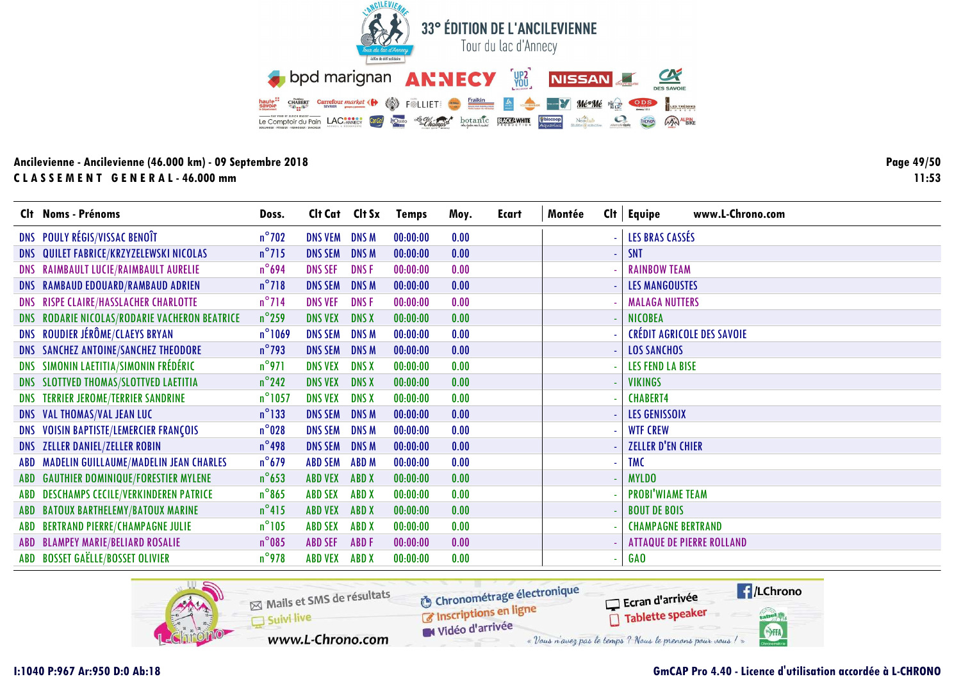![](_page_48_Picture_0.jpeg)

**Page 49/5011:53**

|            | Clt Noms - Prénoms                            | Doss.            | Clt Cat Clt Sx |              | <b>Temps</b> | Moy. | Ecart | Montée | www.L-Chrono.com<br>$Clt$ Equipe  |
|------------|-----------------------------------------------|------------------|----------------|--------------|--------------|------|-------|--------|-----------------------------------|
|            | DNS POULY RÉGIS/VISSAC BENOÎT                 | $n^{\circ}$ 702  | <b>DNS VEM</b> | <b>DNSM</b>  | 00:00:00     | 0.00 |       |        | LES BRAS CASSÉS                   |
|            | DNS QUILET FABRICE/KRZYZELEWSKI NICOLAS       | $n^{\circ}$ 715  | <b>DNS SEM</b> | <b>DNSM</b>  | 00:00:00     | 0.00 |       |        | <b>SNT</b>                        |
|            | DNS RAIMBAULT LUCIE/RAIMBAULT AURELIE         | $n^{\circ}$ 694  | <b>DNS SEF</b> | <b>DNSF</b>  | 00:00:00     | 0.00 |       |        | <b>RAINBOW TEAM</b>               |
|            | DNS RAMBAUD EDOUARD/RAMBAUD ADRIEN            | $n^{\circ}718$   | <b>DNS SEM</b> | <b>DNSM</b>  | 00:00:00     | 0.00 |       |        | <b>LES MANGOUSTES</b>             |
|            | DNS RISPE CLAIRE/HASSLACHER CHARLOTTE         | $n^{\circ}$ 714  | <b>DNS VEF</b> | <b>DNSF</b>  | 00:00:00     | 0.00 |       |        | <b>MALAGA NUTTERS</b>             |
| <b>DNS</b> | RODARIE NICOLAS/RODARIE VACHERON BEATRICE     | $n^{\circ}$ 259  | <b>DNS VEX</b> | <b>DNS X</b> | 00:00:00     | 0.00 |       |        | <b>NICOBEA</b>                    |
|            | DNS ROUDIER JÉRÔME/CLAEYS BRYAN               | $n^{\circ}1069$  | <b>DNS SEM</b> | <b>DNSM</b>  | 00:00:00     | 0.00 |       |        | <b>CRÉDIT AGRICOLE DES SAVOIE</b> |
| <b>DNS</b> | SANCHEZ ANTOINE/SANCHEZ THEODORE              | $n^{\circ}$ 793  | <b>DNS SEM</b> | <b>DNSM</b>  | 00:00:00     | 0.00 |       |        | <b>LOS SANCHOS</b>                |
| DNS        | SIMONIN LAETITIA/SIMONIN FRÉDÉRIC             | $n^{\circ}$ 971  | <b>DNS VEX</b> | <b>DNS X</b> | 00:00:00     | 0.00 |       |        | <b>LES FEND LA BISE</b>           |
| <b>DNS</b> | SLOTTVED THOMAS/SLOTTVED LAETITIA             | $n^{\circ}$ 242  | <b>DNS VEX</b> | <b>DNS X</b> | 00:00:00     | 0.00 |       |        | <b>VIKINGS</b>                    |
| <b>DNS</b> | <b>TERRIER JEROME/TERRIER SANDRINE</b>        | $n^{\circ}$ 1057 | <b>DNS VEX</b> | <b>DNS X</b> | 00:00:00     | 0.00 |       |        | <b>CHABERT4</b>                   |
|            | DNS VAL THOMAS/VAL JEAN LUC                   | $n^{\circ}$ 133  | <b>DNS SEM</b> | <b>DNSM</b>  | 00:00:00     | 0.00 |       |        | <b>LES GENISSOIX</b>              |
|            | DNS VOISIN BAPTISTE/LEMERCIER FRANÇOIS        | $n^{\circ}$ 028  | <b>DNS SEM</b> | <b>DNSM</b>  | 00:00:00     | 0.00 |       |        | <b>WTF CREW</b>                   |
|            | <b>DNS ZELLER DANIEL/ZELLER ROBIN</b>         | $n^{\circ}$ 498  | <b>DNS SEM</b> | <b>DNSM</b>  | 00:00:00     | 0.00 |       |        | <b>ZELLER D'EN CHIER</b>          |
| ABD        | <b>MADELIN GUILLAUME/MADELIN JEAN CHARLES</b> | $n^{\circ}$ 679  | <b>ABD SEM</b> | <b>ABDM</b>  | 00:00:00     | 0.00 |       |        | <b>TMC</b>                        |
| ABD        | <b>GAUTHIER DOMINIQUE/FORESTIER MYLENE</b>    | $n^{\circ}$ 653  | <b>ABD VEX</b> | <b>ABDX</b>  | 00:00:00     | 0.00 |       |        | <b>MYLDO</b>                      |
|            | ABD DESCHAMPS CECILE/VERKINDEREN PATRICE      | $n^{\circ}865$   | <b>ABD SEX</b> | <b>ABDX</b>  | 00:00:00     | 0.00 |       |        | <b>PROBI'WIAME TEAM</b>           |
| ABD        | <b>BATOUX BARTHELEMY/BATOUX MARINE</b>        | $n^{\circ}415$   | <b>ABD VEX</b> | <b>ABDX</b>  | 00:00:00     | 0.00 |       |        | <b>BOUT DE BOIS</b>               |
| ABD        | <b>BERTRAND PIERRE/CHAMPAGNE JULIE</b>        | $n^{\circ}105$   | <b>ABD SEX</b> | <b>ABD X</b> | 00:00:00     | 0.00 |       |        | <b>CHAMPAGNE BERTRAND</b>         |
|            | ABD BLAMPEY MARIE/BELIARD ROSALIE             | $n^{\circ}085$   | <b>ABD SEF</b> | <b>ABDF</b>  | 00:00:00     | 0.00 |       |        | <b>ATTAQUE DE PIERRE ROLLAND</b>  |
|            | ABD BOSSET GAËLLE/BOSSET OLIVIER              | $n^{\circ}$ 978  | <b>ABD VEX</b> | <b>ABDX</b>  | 00:00:00     | 0.00 |       |        | GA <sub>0</sub>                   |

![](_page_48_Picture_4.jpeg)